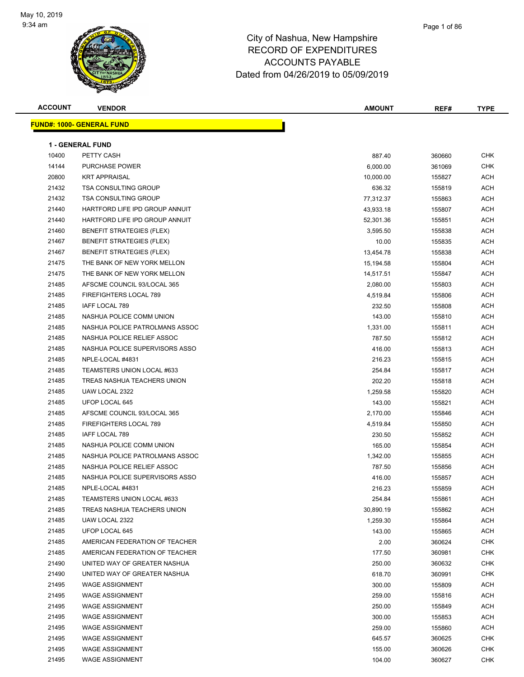

| <b>ACCOUNT</b> | <b>VENDOR</b>                     | <b>AMOUNT</b> | REF#   | <b>TYPE</b> |
|----------------|-----------------------------------|---------------|--------|-------------|
|                | <u> FUND#: 1000- GENERAL FUND</u> |               |        |             |
|                |                                   |               |        |             |
|                | 1 - GENERAL FUND                  |               |        |             |
| 10400          | PETTY CASH                        | 887.40        | 360660 | <b>CHK</b>  |
| 14144          | <b>PURCHASE POWER</b>             | 6,000.00      | 361069 | <b>CHK</b>  |
| 20800          | <b>KRT APPRAISAL</b>              | 10,000.00     | 155827 | ACH         |
| 21432          | <b>TSA CONSULTING GROUP</b>       | 636.32        | 155819 | ACH         |
| 21432          | <b>TSA CONSULTING GROUP</b>       | 77,312.37     | 155863 | ACH         |
| 21440          | HARTFORD LIFE IPD GROUP ANNUIT    | 43,933.18     | 155807 | ACH         |
| 21440          | HARTFORD LIFE IPD GROUP ANNUIT    | 52,301.36     | 155851 | ACH         |
| 21460          | BENEFIT STRATEGIES (FLEX)         | 3,595.50      | 155838 | ACH         |
| 21467          | <b>BENEFIT STRATEGIES (FLEX)</b>  | 10.00         | 155835 | ACH         |
| 21467          | <b>BENEFIT STRATEGIES (FLEX)</b>  | 13,454.78     | 155838 | ACH         |
| 21475          | THE BANK OF NEW YORK MELLON       | 15,194.58     | 155804 | ACH         |
| 21475          | THE BANK OF NEW YORK MELLON       | 14,517.51     | 155847 | ACH         |
| 21485          | AFSCME COUNCIL 93/LOCAL 365       | 2,080.00      | 155803 | ACH         |
| 21485          | FIREFIGHTERS LOCAL 789            | 4,519.84      | 155806 | ACH         |
| 21485          | IAFF LOCAL 789                    | 232.50        | 155808 | ACH         |
| 21485          | NASHUA POLICE COMM UNION          | 143.00        | 155810 | ACH         |
| 21485          | NASHUA POLICE PATROLMANS ASSOC    | 1,331.00      | 155811 | ACH         |
| 21485          | NASHUA POLICE RELIEF ASSOC        | 787.50        | 155812 | ACH         |
| 21485          | NASHUA POLICE SUPERVISORS ASSO    | 416.00        | 155813 | ACH         |
| 21485          | NPLE-LOCAL #4831                  | 216.23        | 155815 | ACH         |
| 21485          | TEAMSTERS UNION LOCAL #633        | 254.84        | 155817 | ACH         |
| 21485          | TREAS NASHUA TEACHERS UNION       | 202.20        | 155818 | ACH         |
| 21485          | UAW LOCAL 2322                    | 1,259.58      | 155820 | ACH         |
| 21485          | UFOP LOCAL 645                    | 143.00        | 155821 | ACH         |
| 21485          | AFSCME COUNCIL 93/LOCAL 365       | 2,170.00      | 155846 | ACH         |
| 21485          | FIREFIGHTERS LOCAL 789            | 4,519.84      | 155850 | ACH         |
| 21485          | IAFF LOCAL 789                    | 230.50        | 155852 | ACH         |
| 21485          | NASHUA POLICE COMM UNION          | 165.00        | 155854 | ACH         |
| 21485          | NASHUA POLICE PATROLMANS ASSOC    | 1,342.00      | 155855 | ACH         |
| 21485          | NASHUA POLICE RELIEF ASSOC        | 787.50        | 155856 | ACH         |
| 21485          | NASHUA POLICE SUPERVISORS ASSO    | 416.00        | 155857 | ACH         |
| 21485          | NPLE-LOCAL #4831                  | 216.23        | 155859 | <b>ACH</b>  |
| 21485          | TEAMSTERS UNION LOCAL #633        | 254.84        | 155861 | <b>ACH</b>  |
| 21485          | TREAS NASHUA TEACHERS UNION       | 30,890.19     | 155862 | ACH         |
| 21485          | UAW LOCAL 2322                    | 1,259.30      | 155864 | ACH         |
| 21485          | UFOP LOCAL 645                    | 143.00        | 155865 | <b>ACH</b>  |
| 21485          | AMERICAN FEDERATION OF TEACHER    | 2.00          | 360624 | <b>CHK</b>  |
| 21485          | AMERICAN FEDERATION OF TEACHER    | 177.50        | 360981 | <b>CHK</b>  |
| 21490          | UNITED WAY OF GREATER NASHUA      | 250.00        | 360632 | <b>CHK</b>  |
| 21490          | UNITED WAY OF GREATER NASHUA      | 618.70        | 360991 | <b>CHK</b>  |
| 21495          | <b>WAGE ASSIGNMENT</b>            | 300.00        | 155809 | ACH         |
| 21495          | <b>WAGE ASSIGNMENT</b>            | 259.00        | 155816 | ACH         |
| 21495          | <b>WAGE ASSIGNMENT</b>            | 250.00        | 155849 | <b>ACH</b>  |
| 21495          | <b>WAGE ASSIGNMENT</b>            | 300.00        | 155853 | ACH         |
| 21495          | <b>WAGE ASSIGNMENT</b>            | 259.00        | 155860 | ACH         |
| 21495          | <b>WAGE ASSIGNMENT</b>            | 645.57        | 360625 | <b>CHK</b>  |
| 21495          | <b>WAGE ASSIGNMENT</b>            | 155.00        | 360626 | <b>CHK</b>  |
| 21495          | <b>WAGE ASSIGNMENT</b>            | 104.00        | 360627 | <b>CHK</b>  |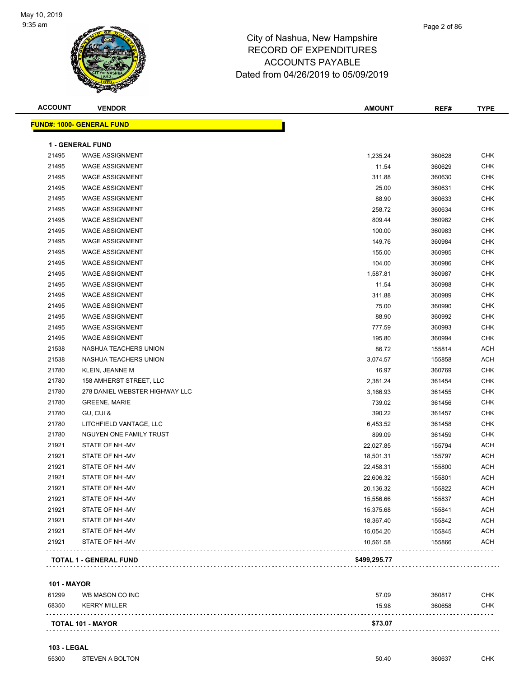

#### Page 2 of 86

### City of Nashua, New Hampshire RECORD OF EXPENDITURES ACCOUNTS PAYABLE Dated from 04/26/2019 to 05/09/2019

| <b>ACCOUNT</b> | <b>VENDOR</b>                    | <b>AMOUNT</b> | REF#   | <b>TYPE</b> |
|----------------|----------------------------------|---------------|--------|-------------|
|                | <b>FUND#: 1000- GENERAL FUND</b> |               |        |             |
|                | 1 - GENERAL FUND                 |               |        |             |
| 21495          | <b>WAGE ASSIGNMENT</b>           | 1,235.24      | 360628 | <b>CHK</b>  |
| 21495          | <b>WAGE ASSIGNMENT</b>           | 11.54         | 360629 | <b>CHK</b>  |
| 21495          | <b>WAGE ASSIGNMENT</b>           | 311.88        | 360630 | <b>CHK</b>  |
| 21495          | <b>WAGE ASSIGNMENT</b>           | 25.00         | 360631 | <b>CHK</b>  |
| 21495          | <b>WAGE ASSIGNMENT</b>           | 88.90         | 360633 | <b>CHK</b>  |
| 21495          | <b>WAGE ASSIGNMENT</b>           | 258.72        | 360634 | <b>CHK</b>  |
| 21495          | <b>WAGE ASSIGNMENT</b>           | 809.44        | 360982 | <b>CHK</b>  |
| 21495          | <b>WAGE ASSIGNMENT</b>           | 100.00        | 360983 | <b>CHK</b>  |
| 21495          | <b>WAGE ASSIGNMENT</b>           | 149.76        | 360984 | <b>CHK</b>  |
| 21495          | <b>WAGE ASSIGNMENT</b>           | 155.00        | 360985 | <b>CHK</b>  |
| 21495          | <b>WAGE ASSIGNMENT</b>           | 104.00        | 360986 | CHK         |
| 21495          | <b>WAGE ASSIGNMENT</b>           | 1,587.81      | 360987 | <b>CHK</b>  |
| 21495          | <b>WAGE ASSIGNMENT</b>           | 11.54         | 360988 | <b>CHK</b>  |
| 21495          | <b>WAGE ASSIGNMENT</b>           | 311.88        | 360989 | <b>CHK</b>  |
| 21495          | <b>WAGE ASSIGNMENT</b>           | 75.00         | 360990 | <b>CHK</b>  |
| 21495          | <b>WAGE ASSIGNMENT</b>           | 88.90         | 360992 | <b>CHK</b>  |
| 21495          | <b>WAGE ASSIGNMENT</b>           | 777.59        | 360993 | <b>CHK</b>  |
| 21495          | <b>WAGE ASSIGNMENT</b>           | 195.80        | 360994 | <b>CHK</b>  |
| 21538          | NASHUA TEACHERS UNION            | 86.72         | 155814 | ACH         |
| 21538          | NASHUA TEACHERS UNION            | 3,074.57      | 155858 | <b>ACH</b>  |
| 21780          | KLEIN, JEANNE M                  | 16.97         | 360769 | <b>CHK</b>  |
| 21780          | 158 AMHERST STREET, LLC          | 2,381.24      | 361454 | CHK         |
| 21780          | 278 DANIEL WEBSTER HIGHWAY LLC   | 3,166.93      | 361455 | CHK         |
| 21780          | <b>GREENE, MARIE</b>             | 739.02        | 361456 | <b>CHK</b>  |
| 21780          | GU, CUI &                        | 390.22        | 361457 | <b>CHK</b>  |
| 21780          | LITCHFIELD VANTAGE, LLC          | 6,453.52      | 361458 | <b>CHK</b>  |
| 21780          | NGUYEN ONE FAMILY TRUST          | 899.09        | 361459 | <b>CHK</b>  |
| 21921          | STATE OF NH-MV                   | 22,027.85     | 155794 | <b>ACH</b>  |
| 21921          | STATE OF NH-MV                   | 18,501.31     | 155797 | ACH         |
| 21921          | STATE OF NH -MV                  | 22,458.31     | 155800 | ACH         |
| 21921          | STATE OF NH-MV                   | 22,606.32     | 155801 | <b>ACH</b>  |
| 21921          | STATE OF NH-MV                   | 20,136.32     | 155822 | <b>ACH</b>  |
| 21921          | STATE OF NH-MV                   | 15,556.66     | 155837 | <b>ACH</b>  |
| 21921          | STATE OF NH-MV                   | 15,375.68     | 155841 | <b>ACH</b>  |
| 21921          | STATE OF NH-MV                   | 18,367.40     | 155842 | <b>ACH</b>  |
| 21921          | STATE OF NH-MV                   | 15,054.20     | 155845 | <b>ACH</b>  |
| 21921          | STATE OF NH-MV                   | 10,561.58     | 155866 | <b>ACH</b>  |
|                | <b>TOTAL 1 - GENERAL FUND</b>    | \$499,295.77  |        |             |

#### **101 - MAYOR**

| 61299 | WB MASON CO INC          | 57.09   | 360817 | <b>CHK</b> |
|-------|--------------------------|---------|--------|------------|
| 68350 | <b>KERRY MILLER</b>      | 15.98   | 360658 | <b>CHK</b> |
|       | <b>TOTAL 101 - MAYOR</b> | \$73.07 |        |            |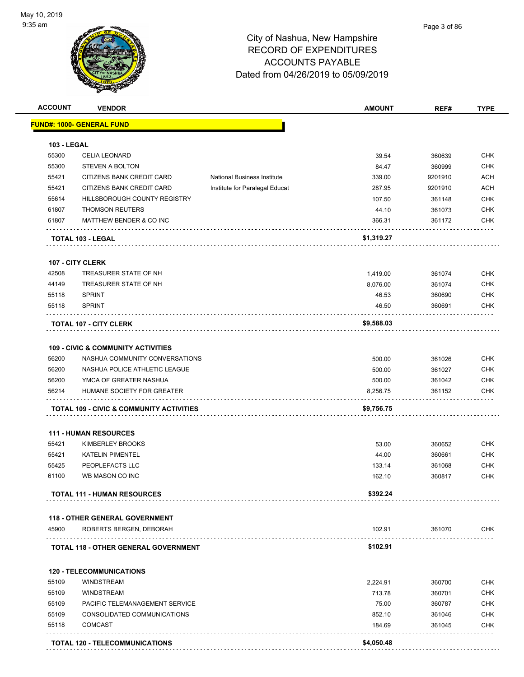

| <b>ACCOUNT</b>     | <b>VENDOR</b>                                       |                                    | <b>AMOUNT</b> | REF#    | <b>TYPE</b> |
|--------------------|-----------------------------------------------------|------------------------------------|---------------|---------|-------------|
|                    | <u> FUND#: 1000- GENERAL FUND</u>                   |                                    |               |         |             |
| <b>103 - LEGAL</b> |                                                     |                                    |               |         |             |
| 55300              | <b>CELIA LEONARD</b>                                |                                    | 39.54         | 360639  | <b>CHK</b>  |
| 55300              | <b>STEVEN A BOLTON</b>                              |                                    | 84.47         | 360999  | <b>CHK</b>  |
| 55421              | CITIZENS BANK CREDIT CARD                           | <b>National Business Institute</b> | 339.00        | 9201910 | <b>ACH</b>  |
| 55421              | CITIZENS BANK CREDIT CARD                           | Institute for Paralegal Educat     | 287.95        | 9201910 | <b>ACH</b>  |
| 55614              | HILLSBOROUGH COUNTY REGISTRY                        |                                    | 107.50        | 361148  | <b>CHK</b>  |
| 61807              | <b>THOMSON REUTERS</b>                              |                                    | 44.10         | 361073  | <b>CHK</b>  |
| 61807              | MATTHEW BENDER & CO INC                             |                                    | 366.31        | 361172  | <b>CHK</b>  |
|                    |                                                     |                                    | \$1,319.27    |         |             |
|                    | TOTAL 103 - LEGAL                                   |                                    |               |         |             |
|                    | 107 - CITY CLERK                                    |                                    |               |         |             |
| 42508              | TREASURER STATE OF NH                               |                                    | 1,419.00      | 361074  | <b>CHK</b>  |
| 44149              | TREASURER STATE OF NH                               |                                    | 8,076.00      | 361074  | <b>CHK</b>  |
| 55118              | <b>SPRINT</b>                                       |                                    | 46.53         | 360690  | <b>CHK</b>  |
| 55118              | <b>SPRINT</b>                                       |                                    | 46.50         | 360691  | <b>CHK</b>  |
|                    | <b>TOTAL 107 - CITY CLERK</b>                       |                                    | \$9,588.03    |         |             |
|                    | <b>109 - CIVIC &amp; COMMUNITY ACTIVITIES</b>       |                                    |               |         |             |
| 56200              | NASHUA COMMUNITY CONVERSATIONS                      |                                    | 500.00        | 361026  | <b>CHK</b>  |
| 56200              | NASHUA POLICE ATHLETIC LEAGUE                       |                                    | 500.00        | 361027  | <b>CHK</b>  |
| 56200              | YMCA OF GREATER NASHUA                              |                                    | 500.00        | 361042  | <b>CHK</b>  |
| 56214              | HUMANE SOCIETY FOR GREATER                          |                                    | 8,256.75      | 361152  | <b>CHK</b>  |
|                    | <b>TOTAL 109 - CIVIC &amp; COMMUNITY ACTIVITIES</b> |                                    | \$9,756.75    |         |             |
|                    |                                                     |                                    |               |         |             |
|                    | <b>111 - HUMAN RESOURCES</b>                        |                                    |               |         |             |
| 55421              | KIMBERLEY BROOKS                                    |                                    | 53.00         | 360652  | <b>CHK</b>  |
| 55421              | <b>KATELIN PIMENTEL</b>                             |                                    | 44.00         | 360661  | <b>CHK</b>  |
| 55425              | PEOPLEFACTS LLC                                     |                                    | 133.14        | 361068  | <b>CHK</b>  |
| 61100              | WB MASON CO INC                                     |                                    | 162.10        | 360817  | <b>CHK</b>  |
|                    | <b>TOTAL 111 - HUMAN RESOURCES</b>                  |                                    | \$392.24      |         |             |
|                    | <b>118 - OTHER GENERAL GOVERNMENT</b>               |                                    |               |         |             |
| 45900              | ROBERTS BERGEN, DEBORAH                             |                                    | 102.91        | 361070  | <b>CHK</b>  |
|                    | TOTAL 118 - OTHER GENERAL GOVERNMENT                |                                    | \$102.91      |         |             |
|                    | <b>120 - TELECOMMUNICATIONS</b>                     |                                    |               |         |             |
| 55109              | <b>WINDSTREAM</b>                                   |                                    | 2,224.91      | 360700  | <b>CHK</b>  |
| 55109              | <b>WINDSTREAM</b>                                   |                                    | 713.78        | 360701  | <b>CHK</b>  |
| 55109              | PACIFIC TELEMANAGEMENT SERVICE                      |                                    | 75.00         | 360787  | <b>CHK</b>  |
| 55109              | CONSOLIDATED COMMUNICATIONS                         |                                    | 852.10        | 361046  | <b>CHK</b>  |
| 55118              | <b>COMCAST</b>                                      |                                    | 184.69        | 361045  | <b>CHK</b>  |
|                    |                                                     |                                    |               |         |             |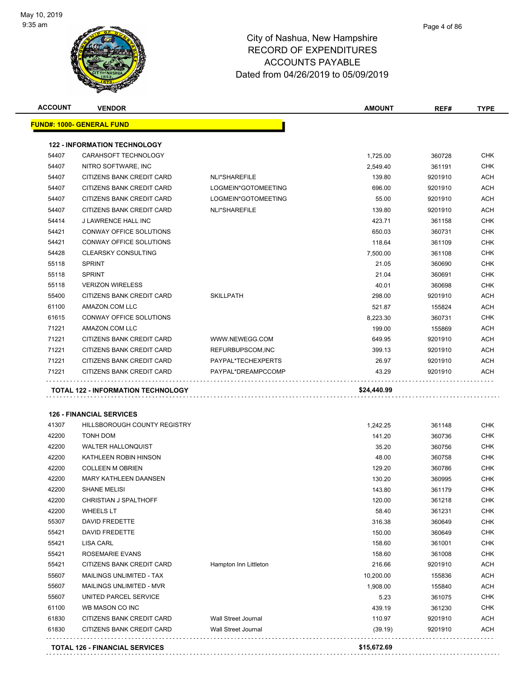

|       | <b>VENDOR</b>                                                   |                            | <b>AMOUNT</b>        | REF#    | <b>TYPE</b>                                                                                                                                                                                                                                                                                        |
|-------|-----------------------------------------------------------------|----------------------------|----------------------|---------|----------------------------------------------------------------------------------------------------------------------------------------------------------------------------------------------------------------------------------------------------------------------------------------------------|
|       | <u> FUND#: 1000- GENERAL FUND</u>                               |                            |                      |         |                                                                                                                                                                                                                                                                                                    |
|       | <b>122 - INFORMATION TECHNOLOGY</b>                             |                            |                      |         |                                                                                                                                                                                                                                                                                                    |
| 54407 | CARAHSOFT TECHNOLOGY                                            |                            | 1,725.00             | 360728  | <b>CHK</b>                                                                                                                                                                                                                                                                                         |
| 54407 | NITRO SOFTWARE, INC                                             |                            | 2,549.40             | 361191  | <b>CHK</b>                                                                                                                                                                                                                                                                                         |
| 54407 | CITIZENS BANK CREDIT CARD                                       | NLI*SHAREFILE              | 139.80               | 9201910 | <b>ACH</b>                                                                                                                                                                                                                                                                                         |
| 54407 | CITIZENS BANK CREDIT CARD                                       | LOGMEIN*GOTOMEETING        | 696.00               | 9201910 | ACH                                                                                                                                                                                                                                                                                                |
| 54407 | CITIZENS BANK CREDIT CARD                                       | LOGMEIN*GOTOMEETING        | 55.00                | 9201910 | <b>ACH</b>                                                                                                                                                                                                                                                                                         |
| 54407 | CITIZENS BANK CREDIT CARD                                       | NLI*SHAREFILE              | 139.80               | 9201910 | <b>ACH</b>                                                                                                                                                                                                                                                                                         |
| 54414 | <b>J LAWRENCE HALL INC</b>                                      |                            | 423.71               | 361158  | <b>CHK</b>                                                                                                                                                                                                                                                                                         |
| 54421 | CONWAY OFFICE SOLUTIONS                                         |                            | 650.03               | 360731  | <b>CHK</b>                                                                                                                                                                                                                                                                                         |
| 54421 | CONWAY OFFICE SOLUTIONS                                         |                            | 118.64               | 361109  | <b>CHK</b>                                                                                                                                                                                                                                                                                         |
| 54428 | <b>CLEARSKY CONSULTING</b>                                      |                            | 7,500.00             | 361108  | <b>CHK</b>                                                                                                                                                                                                                                                                                         |
| 55118 | <b>SPRINT</b>                                                   |                            | 21.05                | 360690  | <b>CHK</b>                                                                                                                                                                                                                                                                                         |
| 55118 | <b>SPRINT</b>                                                   |                            | 21.04                | 360691  | <b>CHK</b>                                                                                                                                                                                                                                                                                         |
| 55118 | <b>VERIZON WIRELESS</b>                                         |                            | 40.01                | 360698  | <b>CHK</b>                                                                                                                                                                                                                                                                                         |
| 55400 | CITIZENS BANK CREDIT CARD                                       | <b>SKILLPATH</b>           | 298.00               | 9201910 | ACH                                                                                                                                                                                                                                                                                                |
| 61100 | AMAZON.COM LLC                                                  |                            | 521.87               | 155824  | <b>ACH</b>                                                                                                                                                                                                                                                                                         |
| 61615 | CONWAY OFFICE SOLUTIONS                                         |                            | 8,223.30             | 360731  | <b>CHK</b>                                                                                                                                                                                                                                                                                         |
| 71221 | AMAZON.COM LLC                                                  |                            | 199.00               | 155869  | <b>ACH</b>                                                                                                                                                                                                                                                                                         |
| 71221 | CITIZENS BANK CREDIT CARD                                       | WWW.NEWEGG.COM             | 649.95               | 9201910 | <b>ACH</b>                                                                                                                                                                                                                                                                                         |
|       | CITIZENS BANK CREDIT CARD                                       | REFURBUPSCOM, INC          | 399.13               | 9201910 | ACH                                                                                                                                                                                                                                                                                                |
| 71221 |                                                                 |                            |                      |         |                                                                                                                                                                                                                                                                                                    |
| 71221 | CITIZENS BANK CREDIT CARD                                       | PAYPAL*TECHEXPERTS         | 26.97                | 9201910 |                                                                                                                                                                                                                                                                                                    |
|       | CITIZENS BANK CREDIT CARD<br>TOTAL 122 - INFORMATION TECHNOLOGY | PAYPAL*DREAMPCCOMP         | 43.29<br>\$24,440.99 | 9201910 |                                                                                                                                                                                                                                                                                                    |
| 71221 | <b>126 - FINANCIAL SERVICES</b>                                 |                            |                      |         |                                                                                                                                                                                                                                                                                                    |
| 41307 | HILLSBOROUGH COUNTY REGISTRY                                    |                            | 1,242.25             | 361148  |                                                                                                                                                                                                                                                                                                    |
| 42200 | TONH DOM                                                        |                            | 141.20               | 360736  |                                                                                                                                                                                                                                                                                                    |
| 42200 | <b>WALTER HALLONQUIST</b>                                       |                            | 35.20                | 360756  |                                                                                                                                                                                                                                                                                                    |
| 42200 | KATHLEEN ROBIN HINSON                                           |                            | 48.00                | 360758  |                                                                                                                                                                                                                                                                                                    |
| 42200 | <b>COLLEEN M OBRIEN</b>                                         |                            | 129.20               | 360786  |                                                                                                                                                                                                                                                                                                    |
| 42200 | <b>MARY KATHLEEN DAANSEN</b>                                    |                            | 130.20               | 360995  |                                                                                                                                                                                                                                                                                                    |
| 42200 | <b>SHANE MELISI</b>                                             |                            | 143.80               | 361179  |                                                                                                                                                                                                                                                                                                    |
| 42200 | CHRISTIAN J SPALTHOFF                                           |                            | 120.00               | 361218  |                                                                                                                                                                                                                                                                                                    |
| 42200 | <b>WHEELS LT</b>                                                |                            | 58.40                | 361231  |                                                                                                                                                                                                                                                                                                    |
| 55307 | DAVID FREDETTE                                                  |                            | 316.38               | 360649  |                                                                                                                                                                                                                                                                                                    |
| 55421 | DAVID FREDETTE                                                  |                            | 150.00               | 360649  |                                                                                                                                                                                                                                                                                                    |
| 55421 | LISA CARL                                                       |                            | 158.60               | 361001  |                                                                                                                                                                                                                                                                                                    |
| 55421 | <b>ROSEMARIE EVANS</b>                                          |                            | 158.60               | 361008  |                                                                                                                                                                                                                                                                                                    |
| 55421 | CITIZENS BANK CREDIT CARD                                       | Hampton Inn Littleton      | 216.66               | 9201910 |                                                                                                                                                                                                                                                                                                    |
| 55607 | MAILINGS UNLIMITED - TAX                                        |                            | 10,200.00            | 155836  |                                                                                                                                                                                                                                                                                                    |
| 55607 | <b>MAILINGS UNLIMITED - MVR</b>                                 |                            | 1,908.00             | 155840  |                                                                                                                                                                                                                                                                                                    |
| 55607 | UNITED PARCEL SERVICE                                           |                            | 5.23                 | 361075  |                                                                                                                                                                                                                                                                                                    |
| 61100 | WB MASON CO INC                                                 |                            | 439.19               | 361230  |                                                                                                                                                                                                                                                                                                    |
| 61830 | CITIZENS BANK CREDIT CARD                                       | <b>Wall Street Journal</b> | 110.97               | 9201910 | <b>ACH</b><br><b>ACH</b><br><b>CHK</b><br><b>CHK</b><br><b>CHK</b><br><b>CHK</b><br><b>CHK</b><br><b>CHK</b><br><b>CHK</b><br><b>CHK</b><br><b>CHK</b><br><b>CHK</b><br><b>CHK</b><br><b>CHK</b><br><b>CHK</b><br><b>ACH</b><br><b>ACH</b><br><b>ACH</b><br><b>CHK</b><br><b>CHK</b><br><b>ACH</b> |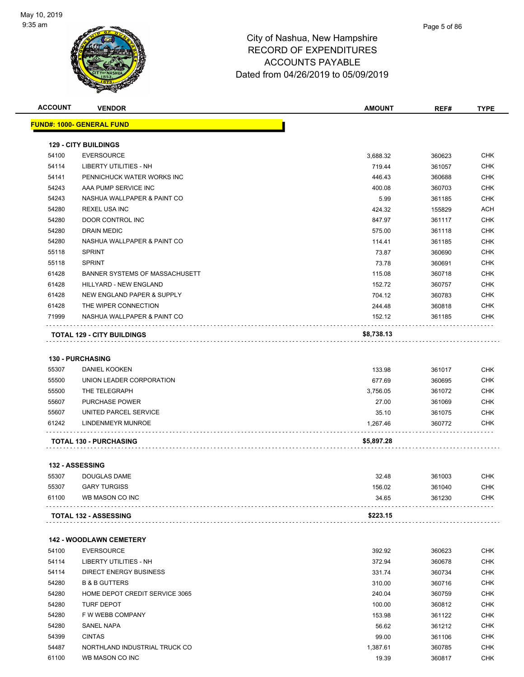

| <b>ACCOUNT</b> | <b>VENDOR</b>                         | <b>AMOUNT</b> | REF#   | <b>TYPE</b> |
|----------------|---------------------------------------|---------------|--------|-------------|
|                | <b>FUND#: 1000- GENERAL FUND</b>      |               |        |             |
|                |                                       |               |        |             |
|                | <b>129 - CITY BUILDINGS</b>           |               |        |             |
| 54100          | <b>EVERSOURCE</b>                     | 3,688.32      | 360623 | <b>CHK</b>  |
| 54114          | LIBERTY UTILITIES - NH                | 719.44        | 361057 | <b>CHK</b>  |
| 54141          | PENNICHUCK WATER WORKS INC            | 446.43        | 360688 | <b>CHK</b>  |
| 54243          | AAA PUMP SERVICE INC                  | 400.08        | 360703 | <b>CHK</b>  |
| 54243          | NASHUA WALLPAPER & PAINT CO           | 5.99          | 361185 | <b>CHK</b>  |
| 54280          | <b>REXEL USA INC</b>                  | 424.32        | 155829 | <b>ACH</b>  |
| 54280          | DOOR CONTROL INC                      | 847.97        | 361117 | CHK         |
| 54280          | DRAIN MEDIC                           | 575.00        | 361118 | <b>CHK</b>  |
| 54280          | NASHUA WALLPAPER & PAINT CO           | 114.41        | 361185 | <b>CHK</b>  |
| 55118          | <b>SPRINT</b>                         | 73.87         | 360690 | <b>CHK</b>  |
| 55118          | <b>SPRINT</b>                         | 73.78         | 360691 | <b>CHK</b>  |
| 61428          | <b>BANNER SYSTEMS OF MASSACHUSETT</b> | 115.08        | 360718 | <b>CHK</b>  |
| 61428          | HILLYARD - NEW ENGLAND                | 152.72        | 360757 | CHK         |
| 61428          | NEW ENGLAND PAPER & SUPPLY            | 704.12        | 360783 | <b>CHK</b>  |
| 61428          | THE WIPER CONNECTION                  | 244.48        | 360818 | <b>CHK</b>  |
| 71999          | NASHUA WALLPAPER & PAINT CO           | 152.12        | 361185 | CHK         |
|                |                                       |               |        |             |
|                | <b>TOTAL 129 - CITY BUILDINGS</b>     | \$8,738.13    |        |             |
|                |                                       |               |        |             |
|                | <b>130 - PURCHASING</b>               |               |        |             |
| 55307          | DANIEL KOOKEN                         | 133.98        | 361017 | <b>CHK</b>  |
| 55500          | UNION LEADER CORPORATION              | 677.69        | 360695 | CHK         |
| 55500          | THE TELEGRAPH                         | 3,756.05      | 361072 | <b>CHK</b>  |
| 55607          | PURCHASE POWER                        | 27.00         | 361069 | <b>CHK</b>  |
| 55607          | UNITED PARCEL SERVICE                 | 35.10         | 361075 | <b>CHK</b>  |
| 61242          | LINDENMEYR MUNROE                     | 1,267.46      | 360772 | <b>CHK</b>  |
|                | <b>TOTAL 130 - PURCHASING</b>         | \$5,897.28    |        |             |
|                |                                       |               |        |             |
|                | 132 - ASSESSING                       |               |        |             |
| 55307          | DOUGLAS DAME                          | 32.48         | 361003 | CHK         |
| 55307          | <b>GARY TURGISS</b>                   | 156.02        | 361040 | <b>CHK</b>  |
| 61100          | WB MASON CO INC                       | 34.65         | 361230 | CHK         |
|                | <b>TOTAL 132 - ASSESSING</b>          | \$223.15      |        |             |
|                |                                       |               |        |             |
|                | <b>142 - WOODLAWN CEMETERY</b>        |               |        |             |
| 54100          | <b>EVERSOURCE</b>                     | 392.92        | 360623 | <b>CHK</b>  |
| 54114          | <b>LIBERTY UTILITIES - NH</b>         | 372.94        | 360678 | <b>CHK</b>  |
| 54114          | <b>DIRECT ENERGY BUSINESS</b>         | 331.74        | 360734 | <b>CHK</b>  |
| 54280          | <b>B &amp; B GUTTERS</b>              | 310.00        | 360716 | CHK         |
| 54280          | HOME DEPOT CREDIT SERVICE 3065        | 240.04        | 360759 | <b>CHK</b>  |
| 54280          | <b>TURF DEPOT</b>                     | 100.00        | 360812 | <b>CHK</b>  |
| 54280          | F W WEBB COMPANY                      | 153.98        | 361122 | CHK         |
| 54280          | SANEL NAPA                            | 56.62         | 361212 | <b>CHK</b>  |
| 54399          | <b>CINTAS</b>                         | 99.00         | 361106 | <b>CHK</b>  |
| 54487          | NORTHLAND INDUSTRIAL TRUCK CO         | 1,387.61      | 360785 | <b>CHK</b>  |
| 61100          | WB MASON CO INC                       | 19.39         | 360817 | <b>CHK</b>  |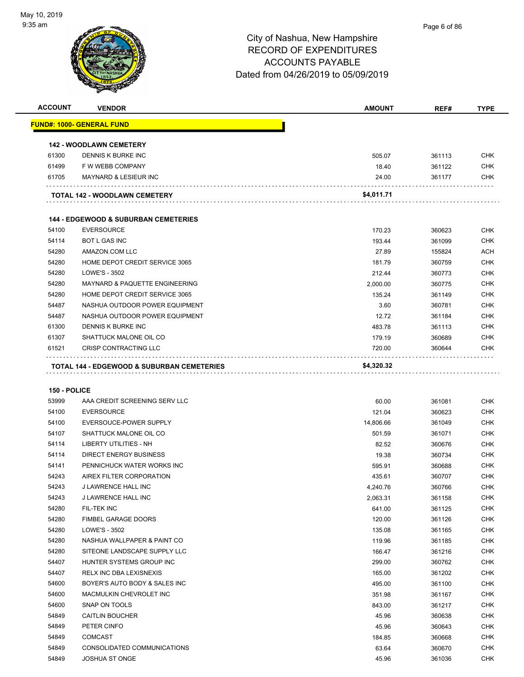

| <b>ACCOUNT</b> | <b>VENDOR</b>                                         | <b>AMOUNT</b> | REF#   | <b>TYPE</b> |
|----------------|-------------------------------------------------------|---------------|--------|-------------|
|                | <u> FUND#: 1000- GENERAL FUND</u>                     |               |        |             |
|                |                                                       |               |        |             |
|                | <b>142 - WOODLAWN CEMETERY</b>                        |               |        |             |
| 61300          | DENNIS K BURKE INC                                    | 505.07        | 361113 | <b>CHK</b>  |
| 61499          | F W WEBB COMPANY                                      | 18.40         | 361122 | <b>CHK</b>  |
| 61705          | <b>MAYNARD &amp; LESIEUR INC</b>                      | 24.00         | 361177 | CHK         |
|                |                                                       |               |        |             |
|                | TOTAL 142 - WOODLAWN CEMETERY                         | \$4,011.71    |        |             |
|                |                                                       |               |        |             |
|                | <b>144 - EDGEWOOD &amp; SUBURBAN CEMETERIES</b>       |               |        |             |
| 54100          | <b>EVERSOURCE</b>                                     | 170.23        | 360623 | CHK         |
| 54114          | <b>BOT L GAS INC</b>                                  | 193.44        | 361099 | <b>CHK</b>  |
| 54280          | AMAZON.COM LLC                                        | 27.89         | 155824 | ACH         |
| 54280          | HOME DEPOT CREDIT SERVICE 3065                        | 181.79        | 360759 | <b>CHK</b>  |
| 54280          | LOWE'S - 3502                                         | 212.44        | 360773 | <b>CHK</b>  |
| 54280          | <b>MAYNARD &amp; PAQUETTE ENGINEERING</b>             | 2,000.00      | 360775 | CHK         |
| 54280          | HOME DEPOT CREDIT SERVICE 3065                        | 135.24        | 361149 | <b>CHK</b>  |
| 54487          | NASHUA OUTDOOR POWER EQUIPMENT                        | 3.60          | 360781 | <b>CHK</b>  |
| 54487          | NASHUA OUTDOOR POWER EQUIPMENT                        | 12.72         | 361184 | CHK         |
| 61300          | DENNIS K BURKE INC                                    | 483.78        | 361113 | <b>CHK</b>  |
| 61307          | SHATTUCK MALONE OIL CO                                | 179.19        | 360689 | <b>CHK</b>  |
| 61521          | <b>CRISP CONTRACTING LLC</b>                          | 720.00        | 360644 | CHK         |
|                |                                                       |               |        |             |
|                | <b>TOTAL 144 - EDGEWOOD &amp; SUBURBAN CEMETERIES</b> | \$4,320.32    |        |             |
|                |                                                       |               |        |             |
| 150 - POLICE   |                                                       |               |        |             |
| 53999          | AAA CREDIT SCREENING SERV LLC                         | 60.00         | 361081 | <b>CHK</b>  |
| 54100          | <b>EVERSOURCE</b>                                     | 121.04        | 360623 | <b>CHK</b>  |
| 54100          | EVERSOUCE-POWER SUPPLY                                | 14,806.66     | 361049 | <b>CHK</b>  |
| 54107          | SHATTUCK MALONE OIL CO                                | 501.59        | 361071 | <b>CHK</b>  |
| 54114          | <b>LIBERTY UTILITIES - NH</b>                         | 82.52         | 360676 | <b>CHK</b>  |
| 54114          | <b>DIRECT ENERGY BUSINESS</b>                         | 19.38         | 360734 | <b>CHK</b>  |
| 54141          | PENNICHUCK WATER WORKS INC                            | 595.91        | 360688 | <b>CHK</b>  |
| 54243          | AIREX FILTER CORPORATION                              | 435.61        | 360707 | CHK         |
| 54243          | J LAWRENCE HALL INC                                   | 4,240.76      | 360766 | <b>CHK</b>  |
| 54243          | J LAWRENCE HALL INC                                   | 2,063.31      | 361158 | <b>CHK</b>  |
| 54280          | FIL-TEK INC                                           | 641.00        | 361125 | <b>CHK</b>  |
| 54280          | <b>FIMBEL GARAGE DOORS</b>                            | 120.00        | 361126 | <b>CHK</b>  |
| 54280          | LOWE'S - 3502                                         | 135.08        | 361165 | <b>CHK</b>  |
| 54280          | NASHUA WALLPAPER & PAINT CO                           | 119.96        | 361185 | <b>CHK</b>  |
| 54280          | SITEONE LANDSCAPE SUPPLY LLC                          | 166.47        | 361216 | <b>CHK</b>  |
| 54407          | HUNTER SYSTEMS GROUP INC                              | 299.00        | 360762 | <b>CHK</b>  |
| 54407          | RELX INC DBA LEXISNEXIS                               | 165.00        | 361202 | <b>CHK</b>  |
| 54600          | BOYER'S AUTO BODY & SALES INC                         | 495.00        | 361100 | <b>CHK</b>  |
| 54600          | MACMULKIN CHEVROLET INC                               | 351.98        | 361167 | <b>CHK</b>  |
| 54600          | SNAP ON TOOLS                                         | 843.00        | 361217 | <b>CHK</b>  |
| 54849          | <b>CAITLIN BOUCHER</b>                                | 45.96         | 360638 | <b>CHK</b>  |
| 54849          | PETER CINFO                                           | 45.96         | 360643 | <b>CHK</b>  |
| 54849          | <b>COMCAST</b>                                        | 184.85        | 360668 | <b>CHK</b>  |
| 54849          | CONSOLIDATED COMMUNICATIONS                           | 63.64         | 360670 | <b>CHK</b>  |
| 54849          | <b>JOSHUA ST ONGE</b>                                 | 45.96         | 361036 | <b>CHK</b>  |
|                |                                                       |               |        |             |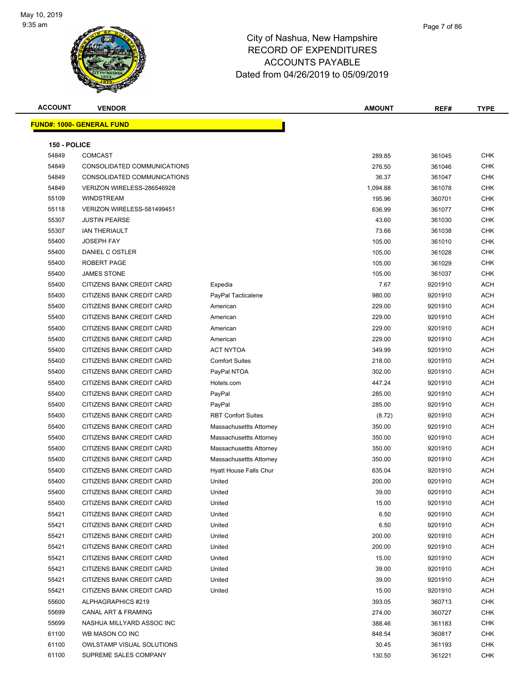

| <b>ACCOUNT</b> | <b>VENDOR</b>                    |                           | <b>AMOUNT</b> | REF#    | <b>TYPE</b> |
|----------------|----------------------------------|---------------------------|---------------|---------|-------------|
|                | <b>FUND#: 1000- GENERAL FUND</b> |                           |               |         |             |
|                |                                  |                           |               |         |             |
| 150 - POLICE   |                                  |                           |               |         |             |
| 54849          | <b>COMCAST</b>                   |                           | 289.85        | 361045  | <b>CHK</b>  |
| 54849          | CONSOLIDATED COMMUNICATIONS      |                           | 276.50        | 361046  | <b>CHK</b>  |
| 54849          | CONSOLIDATED COMMUNICATIONS      |                           | 36.37         | 361047  | <b>CHK</b>  |
| 54849          | VERIZON WIRELESS-286546928       |                           | 1,094.88      | 361078  | <b>CHK</b>  |
| 55109          | <b>WINDSTREAM</b>                |                           | 195.96        | 360701  | <b>CHK</b>  |
| 55118          | VERIZON WIRELESS-581499451       |                           | 636.99        | 361077  | <b>CHK</b>  |
| 55307          | <b>JUSTIN PEARSE</b>             |                           | 43.60         | 361030  | <b>CHK</b>  |
| 55307          | <b>IAN THERIAULT</b>             |                           | 73.66         | 361038  | <b>CHK</b>  |
| 55400          | <b>JOSEPH FAY</b>                |                           | 105.00        | 361010  | <b>CHK</b>  |
| 55400          | DANIEL C OSTLER                  |                           | 105.00        | 361028  | <b>CHK</b>  |
| 55400          | ROBERT PAGE                      |                           | 105.00        | 361029  | <b>CHK</b>  |
| 55400          | <b>JAMES STONE</b>               |                           | 105.00        | 361037  | <b>CHK</b>  |
| 55400          | CITIZENS BANK CREDIT CARD        | Expedia                   | 7.67          | 9201910 | ACH         |
| 55400          | CITIZENS BANK CREDIT CARD        | PayPal Tacticalene        | 980.00        | 9201910 | <b>ACH</b>  |
| 55400          | CITIZENS BANK CREDIT CARD        | American                  | 229.00        | 9201910 | <b>ACH</b>  |
| 55400          | CITIZENS BANK CREDIT CARD        | American                  | 229.00        | 9201910 | ACH         |
| 55400          | CITIZENS BANK CREDIT CARD        | American                  | 229.00        | 9201910 | ACH         |
| 55400          | CITIZENS BANK CREDIT CARD        | American                  | 229.00        | 9201910 | ACH         |
| 55400          | CITIZENS BANK CREDIT CARD        | <b>ACT NYTOA</b>          | 349.99        | 9201910 | ACH         |
| 55400          | CITIZENS BANK CREDIT CARD        | <b>Comfort Suites</b>     | 218.00        | 9201910 | ACH         |
| 55400          | CITIZENS BANK CREDIT CARD        | PayPal NTOA               | 302.00        | 9201910 | ACH         |
| 55400          | CITIZENS BANK CREDIT CARD        | Hotels.com                | 447.24        | 9201910 | ACH         |
| 55400          | CITIZENS BANK CREDIT CARD        | PayPal                    | 285.00        | 9201910 | <b>ACH</b>  |
| 55400          | CITIZENS BANK CREDIT CARD        | PayPal                    | 285.00        | 9201910 | <b>ACH</b>  |
| 55400          | CITIZENS BANK CREDIT CARD        | <b>RBT Confort Suites</b> | (8.72)        | 9201910 | <b>ACH</b>  |
| 55400          | CITIZENS BANK CREDIT CARD        | Massachusettts Attorney   | 350.00        | 9201910 | <b>ACH</b>  |
| 55400          | <b>CITIZENS BANK CREDIT CARD</b> | Massachusettts Attorney   | 350.00        | 9201910 | <b>ACH</b>  |
| 55400          | CITIZENS BANK CREDIT CARD        | Massachusettts Attorney   | 350.00        | 9201910 | <b>ACH</b>  |
| 55400          | CITIZENS BANK CREDIT CARD        | Massachusettts Attorney   | 350.00        | 9201910 | <b>ACH</b>  |
| 55400          | CITIZENS BANK CREDIT CARD        | Hyatt House Falls Chur    | 635.04        | 9201910 | ACH         |
| 55400          | CITIZENS BANK CREDIT CARD        | United                    | 200.00        | 9201910 | ACH         |
| 55400          | CITIZENS BANK CREDIT CARD        | United                    | 39.00         | 9201910 | ACH         |
| 55400          | CITIZENS BANK CREDIT CARD        | United                    | 15.00         | 9201910 | ACH         |
| 55421          | CITIZENS BANK CREDIT CARD        | United                    | 6.50          | 9201910 | ACH         |
| 55421          | CITIZENS BANK CREDIT CARD        | United                    | 6.50          | 9201910 | ACH         |
| 55421          | CITIZENS BANK CREDIT CARD        | United                    | 200.00        | 9201910 | ACH         |
| 55421          | CITIZENS BANK CREDIT CARD        | United                    | 200.00        | 9201910 | ACH         |
| 55421          | CITIZENS BANK CREDIT CARD        | United                    | 15.00         | 9201910 | ACH         |
| 55421          | CITIZENS BANK CREDIT CARD        | United                    | 39.00         | 9201910 | ACH         |
| 55421          | CITIZENS BANK CREDIT CARD        | United                    | 39.00         | 9201910 | ACH         |
| 55421          | CITIZENS BANK CREDIT CARD        | United                    | 15.00         | 9201910 | ACH         |
| 55600          | ALPHAGRAPHICS #219               |                           | 393.05        | 360713  | <b>CHK</b>  |
| 55699          | CANAL ART & FRAMING              |                           | 274.00        | 360727  | CHK         |
| 55699          | NASHUA MILLYARD ASSOC INC        |                           | 388.46        | 361183  | CHK         |
| 61100          | WB MASON CO INC                  |                           | 848.54        | 360817  | <b>CHK</b>  |
| 61100          | <b>OWLSTAMP VISUAL SOLUTIONS</b> |                           | 30.45         | 361193  | CHK         |
| 61100          | SUPREME SALES COMPANY            |                           | 130.50        | 361221  | <b>CHK</b>  |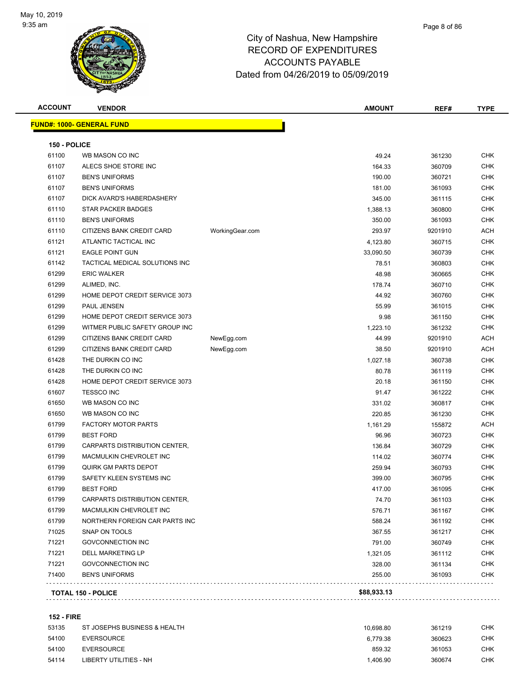

| <b>ACCOUNT</b>        | <b>VENDOR</b>                     |                 | <b>AMOUNT</b>    | REF#             | <b>TYPE</b> |
|-----------------------|-----------------------------------|-----------------|------------------|------------------|-------------|
|                       | <u> FUND#: 1000- GENERAL FUND</u> |                 |                  |                  |             |
|                       |                                   |                 |                  |                  |             |
| 150 - POLICE<br>61100 | WB MASON CO INC                   |                 | 49.24            | 361230           | <b>CHK</b>  |
| 61107                 | ALECS SHOE STORE INC              |                 |                  |                  | <b>CHK</b>  |
| 61107                 | <b>BEN'S UNIFORMS</b>             |                 | 164.33<br>190.00 | 360709           | <b>CHK</b>  |
| 61107                 | <b>BEN'S UNIFORMS</b>             |                 | 181.00           | 360721<br>361093 | <b>CHK</b>  |
| 61107                 | DICK AVARD'S HABERDASHERY         |                 | 345.00           | 361115           | <b>CHK</b>  |
| 61110                 | <b>STAR PACKER BADGES</b>         |                 | 1,388.13         | 360800           | <b>CHK</b>  |
| 61110                 | <b>BEN'S UNIFORMS</b>             |                 | 350.00           | 361093           | <b>CHK</b>  |
| 61110                 | CITIZENS BANK CREDIT CARD         | WorkingGear.com | 293.97           | 9201910          | <b>ACH</b>  |
| 61121                 | ATLANTIC TACTICAL INC             |                 | 4,123.80         | 360715           | <b>CHK</b>  |
| 61121                 | <b>EAGLE POINT GUN</b>            |                 | 33,090.50        | 360739           | <b>CHK</b>  |
| 61142                 | TACTICAL MEDICAL SOLUTIONS INC    |                 | 78.51            | 360803           | <b>CHK</b>  |
| 61299                 | <b>ERIC WALKER</b>                |                 | 48.98            | 360665           | <b>CHK</b>  |
| 61299                 | ALIMED, INC.                      |                 | 178.74           | 360710           | <b>CHK</b>  |
| 61299                 | HOME DEPOT CREDIT SERVICE 3073    |                 | 44.92            | 360760           | <b>CHK</b>  |
| 61299                 | <b>PAUL JENSEN</b>                |                 | 55.99            | 361015           | <b>CHK</b>  |
| 61299                 | HOME DEPOT CREDIT SERVICE 3073    |                 | 9.98             | 361150           | <b>CHK</b>  |
| 61299                 | WITMER PUBLIC SAFETY GROUP INC    |                 | 1,223.10         | 361232           | <b>CHK</b>  |
| 61299                 | CITIZENS BANK CREDIT CARD         | NewEgg.com      | 44.99            | 9201910          | <b>ACH</b>  |
| 61299                 | CITIZENS BANK CREDIT CARD         | NewEgg.com      | 38.50            | 9201910          | <b>ACH</b>  |
| 61428                 | THE DURKIN CO INC                 |                 | 1,027.18         | 360738           | <b>CHK</b>  |
| 61428                 | THE DURKIN CO INC                 |                 | 80.78            | 361119           | <b>CHK</b>  |
| 61428                 | HOME DEPOT CREDIT SERVICE 3073    |                 | 20.18            | 361150           | <b>CHK</b>  |
| 61607                 | <b>TESSCO INC</b>                 |                 | 91.47            | 361222           | <b>CHK</b>  |
| 61650                 | WB MASON CO INC                   |                 | 331.02           | 360817           | <b>CHK</b>  |
| 61650                 | WB MASON CO INC                   |                 | 220.85           | 361230           | <b>CHK</b>  |
| 61799                 | <b>FACTORY MOTOR PARTS</b>        |                 | 1,161.29         | 155872           | ACH         |
| 61799                 | <b>BEST FORD</b>                  |                 | 96.96            | 360723           | <b>CHK</b>  |
| 61799                 | CARPARTS DISTRIBUTION CENTER,     |                 | 136.84           | 360729           | <b>CHK</b>  |
| 61799                 | MACMULKIN CHEVROLET INC           |                 | 114.02           | 360774           | <b>CHK</b>  |
| 61799                 | <b>QUIRK GM PARTS DEPOT</b>       |                 | 259.94           | 360793           | <b>CHK</b>  |
| 61799                 | SAFETY KLEEN SYSTEMS INC          |                 | 399.00           | 360795           | CHK         |
| 61799                 | <b>BEST FORD</b>                  |                 | 417.00           | 361095           | <b>CHK</b>  |
| 61799                 | CARPARTS DISTRIBUTION CENTER,     |                 | 74.70            | 361103           | <b>CHK</b>  |
| 61799                 | MACMULKIN CHEVROLET INC           |                 | 576.71           | 361167           | <b>CHK</b>  |
| 61799                 | NORTHERN FOREIGN CAR PARTS INC    |                 | 588.24           | 361192           | <b>CHK</b>  |
| 71025                 | SNAP ON TOOLS                     |                 | 367.55           | 361217           | <b>CHK</b>  |
| 71221                 | <b>GOVCONNECTION INC</b>          |                 | 791.00           | 360749           | <b>CHK</b>  |
| 71221                 | DELL MARKETING LP                 |                 | 1,321.05         | 361112           | <b>CHK</b>  |
| 71221                 | <b>GOVCONNECTION INC</b>          |                 | 328.00           | 361134           | <b>CHK</b>  |
| 71400                 | <b>BEN'S UNIFORMS</b>             |                 | 255.00           | 361093           | <b>CHK</b>  |
|                       |                                   |                 |                  |                  |             |
|                       | <b>TOTAL 150 - POLICE</b>         |                 | \$88,933.13      |                  |             |

### **152 - FIRE**

| 53135 | ST JOSEPHS BUSINESS & HEALTH | 10.698.80 | 361219 | снк |
|-------|------------------------------|-----------|--------|-----|
| 54100 | EVERSOURCE                   | 6.779.38  | 360623 | снк |
| 54100 | EVERSOURCE                   | 859.32    | 361053 | снк |
| 54114 | LIBERTY UTILITIES - NH       | .406.90   | 360674 | снк |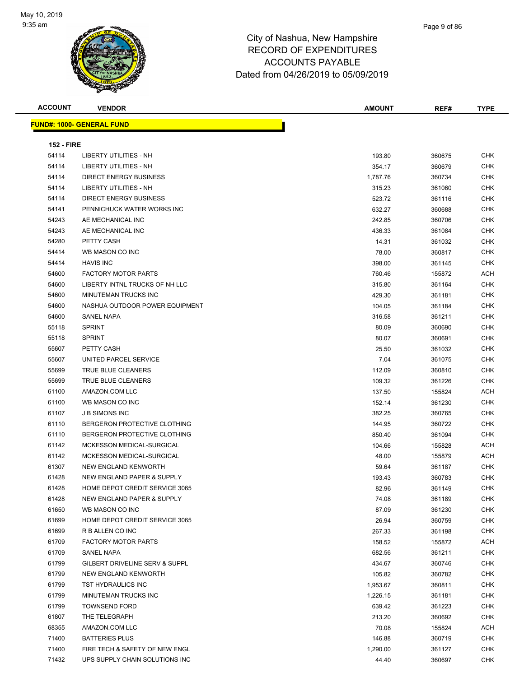

| <b>ACCOUNT</b>    | <b>VENDOR</b>                    | <b>AMOUNT</b> | REF#   | <b>TYPE</b> |
|-------------------|----------------------------------|---------------|--------|-------------|
|                   | <b>FUND#: 1000- GENERAL FUND</b> |               |        |             |
|                   |                                  |               |        |             |
| <b>152 - FIRE</b> |                                  |               |        |             |
| 54114             | LIBERTY UTILITIES - NH           | 193.80        | 360675 | CHK         |
| 54114             | LIBERTY UTILITIES - NH           | 354.17        | 360679 | <b>CHK</b>  |
| 54114             | <b>DIRECT ENERGY BUSINESS</b>    | 1,787.76      | 360734 | <b>CHK</b>  |
| 54114             | LIBERTY UTILITIES - NH           | 315.23        | 361060 | <b>CHK</b>  |
| 54114             | <b>DIRECT ENERGY BUSINESS</b>    | 523.72        | 361116 | <b>CHK</b>  |
| 54141             | PENNICHUCK WATER WORKS INC       | 632.27        | 360688 | <b>CHK</b>  |
| 54243             | AE MECHANICAL INC                | 242.85        | 360706 | <b>CHK</b>  |
| 54243             | AE MECHANICAL INC                | 436.33        | 361084 | <b>CHK</b>  |
| 54280             | PETTY CASH                       | 14.31         | 361032 | <b>CHK</b>  |
| 54414             | WB MASON CO INC                  | 78.00         | 360817 | CHK         |
| 54414             | <b>HAVIS INC</b>                 | 398.00        | 361145 | CHK         |
| 54600             | <b>FACTORY MOTOR PARTS</b>       | 760.46        | 155872 | <b>ACH</b>  |
| 54600             | LIBERTY INTNL TRUCKS OF NH LLC   | 315.80        | 361164 | <b>CHK</b>  |
| 54600             | MINUTEMAN TRUCKS INC             | 429.30        | 361181 | <b>CHK</b>  |
| 54600             | NASHUA OUTDOOR POWER EQUIPMENT   | 104.05        | 361184 | CHK         |
| 54600             | SANEL NAPA                       | 316.58        | 361211 | CHK         |
| 55118             | <b>SPRINT</b>                    | 80.09         | 360690 | CHK         |
| 55118             | <b>SPRINT</b>                    | 80.07         | 360691 | CHK         |
| 55607             | PETTY CASH                       | 25.50         | 361032 | <b>CHK</b>  |
| 55607             | UNITED PARCEL SERVICE            | 7.04          | 361075 | <b>CHK</b>  |
| 55699             | TRUE BLUE CLEANERS               | 112.09        | 360810 | <b>CHK</b>  |
| 55699             | TRUE BLUE CLEANERS               | 109.32        | 361226 | CHK         |
| 61100             | AMAZON.COM LLC                   | 137.50        | 155824 | ACH         |
| 61100             | WB MASON CO INC                  | 152.14        | 361230 | <b>CHK</b>  |
| 61107             | <b>J B SIMONS INC</b>            | 382.25        | 360765 | <b>CHK</b>  |
| 61110             | BERGERON PROTECTIVE CLOTHING     | 144.95        | 360722 | <b>CHK</b>  |
| 61110             | BERGERON PROTECTIVE CLOTHING     | 850.40        | 361094 | CHK         |
| 61142             | MCKESSON MEDICAL-SURGICAL        | 104.66        | 155828 | ACH         |
| 61142             | MCKESSON MEDICAL-SURGICAL        | 48.00         | 155879 | ACH         |
| 61307             | NEW ENGLAND KENWORTH             | 59.64         | 361187 | <b>CHK</b>  |
| 61428             | NEW ENGLAND PAPER & SUPPLY       | 193.43        | 360783 | <b>CHK</b>  |
| 61428             | HOME DEPOT CREDIT SERVICE 3065   | 82.96         | 361149 | <b>CHK</b>  |
| 61428             | NEW ENGLAND PAPER & SUPPLY       | 74.08         | 361189 | <b>CHK</b>  |
| 61650             | WB MASON CO INC                  | 87.09         | 361230 | CHK         |
| 61699             | HOME DEPOT CREDIT SERVICE 3065   | 26.94         | 360759 | <b>CHK</b>  |
| 61699             | R B ALLEN CO INC                 | 267.33        | 361198 | <b>CHK</b>  |
| 61709             | <b>FACTORY MOTOR PARTS</b>       | 158.52        | 155872 | ACH         |
| 61709             | SANEL NAPA                       | 682.56        | 361211 | <b>CHK</b>  |
| 61799             | GILBERT DRIVELINE SERV & SUPPL   | 434.67        | 360746 | <b>CHK</b>  |
| 61799             | NEW ENGLAND KENWORTH             | 105.82        | 360782 | <b>CHK</b>  |
| 61799             | TST HYDRAULICS INC               | 1,953.67      | 360811 | <b>CHK</b>  |
| 61799             | MINUTEMAN TRUCKS INC             | 1,226.15      | 361181 | <b>CHK</b>  |
| 61799             | <b>TOWNSEND FORD</b>             | 639.42        | 361223 | <b>CHK</b>  |
| 61807             | THE TELEGRAPH                    | 213.20        | 360692 | <b>CHK</b>  |
| 68355             | AMAZON.COM LLC                   | 70.08         | 155824 | ACH         |
| 71400             | <b>BATTERIES PLUS</b>            | 146.88        | 360719 | <b>CHK</b>  |
| 71400             | FIRE TECH & SAFETY OF NEW ENGL   | 1,290.00      | 361127 | <b>CHK</b>  |
| 71432             | UPS SUPPLY CHAIN SOLUTIONS INC   | 44.40         | 360697 | CHK         |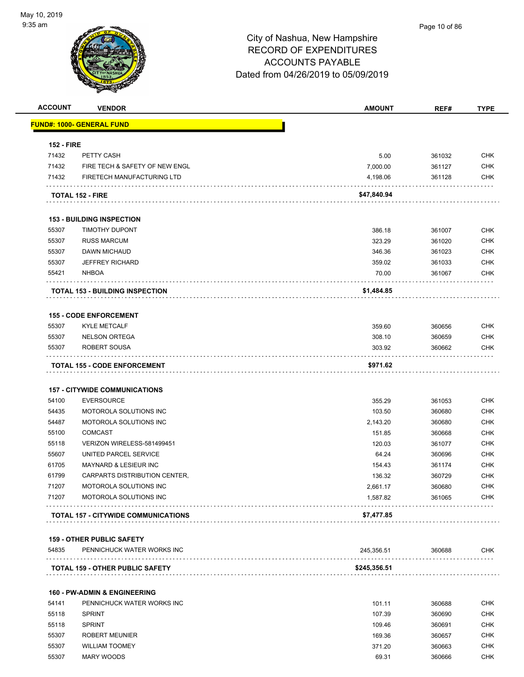

## Page 10 of 86

|                            | <b>VENDOR</b>                                                | <b>AMOUNT</b>        | REF#             | <b>TYPE</b>              |
|----------------------------|--------------------------------------------------------------|----------------------|------------------|--------------------------|
|                            | <u> FUND#: 1000- GENERAL FUND</u>                            |                      |                  |                          |
|                            |                                                              |                      |                  |                          |
| <b>152 - FIRE</b><br>71432 |                                                              | 5.00                 |                  | <b>CHK</b>               |
| 71432                      | PETTY CASH                                                   |                      | 361032           |                          |
| 71432                      | FIRE TECH & SAFETY OF NEW ENGL<br>FIRETECH MANUFACTURING LTD | 7,000.00             | 361127           | <b>CHK</b>               |
|                            |                                                              | 4,198.06             | 361128           | <b>CHK</b>               |
|                            | <b>TOTAL 152 - FIRE</b>                                      | \$47,840.94          |                  |                          |
|                            | <b>153 - BUILDING INSPECTION</b>                             |                      |                  |                          |
| 55307                      | <b>TIMOTHY DUPONT</b>                                        | 386.18               | 361007           | <b>CHK</b>               |
| 55307                      | <b>RUSS MARCUM</b>                                           | 323.29               | 361020           | <b>CHK</b>               |
| 55307                      | <b>DAWN MICHAUD</b>                                          | 346.36               | 361023           | <b>CHK</b>               |
| 55307                      | <b>JEFFREY RICHARD</b>                                       | 359.02               | 361033           | <b>CHK</b>               |
| 55421                      | <b>NHBOA</b>                                                 | 70.00                | 361067           | <b>CHK</b>               |
|                            | <b>TOTAL 153 - BUILDING INSPECTION</b>                       | \$1,484.85           |                  |                          |
|                            |                                                              |                      |                  |                          |
| 55307                      | <b>155 - CODE ENFORCEMENT</b><br><b>KYLE METCALF</b>         | 359.60               |                  |                          |
|                            |                                                              |                      | 360656           | <b>CHK</b>               |
| 55307<br>55307             | <b>NELSON ORTEGA</b><br>ROBERT SOUSA                         | 308.10<br>303.92     | 360659<br>360662 | <b>CHK</b><br><b>CHK</b> |
|                            |                                                              |                      |                  |                          |
|                            | <b>TOTAL 155 - CODE ENFORCEMENT</b>                          | \$971.62             |                  |                          |
|                            |                                                              |                      |                  |                          |
|                            |                                                              |                      |                  |                          |
| 54100                      | <b>157 - CITYWIDE COMMUNICATIONS</b>                         | 355.29               | 361053           | <b>CHK</b>               |
| 54435                      | <b>EVERSOURCE</b>                                            |                      |                  |                          |
|                            | MOTOROLA SOLUTIONS INC                                       | 103.50               | 360680           | <b>CHK</b>               |
| 54487                      | MOTOROLA SOLUTIONS INC                                       | 2,143.20             | 360680           | <b>CHK</b>               |
| 55100                      | <b>COMCAST</b>                                               | 151.85               | 360668           | <b>CHK</b>               |
| 55118                      | VERIZON WIRELESS-581499451                                   | 120.03               | 361077           | <b>CHK</b>               |
| 55607                      | UNITED PARCEL SERVICE                                        | 64.24                | 360696           | <b>CHK</b>               |
|                            | <b>MAYNARD &amp; LESIEUR INC</b>                             | 154.43               | 361174           | <b>CHK</b>               |
| 61799                      | CARPARTS DISTRIBUTION CENTER,                                | 136.32               | 360729           | <b>CHK</b>               |
| 61705<br>71207<br>71207    | MOTOROLA SOLUTIONS INC<br>MOTOROLA SOLUTIONS INC             | 2,661.17<br>1,587.82 | 360680<br>361065 | <b>CHK</b><br><b>CHK</b> |
|                            | <b>TOTAL 157 - CITYWIDE COMMUNICATIONS</b>                   | \$7,477.85           |                  |                          |
|                            |                                                              |                      |                  |                          |
|                            | <b>159 - OTHER PUBLIC SAFETY</b>                             |                      |                  |                          |
| 54835                      | PENNICHUCK WATER WORKS INC                                   | 245,356.51           | 360688           | <b>CHK</b>               |
|                            | <b>TOTAL 159 - OTHER PUBLIC SAFETY</b>                       | \$245,356.51         |                  |                          |
|                            | <b>160 - PW-ADMIN &amp; ENGINEERING</b>                      |                      |                  |                          |
| 54141                      | PENNICHUCK WATER WORKS INC                                   | 101.11               | 360688           | <b>CHK</b>               |
| 55118                      | <b>SPRINT</b>                                                | 107.39               | 360690           | <b>CHK</b>               |
| 55118                      | <b>SPRINT</b>                                                |                      |                  | <b>CHK</b>               |
|                            |                                                              | 109.46               | 360691           |                          |
| 55307<br>55307             | <b>ROBERT MEUNIER</b><br><b>WILLIAM TOOMEY</b>               | 169.36<br>371.20     | 360657<br>360663 | <b>CHK</b><br><b>CHK</b> |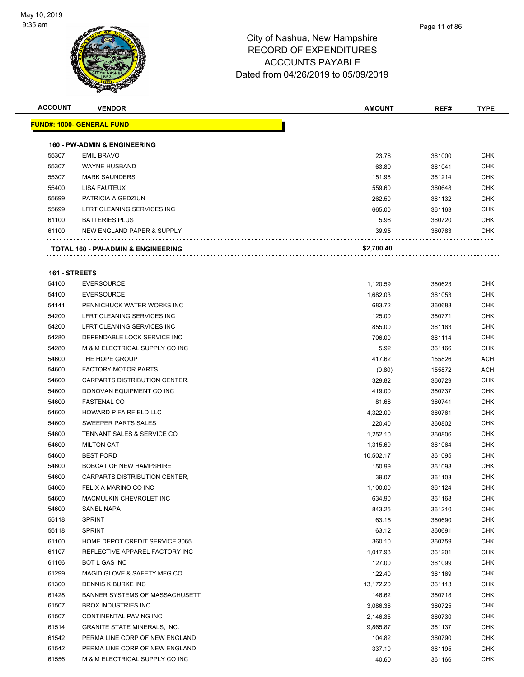

| <b>ACCOUNT</b> | <b>VENDOR</b>                                 | <b>AMOUNT</b> | REF#   | <b>TYPE</b> |
|----------------|-----------------------------------------------|---------------|--------|-------------|
|                | <b>FUND#: 1000- GENERAL FUND</b>              |               |        |             |
|                | <b>160 - PW-ADMIN &amp; ENGINEERING</b>       |               |        |             |
| 55307          | <b>EMIL BRAVO</b>                             | 23.78         | 361000 | <b>CHK</b>  |
| 55307          | <b>WAYNE HUSBAND</b>                          | 63.80         | 361041 | <b>CHK</b>  |
| 55307          | <b>MARK SAUNDERS</b>                          | 151.96        | 361214 | <b>CHK</b>  |
| 55400          | LISA FAUTEUX                                  | 559.60        | 360648 | <b>CHK</b>  |
| 55699          | PATRICIA A GEDZIUN                            | 262.50        | 361132 | <b>CHK</b>  |
| 55699          | LFRT CLEANING SERVICES INC                    | 665.00        | 361163 | <b>CHK</b>  |
| 61100          | <b>BATTERIES PLUS</b>                         | 5.98          | 360720 | <b>CHK</b>  |
| 61100          | NEW ENGLAND PAPER & SUPPLY                    | 39.95         | 360783 | <b>CHK</b>  |
|                | <b>TOTAL 160 - PW-ADMIN &amp; ENGINEERING</b> | \$2,700.40    |        |             |

### **161 - STREETS**

| 54100 | <b>EVERSOURCE</b>                   | 1,120.59  | 360623 | <b>CHK</b> |
|-------|-------------------------------------|-----------|--------|------------|
| 54100 | <b>EVERSOURCE</b>                   | 1,682.03  | 361053 | <b>CHK</b> |
| 54141 | PENNICHUCK WATER WORKS INC          | 683.72    | 360688 | <b>CHK</b> |
| 54200 | LFRT CLEANING SERVICES INC          | 125.00    | 360771 | <b>CHK</b> |
| 54200 | LFRT CLEANING SERVICES INC          | 855.00    | 361163 | <b>CHK</b> |
| 54280 | DEPENDABLE LOCK SERVICE INC         | 706.00    | 361114 | <b>CHK</b> |
| 54280 | M & M ELECTRICAL SUPPLY CO INC      | 5.92      | 361166 | <b>CHK</b> |
| 54600 | THE HOPE GROUP                      | 417.62    | 155826 | <b>ACH</b> |
| 54600 | <b>FACTORY MOTOR PARTS</b>          | (0.80)    | 155872 | ACH        |
| 54600 | CARPARTS DISTRIBUTION CENTER,       | 329.82    | 360729 | <b>CHK</b> |
| 54600 | DONOVAN EQUIPMENT CO INC            | 419.00    | 360737 | <b>CHK</b> |
| 54600 | <b>FASTENAL CO</b>                  | 81.68     | 360741 | <b>CHK</b> |
| 54600 | HOWARD P FAIRFIELD LLC              | 4,322.00  | 360761 | <b>CHK</b> |
| 54600 | SWEEPER PARTS SALES                 | 220.40    | 360802 | <b>CHK</b> |
| 54600 | TENNANT SALES & SERVICE CO          | 1,252.10  | 360806 | <b>CHK</b> |
| 54600 | <b>MILTON CAT</b>                   | 1,315.69  | 361064 | <b>CHK</b> |
| 54600 | <b>BEST FORD</b>                    | 10,502.17 | 361095 | <b>CHK</b> |
| 54600 | <b>BOBCAT OF NEW HAMPSHIRE</b>      | 150.99    | 361098 | <b>CHK</b> |
| 54600 | CARPARTS DISTRIBUTION CENTER,       | 39.07     | 361103 | <b>CHK</b> |
| 54600 | FELIX A MARINO CO INC               | 1,100.00  | 361124 | <b>CHK</b> |
| 54600 | MACMULKIN CHEVROLET INC             | 634.90    | 361168 | <b>CHK</b> |
| 54600 | <b>SANEL NAPA</b>                   | 843.25    | 361210 | <b>CHK</b> |
| 55118 | <b>SPRINT</b>                       | 63.15     | 360690 | <b>CHK</b> |
| 55118 | <b>SPRINT</b>                       | 63.12     | 360691 | <b>CHK</b> |
| 61100 | HOME DEPOT CREDIT SERVICE 3065      | 360.10    | 360759 | <b>CHK</b> |
| 61107 | REFLECTIVE APPAREL FACTORY INC      | 1,017.93  | 361201 | <b>CHK</b> |
| 61166 | <b>BOT L GAS INC</b>                | 127.00    | 361099 | <b>CHK</b> |
| 61299 | MAGID GLOVE & SAFETY MFG CO.        | 122.40    | 361169 | <b>CHK</b> |
| 61300 | DENNIS K BURKE INC                  | 13,172.20 | 361113 | <b>CHK</b> |
| 61428 | BANNER SYSTEMS OF MASSACHUSETT      | 146.62    | 360718 | <b>CHK</b> |
| 61507 | <b>BROX INDUSTRIES INC</b>          | 3,086.36  | 360725 | <b>CHK</b> |
| 61507 | CONTINENTAL PAVING INC              | 2,146.35  | 360730 | <b>CHK</b> |
| 61514 | <b>GRANITE STATE MINERALS, INC.</b> | 9,865.87  | 361137 | <b>CHK</b> |
| 61542 | PERMA LINE CORP OF NEW ENGLAND      | 104.82    | 360790 | <b>CHK</b> |
| 61542 | PERMA LINE CORP OF NEW ENGLAND      | 337.10    | 361195 | CHK        |
| 61556 | M & M ELECTRICAL SUPPLY CO INC      | 40.60     | 361166 | CHK        |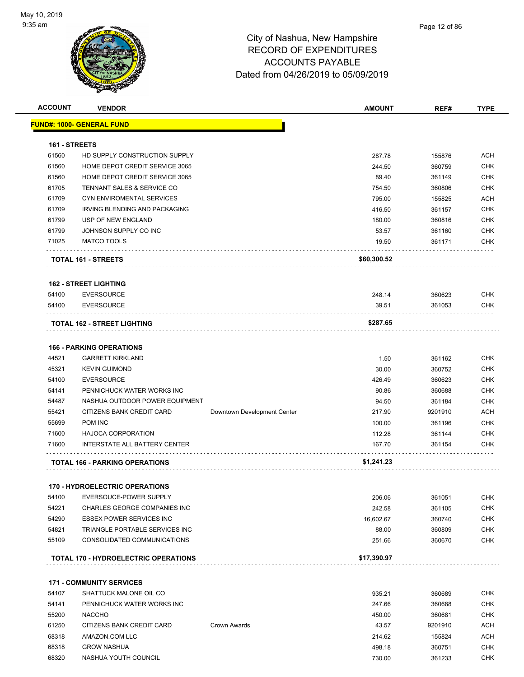

| <b>ACCOUNT</b> | <b>VENDOR</b>                               |                             | <b>AMOUNT</b> | REF#    | <b>TYPE</b> |
|----------------|---------------------------------------------|-----------------------------|---------------|---------|-------------|
|                | <b>FUND#: 1000- GENERAL FUND</b>            |                             |               |         |             |
|                |                                             |                             |               |         |             |
| 161 - STREETS  |                                             |                             |               |         |             |
| 61560          | HD SUPPLY CONSTRUCTION SUPPLY               |                             | 287.78        | 155876  | ACH         |
| 61560          | HOME DEPOT CREDIT SERVICE 3065              |                             | 244.50        | 360759  | <b>CHK</b>  |
| 61560          | HOME DEPOT CREDIT SERVICE 3065              |                             | 89.40         | 361149  | <b>CHK</b>  |
| 61705          | TENNANT SALES & SERVICE CO                  |                             | 754.50        | 360806  | <b>CHK</b>  |
| 61709          | CYN ENVIROMENTAL SERVICES                   |                             | 795.00        | 155825  | <b>ACH</b>  |
| 61709          | IRVING BLENDING AND PACKAGING               |                             | 416.50        | 361157  | <b>CHK</b>  |
| 61799          | <b>USP OF NEW ENGLAND</b>                   |                             | 180.00        | 360816  | <b>CHK</b>  |
| 61799          | JOHNSON SUPPLY CO INC                       |                             | 53.57         | 361160  | <b>CHK</b>  |
| 71025          | <b>MATCO TOOLS</b>                          |                             | 19.50         | 361171  | <b>CHK</b>  |
|                |                                             |                             |               |         |             |
|                | TOTAL 161 - STREETS                         |                             | \$60,300.52   |         |             |
|                |                                             |                             |               |         |             |
|                | <b>162 - STREET LIGHTING</b>                |                             |               |         |             |
| 54100          | <b>EVERSOURCE</b>                           |                             | 248.14        | 360623  | <b>CHK</b>  |
| 54100          | <b>EVERSOURCE</b>                           |                             | 39.51         | 361053  | <b>CHK</b>  |
|                | TOTAL 162 - STREET LIGHTING                 |                             | \$287.65      |         |             |
|                |                                             |                             |               |         |             |
|                | <b>166 - PARKING OPERATIONS</b>             |                             |               |         |             |
| 44521          | <b>GARRETT KIRKLAND</b>                     |                             | 1.50          | 361162  | <b>CHK</b>  |
| 45321          | <b>KEVIN GUIMOND</b>                        |                             | 30.00         | 360752  | <b>CHK</b>  |
| 54100          | <b>EVERSOURCE</b>                           |                             | 426.49        | 360623  | <b>CHK</b>  |
| 54141          | PENNICHUCK WATER WORKS INC                  |                             | 90.86         | 360688  | <b>CHK</b>  |
| 54487          | NASHUA OUTDOOR POWER EQUIPMENT              |                             | 94.50         | 361184  | <b>CHK</b>  |
| 55421          | CITIZENS BANK CREDIT CARD                   | Downtown Development Center | 217.90        | 9201910 | <b>ACH</b>  |
| 55699          | <b>POM INC</b>                              |                             | 100.00        | 361196  | <b>CHK</b>  |
| 71600          | <b>HAJOCA CORPORATION</b>                   |                             | 112.28        | 361144  | <b>CHK</b>  |
| 71600          | INTERSTATE ALL BATTERY CENTER               |                             | 167.70        | 361154  | <b>CHK</b>  |
|                |                                             |                             |               |         |             |
|                | <b>TOTAL 166 - PARKING OPERATIONS</b>       |                             | \$1,241.23    |         |             |
|                |                                             |                             |               |         |             |
|                | 170 - HYDROELECTRIC OPERATIONS              |                             |               |         |             |
| 54100          | EVERSOUCE-POWER SUPPLY                      |                             | 206.06        | 361051  | CHK         |
| 54221          | CHARLES GEORGE COMPANIES INC                |                             | 242.58        | 361105  | <b>CHK</b>  |
| 54290          | <b>ESSEX POWER SERVICES INC</b>             |                             | 16,602.67     | 360740  | <b>CHK</b>  |
| 54821          | TRIANGLE PORTABLE SERVICES INC              |                             | 88.00         | 360809  | <b>CHK</b>  |
| 55109          | CONSOLIDATED COMMUNICATIONS                 |                             | 251.66        | 360670  | <b>CHK</b>  |
|                | <b>TOTAL 170 - HYDROELECTRIC OPERATIONS</b> |                             | \$17,390.97   |         |             |
|                |                                             |                             |               |         |             |
|                | <b>171 - COMMUNITY SERVICES</b>             |                             |               |         |             |
| 54107          | SHATTUCK MALONE OIL CO                      |                             | 935.21        | 360689  | CHK         |
| 54141          | PENNICHUCK WATER WORKS INC                  |                             | 247.66        | 360688  | <b>CHK</b>  |
| 55200          | <b>NACCHO</b>                               |                             | 450.00        | 360681  | <b>CHK</b>  |
| 61250          | CITIZENS BANK CREDIT CARD                   | Crown Awards                | 43.57         | 9201910 | <b>ACH</b>  |
| 68318          | AMAZON.COM LLC                              |                             | 214.62        | 155824  | <b>ACH</b>  |
| 68318          | <b>GROW NASHUA</b>                          |                             | 498.18        | 360751  | <b>CHK</b>  |
| 68320          | NASHUA YOUTH COUNCIL                        |                             | 730.00        | 361233  | <b>CHK</b>  |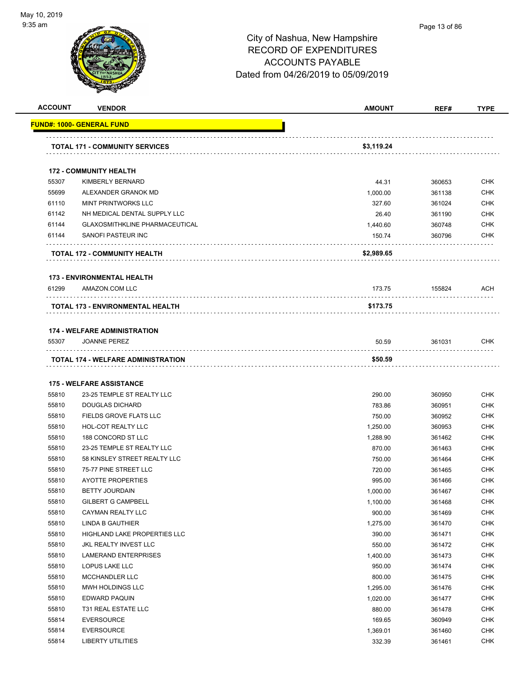

|       | <b>TOTAL 171 - COMMUNITY SERVICES</b> | \$3,119.24 |        |            |
|-------|---------------------------------------|------------|--------|------------|
|       |                                       |            |        |            |
|       | <b>172 - COMMUNITY HEALTH</b>         |            |        |            |
| 55307 | KIMBERLY BERNARD                      | 44.31      | 360653 | <b>CHK</b> |
| 55699 | ALEXANDER GRANOK MD                   | 1,000.00   | 361138 | <b>CHK</b> |
| 61110 | <b>MINT PRINTWORKS LLC</b>            | 327.60     | 361024 | <b>CHK</b> |
| 61142 | NH MEDICAL DENTAL SUPPLY LLC          | 26.40      | 361190 | <b>CHK</b> |
| 61144 | <b>GLAXOSMITHKLINE PHARMACEUTICAL</b> | 1,440.60   | 360748 | <b>CHK</b> |
| 61144 | SANOFI PASTEUR INC                    | 150.74     | 360796 | <b>CHK</b> |
|       | <b>TOTAL 172 - COMMUNITY HEALTH</b>   | \$2,989.65 |        |            |
|       | <b>173 - ENVIRONMENTAL HEALTH</b>     |            |        |            |
| 61299 | AMAZON.COM LLC                        | 173.75     | 155824 | ACH        |
|       | TOTAL 173 - ENVIRONMENTAL HEALTH      | \$173.75   |        |            |
|       | <b>174 - WELFARE ADMINISTRATION</b>   |            |        |            |
| 55307 | <b>JOANNE PEREZ</b>                   | 50.59      | 361031 | <b>CHK</b> |
|       | TOTAL 174 - WELFARE ADMINISTRATION    | \$50.59    |        |            |
|       | <b>175 - WELFARE ASSISTANCE</b>       |            |        |            |
| 55810 | 23-25 TEMPLE ST REALTY LLC            | 290.00     | 360950 | <b>CHK</b> |
| 55810 | <b>DOUGLAS DICHARD</b>                | 783.86     | 360951 | <b>CHK</b> |
| 55810 | FIELDS GROVE FLATS LLC                | 750.00     | 360952 | <b>CHK</b> |
| 55810 | HOL-COT REALTY LLC                    | 1,250.00   | 360953 | <b>CHK</b> |
| 55810 | 188 CONCORD ST LLC                    | 1,288.90   | 361462 | <b>CHK</b> |
| 55810 | 23-25 TEMPLE ST REALTY LLC            | 870.00     | 361463 | <b>CHK</b> |
| 55810 | 58 KINSLEY STREET REALTY LLC          | 750.00     | 361464 | <b>CHK</b> |
| 55810 | 75-77 PINE STREET LLC                 | 720.00     | 361465 | <b>CHK</b> |
| 55810 | <b>AYOTTE PROPERTIES</b>              | 995.00     | 361466 | <b>CHK</b> |
| 55810 | <b>BETTY JOURDAIN</b>                 | 1,000.00   | 361467 | <b>CHK</b> |
| 55810 | <b>GILBERT G CAMPBELL</b>             | 1,100.00   | 361468 | <b>CHK</b> |
| 55810 | CAYMAN REALTY LLC                     | 900.00     | 361469 | CHK        |
| 55810 | LINDA B GAUTHIER                      | 1,275.00   | 361470 | <b>CHK</b> |
| 55810 | HIGHLAND LAKE PROPERTIES LLC          | 390.00     | 361471 | <b>CHK</b> |
| 55810 | JKL REALTY INVEST LLC                 | 550.00     | 361472 | <b>CHK</b> |
| 55810 | LAMERAND ENTERPRISES                  | 1,400.00   | 361473 | <b>CHK</b> |
| 55810 | LOPUS LAKE LLC                        | 950.00     | 361474 | <b>CHK</b> |
| 55810 | <b>MCCHANDLER LLC</b>                 | 800.00     | 361475 | <b>CHK</b> |
| 55810 | MWH HOLDINGS LLC                      | 1,295.00   | 361476 | <b>CHK</b> |
| 55810 | <b>EDWARD PAQUIN</b>                  | 1,020.00   | 361477 | <b>CHK</b> |
| 55810 | T31 REAL ESTATE LLC                   | 880.00     | 361478 | <b>CHK</b> |
| 55814 | <b>EVERSOURCE</b>                     | 169.65     | 360949 | <b>CHK</b> |
|       |                                       |            |        | <b>CHK</b> |
| 55814 | <b>EVERSOURCE</b>                     | 1,369.01   | 361460 |            |

**ACCOUNT VENDOR AMOUNT REF# TYPE**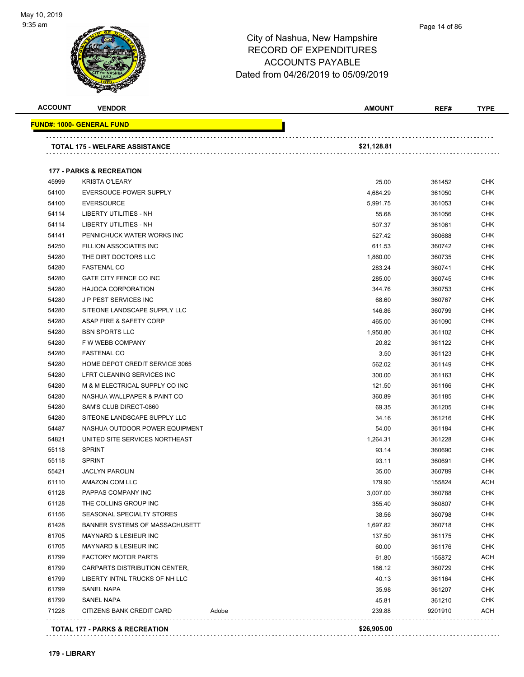

#### Page 14 of 86

| <b>ACCOUNT</b> | <b>VENDOR</b>                                            |       | <b>AMOUNT</b> | REF#    | <b>TYPE</b> |
|----------------|----------------------------------------------------------|-------|---------------|---------|-------------|
|                | FUND#: 1000- GENERAL FUND                                |       |               |         |             |
|                |                                                          |       |               |         |             |
|                | TOTAL 175 - WELFARE ASSISTANCE                           |       | \$21,128.81   |         |             |
|                | <b>177 - PARKS &amp; RECREATION</b>                      |       |               |         |             |
| 45999          | <b>KRISTA O'LEARY</b>                                    |       | 25.00         | 361452  | <b>CHK</b>  |
| 54100          | EVERSOUCE-POWER SUPPLY                                   |       | 4,684.29      | 361050  | <b>CHK</b>  |
| 54100          | <b>EVERSOURCE</b>                                        |       | 5,991.75      | 361053  | <b>CHK</b>  |
| 54114          | LIBERTY UTILITIES - NH                                   |       | 55.68         | 361056  | <b>CHK</b>  |
| 54114          | LIBERTY UTILITIES - NH                                   |       | 507.37        | 361061  | <b>CHK</b>  |
| 54141          | PENNICHUCK WATER WORKS INC                               |       | 527.42        | 360688  | <b>CHK</b>  |
| 54250          | FILLION ASSOCIATES INC                                   |       | 611.53        | 360742  | <b>CHK</b>  |
| 54280          | THE DIRT DOCTORS LLC                                     |       | 1,860.00      | 360735  | <b>CHK</b>  |
| 54280          | <b>FASTENAL CO</b>                                       |       |               |         | CHK         |
| 54280          | GATE CITY FENCE CO INC                                   |       | 283.24        | 360741  | <b>CHK</b>  |
|                |                                                          |       | 285.00        | 360745  |             |
| 54280          | <b>HAJOCA CORPORATION</b><br><b>JP PEST SERVICES INC</b> |       | 344.76        | 360753  | <b>CHK</b>  |
| 54280          |                                                          |       | 68.60         | 360767  | <b>CHK</b>  |
| 54280          | SITEONE LANDSCAPE SUPPLY LLC                             |       | 146.86        | 360799  | <b>CHK</b>  |
| 54280          | ASAP FIRE & SAFETY CORP                                  |       | 465.00        | 361090  | <b>CHK</b>  |
| 54280          | <b>BSN SPORTS LLC</b>                                    |       | 1,950.80      | 361102  | <b>CHK</b>  |
| 54280          | F W WEBB COMPANY                                         |       | 20.82         | 361122  | <b>CHK</b>  |
| 54280          | <b>FASTENAL CO</b>                                       |       | 3.50          | 361123  | <b>CHK</b>  |
| 54280          | HOME DEPOT CREDIT SERVICE 3065                           |       | 562.02        | 361149  | <b>CHK</b>  |
| 54280          | LFRT CLEANING SERVICES INC                               |       | 300.00        | 361163  | <b>CHK</b>  |
| 54280          | M & M ELECTRICAL SUPPLY CO INC                           |       | 121.50        | 361166  | CHK         |
| 54280          | NASHUA WALLPAPER & PAINT CO                              |       | 360.89        | 361185  | <b>CHK</b>  |
| 54280          | SAM'S CLUB DIRECT-0860                                   |       | 69.35         | 361205  | <b>CHK</b>  |
| 54280          | SITEONE LANDSCAPE SUPPLY LLC                             |       | 34.16         | 361216  | <b>CHK</b>  |
| 54487          | NASHUA OUTDOOR POWER EQUIPMENT                           |       | 54.00         | 361184  | <b>CHK</b>  |
| 54821          | UNITED SITE SERVICES NORTHEAST                           |       | 1,264.31      | 361228  | <b>CHK</b>  |
| 55118          | <b>SPRINT</b>                                            |       | 93.14         | 360690  | CHK         |
| 55118          | <b>SPRINT</b>                                            |       | 93.11         | 360691  | <b>CHK</b>  |
| 55421          | <b>JACLYN PAROLIN</b>                                    |       | 35.00         | 360789  | <b>CHK</b>  |
| 61110          | AMAZON.COM LLC                                           |       | 179.90        | 155824  | <b>ACH</b>  |
| 61128          | PAPPAS COMPANY INC                                       |       | 3,007.00      | 360788  | <b>CHK</b>  |
| 61128          | THE COLLINS GROUP INC                                    |       | 355.40        | 360807  | <b>CHK</b>  |
| 61156          | SEASONAL SPECIALTY STORES                                |       | 38.56         | 360798  | <b>CHK</b>  |
| 61428          | BANNER SYSTEMS OF MASSACHUSETT                           |       | 1,697.82      | 360718  | <b>CHK</b>  |
| 61705          | MAYNARD & LESIEUR INC                                    |       | 137.50        | 361175  | <b>CHK</b>  |
| 61705          | MAYNARD & LESIEUR INC                                    |       | 60.00         | 361176  | <b>CHK</b>  |
| 61799          | <b>FACTORY MOTOR PARTS</b>                               |       | 61.80         | 155872  | ACH         |
| 61799          | CARPARTS DISTRIBUTION CENTER,                            |       | 186.12        | 360729  | <b>CHK</b>  |
| 61799          | LIBERTY INTNL TRUCKS OF NH LLC                           |       | 40.13         | 361164  | <b>CHK</b>  |
| 61799          | <b>SANEL NAPA</b>                                        |       | 35.98         | 361207  | <b>CHK</b>  |
| 61799          | SANEL NAPA                                               |       | 45.81         | 361210  | <b>CHK</b>  |
| 71228          | CITIZENS BANK CREDIT CARD                                | Adobe | 239.88        | 9201910 | <b>ACH</b>  |
|                | .<br>TOTAL 177 - PARKS & RECREATION                      |       | \$26,905.00   |         |             |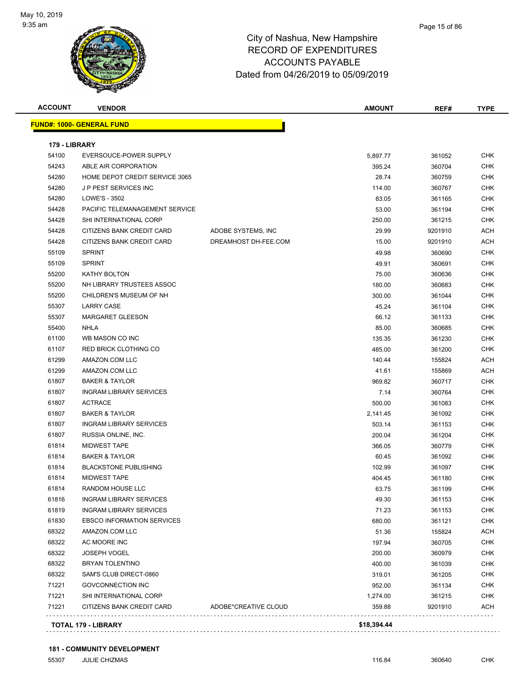

| <b>ACCOUNT</b> | <b>VENDOR</b>                     |                      | <b>AMOUNT</b> | REF#             | <b>TYPE</b> |
|----------------|-----------------------------------|----------------------|---------------|------------------|-------------|
|                | <b>FUND#: 1000- GENERAL FUND</b>  |                      |               |                  |             |
| 179 - LIBRARY  |                                   |                      |               |                  |             |
| 54100          | EVERSOUCE-POWER SUPPLY            |                      | 5,897.77      | 361052           | <b>CHK</b>  |
| 54243          | ABLE AIR CORPORATION              |                      | 395.24        | 360704           | CHK         |
| 54280          | HOME DEPOT CREDIT SERVICE 3065    |                      | 28.74         | 360759           | <b>CHK</b>  |
| 54280          | J P PEST SERVICES INC             |                      | 114.00        | 360767           | <b>CHK</b>  |
| 54280          | LOWE'S - 3502                     |                      | 83.05         | 361165           | <b>CHK</b>  |
| 54428          | PACIFIC TELEMANAGEMENT SERVICE    |                      | 53.00         |                  | <b>CHK</b>  |
| 54428          | SHI INTERNATIONAL CORP            |                      | 250.00        | 361194<br>361215 | <b>CHK</b>  |
| 54428          | CITIZENS BANK CREDIT CARD         | ADOBE SYSTEMS, INC   | 29.99         | 9201910          | <b>ACH</b>  |
| 54428          | CITIZENS BANK CREDIT CARD         | DREAMHOST DH-FEE.COM | 15.00         | 9201910          | <b>ACH</b>  |
| 55109          | <b>SPRINT</b>                     |                      |               |                  | <b>CHK</b>  |
|                |                                   |                      | 49.98         | 360690           |             |
| 55109          | <b>SPRINT</b>                     |                      | 49.91         | 360691           | CHK         |
| 55200          | KATHY BOLTON                      |                      | 75.00         | 360636           | CHK         |
| 55200          | NH LIBRARY TRUSTEES ASSOC         |                      | 180.00        | 360683           | <b>CHK</b>  |
| 55200          | CHILDREN'S MUSEUM OF NH           |                      | 300.00        | 361044           | <b>CHK</b>  |
| 55307          | <b>LARRY CASE</b>                 |                      | 45.24         | 361104           | <b>CHK</b>  |
| 55307          | <b>MARGARET GLEESON</b>           |                      | 66.12         | 361133           | <b>CHK</b>  |
| 55400          | <b>NHLA</b>                       |                      | 85.00         | 360685           | <b>CHK</b>  |
| 61100          | WB MASON CO INC                   |                      | 135.35        | 361230           | <b>CHK</b>  |
| 61107          | <b>RED BRICK CLOTHING CO</b>      |                      | 485.00        | 361200           | CHK         |
| 61299          | AMAZON.COM LLC                    |                      | 140.44        | 155824           | ACH         |
| 61299          | AMAZON.COM LLC                    |                      | 41.61         | 155869           | ACH         |
| 61807          | <b>BAKER &amp; TAYLOR</b>         |                      | 969.82        | 360717           | CHK         |
| 61807          | <b>INGRAM LIBRARY SERVICES</b>    |                      | 7.14          | 360764           | <b>CHK</b>  |
| 61807          | <b>ACTRACE</b>                    |                      | 500.00        | 361083           | <b>CHK</b>  |
| 61807          | <b>BAKER &amp; TAYLOR</b>         |                      | 2,141.45      | 361092           | <b>CHK</b>  |
| 61807          | <b>INGRAM LIBRARY SERVICES</b>    |                      | 503.14        | 361153           | <b>CHK</b>  |
| 61807          | RUSSIA ONLINE, INC.               |                      | 200.04        | 361204           | <b>CHK</b>  |
| 61814          | <b>MIDWEST TAPE</b>               |                      | 366.05        | 360779           | <b>CHK</b>  |
| 61814          | <b>BAKER &amp; TAYLOR</b>         |                      | 60.45         | 361092           | <b>CHK</b>  |
| 61814          | <b>BLACKSTONE PUBLISHING</b>      |                      | 102.99        | 361097           | <b>CHK</b>  |
| 61814          | <b>MIDWEST TAPE</b>               |                      | 404.45        | 361180           | CHK         |
| 61814          | RANDOM HOUSE LLC                  |                      | 63.75         | 361199           | <b>CHK</b>  |
| 61816          | <b>INGRAM LIBRARY SERVICES</b>    |                      | 49.30         | 361153           | CHK         |
| 61819          | <b>INGRAM LIBRARY SERVICES</b>    |                      | 71.23         | 361153           | <b>CHK</b>  |
| 61830          | <b>EBSCO INFORMATION SERVICES</b> |                      | 680.00        | 361121           | CHK         |
| 68322          | AMAZON.COM LLC                    |                      | 51.36         | 155824           | ACH         |
| 68322          | AC MOORE INC                      |                      | 197.94        | 360705           | CHK         |
| 68322          | <b>JOSEPH VOGEL</b>               |                      | 200.00        | 360979           | <b>CHK</b>  |
| 68322          | <b>BRYAN TOLENTINO</b>            |                      | 400.00        | 361039           | CHK         |
| 68322          | SAM'S CLUB DIRECT-0860            |                      | 319.01        | 361205           | CHK         |
| 71221          | <b>GOVCONNECTION INC</b>          |                      | 952.00        | 361134           | <b>CHK</b>  |
| 71221          | SHI INTERNATIONAL CORP            |                      | 1,274.00      | 361215           | <b>CHK</b>  |
| 71221          | CITIZENS BANK CREDIT CARD         | ADOBE*CREATIVE CLOUD | 359.88        | 9201910          | <b>ACH</b>  |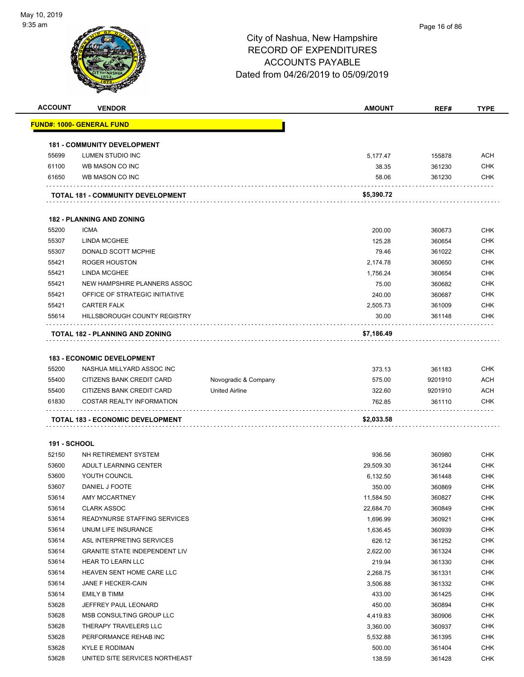

| <b>ACCOUNT</b>      | <b>VENDOR</b>                           |                       | <b>AMOUNT</b> | REF#    | <b>TYPE</b>              |
|---------------------|-----------------------------------------|-----------------------|---------------|---------|--------------------------|
|                     | <u> FUND#: 1000- GENERAL FUND</u>       |                       |               |         |                          |
|                     | <b>181 - COMMUNITY DEVELOPMENT</b>      |                       |               |         |                          |
| 55699               | LUMEN STUDIO INC                        |                       | 5,177.47      | 155878  | <b>ACH</b>               |
| 61100               | WB MASON CO INC                         |                       | 38.35         | 361230  | <b>CHK</b>               |
| 61650               | WB MASON CO INC                         |                       | 58.06         | 361230  | <b>CHK</b>               |
|                     |                                         |                       |               |         |                          |
|                     | TOTAL 181 - COMMUNITY DEVELOPMENT       |                       | \$5,390.72    |         |                          |
|                     | <b>182 - PLANNING AND ZONING</b>        |                       |               |         |                          |
| 55200               | <b>ICMA</b>                             |                       | 200.00        | 360673  | <b>CHK</b>               |
| 55307               | <b>LINDA MCGHEE</b>                     |                       | 125.28        | 360654  | <b>CHK</b>               |
| 55307               | DONALD SCOTT MCPHIE                     |                       | 79.46         | 361022  | <b>CHK</b>               |
| 55421               | ROGER HOUSTON                           |                       | 2,174.78      | 360650  | <b>CHK</b>               |
| 55421               | <b>LINDA MCGHEE</b>                     |                       | 1,756.24      | 360654  | <b>CHK</b>               |
| 55421               | NEW HAMPSHIRE PLANNERS ASSOC            |                       | 75.00         | 360682  | <b>CHK</b>               |
| 55421               | OFFICE OF STRATEGIC INITIATIVE          |                       | 240.00        | 360687  | <b>CHK</b>               |
| 55421               | <b>CARTER FALK</b>                      |                       | 2,505.73      | 361009  | <b>CHK</b>               |
| 55614               | HILLSBOROUGH COUNTY REGISTRY            |                       | 30.00         | 361148  | <b>CHK</b>               |
|                     | TOTAL 182 - PLANNING AND ZONING         |                       | \$7,186.49    |         |                          |
|                     |                                         |                       |               |         |                          |
|                     | <b>183 - ECONOMIC DEVELOPMENT</b>       |                       |               |         |                          |
| 55200               | NASHUA MILLYARD ASSOC INC               |                       | 373.13        | 361183  | <b>CHK</b>               |
| 55400               | CITIZENS BANK CREDIT CARD               | Novogradic & Company  | 575.00        | 9201910 | <b>ACH</b>               |
| 55400<br>61830      | CITIZENS BANK CREDIT CARD               | <b>United Airline</b> | 322.60        | 9201910 | <b>ACH</b><br><b>CHK</b> |
|                     | COSTAR REALTY INFORMATION               |                       | 762.85        | 361110  |                          |
|                     | <b>TOTAL 183 - ECONOMIC DEVELOPMENT</b> |                       | \$2,033.58    |         |                          |
| <b>191 - SCHOOL</b> |                                         |                       |               |         |                          |
| 52150               | NH RETIREMENT SYSTEM                    |                       | 936.56        | 360980  | <b>CHK</b>               |
| 53600               | ADULT LEARNING CENTER                   |                       | 29,509.30     | 361244  | <b>CHK</b>               |
| 53600               | YOUTH COUNCIL                           |                       | 6,132.50      | 361448  | <b>CHK</b>               |
| 53607               | DANIEL J FOOTE                          |                       | 350.00        | 360869  | <b>CHK</b>               |
| 53614               | AMY MCCARTNEY                           |                       | 11,584.50     | 360827  | <b>CHK</b>               |
| 53614               | <b>CLARK ASSOC</b>                      |                       | 22,684.70     | 360849  | <b>CHK</b>               |
| 53614               | READYNURSE STAFFING SERVICES            |                       | 1,696.99      | 360921  | <b>CHK</b>               |
| 53614               | UNUM LIFE INSURANCE                     |                       | 1,636.45      | 360939  | <b>CHK</b>               |
| 53614               | ASL INTERPRETING SERVICES               |                       | 626.12        | 361252  | <b>CHK</b>               |
| 53614               | <b>GRANITE STATE INDEPENDENT LIV</b>    |                       | 2,622.00      | 361324  | <b>CHK</b>               |
| 53614               | HEAR TO LEARN LLC                       |                       | 219.94        | 361330  | <b>CHK</b>               |
| 53614               | HEAVEN SENT HOME CARE LLC               |                       | 2,268.75      | 361331  | <b>CHK</b>               |
| 53614               | JANE F HECKER-CAIN                      |                       | 3,506.88      | 361332  | <b>CHK</b>               |
| 53614               | EMILY B TIMM                            |                       | 433.00        | 361425  | <b>CHK</b>               |
| 53628               | JEFFREY PAUL LEONARD                    |                       | 450.00        | 360894  | <b>CHK</b>               |
| 53628               | MSB CONSULTING GROUP LLC                |                       | 4,419.83      | 360906  | <b>CHK</b>               |
| 53628               | THERAPY TRAVELERS LLC                   |                       | 3,360.00      | 360937  | <b>CHK</b>               |
| 53628               | PERFORMANCE REHAB INC                   |                       | 5,532.88      | 361395  | <b>CHK</b>               |
| 53628               | <b>KYLE E RODIMAN</b>                   |                       | 500.00        | 361404  | <b>CHK</b>               |
| 53628               | UNITED SITE SERVICES NORTHEAST          |                       | 138.59        | 361428  | <b>CHK</b>               |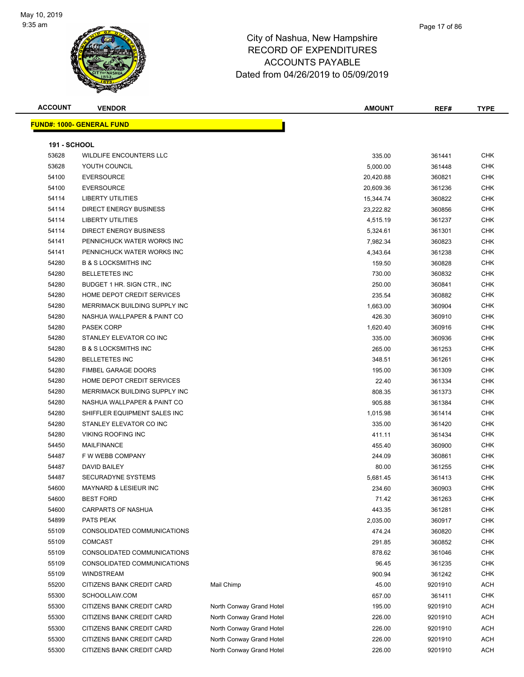

#### Page 17 of 86

| - - - - - - -<br>า∪พ.<br>^`                | VENDOR             |  | <b>AMOUNT</b> | REF# | TVDE |
|--------------------------------------------|--------------------|--|---------------|------|------|
| EIIN<br><b>CONTRACTOR</b><br>1000-<br>NG B | <b>FUND</b><br>4NF |  |               |      |      |

|                     | <u>ND#: 1000- GENERAL FUND</u>   |                          |           |         |            |
|---------------------|----------------------------------|--------------------------|-----------|---------|------------|
| <b>191 - SCHOOL</b> |                                  |                          |           |         |            |
| 53628               | WILDLIFE ENCOUNTERS LLC          |                          | 335.00    | 361441  | <b>CHK</b> |
| 53628               | YOUTH COUNCIL                    |                          | 5,000.00  | 361448  | CHK        |
| 54100               | <b>EVERSOURCE</b>                |                          | 20,420.88 | 360821  | <b>CHK</b> |
| 54100               | <b>EVERSOURCE</b>                |                          | 20,609.36 | 361236  | <b>CHK</b> |
| 54114               | <b>LIBERTY UTILITIES</b>         |                          | 15,344.74 | 360822  | <b>CHK</b> |
| 54114               | <b>DIRECT ENERGY BUSINESS</b>    |                          | 23,222.82 | 360856  | <b>CHK</b> |
| 54114               | <b>LIBERTY UTILITIES</b>         |                          | 4,515.19  | 361237  | <b>CHK</b> |
| 54114               | <b>DIRECT ENERGY BUSINESS</b>    |                          | 5,324.61  | 361301  | <b>CHK</b> |
| 54141               | PENNICHUCK WATER WORKS INC       |                          | 7,982.34  | 360823  | <b>CHK</b> |
| 54141               | PENNICHUCK WATER WORKS INC       |                          | 4,343.64  | 361238  | <b>CHK</b> |
| 54280               | <b>B &amp; S LOCKSMITHS INC</b>  |                          | 159.50    | 360828  | <b>CHK</b> |
| 54280               | <b>BELLETETES INC</b>            |                          | 730.00    | 360832  | <b>CHK</b> |
| 54280               | BUDGET 1 HR. SIGN CTR., INC.     |                          | 250.00    | 360841  | CHK        |
| 54280               | HOME DEPOT CREDIT SERVICES       |                          | 235.54    | 360882  | <b>CHK</b> |
| 54280               | MERRIMACK BUILDING SUPPLY INC    |                          | 1,663.00  | 360904  | <b>CHK</b> |
| 54280               | NASHUA WALLPAPER & PAINT CO      |                          | 426.30    | 360910  | <b>CHK</b> |
| 54280               | <b>PASEK CORP</b>                |                          | 1,620.40  | 360916  | <b>CHK</b> |
| 54280               | STANLEY ELEVATOR CO INC          |                          | 335.00    | 360936  | <b>CHK</b> |
| 54280               | <b>B &amp; S LOCKSMITHS INC</b>  |                          | 265.00    | 361253  | <b>CHK</b> |
| 54280               | <b>BELLETETES INC</b>            |                          | 348.51    | 361261  | <b>CHK</b> |
| 54280               | <b>FIMBEL GARAGE DOORS</b>       |                          | 195.00    | 361309  | CHK        |
| 54280               | HOME DEPOT CREDIT SERVICES       |                          | 22.40     | 361334  | <b>CHK</b> |
| 54280               | MERRIMACK BUILDING SUPPLY INC    |                          | 808.35    | 361373  | <b>CHK</b> |
| 54280               | NASHUA WALLPAPER & PAINT CO      |                          | 905.88    | 361384  | <b>CHK</b> |
| 54280               | SHIFFLER EQUIPMENT SALES INC     |                          | 1,015.98  | 361414  | <b>CHK</b> |
| 54280               | STANLEY ELEVATOR CO INC          |                          | 335.00    | 361420  | <b>CHK</b> |
| 54280               | <b>VIKING ROOFING INC</b>        |                          | 411.11    | 361434  | <b>CHK</b> |
| 54450               | MAILFINANCE                      |                          | 455.40    | 360900  | <b>CHK</b> |
| 54487               | F W WEBB COMPANY                 |                          | 244.09    | 360861  | <b>CHK</b> |
| 54487               | DAVID BAILEY                     |                          | 80.00     | 361255  | <b>CHK</b> |
| 54487               | SECURADYNE SYSTEMS               |                          | 5,681.45  | 361413  | <b>CHK</b> |
| 54600               | <b>MAYNARD &amp; LESIEUR INC</b> |                          | 234.60    | 360903  | <b>CHK</b> |
| 54600               | <b>BEST FORD</b>                 |                          | 71.42     | 361263  | <b>CHK</b> |
| 54600               | CARPARTS OF NASHUA               |                          | 443.35    | 361281  | CHK        |
| 54899               | PATS PEAK                        |                          | 2,035.00  | 360917  | <b>CHK</b> |
| 55109               | CONSOLIDATED COMMUNICATIONS      |                          | 474.24    | 360820  | <b>CHK</b> |
| 55109               | <b>COMCAST</b>                   |                          | 291.85    | 360852  | <b>CHK</b> |
| 55109               | CONSOLIDATED COMMUNICATIONS      |                          | 878.62    | 361046  | <b>CHK</b> |
| 55109               | CONSOLIDATED COMMUNICATIONS      |                          | 96.45     | 361235  | <b>CHK</b> |
| 55109               | <b>WINDSTREAM</b>                |                          | 900.94    | 361242  | <b>CHK</b> |
| 55200               | CITIZENS BANK CREDIT CARD        | Mail Chimp               | 45.00     | 9201910 | ACH        |
| 55300               | SCHOOLLAW.COM                    |                          | 657.00    | 361411  | <b>CHK</b> |
| 55300               | CITIZENS BANK CREDIT CARD        | North Conway Grand Hotel | 195.00    | 9201910 | ACH        |
| 55300               | CITIZENS BANK CREDIT CARD        | North Conway Grand Hotel | 226.00    | 9201910 | <b>ACH</b> |
| 55300               | CITIZENS BANK CREDIT CARD        | North Conway Grand Hotel | 226.00    | 9201910 | <b>ACH</b> |
| 55300               | CITIZENS BANK CREDIT CARD        | North Conway Grand Hotel | 226.00    | 9201910 | <b>ACH</b> |
| 55300               | CITIZENS BANK CREDIT CARD        | North Conway Grand Hotel | 226.00    | 9201910 | <b>ACH</b> |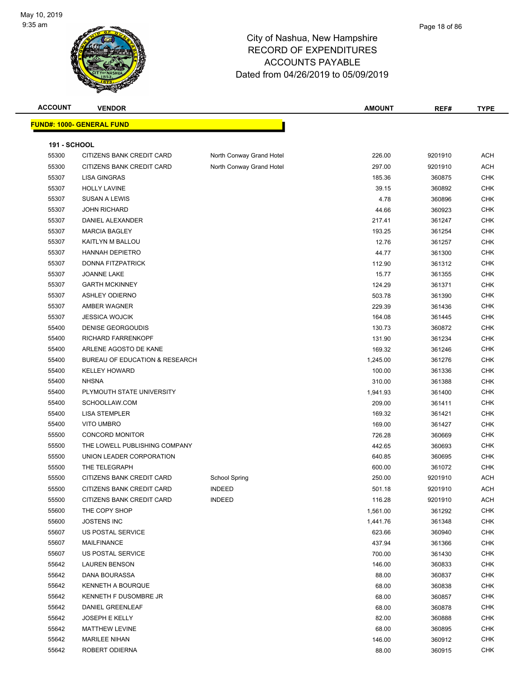

| <b>ACCOUNT</b>      | <b>VENDOR</b>                     |                          | <b>AMOUNT</b> | REF#    | <b>TYPE</b>    |
|---------------------|-----------------------------------|--------------------------|---------------|---------|----------------|
|                     | <u> FUND#: 1000- GENERAL FUND</u> |                          |               |         |                |
|                     |                                   |                          |               |         |                |
| <b>191 - SCHOOL</b> |                                   |                          |               |         |                |
| 55300               | CITIZENS BANK CREDIT CARD         | North Conway Grand Hotel | 226.00        | 9201910 | <b>ACH</b>     |
| 55300               | CITIZENS BANK CREDIT CARD         | North Conway Grand Hotel | 297.00        | 9201910 | <b>ACH</b>     |
| 55307               | <b>LISA GINGRAS</b>               |                          | 185.36        | 360875  | <b>CHK</b>     |
| 55307               | <b>HOLLY LAVINE</b>               |                          | 39.15         | 360892  | <b>CHK</b>     |
| 55307               | <b>SUSAN A LEWIS</b>              |                          | 4.78          | 360896  | <b>CHK</b>     |
| 55307               | <b>JOHN RICHARD</b>               |                          | 44.66         | 360923  | <b>CHK</b>     |
| 55307               | DANIEL ALEXANDER                  |                          | 217.41        | 361247  | <b>CHK</b>     |
| 55307               | <b>MARCIA BAGLEY</b>              |                          | 193.25        | 361254  | <b>CHK</b>     |
| 55307               | KAITLYN M BALLOU                  |                          | 12.76         | 361257  | <b>CHK</b>     |
| 55307               | <b>HANNAH DEPIETRO</b>            |                          | 44.77         | 361300  | <b>CHK</b>     |
| 55307               | DONNA FITZPATRICK                 |                          | 112.90        | 361312  | <b>CHK</b>     |
| 55307               | JOANNE LAKE                       |                          | 15.77         | 361355  | <b>CHK</b>     |
| 55307               | <b>GARTH MCKINNEY</b>             |                          | 124.29        | 361371  | <b>CHK</b>     |
| 55307               | <b>ASHLEY ODIERNO</b>             |                          | 503.78        | 361390  | <b>CHK</b>     |
| 55307               | AMBER WAGNER                      |                          | 229.39        | 361436  | <b>CHK</b>     |
| 55307               | <b>JESSICA WOJCIK</b>             |                          | 164.08        | 361445  | <b>CHK</b>     |
| 55400               | DENISE GEORGOUDIS                 |                          | 130.73        | 360872  | <b>CHK</b>     |
| 55400               | RICHARD FARRENKOPF                |                          | 131.90        | 361234  | <b>CHK</b>     |
| 55400               | ARLENE AGOSTO DE KANE             |                          | 169.32        | 361246  | <b>CHK</b>     |
| 55400               | BUREAU OF EDUCATION & RESEARCH    |                          | 1,245.00      | 361276  | <b>CHK</b>     |
| 55400               | <b>KELLEY HOWARD</b>              |                          | 100.00        | 361336  | CHK            |
| 55400               | <b>NHSNA</b>                      |                          | 310.00        | 361388  | <b>CHK</b>     |
| 55400               | PLYMOUTH STATE UNIVERSITY         |                          | 1,941.93      | 361400  | <b>CHK</b>     |
| 55400               | SCHOOLLAW.COM                     |                          | 209.00        | 361411  | <b>CHK</b>     |
| 55400               | <b>LISA STEMPLER</b>              |                          | 169.32        | 361421  | <b>CHK</b>     |
| 55400               | <b>VITO UMBRO</b>                 |                          | 169.00        | 361427  | <b>CHK</b>     |
| 55500               | <b>CONCORD MONITOR</b>            |                          | 726.28        | 360669  | <b>CHK</b>     |
| 55500               | THE LOWELL PUBLISHING COMPANY     |                          | 442.65        | 360693  | <b>CHK</b>     |
| 55500               | UNION LEADER CORPORATION          |                          | 640.85        | 360695  | <b>CHK</b>     |
| 55500               | THE TELEGRAPH                     |                          | 600.00        | 361072  | <b>CHK</b>     |
| 55500               | CITIZENS BANK CREDIT CARD         | <b>School Spring</b>     | 250.00        | 9201910 | <b>ACH</b>     |
| 55500               | CITIZENS BANK CREDIT CARD         | <b>INDEED</b>            | 501.18        | 9201910 | $\mathsf{ACH}$ |
| 55500               | CITIZENS BANK CREDIT CARD         | <b>INDEED</b>            | 116.28        | 9201910 | ACH            |
| 55600               | THE COPY SHOP                     |                          | 1,561.00      | 361292  | <b>CHK</b>     |
| 55600               | <b>JOSTENS INC</b>                |                          | 1,441.76      | 361348  | <b>CHK</b>     |
| 55607               | US POSTAL SERVICE                 |                          | 623.66        | 360940  | CHK            |
| 55607               | <b>MAILFINANCE</b>                |                          | 437.94        | 361366  | <b>CHK</b>     |
| 55607               | US POSTAL SERVICE                 |                          | 700.00        | 361430  | <b>CHK</b>     |
| 55642               | <b>LAUREN BENSON</b>              |                          | 146.00        | 360833  | <b>CHK</b>     |
| 55642               | DANA BOURASSA                     |                          | 88.00         | 360837  | <b>CHK</b>     |
| 55642               | KENNETH A BOURQUE                 |                          | 68.00         | 360838  | CHK            |
| 55642               | KENNETH F DUSOMBRE JR             |                          | 68.00         | 360857  | <b>CHK</b>     |
| 55642               | DANIEL GREENLEAF                  |                          | 68.00         | 360878  | <b>CHK</b>     |
| 55642               | <b>JOSEPH E KELLY</b>             |                          | 82.00         | 360888  | <b>CHK</b>     |
| 55642               | MATTHEW LEVINE                    |                          | 68.00         | 360895  | <b>CHK</b>     |
| 55642               | <b>MARILEE NIHAN</b>              |                          | 146.00        | 360912  | <b>CHK</b>     |
| 55642               | ROBERT ODIERNA                    |                          | 88.00         | 360915  | <b>CHK</b>     |
|                     |                                   |                          |               |         |                |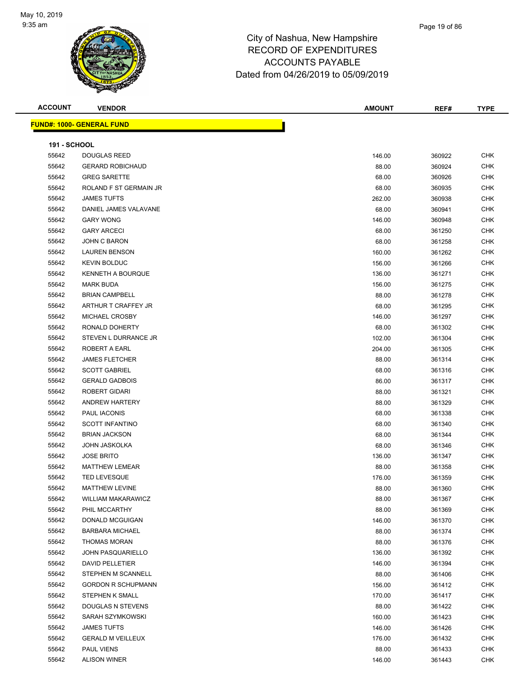

### Page 19 of 86

| <b>ACCOUNT</b>      | <b>VENDOR</b>                    | <b>AMOUNT</b>   | REF#   | <b>TYPE</b> |
|---------------------|----------------------------------|-----------------|--------|-------------|
|                     | <b>FUND#: 1000- GENERAL FUND</b> |                 |        |             |
|                     |                                  |                 |        |             |
| <b>191 - SCHOOL</b> |                                  |                 |        |             |
| 55642               | <b>DOUGLAS REED</b>              | 146.00          | 360922 | <b>CHK</b>  |
| 55642               | <b>GERARD ROBICHAUD</b>          | 88.00           | 360924 | <b>CHK</b>  |
| 55642               | <b>GREG SARETTE</b>              | 68.00           | 360926 | <b>CHK</b>  |
| 55642               | ROLAND F ST GERMAIN JR           | 68.00           | 360935 | <b>CHK</b>  |
| 55642               | <b>JAMES TUFTS</b>               | 262.00          | 360938 | <b>CHK</b>  |
| 55642               | DANIEL JAMES VALAVANE            | 68.00           | 360941 | <b>CHK</b>  |
| 55642               | <b>GARY WONG</b>                 | 146.00          | 360948 | <b>CHK</b>  |
| 55642               | <b>GARY ARCECI</b>               | 68.00           | 361250 | <b>CHK</b>  |
| 55642               | JOHN C BARON                     | 68.00           | 361258 | <b>CHK</b>  |
| 55642               | <b>LAUREN BENSON</b>             | 160.00          | 361262 | <b>CHK</b>  |
| 55642               | <b>KEVIN BOLDUC</b>              | 156.00          | 361266 | <b>CHK</b>  |
| 55642               | <b>KENNETH A BOURQUE</b>         | 136.00          | 361271 | <b>CHK</b>  |
| 55642               | <b>MARK BUDA</b>                 | 156.00          | 361275 | CHK         |
| 55642               | <b>BRIAN CAMPBELL</b>            | 88.00           | 361278 | CHK         |
| 55642               | ARTHUR T CRAFFEY JR              | 68.00           | 361295 | <b>CHK</b>  |
| 55642               | MICHAEL CROSBY                   | 146.00          | 361297 | <b>CHK</b>  |
| 55642               | RONALD DOHERTY                   | 68.00           | 361302 | <b>CHK</b>  |
| 55642               | STEVEN L DURRANCE JR             |                 | 361304 | <b>CHK</b>  |
| 55642               | <b>ROBERT A EARL</b>             | 102.00          |        | <b>CHK</b>  |
| 55642               | <b>JAMES FLETCHER</b>            | 204.00<br>88.00 | 361305 | <b>CHK</b>  |
| 55642               |                                  |                 | 361314 |             |
|                     | <b>SCOTT GABRIEL</b>             | 68.00           | 361316 | CHK         |
| 55642               | <b>GERALD GADBOIS</b>            | 86.00           | 361317 | <b>CHK</b>  |
| 55642               | ROBERT GIDARI                    | 88.00           | 361321 | <b>CHK</b>  |
| 55642               | <b>ANDREW HARTERY</b>            | 88.00           | 361329 | <b>CHK</b>  |
| 55642               | PAUL IACONIS                     | 68.00           | 361338 | <b>CHK</b>  |
| 55642               | <b>SCOTT INFANTINO</b>           | 68.00           | 361340 | <b>CHK</b>  |
| 55642               | <b>BRIAN JACKSON</b>             | 68.00           | 361344 | <b>CHK</b>  |
| 55642               | <b>JOHN JASKOLKA</b>             | 68.00           | 361346 | <b>CHK</b>  |
| 55642               | <b>JOSE BRITO</b>                | 136.00          | 361347 | <b>CHK</b>  |
| 55642               | <b>MATTHEW LEMEAR</b>            | 88.00           | 361358 | <b>CHK</b>  |
| 55642               | <b>TED LEVESQUE</b>              | 176.00          | 361359 | <b>CHK</b>  |
| 55642               | <b>MATTHEW LEVINE</b>            | 88.00           | 361360 | <b>CHK</b>  |
| 55642               | <b>WILLIAM MAKARAWICZ</b>        | 88.00           | 361367 | <b>CHK</b>  |
| 55642               | PHIL MCCARTHY                    | 88.00           | 361369 | <b>CHK</b>  |
| 55642               | DONALD MCGUIGAN                  | 146.00          | 361370 | <b>CHK</b>  |
| 55642               | <b>BARBARA MICHAEL</b>           | 88.00           | 361374 | <b>CHK</b>  |
| 55642               | <b>THOMAS MORAN</b>              | 88.00           | 361376 | <b>CHK</b>  |
| 55642               | <b>JOHN PASQUARIELLO</b>         | 136.00          | 361392 | <b>CHK</b>  |
| 55642               | DAVID PELLETIER                  | 146.00          | 361394 | <b>CHK</b>  |
| 55642               | STEPHEN M SCANNELL               | 88.00           | 361406 | CHK         |
| 55642               | <b>GORDON R SCHUPMANN</b>        | 156.00          | 361412 | CHK         |
| 55642               | STEPHEN K SMALL                  | 170.00          | 361417 | <b>CHK</b>  |
| 55642               | DOUGLAS N STEVENS                | 88.00           | 361422 | <b>CHK</b>  |
| 55642               | SARAH SZYMKOWSKI                 | 160.00          | 361423 | <b>CHK</b>  |
| 55642               | <b>JAMES TUFTS</b>               | 146.00          | 361426 | <b>CHK</b>  |
| 55642               | <b>GERALD M VEILLEUX</b>         | 176.00          | 361432 | <b>CHK</b>  |
| 55642               | <b>PAUL VIENS</b>                | 88.00           | 361433 | CHK         |
| 55642               | <b>ALISON WINER</b>              | 146.00          | 361443 | <b>CHK</b>  |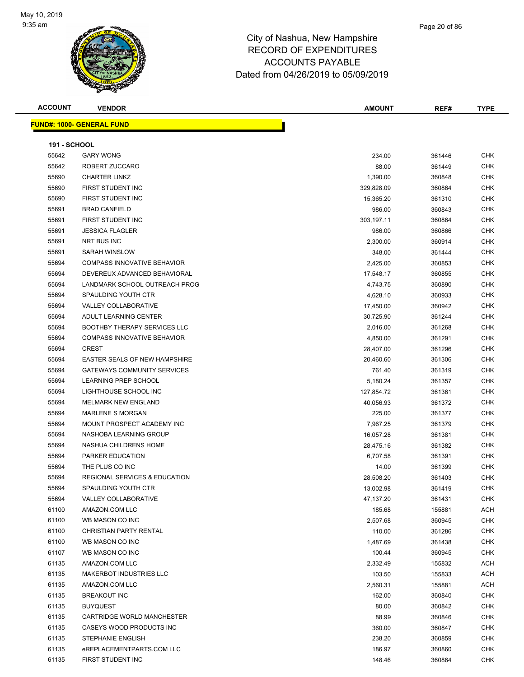

#### Page 20 of 86

### City of Nashua, New Hampshire RECORD OF EXPENDITURES ACCOUNTS PAYABLE Dated from 04/26/2019 to 05/09/2019

| ACCOUNT<br><b>VENDOR</b>           | <b>AMOUNT</b> | REF# | TYPE |
|------------------------------------|---------------|------|------|
|                                    |               |      |      |
| <u> IND#: 1000- GENERAL FUND \</u> |               |      |      |
|                                    |               |      |      |

|                     | <b>FUND#: 1000- GENERAL FUND</b>         |                    |                  |                          |
|---------------------|------------------------------------------|--------------------|------------------|--------------------------|
| <b>191 - SCHOOL</b> |                                          |                    |                  |                          |
| 55642               | <b>GARY WONG</b>                         | 234.00             | 361446           | <b>CHK</b>               |
| 55642               | ROBERT ZUCCARO                           | 88.00              | 361449           | CHK                      |
| 55690               | <b>CHARTER LINKZ</b>                     | 1,390.00           | 360848           | CHK                      |
| 55690               | FIRST STUDENT INC                        | 329,828.09         | 360864           | CHK                      |
| 55690               | FIRST STUDENT INC                        | 15,365.20          | 361310           | CHK                      |
| 55691               | <b>BRAD CANFIELD</b>                     | 986.00             | 360843           | <b>CHK</b>               |
| 55691               | FIRST STUDENT INC                        | 303,197.11         | 360864           | <b>CHK</b>               |
| 55691               | <b>JESSICA FLAGLER</b>                   | 986.00             | 360866           | <b>CHK</b>               |
| 55691               | NRT BUS INC                              | 2,300.00           | 360914           | <b>CHK</b>               |
| 55691               | <b>SARAH WINSLOW</b>                     | 348.00             | 361444           | <b>CHK</b>               |
| 55694               | <b>COMPASS INNOVATIVE BEHAVIOR</b>       | 2,425.00           | 360853           | CHK                      |
| 55694               | DEVEREUX ADVANCED BEHAVIORAL             | 17,548.17          | 360855           | <b>CHK</b>               |
| 55694               | LANDMARK SCHOOL OUTREACH PROG            | 4,743.75           | 360890           | CHK                      |
| 55694               | SPAULDING YOUTH CTR                      | 4,628.10           | 360933           | <b>CHK</b>               |
| 55694               | VALLEY COLLABORATIVE                     | 17,450.00          | 360942           | <b>CHK</b>               |
| 55694               | ADULT LEARNING CENTER                    | 30,725.90          | 361244           | CHK                      |
| 55694               | BOOTHBY THERAPY SERVICES LLC             | 2,016.00           | 361268           | <b>CHK</b>               |
| 55694               | <b>COMPASS INNOVATIVE BEHAVIOR</b>       | 4,850.00           | 361291           | <b>CHK</b>               |
| 55694               | <b>CREST</b>                             | 28,407.00          | 361296           | CHK                      |
| 55694               | <b>EASTER SEALS OF NEW HAMPSHIRE</b>     | 20,460.60          | 361306           | <b>CHK</b>               |
| 55694               | <b>GATEWAYS COMMUNITY SERVICES</b>       | 761.40             | 361319           | <b>CHK</b>               |
| 55694               | LEARNING PREP SCHOOL                     | 5,180.24           | 361357           | <b>CHK</b>               |
| 55694               | LIGHTHOUSE SCHOOL INC                    | 127,854.72         | 361361           | <b>CHK</b>               |
| 55694               | <b>MELMARK NEW ENGLAND</b>               | 40,056.93          | 361372           | CHK                      |
| 55694               | <b>MARLENE S MORGAN</b>                  | 225.00             | 361377           | CHK                      |
| 55694               | MOUNT PROSPECT ACADEMY INC               | 7,967.25           | 361379           | <b>CHK</b>               |
| 55694               | NASHOBA LEARNING GROUP                   | 16,057.28          | 361381           | CHK                      |
| 55694               | NASHUA CHILDRENS HOME                    | 28,475.16          | 361382           | <b>CHK</b>               |
| 55694               | PARKER EDUCATION                         | 6,707.58           | 361391           | <b>CHK</b>               |
| 55694               | THE PLUS CO INC                          | 14.00              | 361399           | <b>CHK</b>               |
| 55694               | <b>REGIONAL SERVICES &amp; EDUCATION</b> | 28,508.20          | 361403           | <b>CHK</b>               |
| 55694<br>55694      | SPAULDING YOUTH CTR                      | 13,002.98          | 361419           | CHK                      |
| 61100               | VALLEY COLLABORATIVE<br>AMAZON.COM LLC   | 47,137.20          | 361431           | <b>CHK</b><br><b>ACH</b> |
| 61100               | WB MASON CO INC                          | 185.68<br>2,507.68 | 155881           | <b>CHK</b>               |
| 61100               | CHRISTIAN PARTY RENTAL                   | 110.00             | 360945<br>361286 | <b>CHK</b>               |
| 61100               | WB MASON CO INC                          | 1,487.69           | 361438           | <b>CHK</b>               |
| 61107               | WB MASON CO INC                          | 100.44             | 360945           | <b>CHK</b>               |
| 61135               | AMAZON.COM LLC                           | 2,332.49           | 155832           | <b>ACH</b>               |
| 61135               | <b>MAKERBOT INDUSTRIES LLC</b>           | 103.50             | 155833           | <b>ACH</b>               |
| 61135               | AMAZON.COM LLC                           | 2,560.31           | 155881           | <b>ACH</b>               |
| 61135               | <b>BREAKOUT INC</b>                      | 162.00             | 360840           | <b>CHK</b>               |
| 61135               | <b>BUYQUEST</b>                          | 80.00              | 360842           | <b>CHK</b>               |
| 61135               | CARTRIDGE WORLD MANCHESTER               | 88.99              | 360846           | <b>CHK</b>               |
| 61135               | CASEYS WOOD PRODUCTS INC                 | 360.00             | 360847           | <b>CHK</b>               |
| 61135               | STEPHANIE ENGLISH                        | 238.20             | 360859           | CHK                      |
| 61135               | eREPLACEMENTPARTS.COM LLC                | 186.97             | 360860           | CHK                      |

er and the state of the state of the state of the state of the state of the state of the state of the state of the state of the state of the state of the state of the state of the state of the state of the state of the sta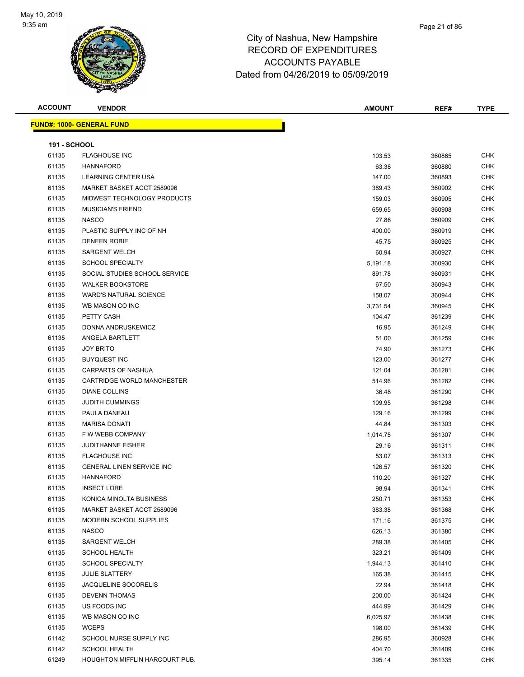

| <b>ACCOUNT</b>      | <b>VENDOR</b>                     | <b>AMOUNT</b> | REF#   | <b>TYPE</b> |
|---------------------|-----------------------------------|---------------|--------|-------------|
|                     | <u> FUND#: 1000- GENERAL FUND</u> |               |        |             |
|                     |                                   |               |        |             |
| <b>191 - SCHOOL</b> |                                   |               |        |             |
| 61135               | <b>FLAGHOUSE INC</b>              | 103.53        | 360865 | <b>CHK</b>  |
| 61135               | <b>HANNAFORD</b>                  | 63.38         | 360880 | <b>CHK</b>  |
| 61135               | LEARNING CENTER USA               | 147.00        | 360893 | <b>CHK</b>  |
| 61135               | MARKET BASKET ACCT 2589096        | 389.43        | 360902 | <b>CHK</b>  |
| 61135               | MIDWEST TECHNOLOGY PRODUCTS       | 159.03        | 360905 | <b>CHK</b>  |
| 61135               | <b>MUSICIAN'S FRIEND</b>          | 659.65        | 360908 | <b>CHK</b>  |
| 61135               | <b>NASCO</b>                      | 27.86         | 360909 | <b>CHK</b>  |
| 61135               | PLASTIC SUPPLY INC OF NH          | 400.00        | 360919 | <b>CHK</b>  |
| 61135               | <b>DENEEN ROBIE</b>               | 45.75         | 360925 | <b>CHK</b>  |
| 61135               | <b>SARGENT WELCH</b>              | 60.94         | 360927 | CHK         |
| 61135               | <b>SCHOOL SPECIALTY</b>           | 5,191.18      | 360930 | <b>CHK</b>  |
| 61135               | SOCIAL STUDIES SCHOOL SERVICE     | 891.78        | 360931 | <b>CHK</b>  |
| 61135               | <b>WALKER BOOKSTORE</b>           | 67.50         | 360943 | CHK         |
| 61135               | <b>WARD'S NATURAL SCIENCE</b>     | 158.07        | 360944 | <b>CHK</b>  |
| 61135               | WB MASON CO INC                   | 3,731.54      | 360945 | <b>CHK</b>  |
| 61135               | PETTY CASH                        | 104.47        | 361239 | <b>CHK</b>  |
| 61135               | DONNA ANDRUSKEWICZ                | 16.95         | 361249 | <b>CHK</b>  |
| 61135               | ANGELA BARTLETT                   | 51.00         | 361259 | <b>CHK</b>  |
| 61135               | <b>JOY BRITO</b>                  | 74.90         | 361273 | <b>CHK</b>  |
| 61135               | <b>BUYQUEST INC</b>               | 123.00        | 361277 | <b>CHK</b>  |
| 61135               | CARPARTS OF NASHUA                | 121.04        | 361281 | CHK         |
| 61135               | CARTRIDGE WORLD MANCHESTER        | 514.96        | 361282 | <b>CHK</b>  |
| 61135               | <b>DIANE COLLINS</b>              | 36.48         | 361290 | <b>CHK</b>  |
| 61135               | <b>JUDITH CUMMINGS</b>            | 109.95        | 361298 | <b>CHK</b>  |
| 61135               | PAULA DANEAU                      | 129.16        | 361299 | <b>CHK</b>  |
| 61135               | <b>MARISA DONATI</b>              | 44.84         | 361303 | <b>CHK</b>  |
| 61135               | F W WEBB COMPANY                  | 1,014.75      | 361307 | <b>CHK</b>  |
| 61135               | <b>JUDITHANNE FISHER</b>          | 29.16         | 361311 | <b>CHK</b>  |
| 61135               | <b>FLAGHOUSE INC</b>              | 53.07         | 361313 | <b>CHK</b>  |
| 61135               | <b>GENERAL LINEN SERVICE INC</b>  | 126.57        | 361320 | <b>CHK</b>  |
| 61135               | <b>HANNAFORD</b>                  | 110.20        | 361327 | <b>CHK</b>  |
| 61135               | <b>INSECT LORE</b>                | 98.94         | 361341 | <b>CHK</b>  |
| 61135               | KONICA MINOLTA BUSINESS           | 250.71        | 361353 | <b>CHK</b>  |
| 61135               | MARKET BASKET ACCT 2589096        | 383.38        | 361368 | <b>CHK</b>  |
| 61135               | MODERN SCHOOL SUPPLIES            | 171.16        | 361375 | <b>CHK</b>  |
| 61135               | <b>NASCO</b>                      | 626.13        | 361380 | <b>CHK</b>  |
| 61135               | <b>SARGENT WELCH</b>              | 289.38        | 361405 | <b>CHK</b>  |
| 61135               | <b>SCHOOL HEALTH</b>              | 323.21        | 361409 | <b>CHK</b>  |
| 61135               | <b>SCHOOL SPECIALTY</b>           | 1,944.13      | 361410 | <b>CHK</b>  |
| 61135               | <b>JULIE SLATTERY</b>             | 165.38        | 361415 | <b>CHK</b>  |
| 61135               | JACQUELINE SOCORELIS              | 22.94         | 361418 | <b>CHK</b>  |
| 61135               | <b>DEVENN THOMAS</b>              | 200.00        | 361424 | <b>CHK</b>  |
| 61135               | US FOODS INC                      | 444.99        | 361429 | <b>CHK</b>  |
| 61135               | WB MASON CO INC                   | 6,025.97      | 361438 | <b>CHK</b>  |
| 61135               | <b>WCEPS</b>                      | 198.00        | 361439 | <b>CHK</b>  |
| 61142               | SCHOOL NURSE SUPPLY INC           | 286.95        | 360928 | <b>CHK</b>  |
| 61142               | <b>SCHOOL HEALTH</b>              | 404.70        | 361409 | <b>CHK</b>  |
| 61249               | HOUGHTON MIFFLIN HARCOURT PUB.    | 395.14        | 361335 | <b>CHK</b>  |
|                     |                                   |               |        |             |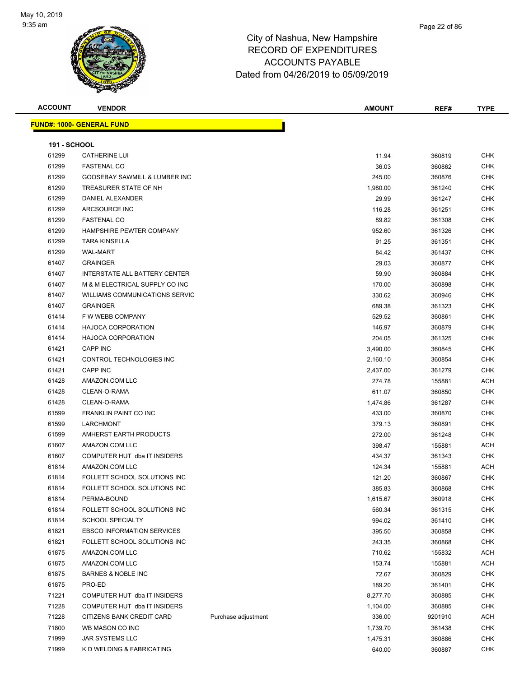

| <b>ACCOUNT</b>      | <b>VENDOR</b>                     |                     | <b>AMOUNT</b> | REF#    | <b>TYPE</b> |
|---------------------|-----------------------------------|---------------------|---------------|---------|-------------|
|                     | <u> FUND#: 1000- GENERAL FUND</u> |                     |               |         |             |
|                     |                                   |                     |               |         |             |
| <b>191 - SCHOOL</b> |                                   |                     |               |         |             |
| 61299               | <b>CATHERINE LUI</b>              |                     | 11.94         | 360819  | <b>CHK</b>  |
| 61299               | <b>FASTENAL CO</b>                |                     | 36.03         | 360862  | CHK         |
| 61299               | GOOSEBAY SAWMILL & LUMBER INC     |                     | 245.00        | 360876  | <b>CHK</b>  |
| 61299               | TREASURER STATE OF NH             |                     | 1,980.00      | 361240  | CHK         |
| 61299               | DANIEL ALEXANDER                  |                     | 29.99         | 361247  | CHK         |
| 61299               | ARCSOURCE INC                     |                     | 116.28        | 361251  | <b>CHK</b>  |
| 61299               | <b>FASTENAL CO</b>                |                     | 89.82         | 361308  | CHK         |
| 61299               | HAMPSHIRE PEWTER COMPANY          |                     | 952.60        | 361326  | <b>CHK</b>  |
| 61299               | <b>TARA KINSELLA</b>              |                     | 91.25         | 361351  | <b>CHK</b>  |
| 61299               | <b>WAL-MART</b>                   |                     | 84.42         | 361437  | CHK         |
| 61407               | <b>GRAINGER</b>                   |                     | 29.03         | 360877  | CHK         |
| 61407               | INTERSTATE ALL BATTERY CENTER     |                     | 59.90         | 360884  | CHK         |
| 61407               | M & M ELECTRICAL SUPPLY CO INC    |                     | 170.00        | 360898  | CHK         |
| 61407               | WILLIAMS COMMUNICATIONS SERVIC    |                     | 330.62        | 360946  | <b>CHK</b>  |
| 61407               | <b>GRAINGER</b>                   |                     | 689.38        | 361323  | <b>CHK</b>  |
| 61414               | F W WEBB COMPANY                  |                     | 529.52        | 360861  | CHK         |
| 61414               | <b>HAJOCA CORPORATION</b>         |                     | 146.97        | 360879  | <b>CHK</b>  |
| 61414               | <b>HAJOCA CORPORATION</b>         |                     | 204.05        | 361325  | CHK         |
| 61421               | CAPP INC                          |                     | 3,490.00      | 360845  | CHK         |
| 61421               | CONTROL TECHNOLOGIES INC          |                     | 2,160.10      | 360854  | CHK         |
| 61421               | CAPP INC                          |                     | 2,437.00      | 361279  | CHK         |
| 61428               | AMAZON.COM LLC                    |                     | 274.78        | 155881  | ACH         |
| 61428               | CLEAN-O-RAMA                      |                     | 611.07        | 360850  | CHK         |
| 61428               | CLEAN-O-RAMA                      |                     | 1,474.86      | 361287  | CHK         |
| 61599               | <b>FRANKLIN PAINT CO INC</b>      |                     | 433.00        | 360870  | <b>CHK</b>  |
| 61599               | LARCHMONT                         |                     | 379.13        | 360891  | <b>CHK</b>  |
| 61599               | AMHERST EARTH PRODUCTS            |                     | 272.00        | 361248  | CHK         |
| 61607               | AMAZON.COM LLC                    |                     | 398.47        | 155881  | ACH         |
| 61607               | COMPUTER HUT dba IT INSIDERS      |                     | 434.37        | 361343  | CHK         |
| 61814               | AMAZON.COM LLC                    |                     | 124.34        | 155881  | ACH         |
| 61814               | FOLLETT SCHOOL SOLUTIONS INC      |                     | 121.20        | 360867  | <b>CHK</b>  |
| 61814               | FOLLETT SCHOOL SOLUTIONS INC      |                     | 385.83        | 360868  | <b>CHK</b>  |
| 61814               | PERMA-BOUND                       |                     | 1,615.67      | 360918  | <b>CHK</b>  |
| 61814               | FOLLETT SCHOOL SOLUTIONS INC      |                     | 560.34        | 361315  | CHK         |
| 61814               | <b>SCHOOL SPECIALTY</b>           |                     | 994.02        | 361410  | <b>CHK</b>  |
| 61821               | <b>EBSCO INFORMATION SERVICES</b> |                     | 395.50        | 360858  | <b>CHK</b>  |
| 61821               | FOLLETT SCHOOL SOLUTIONS INC      |                     | 243.35        | 360868  | <b>CHK</b>  |
| 61875               | AMAZON.COM LLC                    |                     | 710.62        | 155832  | <b>ACH</b>  |
| 61875               | AMAZON.COM LLC                    |                     | 153.74        | 155881  | ACH         |
| 61875               | <b>BARNES &amp; NOBLE INC</b>     |                     | 72.67         | 360829  | <b>CHK</b>  |
| 61875               | PRO-ED                            |                     | 189.20        | 361401  | <b>CHK</b>  |
| 71221               | COMPUTER HUT dba IT INSIDERS      |                     | 8,277.70      | 360885  | <b>CHK</b>  |
| 71228               | COMPUTER HUT dba IT INSIDERS      |                     | 1,104.00      | 360885  | <b>CHK</b>  |
| 71228               | CITIZENS BANK CREDIT CARD         | Purchase adjustment | 336.00        | 9201910 | ACH         |
| 71800               | WB MASON CO INC                   |                     | 1,739.70      | 361438  | <b>CHK</b>  |
| 71999               | JAR SYSTEMS LLC                   |                     | 1,475.31      | 360886  | <b>CHK</b>  |
| 71999               | K D WELDING & FABRICATING         |                     | 640.00        | 360887  | <b>CHK</b>  |
|                     |                                   |                     |               |         |             |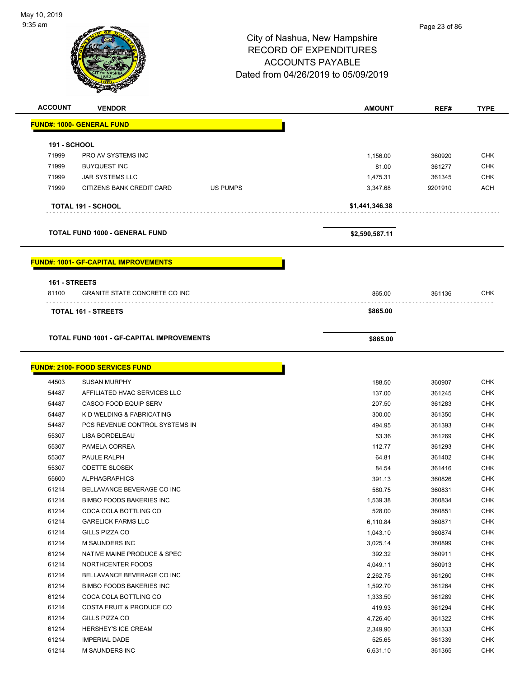# City of Nashua, New Hampshire RECORD OF EXPENDITURES ACCOUNTS PAYABLE Dated from 04/26/2019 to 05/09/2019 **ACCOUNT VENDOR AMOUNT REF# TYPE FUND#: 1000- GENERAL FUND 191 - SCHOOL**

| 191 - <b>JUNUL</b> |                           |                 |                |         |            |
|--------------------|---------------------------|-----------------|----------------|---------|------------|
| 71999              | PRO AV SYSTEMS INC        |                 | 1.156.00       | 360920  | <b>CHK</b> |
| 71999              | <b>BUYQUEST INC</b>       |                 | 81.00          | 361277  | <b>CHK</b> |
| 71999              | JAR SYSTEMS LLC           |                 | 1.475.31       | 361345  | <b>CHK</b> |
| 71999              | CITIZENS BANK CREDIT CARD | <b>US PUMPS</b> | 3.347.68       | 9201910 | <b>ACH</b> |
|                    | <b>TOTAL 191 - SCHOOL</b> |                 | \$1,441,346.38 |         |            |

**TOTAL FUND 1000 - GENERAL FUND \$2,590,587.11** 

**FUND#: 1001- GF-CAPITAL IMPROVEMENTS**

|       | <b>161 - STREETS</b>                             |          |        |     |  |  |
|-------|--------------------------------------------------|----------|--------|-----|--|--|
| 81100 | <b>GRANITE STATE CONCRETE CO INC</b>             | 865.00   | 361136 | CHK |  |  |
|       | <b>TOTAL 161 - STREETS</b>                       | \$865.00 |        |     |  |  |
|       | <b>TOTAL FUND 1001 - GF-CAPITAL IMPROVEMENTS</b> |          |        |     |  |  |

г

### **FUND#: 2100- FOOD SERVICES FUND**

| 44503 | <b>SUSAN MURPHY</b>                 | 188.50   | 360907 |
|-------|-------------------------------------|----------|--------|
| 54487 | AFFILIATED HVAC SERVICES LLC        | 137.00   | 361245 |
| 54487 | CASCO FOOD EQUIP SERV               | 207.50   | 361283 |
| 54487 | K D WELDING & FABRICATING           | 300.00   | 361350 |
| 54487 | PCS REVENUE CONTROL SYSTEMS IN      | 494.95   | 361393 |
| 55307 | <b>LISA BORDELEAU</b>               | 53.36    | 361269 |
| 55307 | PAMELA CORREA                       | 112.77   | 361293 |
| 55307 | PAULE RALPH                         | 64.81    | 361402 |
| 55307 | <b>ODETTE SLOSEK</b>                | 84.54    | 361416 |
| 55600 | <b>ALPHAGRAPHICS</b>                | 391.13   | 360826 |
| 61214 | BELLAVANCE BEVERAGE CO INC          | 580.75   | 360831 |
| 61214 | <b>BIMBO FOODS BAKERIES INC</b>     | 1,539.38 | 360834 |
| 61214 | COCA COLA BOTTLING CO               | 528.00   | 360851 |
| 61214 | <b>GARELICK FARMS LLC</b>           | 6,110.84 | 360871 |
| 61214 | GILLS PIZZA CO                      | 1,043.10 | 360874 |
| 61214 | <b>M SAUNDERS INC</b>               | 3,025.14 | 360899 |
| 61214 | NATIVE MAINE PRODUCE & SPEC         | 392.32   | 360911 |
| 61214 | NORTHCENTER FOODS                   | 4,049.11 | 360913 |
| 61214 | BELLAVANCE BEVERAGE CO INC          | 2,262.75 | 361260 |
| 61214 | <b>BIMBO FOODS BAKERIES INC</b>     | 1,592.70 | 361264 |
| 61214 | COCA COLA BOTTLING CO               | 1,333.50 | 361289 |
| 61214 | <b>COSTA FRUIT &amp; PRODUCE CO</b> | 419.93   | 361294 |
| 61214 | GILLS PIZZA CO                      | 4,726.40 | 361322 |
| 61214 | HERSHEY'S ICE CREAM                 | 2,349.90 | 361333 |
| 61214 | <b>IMPERIAL DADE</b>                | 525.65   | 361339 |
| 61214 | <b>M SAUNDERS INC</b>               | 6,631.10 | 361365 |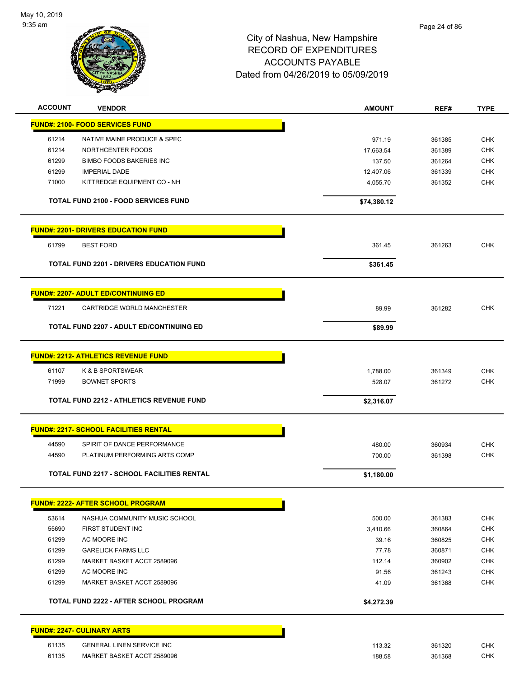

| <b>ACCOUNT</b> | <b>VENDOR</b>                                                | <b>AMOUNT</b>    | REF#             | <b>TYPE</b>              |
|----------------|--------------------------------------------------------------|------------------|------------------|--------------------------|
|                | <b>FUND#: 2100- FOOD SERVICES FUND</b>                       |                  |                  |                          |
| 61214          | NATIVE MAINE PRODUCE & SPEC                                  | 971.19           | 361385           | <b>CHK</b>               |
| 61214          | NORTHCENTER FOODS                                            | 17,663.54        | 361389           | <b>CHK</b>               |
| 61299          | <b>BIMBO FOODS BAKERIES INC</b>                              | 137.50           | 361264           | <b>CHK</b>               |
| 61299          | <b>IMPERIAL DADE</b>                                         | 12,407.06        | 361339           | <b>CHK</b>               |
| 71000          | KITTREDGE EQUIPMENT CO - NH                                  | 4,055.70         | 361352           | <b>CHK</b>               |
|                | <b>TOTAL FUND 2100 - FOOD SERVICES FUND</b>                  | \$74,380.12      |                  |                          |
|                |                                                              |                  |                  |                          |
|                | <b>FUND#: 2201- DRIVERS EDUCATION FUND</b>                   |                  |                  |                          |
| 61799          | <b>BEST FORD</b>                                             | 361.45           | 361263           | <b>CHK</b>               |
|                | <b>TOTAL FUND 2201 - DRIVERS EDUCATION FUND</b>              | \$361.45         |                  |                          |
|                | <b>FUND#: 2207- ADULT ED/CONTINUING ED</b>                   |                  |                  |                          |
| 71221          | CARTRIDGE WORLD MANCHESTER                                   | 89.99            | 361282           | <b>CHK</b>               |
|                | <b>TOTAL FUND 2207 - ADULT ED/CONTINUING ED</b>              | \$89.99          |                  |                          |
|                |                                                              |                  |                  |                          |
|                | <b>FUND#: 2212- ATHLETICS REVENUE FUND</b>                   |                  |                  |                          |
| 61107          | K & B SPORTSWEAR                                             | 1,788.00         | 361349           | <b>CHK</b>               |
| 71999          | <b>BOWNET SPORTS</b>                                         | 528.07           | 361272           | <b>CHK</b>               |
|                | <b>TOTAL FUND 2212 - ATHLETICS REVENUE FUND</b>              | \$2,316.07       |                  |                          |
|                | <b>FUND#: 2217- SCHOOL FACILITIES RENTAL</b>                 |                  |                  |                          |
|                |                                                              |                  |                  |                          |
| 44590<br>44590 | SPIRIT OF DANCE PERFORMANCE<br>PLATINUM PERFORMING ARTS COMP | 480.00<br>700.00 | 360934<br>361398 | <b>CHK</b><br><b>CHK</b> |
|                |                                                              |                  |                  |                          |
|                | <b>TOTAL FUND 2217 - SCHOOL FACILITIES RENTAL</b>            | \$1,180.00       |                  |                          |
|                | <b>FUND#: 2222- AFTER SCHOOL PROGRAM</b>                     |                  |                  |                          |
| 53614          | NASHUA COMMUNITY MUSIC SCHOOL                                | 500.00           | 361383           | <b>CHK</b>               |
| 55690          | FIRST STUDENT INC                                            | 3,410.66         | 360864           | <b>CHK</b>               |
| 61299          | AC MOORE INC                                                 | 39.16            | 360825           | <b>CHK</b>               |
| 61299          | <b>GARELICK FARMS LLC</b>                                    | 77.78            | 360871           | <b>CHK</b>               |
| 61299          | MARKET BASKET ACCT 2589096                                   | 112.14           | 360902           | <b>CHK</b>               |
| 61299          | AC MOORE INC                                                 | 91.56            | 361243           | <b>CHK</b>               |
| 61299          | MARKET BASKET ACCT 2589096                                   | 41.09            | 361368           | <b>CHK</b>               |
|                | <b>TOTAL FUND 2222 - AFTER SCHOOL PROGRAM</b>                | \$4,272.39       |                  |                          |
|                | <b>FUND#: 2247- CULINARY ARTS</b>                            |                  |                  |                          |
| 61135          | <b>GENERAL LINEN SERVICE INC</b>                             | 113.32           | 361320           | <b>CHK</b>               |
| 61135          | MARKET BASKET ACCT 2589096                                   | 188.58           | 361368           | <b>CHK</b>               |
|                |                                                              |                  |                  |                          |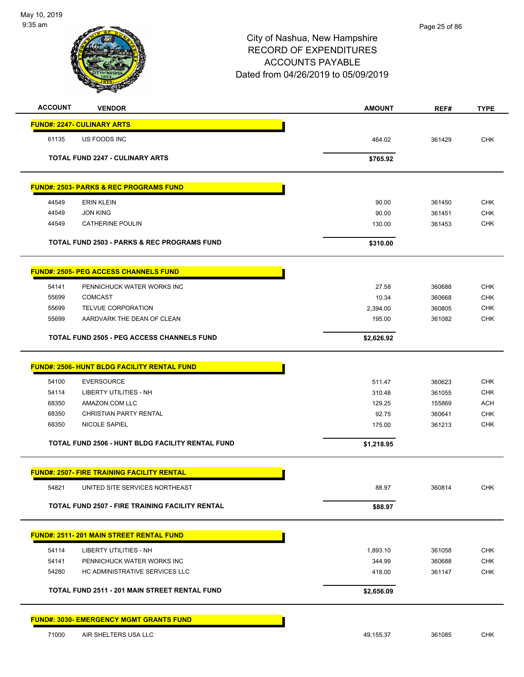

| <b>ACCOUNT</b> | <b>VENDOR</b>                                      | <b>AMOUNT</b> | REF#   | <b>TYPE</b> |
|----------------|----------------------------------------------------|---------------|--------|-------------|
|                | <b>FUND#: 2247- CULINARY ARTS</b>                  |               |        |             |
| 61135          | US FOODS INC                                       | 464.02        | 361429 | <b>CHK</b>  |
|                | <b>TOTAL FUND 2247 - CULINARY ARTS</b>             | \$765.92      |        |             |
|                |                                                    |               |        |             |
|                | <b>FUND#: 2503- PARKS &amp; REC PROGRAMS FUND</b>  |               |        |             |
| 44549          | <b>ERIN KLEIN</b>                                  | 90.00         | 361450 | <b>CHK</b>  |
| 44549          | <b>JON KING</b>                                    | 90.00         | 361451 | <b>CHK</b>  |
| 44549          | <b>CATHERINE POULIN</b>                            | 130.00        | 361453 | <b>CHK</b>  |
|                | TOTAL FUND 2503 - PARKS & REC PROGRAMS FUND        | \$310.00      |        |             |
|                | <b>FUND#: 2505- PEG ACCESS CHANNELS FUND</b>       |               |        |             |
| 54141          | PENNICHUCK WATER WORKS INC                         | 27.58         | 360688 | <b>CHK</b>  |
| 55699          | <b>COMCAST</b>                                     | 10.34         | 360668 | CHK         |
| 55699          | TELVUE CORPORATION                                 | 2,394.00      | 360805 | <b>CHK</b>  |
| 55699          | AARDVARK THE DEAN OF CLEAN                         | 195.00        | 361082 | <b>CHK</b>  |
|                | <b>TOTAL FUND 2505 - PEG ACCESS CHANNELS FUND</b>  | \$2,626.92    |        |             |
|                | <b>FUND#: 2506- HUNT BLDG FACILITY RENTAL FUND</b> |               |        |             |
| 54100          | <b>EVERSOURCE</b>                                  | 511.47        | 360623 | <b>CHK</b>  |
| 54114          | <b>LIBERTY UTILITIES - NH</b>                      | 310.48        | 361055 | <b>CHK</b>  |
| 68350          | AMAZON.COM LLC                                     | 129.25        | 155869 | <b>ACH</b>  |
| 68350          | CHRISTIAN PARTY RENTAL                             | 92.75         | 360641 | <b>CHK</b>  |
| 68350          | NICOLE SAPIEL                                      | 175.00        | 361213 | <b>CHK</b>  |
|                | TOTAL FUND 2506 - HUNT BLDG FACILITY RENTAL FUND   | \$1,218.95    |        |             |
|                | <b>FUND#: 2507- FIRE TRAINING FACILITY RENTAL</b>  |               |        |             |
| 54821          | UNITED SITE SERVICES NORTHEAST                     | 88.97         | 360814 | CHK         |
|                |                                                    |               |        |             |
|                | TOTAL FUND 2507 - FIRE TRAINING FACILITY RENTAL    | \$88.97       |        |             |
|                | <b>FUND#: 2511-201 MAIN STREET RENTAL FUND</b>     |               |        |             |
| 54114          | <b>LIBERTY UTILITIES - NH</b>                      | 1,893.10      | 361058 | <b>CHK</b>  |
| 54141          | PENNICHUCK WATER WORKS INC                         | 344.99        | 360688 | <b>CHK</b>  |
| 54280          | HC ADMINISTRATIVE SERVICES LLC                     | 418.00        | 361147 | <b>CHK</b>  |
|                | TOTAL FUND 2511 - 201 MAIN STREET RENTAL FUND      | \$2,656.09    |        |             |
|                | <b>FUND#: 3030- EMERGENCY MGMT GRANTS FUND</b>     |               |        |             |
| 71000          | AIR SHELTERS USA LLC                               | 49,155.37     | 361085 | <b>CHK</b>  |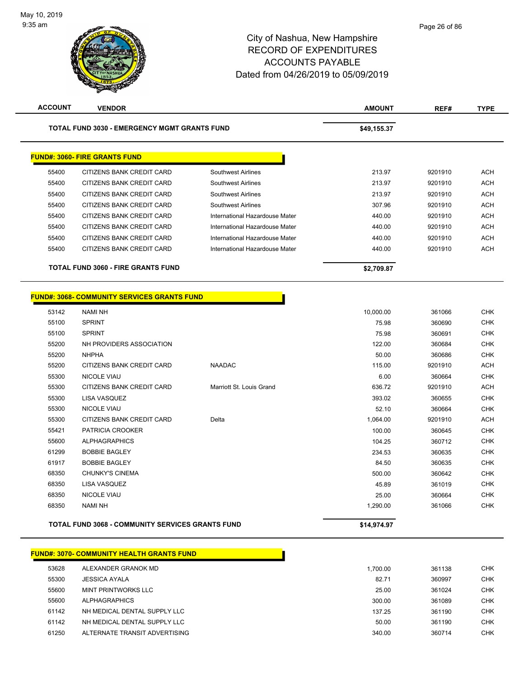**ACCOUNT VENDOR AMOUNT REF# TYPE**

|       | <b>TOTAL FUND 3030 - EMERGENCY MGMT GRANTS FUND</b>     |                                | \$49,155.37 |         |  |
|-------|---------------------------------------------------------|--------------------------------|-------------|---------|--|
|       | <b>FUND#: 3060- FIRE GRANTS FUND</b>                    |                                |             |         |  |
| 55400 | CITIZENS BANK CREDIT CARD                               | Southwest Airlines             | 213.97      | 9201910 |  |
| 55400 | CITIZENS BANK CREDIT CARD                               | Southwest Airlines             | 213.97      | 9201910 |  |
| 55400 | CITIZENS BANK CREDIT CARD                               | <b>Southwest Airlines</b>      | 213.97      | 9201910 |  |
| 55400 | CITIZENS BANK CREDIT CARD                               | Southwest Airlines             | 307.96      | 9201910 |  |
| 55400 | CITIZENS BANK CREDIT CARD                               | International Hazardouse Mater | 440.00      | 9201910 |  |
| 55400 | CITIZENS BANK CREDIT CARD                               | International Hazardouse Mater | 440.00      | 9201910 |  |
| 55400 | CITIZENS BANK CREDIT CARD                               | International Hazardouse Mater | 440.00      | 9201910 |  |
| 55400 | CITIZENS BANK CREDIT CARD                               | International Hazardouse Mater | 440.00      | 9201910 |  |
|       | <b>TOTAL FUND 3060 - FIRE GRANTS FUND</b>               |                                | \$2,709.87  |         |  |
|       | <b>FUND#: 3068- COMMUNITY SERVICES GRANTS FUND</b>      |                                |             |         |  |
| 53142 | <b>NAMI NH</b>                                          |                                | 10,000.00   | 361066  |  |
| 55100 | <b>SPRINT</b>                                           |                                | 75.98       | 360690  |  |
| 55100 | <b>SPRINT</b>                                           |                                | 75.98       | 360691  |  |
| 55200 | NH PROVIDERS ASSOCIATION                                |                                | 122.00      | 360684  |  |
| 55200 | <b>NHPHA</b>                                            |                                | 50.00       | 360686  |  |
| 55200 | CITIZENS BANK CREDIT CARD                               | <b>NAADAC</b>                  | 115.00      | 9201910 |  |
| 55300 | <b>NICOLE VIAU</b>                                      |                                | 6.00        | 360664  |  |
| 55300 | CITIZENS BANK CREDIT CARD                               | Marriott St. Louis Grand       | 636.72      | 9201910 |  |
| 55300 | LISA VASQUEZ                                            |                                | 393.02      | 360655  |  |
| 55300 | NICOLE VIAU                                             |                                | 52.10       | 360664  |  |
| 55300 | CITIZENS BANK CREDIT CARD                               | Delta                          | 1,064.00    | 9201910 |  |
| 55421 | PATRICIA CROOKER                                        |                                | 100.00      | 360645  |  |
| 55600 | <b>ALPHAGRAPHICS</b>                                    |                                | 104.25      | 360712  |  |
| 61299 | <b>BOBBIE BAGLEY</b>                                    |                                | 234.53      | 360635  |  |
| 61917 | <b>BOBBIE BAGLEY</b>                                    |                                | 84.50       | 360635  |  |
| 68350 | <b>CHUNKY'S CINEMA</b>                                  |                                | 500.00      | 360642  |  |
| 68350 | <b>LISA VASQUEZ</b>                                     |                                | 45.89       | 361019  |  |
| 68350 | <b>NICOLE VIAU</b>                                      |                                | 25.00       | 360664  |  |
| 68350 | <b>NAMI NH</b>                                          |                                | 1,290.00    | 361066  |  |
|       | <b>TOTAL FUND 3068 - COMMUNITY SERVICES GRANTS FUND</b> |                                | \$14,974.97 |         |  |
|       | <u> FUND#: 3070- COMMUNITY HEALTH GRANTS FUND</u>       |                                |             |         |  |
| 53628 | ALEXANDER GRANOK MD                                     |                                | 1,700.00    | 361138  |  |
| 55300 | <b>JESSICA AYALA</b>                                    |                                | 82.71       | 360997  |  |
| 55600 | <b>MINT PRINTWORKS LLC</b>                              |                                | 25.00       | 361024  |  |
| 55600 | <b>ALPHAGRAPHICS</b>                                    |                                | 300.00      | 361089  |  |
| 61142 | NH MEDICAL DENTAL SUPPLY LLC                            |                                | 137.25      | 361190  |  |
| 61142 | NH MEDICAL DENTAL SUPPLY LLC                            |                                | 50.00       | 361190  |  |
|       |                                                         |                                |             |         |  |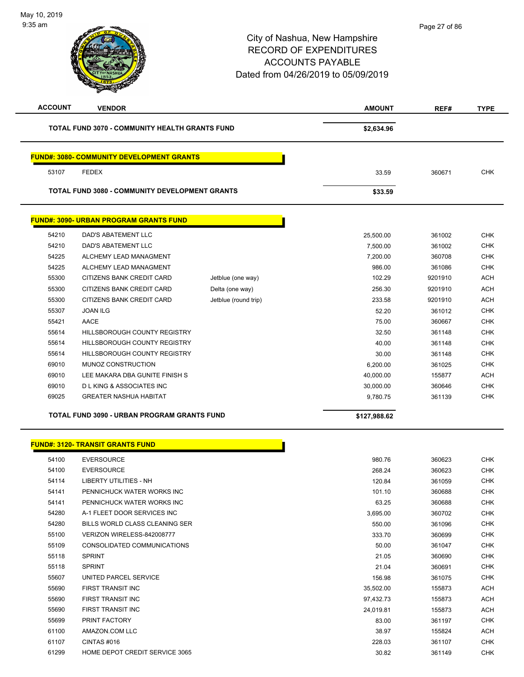| <b>ACCOUNT</b> | <b>VENDOR</b>                                         |                      | <b>AMOUNT</b> | REF#    | <b>TYPE</b> |
|----------------|-------------------------------------------------------|----------------------|---------------|---------|-------------|
|                | TOTAL FUND 3070 - COMMUNITY HEALTH GRANTS FUND        |                      | \$2,634.96    |         |             |
|                | <b>FUND#: 3080- COMMUNITY DEVELOPMENT GRANTS</b>      |                      |               |         |             |
| 53107          | <b>FEDEX</b>                                          |                      | 33.59         | 360671  | <b>CHK</b>  |
|                | <b>TOTAL FUND 3080 - COMMUNITY DEVELOPMENT GRANTS</b> |                      | \$33.59       |         |             |
|                | <u>FUND#: 3090- URBAN PROGRAM GRANTS FUND</u>         |                      |               |         |             |
| 54210          | DAD'S ABATEMENT LLC                                   |                      | 25,500.00     | 361002  | <b>CHK</b>  |
| 54210          | DAD'S ABATEMENT LLC                                   |                      | 7,500.00      | 361002  | <b>CHK</b>  |
| 54225          | ALCHEMY LEAD MANAGMENT                                |                      | 7,200.00      | 360708  | <b>CHK</b>  |
| 54225          | ALCHEMY LEAD MANAGMENT                                |                      | 986.00        | 361086  | <b>CHK</b>  |
| 55300          | CITIZENS BANK CREDIT CARD                             | Jetblue (one way)    | 102.29        | 9201910 | ACH         |
| 55300          | CITIZENS BANK CREDIT CARD                             | Delta (one way)      | 256.30        | 9201910 | ACH         |
| 55300          | CITIZENS BANK CREDIT CARD                             | Jetblue (round trip) | 233.58        | 9201910 | ACH         |
| 55307          | <b>JOAN ILG</b>                                       |                      | 52.20         | 361012  | <b>CHK</b>  |
| 55421          | AACE                                                  |                      | 75.00         | 360667  | <b>CHK</b>  |
| 55614          | HILLSBOROUGH COUNTY REGISTRY                          |                      | 32.50         | 361148  | <b>CHK</b>  |
| 55614          | HILLSBOROUGH COUNTY REGISTRY                          |                      | 40.00         | 361148  | <b>CHK</b>  |
| 55614          | HILLSBOROUGH COUNTY REGISTRY                          |                      | 30.00         | 361148  | <b>CHK</b>  |
| 69010          | MUNOZ CONSTRUCTION                                    |                      | 6,200.00      | 361025  | <b>CHK</b>  |
| 69010          | LEE MAKARA DBA GUNITE FINISH S                        |                      | 40,000.00     | 155877  | <b>ACH</b>  |
| 69010          | <b>DLKING &amp; ASSOCIATES INC</b>                    |                      | 30,000.00     | 360646  | <b>CHK</b>  |
| 69025          | <b>GREATER NASHUA HABITAT</b>                         |                      | 9,780.75      | 361139  | <b>CHK</b>  |
|                |                                                       |                      |               |         |             |
|                | TOTAL FUND 3090 - URBAN PROGRAM GRANTS FUND           |                      | \$127,988.62  |         |             |
|                | <b>FUND#: 3120- TRANSIT GRANTS FUND</b>               |                      |               |         |             |
| 54100          | <b>EVERSOURCE</b>                                     |                      | 980.76        | 360623  | <b>CHK</b>  |
| 54100          | <b>EVERSOURCE</b>                                     |                      | 268.24        | 360623  | <b>CHK</b>  |
| 54114          | <b>LIBERTY UTILITIES - NH</b>                         |                      | 120.84        | 361059  | <b>CHK</b>  |
| 54141          | PENNICHUCK WATER WORKS INC                            |                      | 101.10        | 360688  | <b>CHK</b>  |
| 54141          | PENNICHUCK WATER WORKS INC                            |                      | 63.25         | 360688  | <b>CHK</b>  |
| 54280          | A-1 FLEET DOOR SERVICES INC                           |                      | 3,695.00      | 360702  | <b>CHK</b>  |
| 54280          | BILLS WORLD CLASS CLEANING SER                        |                      | 550.00        | 361096  | <b>CHK</b>  |
| 55100          | VERIZON WIRELESS-842008777                            |                      | 333.70        | 360699  | <b>CHK</b>  |
| 55109          | CONSOLIDATED COMMUNICATIONS                           |                      | 50.00         | 361047  | <b>CHK</b>  |
| 55118          | <b>SPRINT</b>                                         |                      | 21.05         | 360690  | <b>CHK</b>  |
| 55118          | <b>SPRINT</b>                                         |                      | 21.04         | 360691  | <b>CHK</b>  |
| 55607          | UNITED PARCEL SERVICE                                 |                      | 156.98        | 361075  | <b>CHK</b>  |
| 55690          | FIRST TRANSIT INC                                     |                      | 35,502.00     | 155873  | ACH         |
| 55690          | FIRST TRANSIT INC                                     |                      | 97,432.73     | 155873  | <b>ACH</b>  |
| 55690          | FIRST TRANSIT INC                                     |                      | 24,019.81     | 155873  | ACH         |
| 55699          | PRINT FACTORY                                         |                      | 83.00         | 361197  | <b>CHK</b>  |
| 61100          | AMAZON.COM LLC                                        |                      | 38.97         | 155824  | <b>ACH</b>  |
| 61107          | CINTAS #016                                           |                      | 228.03        | 361107  | <b>CHK</b>  |
| 61299          | HOME DEPOT CREDIT SERVICE 3065                        |                      | 30.82         | 361149  | <b>CHK</b>  |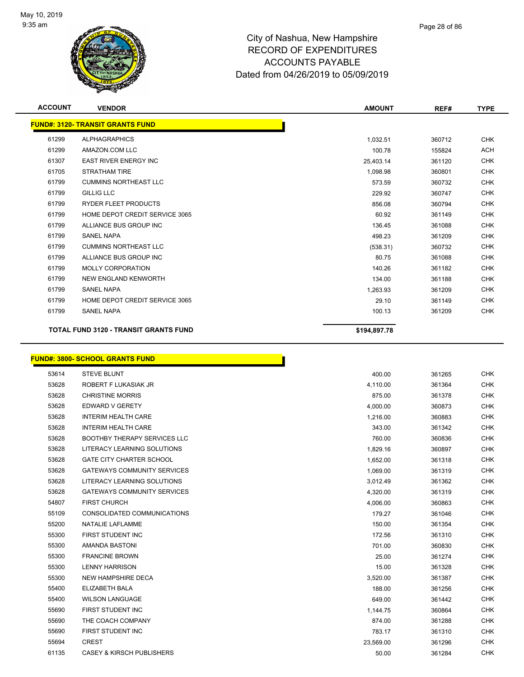

| <b>ACCOUNT</b> | <b>VENDOR</b>                                | <b>AMOUNT</b> | REF#   | <b>TYPE</b> |
|----------------|----------------------------------------------|---------------|--------|-------------|
|                | <b>FUND#: 3120- TRANSIT GRANTS FUND</b>      |               |        |             |
| 61299          | <b>ALPHAGRAPHICS</b>                         | 1,032.51      | 360712 | <b>CHK</b>  |
| 61299          | AMAZON.COM LLC                               | 100.78        | 155824 | <b>ACH</b>  |
| 61307          | <b>EAST RIVER ENERGY INC</b>                 | 25,403.14     | 361120 | <b>CHK</b>  |
| 61705          | <b>STRATHAM TIRE</b>                         | 1,098.98      | 360801 | <b>CHK</b>  |
| 61799          | <b>CUMMINS NORTHEAST LLC</b>                 | 573.59        | 360732 | <b>CHK</b>  |
| 61799          | <b>GILLIG LLC</b>                            | 229.92        | 360747 | <b>CHK</b>  |
| 61799          | <b>RYDER FLEET PRODUCTS</b>                  | 856.08        | 360794 | <b>CHK</b>  |
| 61799          | HOME DEPOT CREDIT SERVICE 3065               | 60.92         | 361149 | <b>CHK</b>  |
| 61799          | ALLIANCE BUS GROUP INC                       | 136.45        | 361088 | <b>CHK</b>  |
| 61799          | <b>SANEL NAPA</b>                            | 498.23        | 361209 | <b>CHK</b>  |
| 61799          | <b>CUMMINS NORTHEAST LLC</b>                 | (538.31)      | 360732 | <b>CHK</b>  |
| 61799          | ALLIANCE BUS GROUP INC                       | 80.75         | 361088 | <b>CHK</b>  |
| 61799          | <b>MOLLY CORPORATION</b>                     | 140.26        | 361182 | <b>CHK</b>  |
| 61799          | NEW ENGLAND KENWORTH                         | 134.00        | 361188 | <b>CHK</b>  |
| 61799          | <b>SANEL NAPA</b>                            | 1,263.93      | 361209 | <b>CHK</b>  |
| 61799          | HOME DEPOT CREDIT SERVICE 3065               | 29.10         | 361149 | <b>CHK</b>  |
| 61799          | <b>SANEL NAPA</b>                            | 100.13        | 361209 | <b>CHK</b>  |
|                | <b>TOTAL FUND 3120 - TRANSIT GRANTS FUND</b> | \$194,897.78  |        |             |

### **FUND#: 3800- SCHOOL GRANTS FUND**

| 53614 | <b>STEVE BLUNT</b>                   | 400.00    | 361265 | CHK        |
|-------|--------------------------------------|-----------|--------|------------|
| 53628 | ROBERT F LUKASIAK JR                 | 4,110.00  | 361364 | <b>CHK</b> |
| 53628 | <b>CHRISTINE MORRIS</b>              | 875.00    | 361378 | <b>CHK</b> |
| 53628 | EDWARD V GERETY                      | 4,000.00  | 360873 | <b>CHK</b> |
| 53628 | <b>INTERIM HEALTH CARE</b>           | 1,216.00  | 360883 | <b>CHK</b> |
| 53628 | <b>INTERIM HEALTH CARE</b>           | 343.00    | 361342 | <b>CHK</b> |
| 53628 | <b>BOOTHBY THERAPY SERVICES LLC</b>  | 760.00    | 360836 | <b>CHK</b> |
| 53628 | LITERACY LEARNING SOLUTIONS          | 1,829.16  | 360897 | <b>CHK</b> |
| 53628 | <b>GATE CITY CHARTER SCHOOL</b>      | 1,652.00  | 361318 | <b>CHK</b> |
| 53628 | <b>GATEWAYS COMMUNITY SERVICES</b>   | 1,069.00  | 361319 | <b>CHK</b> |
| 53628 | LITERACY LEARNING SOLUTIONS          | 3,012.49  | 361362 | <b>CHK</b> |
| 53628 | <b>GATEWAYS COMMUNITY SERVICES</b>   | 4,320.00  | 361319 | <b>CHK</b> |
| 54807 | <b>FIRST CHURCH</b>                  | 4,006.00  | 360863 | <b>CHK</b> |
| 55109 | CONSOLIDATED COMMUNICATIONS          | 179.27    | 361046 | <b>CHK</b> |
| 55200 | NATALIE LAFLAMME                     | 150.00    | 361354 | <b>CHK</b> |
| 55300 | FIRST STUDENT INC                    | 172.56    | 361310 | <b>CHK</b> |
| 55300 | AMANDA BASTONI                       | 701.00    | 360830 | <b>CHK</b> |
| 55300 | <b>FRANCINE BROWN</b>                | 25.00     | 361274 | <b>CHK</b> |
| 55300 | <b>LENNY HARRISON</b>                | 15.00     | 361328 | <b>CHK</b> |
| 55300 | <b>NEW HAMPSHIRE DECA</b>            | 3,520.00  | 361387 | <b>CHK</b> |
| 55400 | ELIZABETH BALA                       | 188.00    | 361256 | <b>CHK</b> |
| 55400 | <b>WILSON LANGUAGE</b>               | 649.00    | 361442 | <b>CHK</b> |
| 55690 | FIRST STUDENT INC                    | 1,144.75  | 360864 | <b>CHK</b> |
| 55690 | THE COACH COMPANY                    | 874.00    | 361288 | <b>CHK</b> |
| 55690 | FIRST STUDENT INC                    | 783.17    | 361310 | <b>CHK</b> |
| 55694 | <b>CREST</b>                         | 23,569.00 | 361296 | <b>CHK</b> |
| 61135 | <b>CASEY &amp; KIRSCH PUBLISHERS</b> | 50.00     | 361284 | <b>CHK</b> |
|       |                                      |           |        |            |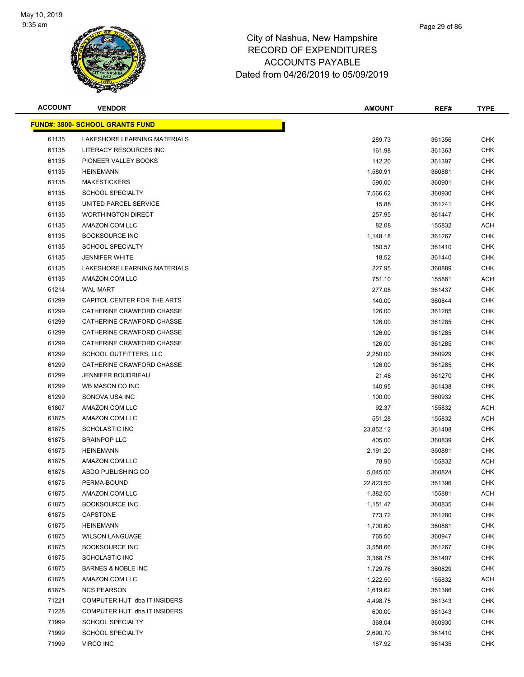

| <b>ACCOUNT</b> | <b>VENDOR</b>                          | <b>AMOUNT</b> | REF#   | <b>TYPE</b> |
|----------------|----------------------------------------|---------------|--------|-------------|
|                | <b>FUND#: 3800- SCHOOL GRANTS FUND</b> |               |        |             |
| 61135          | LAKESHORE LEARNING MATERIALS           | 289.73        | 361356 | <b>CHK</b>  |
| 61135          | LITERACY RESOURCES INC                 | 161.98        | 361363 | <b>CHK</b>  |
| 61135          | PIONEER VALLEY BOOKS                   | 112.20        | 361397 | <b>CHK</b>  |
| 61135          | <b>HEINEMANN</b>                       | 1,580.91      | 360881 | <b>CHK</b>  |
| 61135          | <b>MAKESTICKERS</b>                    | 590.00        | 360901 | <b>CHK</b>  |
| 61135          | <b>SCHOOL SPECIALTY</b>                | 7,566.62      | 360930 | <b>CHK</b>  |
| 61135          | UNITED PARCEL SERVICE                  | 15.88         | 361241 | <b>CHK</b>  |
| 61135          | <b>WORTHINGTON DIRECT</b>              | 257.95        | 361447 | <b>CHK</b>  |
| 61135          | AMAZON.COM LLC                         | 82.08         | 155832 | ACH         |
| 61135          | <b>BOOKSOURCE INC</b>                  | 1,148.18      | 361267 | <b>CHK</b>  |
| 61135          | <b>SCHOOL SPECIALTY</b>                | 150.57        | 361410 | CHK         |
| 61135          | <b>JENNIFER WHITE</b>                  | 18.52         | 361440 | <b>CHK</b>  |
| 61135          | LAKESHORE LEARNING MATERIALS           | 227.95        | 360889 | <b>CHK</b>  |
| 61135          | AMAZON.COM LLC                         | 751.10        | 155881 | ACH         |
| 61214          | <b>WAL-MART</b>                        | 277.08        | 361437 | <b>CHK</b>  |
| 61299          | CAPITOL CENTER FOR THE ARTS            | 140.00        | 360844 | <b>CHK</b>  |
| 61299          | CATHERINE CRAWFORD CHASSE              | 126.00        | 361285 | <b>CHK</b>  |
| 61299          | CATHERINE CRAWFORD CHASSE              | 126.00        | 361285 | <b>CHK</b>  |
| 61299          | CATHERINE CRAWFORD CHASSE              | 126.00        | 361285 | <b>CHK</b>  |
| 61299          | CATHERINE CRAWFORD CHASSE              | 126.00        | 361285 | <b>CHK</b>  |
| 61299          | SCHOOL OUTFITTERS, LLC                 | 2,250.00      | 360929 | <b>CHK</b>  |
| 61299          | CATHERINE CRAWFORD CHASSE              | 126.00        | 361285 | <b>CHK</b>  |
| 61299          | JENNIFER BOUDRIEAU                     | 21.48         | 361270 | <b>CHK</b>  |
| 61299          | WB MASON CO INC                        | 140.95        | 361438 | <b>CHK</b>  |
| 61299          | SONOVA USA INC                         | 100.00        | 360932 | <b>CHK</b>  |
| 61807          | AMAZON.COM LLC                         | 92.37         | 155832 | <b>ACH</b>  |
| 61875          | AMAZON.COM LLC                         | 551.28        | 155832 | <b>ACH</b>  |
| 61875          | <b>SCHOLASTIC INC</b>                  | 23,852.12     | 361408 | <b>CHK</b>  |
| 61875          | <b>BRAINPOP LLC</b>                    | 405.00        | 360839 | <b>CHK</b>  |
| 61875          | <b>HEINEMANN</b>                       | 2,191.20      | 360881 | <b>CHK</b>  |
| 61875          | AMAZON.COM LLC                         | 78.90         | 155832 | ACH         |
| 61875          | ABDO PUBLISHING CO                     | 5,045.00      | 360824 | <b>CHK</b>  |
| 61875          | PERMA-BOUND                            | 22,823.50     | 361396 | <b>CHK</b>  |
| 61875          | AMAZON.COM LLC                         | 1,382.50      | 155881 | ACH         |
| 61875          | <b>BOOKSOURCE INC</b>                  | 1,151.47      | 360835 | <b>CHK</b>  |
| 61875          | CAPSTONE                               | 773.72        | 361280 | <b>CHK</b>  |
| 61875          | <b>HEINEMANN</b>                       | 1,700.60      | 360881 | <b>CHK</b>  |
| 61875          | <b>WILSON LANGUAGE</b>                 | 765.50        | 360947 | <b>CHK</b>  |
| 61875          | <b>BOOKSOURCE INC</b>                  | 3,558.66      | 361267 | <b>CHK</b>  |
| 61875          | <b>SCHOLASTIC INC</b>                  | 3,368.75      | 361407 | <b>CHK</b>  |
| 61875          | <b>BARNES &amp; NOBLE INC</b>          | 1,729.76      | 360829 | <b>CHK</b>  |
| 61875          | AMAZON.COM LLC                         | 1,222.50      | 155832 | ACH         |
| 61875          | <b>NCS PEARSON</b>                     | 1,619.62      | 361386 | <b>CHK</b>  |
| 71221          | COMPUTER HUT dba IT INSIDERS           | 4,498.75      | 361343 | <b>CHK</b>  |
| 71228          | COMPUTER HUT dba IT INSIDERS           | 600.00        | 361343 | <b>CHK</b>  |
| 71999          | <b>SCHOOL SPECIALTY</b>                | 368.04        | 360930 | <b>CHK</b>  |
| 71999          | <b>SCHOOL SPECIALTY</b>                | 2,690.70      | 361410 | <b>CHK</b>  |
| 71999          | VIRCO INC                              | 187.92        | 361435 | <b>CHK</b>  |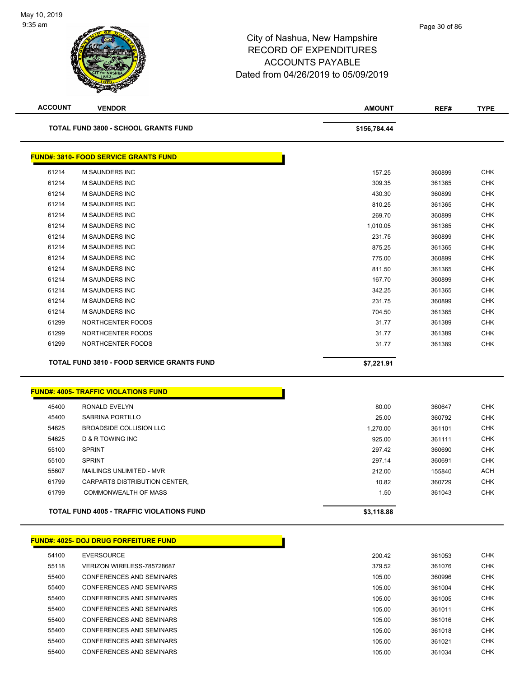| <b>ACCOUNT</b> | <b>VENDOR</b>                                | <b>AMOUNT</b> | REF#             | <b>TYPE</b> |
|----------------|----------------------------------------------|---------------|------------------|-------------|
|                | <b>TOTAL FUND 3800 - SCHOOL GRANTS FUND</b>  | \$156,784.44  |                  |             |
|                | <b>FUND#: 3810- FOOD SERVICE GRANTS FUND</b> |               |                  |             |
| 61214          | <b>M SAUNDERS INC</b>                        | 157.25        | 360899           | <b>CHK</b>  |
| 61214          | M SAUNDERS INC                               | 309.35        | 361365           | <b>CHK</b>  |
| 61214          | M SAUNDERS INC                               | 430.30        | 360899           | <b>CHK</b>  |
| 61214          | M SAUNDERS INC                               | 810.25        | 361365           | <b>CHK</b>  |
| 61214          | <b>M SAUNDERS INC</b>                        | 269.70        | 360899           | <b>CHK</b>  |
| 61214          | M SAUNDERS INC                               | 1,010.05      | 361365           | <b>CHK</b>  |
| 61214          | M SAUNDERS INC                               | 231.75        | 360899           | <b>CHK</b>  |
| 61214          | M SAUNDERS INC                               | 875.25        | 361365           | <b>CHK</b>  |
| 61214          | <b>M SAUNDERS INC</b>                        | 775.00        | 360899           | <b>CHK</b>  |
| 61214          | <b>M SAUNDERS INC</b>                        | 811.50        | 361365           | <b>CHK</b>  |
| 61214          | <b>M SAUNDERS INC</b>                        | 167.70        | 360899           | <b>CHK</b>  |
| 61214          | M SAUNDERS INC                               | 342.25        | 361365           | <b>CHK</b>  |
| 61214          | <b>M SAUNDERS INC</b>                        | 231.75        | 360899           | <b>CHK</b>  |
| 61214          | <b>M SAUNDERS INC</b>                        | 704.50        | 361365           | <b>CHK</b>  |
| 61299          | NORTHCENTER FOODS                            | 31.77         | 361389           | <b>CHK</b>  |
| 61299          | NORTHCENTER FOODS                            | 31.77         | 361389           | <b>CHK</b>  |
| 61299          | NORTHCENTER FOODS                            | 31.77         | 361389           | <b>CHK</b>  |
|                | TOTAL FUND 3810 - FOOD SERVICE GRANTS FUND   | \$7,221.91    |                  |             |
|                | <b>FUND#: 4005- TRAFFIC VIOLATIONS FUND</b>  |               |                  |             |
| 45400          | RONALD EVELYN                                | 80.00         |                  | <b>CHK</b>  |
| 45400          | SABRINA PORTILLO                             | 25.00         | 360647<br>360792 | <b>CHK</b>  |
| 54625          | <b>BROADSIDE COLLISION LLC</b>               | 1,270.00      | 361101           | <b>CHK</b>  |
| 54625          | <b>D &amp; R TOWING INC</b>                  | 925.00        | 361111           | <b>CHK</b>  |
| 55100          | <b>SPRINT</b>                                | 297.42        | 360690           | <b>CHK</b>  |
| 55100          | <b>SPRINT</b>                                | 297.14        | 360691           | <b>CHK</b>  |
| 55607          | MAILINGS UNLIMITED - MVR                     | 212.00        | 155840           | ACH         |
| 61799          | <b>CARPARTS DISTRIBUTION CENTER,</b>         | 10.82         | 360729           | <b>CHK</b>  |
| 61799          | <b>COMMONWEALTH OF MASS</b>                  | 1.50          | 361043           | <b>CHK</b>  |
|                | TOTAL FUND 4005 - TRAFFIC VIOLATIONS FUND    | \$3,118.88    |                  |             |
|                |                                              |               |                  |             |
|                | <b>FUND#: 4025- DOJ DRUG FORFEITURE FUND</b> |               |                  |             |
| 54100          | <b>EVERSOURCE</b>                            | 200.42        | 361053           | <b>CHK</b>  |
| 55118          | VERIZON WIRELESS-785728687                   | 379.52        | 361076           | <b>CHK</b>  |
| 55400          | <b>CONFERENCES AND SEMINARS</b>              | 105.00        | 360996           | <b>CHK</b>  |
| 55400          | <b>CONFERENCES AND SEMINARS</b>              | 105.00        | 361004           | <b>CHK</b>  |
| 55400          | <b>CONFERENCES AND SEMINARS</b>              | 105.00        | 361005           | <b>CHK</b>  |
| 55400          | <b>CONFERENCES AND SEMINARS</b>              | 105.00        | 361011           | <b>CHK</b>  |
| 55400          | <b>CONFERENCES AND SEMINARS</b>              | 105.00        | 361016           | <b>CHK</b>  |
| 55400          | <b>CONFERENCES AND SEMINARS</b>              | 105.00        | 361018           | <b>CHK</b>  |
| 55400          | CONFERENCES AND SEMINARS                     | 105.00        | 361021           | <b>CHK</b>  |
| 55400          | CONFERENCES AND SEMINARS                     | 105.00        | 361034           | <b>CHK</b>  |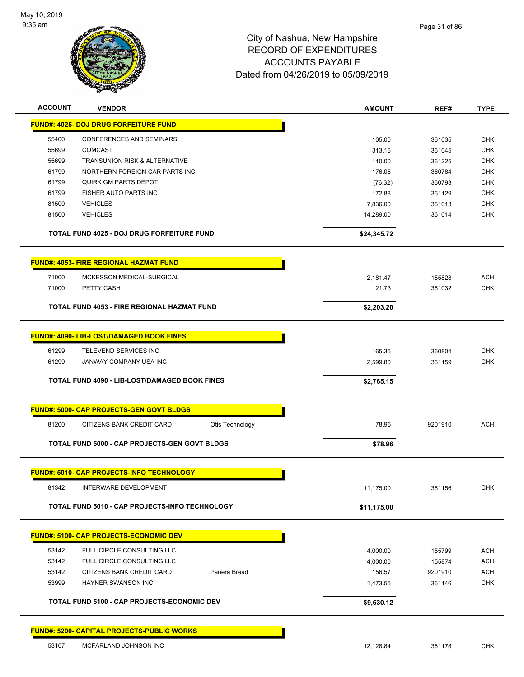

| <b>ACCOUNT</b> | <b>VENDOR</b>                                            | <b>AMOUNT</b>      | REF#             | <b>TYPE</b>              |
|----------------|----------------------------------------------------------|--------------------|------------------|--------------------------|
|                | <b>FUND#: 4025- DOJ DRUG FORFEITURE FUND</b>             |                    |                  |                          |
| 55400          | <b>CONFERENCES AND SEMINARS</b>                          | 105.00             | 361035           | <b>CHK</b>               |
| 55699          | <b>COMCAST</b>                                           | 313.16             | 361045           | <b>CHK</b>               |
| 55699          | TRANSUNION RISK & ALTERNATIVE                            | 110.00             | 361225           | <b>CHK</b>               |
| 61799          | NORTHERN FOREIGN CAR PARTS INC                           | 176.06             | 360784           | <b>CHK</b>               |
| 61799          | <b>QUIRK GM PARTS DEPOT</b>                              | (76.32)            | 360793           | <b>CHK</b>               |
| 61799          | FISHER AUTO PARTS INC                                    | 172.88             | 361129           | <b>CHK</b>               |
| 81500          | <b>VEHICLES</b>                                          | 7,836.00           | 361013           | <b>CHK</b>               |
| 81500          | <b>VEHICLES</b>                                          | 14,289.00          | 361014           | <b>CHK</b>               |
|                | TOTAL FUND 4025 - DOJ DRUG FORFEITURE FUND               | \$24,345.72        |                  |                          |
|                | <b>FUND#: 4053- FIRE REGIONAL HAZMAT FUND</b>            |                    |                  |                          |
| 71000          | MCKESSON MEDICAL-SURGICAL                                | 2,181.47           | 155828           | <b>ACH</b>               |
| 71000          | PETTY CASH                                               | 21.73              | 361032           | <b>CHK</b>               |
|                | TOTAL FUND 4053 - FIRE REGIONAL HAZMAT FUND              | \$2,203.20         |                  |                          |
|                | <b>FUND#: 4090- LIB-LOST/DAMAGED BOOK FINES</b>          |                    |                  |                          |
|                |                                                          |                    |                  | <b>CHK</b>               |
| 61299<br>61299 | TELEVEND SERVICES INC<br>JANWAY COMPANY USA INC          | 165.35             | 360804<br>361159 | <b>CHK</b>               |
|                |                                                          | 2,599.80           |                  |                          |
|                | <b>TOTAL FUND 4090 - LIB-LOST/DAMAGED BOOK FINES</b>     | \$2,765.15         |                  |                          |
|                | <b>FUND#: 5000- CAP PROJECTS-GEN GOVT BLDGS</b>          |                    |                  |                          |
| 81200          | CITIZENS BANK CREDIT CARD<br>Otis Technology             | 78.96              | 9201910          | <b>ACH</b>               |
|                | TOTAL FUND 5000 - CAP PROJECTS-GEN GOVT BLDGS            | \$78.96            |                  |                          |
|                | <b>FUND#: 5010- CAP PROJECTS-INFO TECHNOLOGY</b>         |                    |                  |                          |
| 81342          | <b>INTERWARE DEVELOPMENT</b>                             | 11,175.00          | 361156           | <b>CHK</b>               |
|                | TOTAL FUND 5010 - CAP PROJECTS-INFO TECHNOLOGY           | \$11,175.00        |                  |                          |
|                | <b>FUND#: 5100- CAP PROJECTS-ECONOMIC DEV</b>            |                    |                  |                          |
|                |                                                          |                    |                  |                          |
| 53142<br>53142 | FULL CIRCLE CONSULTING LLC<br>FULL CIRCLE CONSULTING LLC | 4,000.00           | 155799<br>155874 | <b>ACH</b><br><b>ACH</b> |
| 53142          | Panera Bread<br>CITIZENS BANK CREDIT CARD                | 4,000.00<br>156.57 | 9201910          | <b>ACH</b>               |
| 53999          | <b>HAYNER SWANSON INC</b>                                | 1,473.55           | 361146           | <b>CHK</b>               |
|                |                                                          |                    |                  |                          |
|                | <b>TOTAL FUND 5100 - CAP PROJECTS-ECONOMIC DEV</b>       | \$9,630.12         |                  |                          |
|                | <b>FUND#: 5200- CAPITAL PROJECTS-PUBLIC WORKS</b>        |                    |                  |                          |
| 53107          | MCFARLAND JOHNSON INC                                    | 12,128.84          | 361178           | CHK                      |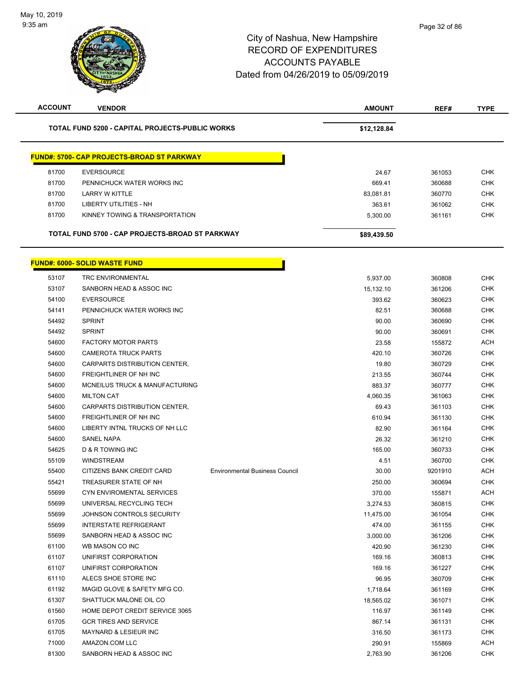$\overline{\phantom{0}}$ 

| TOTAL FUND 5200 - CAPITAL PROJECTS-PUBLIC WORKS<br>\$12,128.84                       |         |            |
|--------------------------------------------------------------------------------------|---------|------------|
| <b>FUND#: 5700- CAP PROJECTS-BROAD ST PARKWAY</b>                                    |         |            |
| 81700<br><b>EVERSOURCE</b><br>24.67                                                  | 361053  | <b>CHK</b> |
| 81700<br>PENNICHUCK WATER WORKS INC<br>669.41                                        | 360688  | <b>CHK</b> |
| 81700<br><b>LARRY W KITTLE</b><br>83,081.81                                          | 360770  | <b>CHK</b> |
| 81700<br>LIBERTY UTILITIES - NH<br>363.61                                            | 361062  | <b>CHK</b> |
| 81700<br>KINNEY TOWING & TRANSPORTATION<br>5,300.00                                  | 361161  | <b>CHK</b> |
| TOTAL FUND 5700 - CAP PROJECTS-BROAD ST PARKWAY<br>\$89,439.50                       |         |            |
| <b>FUND#: 6000- SOLID WASTE FUND</b>                                                 |         |            |
| 53107<br><b>TRC ENVIRONMENTAL</b><br>5,937.00                                        | 360808  | <b>CHK</b> |
| 53107<br>SANBORN HEAD & ASSOC INC<br>15,132.10                                       | 361206  | <b>CHK</b> |
| 54100<br><b>EVERSOURCE</b><br>393.62                                                 | 360623  | <b>CHK</b> |
| 54141<br>PENNICHUCK WATER WORKS INC<br>82.51                                         | 360688  | <b>CHK</b> |
| <b>SPRINT</b><br>54492<br>90.00                                                      | 360690  | <b>CHK</b> |
| 54492<br><b>SPRINT</b><br>90.00                                                      | 360691  | <b>CHK</b> |
| 54600<br><b>FACTORY MOTOR PARTS</b><br>23.58                                         | 155872  | <b>ACH</b> |
| 54600<br>420.10<br><b>CAMEROTA TRUCK PARTS</b>                                       | 360726  | <b>CHK</b> |
| 54600<br>CARPARTS DISTRIBUTION CENTER,<br>19.80                                      | 360729  | <b>CHK</b> |
| 54600<br>FREIGHTLINER OF NH INC<br>213.55                                            | 360744  | <b>CHK</b> |
| 54600<br>MCNEILUS TRUCK & MANUFACTURING<br>883.37                                    | 360777  | <b>CHK</b> |
| 54600<br><b>MILTON CAT</b><br>4,060.35                                               | 361063  | <b>CHK</b> |
| 54600<br>CARPARTS DISTRIBUTION CENTER,<br>69.43                                      | 361103  | <b>CHK</b> |
| 54600<br>FREIGHTLINER OF NH INC<br>610.94                                            | 361130  | <b>CHK</b> |
| 54600<br>LIBERTY INTNL TRUCKS OF NH LLC<br>82.90                                     | 361164  | <b>CHK</b> |
| 54600<br><b>SANEL NAPA</b><br>26.32                                                  | 361210  | <b>CHK</b> |
| 54625<br>D & R TOWING INC<br>165.00                                                  | 360733  | <b>CHK</b> |
| 55109<br><b>WINDSTREAM</b><br>4.51                                                   | 360700  | <b>CHK</b> |
| 55400<br>30.00<br>CITIZENS BANK CREDIT CARD<br><b>Environmental Business Council</b> | 9201910 | <b>ACH</b> |
| 55421<br>TREASURER STATE OF NH<br>250.00                                             | 360694  | <b>CHK</b> |
| 55699<br>CYN ENVIROMENTAL SERVICES<br>370.00                                         | 155871  | <b>ACH</b> |
| 55699<br>UNIVERSAL RECYCLING TECH<br>3,274.53                                        | 360815  | <b>CHK</b> |
| 55699<br>JOHNSON CONTROLS SECURITY<br>11,475.00                                      | 361054  | <b>CHK</b> |
| 55699<br><b>INTERSTATE REFRIGERANT</b><br>474.00                                     | 361155  | <b>CHK</b> |
| 55699<br>SANBORN HEAD & ASSOC INC<br>3,000.00                                        | 361206  | <b>CHK</b> |
| 61100<br>WB MASON CO INC<br>420.90                                                   | 361230  | <b>CHK</b> |
| 61107<br>UNIFIRST CORPORATION<br>169.16                                              | 360813  | <b>CHK</b> |
| 61107<br>UNIFIRST CORPORATION<br>169.16                                              | 361227  | <b>CHK</b> |
| 61110<br>ALECS SHOE STORE INC<br>96.95                                               | 360709  | <b>CHK</b> |
| 61192<br>MAGID GLOVE & SAFETY MFG CO.<br>1,718.64                                    | 361169  | <b>CHK</b> |
| 61307<br>SHATTUCK MALONE OIL CO<br>18,565.02                                         | 361071  | <b>CHK</b> |
| 61560<br>HOME DEPOT CREDIT SERVICE 3065<br>116.97                                    | 361149  | <b>CHK</b> |
| 61705<br><b>GCR TIRES AND SERVICE</b><br>867.14                                      | 361131  | <b>CHK</b> |
| 61705<br>MAYNARD & LESIEUR INC<br>316.50                                             | 361173  | <b>CHK</b> |
| 71000<br>AMAZON.COM LLC<br>290.91                                                    | 155869  | <b>ACH</b> |
| 81300<br>SANBORN HEAD & ASSOC INC<br>2,763.90                                        | 361206  | <b>CHK</b> |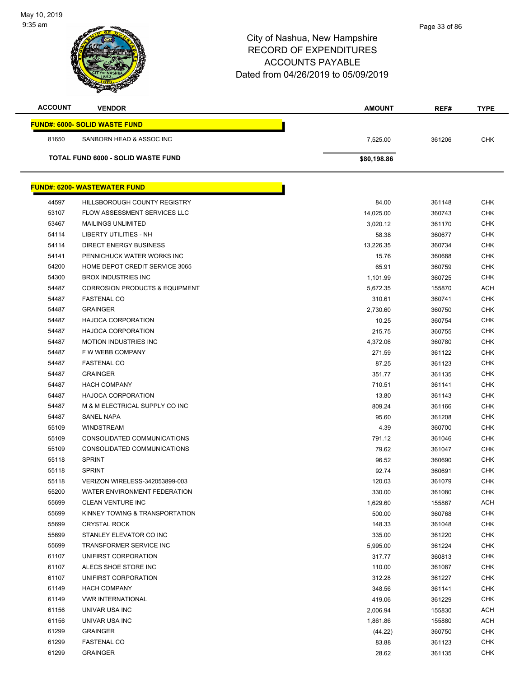| <b>ACCOUNT</b> | <b>VENDOR</b>                             | <b>AMOUNT</b> | REF#   | <b>TYPE</b> |
|----------------|-------------------------------------------|---------------|--------|-------------|
|                | <b>FUND#: 6000- SOLID WASTE FUND</b>      |               |        |             |
| 81650          | SANBORN HEAD & ASSOC INC                  | 7,525.00      | 361206 | <b>CHK</b>  |
|                | <b>TOTAL FUND 6000 - SOLID WASTE FUND</b> | \$80,198.86   |        |             |
|                |                                           |               |        |             |
|                | <b>FUND#: 6200- WASTEWATER FUND</b>       |               |        |             |
| 44597          | <b>HILLSBOROUGH COUNTY REGISTRY</b>       | 84.00         | 361148 | <b>CHK</b>  |
| 53107          | FLOW ASSESSMENT SERVICES LLC              | 14,025.00     | 360743 | <b>CHK</b>  |
| 53467          | <b>MAILINGS UNLIMITED</b>                 | 3,020.12      | 361170 | <b>CHK</b>  |
| 54114          | LIBERTY UTILITIES - NH                    | 58.38         | 360677 | <b>CHK</b>  |
| 54114          | <b>DIRECT ENERGY BUSINESS</b>             | 13,226.35     | 360734 | <b>CHK</b>  |
| 54141          | PENNICHUCK WATER WORKS INC                | 15.76         | 360688 | <b>CHK</b>  |
| 54200          | HOME DEPOT CREDIT SERVICE 3065            | 65.91         | 360759 | <b>CHK</b>  |
| 54300          | <b>BROX INDUSTRIES INC</b>                | 1,101.99      | 360725 | <b>CHK</b>  |
| 54487          | <b>CORROSION PRODUCTS &amp; EQUIPMENT</b> | 5,672.35      | 155870 | <b>ACH</b>  |
| 54487          | <b>FASTENAL CO</b>                        | 310.61        | 360741 | <b>CHK</b>  |
| 54487          | <b>GRAINGER</b>                           | 2,730.60      | 360750 | <b>CHK</b>  |
| 54487          | <b>HAJOCA CORPORATION</b>                 | 10.25         | 360754 | <b>CHK</b>  |
| 54487          | <b>HAJOCA CORPORATION</b>                 | 215.75        | 360755 | <b>CHK</b>  |
| 54487          | <b>MOTION INDUSTRIES INC</b>              | 4,372.06      | 360780 | <b>CHK</b>  |
| 54487          | F W WEBB COMPANY                          | 271.59        | 361122 | <b>CHK</b>  |
| 54487          | <b>FASTENAL CO</b>                        | 87.25         | 361123 | <b>CHK</b>  |
| 54487          | <b>GRAINGER</b>                           | 351.77        | 361135 | <b>CHK</b>  |
| 54487          | <b>HACH COMPANY</b>                       | 710.51        | 361141 | <b>CHK</b>  |
| 54487          | <b>HAJOCA CORPORATION</b>                 | 13.80         | 361143 | <b>CHK</b>  |
| 54487          | M & M ELECTRICAL SUPPLY CO INC            | 809.24        | 361166 | <b>CHK</b>  |
| 54487          | <b>SANEL NAPA</b>                         | 95.60         | 361208 | <b>CHK</b>  |
| 55109          | <b>WINDSTREAM</b>                         | 4.39          | 360700 | <b>CHK</b>  |
| 55109          | CONSOLIDATED COMMUNICATIONS               | 791.12        | 361046 | <b>CHK</b>  |
| 55109          | CONSOLIDATED COMMUNICATIONS               | 79.62         | 361047 | <b>CHK</b>  |
| 55118          | <b>SPRINT</b>                             | 96.52         | 360690 | <b>CHK</b>  |
| 55118          | <b>SPRINT</b>                             | 92.74         | 360691 | <b>CHK</b>  |
| 55118          | VERIZON WIRELESS-342053899-003            | 120.03        | 361079 | <b>CHK</b>  |
| 55200          | WATER ENVIRONMENT FEDERATION              | 330.00        | 361080 | <b>CHK</b>  |
| 55699          | CLEAN VENTURE INC                         | 1,629.60      | 155867 | <b>ACH</b>  |
| 55699          | KINNEY TOWING & TRANSPORTATION            | 500.00        | 360768 | <b>CHK</b>  |
| 55699          | <b>CRYSTAL ROCK</b>                       | 148.33        | 361048 | <b>CHK</b>  |
| 55699          | STANLEY ELEVATOR CO INC                   | 335.00        | 361220 | <b>CHK</b>  |
| 55699          | TRANSFORMER SERVICE INC                   | 5,995.00      | 361224 | <b>CHK</b>  |
| 61107          | UNIFIRST CORPORATION                      | 317.77        | 360813 | <b>CHK</b>  |
| 61107          | ALECS SHOE STORE INC                      | 110.00        | 361087 | <b>CHK</b>  |
| 61107          | UNIFIRST CORPORATION                      | 312.28        | 361227 | <b>CHK</b>  |
| 61149          | <b>HACH COMPANY</b>                       | 348.56        | 361141 | <b>CHK</b>  |
| 61149          | <b>VWR INTERNATIONAL</b>                  | 419.06        | 361229 | <b>CHK</b>  |
| 61156          | UNIVAR USA INC                            | 2,006.94      | 155830 | <b>ACH</b>  |
| 61156          | UNIVAR USA INC                            | 1,861.86      | 155880 | <b>ACH</b>  |
| 61299          | <b>GRAINGER</b>                           | (44.22)       | 360750 | <b>CHK</b>  |
| 61299          | <b>FASTENAL CO</b>                        | 83.88         | 361123 | <b>CHK</b>  |
| 61299          | <b>GRAINGER</b>                           | 28.62         | 361135 | <b>CHK</b>  |
|                |                                           |               |        |             |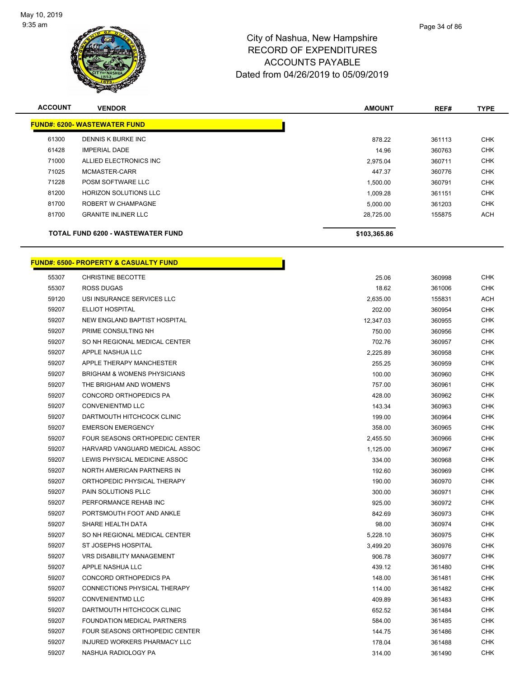

| <b>ACCOUNT</b> | <b>VENDOR</b>                       | <b>AMOUNT</b> | REF#   | <b>TYPE</b> |
|----------------|-------------------------------------|---------------|--------|-------------|
|                | <b>FUND#: 6200- WASTEWATER FUND</b> |               |        |             |
| 61300          | <b>DENNIS K BURKE INC</b>           | 878.22        | 361113 | <b>CHK</b>  |
| 61428          | <b>IMPERIAL DADE</b>                | 14.96         | 360763 | <b>CHK</b>  |
| 71000          | ALLIED ELECTRONICS INC              | 2,975.04      | 360711 | <b>CHK</b>  |
| 71025          | MCMASTER-CARR                       | 447.37        | 360776 | <b>CHK</b>  |
| 71228          | POSM SOFTWARE LLC                   | 1,500.00      | 360791 | <b>CHK</b>  |
| 81200          | <b>HORIZON SOLUTIONS LLC</b>        | 1,009.28      | 361151 | <b>CHK</b>  |
| 81700          | ROBERT W CHAMPAGNE                  | 5,000.00      | 361203 | <b>CHK</b>  |
| 81700          | <b>GRANITE INLINER LLC</b>          | 28,725.00     | 155875 | ACH         |
|                | TOTAL FUND 6200 - WASTEWATER FUND   | \$103,365.86  |        |             |

h

# **FUND#: 6500- PROPERTY & CASUALTY FUND**

| 55307 | <b>CHRISTINE BECOTTE</b>               | 25.06     | 360998 | <b>CHK</b> |
|-------|----------------------------------------|-----------|--------|------------|
| 55307 | <b>ROSS DUGAS</b>                      | 18.62     | 361006 | <b>CHK</b> |
| 59120 | USI INSURANCE SERVICES LLC             | 2,635.00  | 155831 | <b>ACH</b> |
| 59207 | <b>ELLIOT HOSPITAL</b>                 | 202.00    | 360954 | <b>CHK</b> |
| 59207 | NEW ENGLAND BAPTIST HOSPITAL           | 12,347.03 | 360955 | CHK        |
| 59207 | PRIME CONSULTING NH                    | 750.00    | 360956 | <b>CHK</b> |
| 59207 | SO NH REGIONAL MEDICAL CENTER          | 702.76    | 360957 | <b>CHK</b> |
| 59207 | APPLE NASHUA LLC                       | 2,225.89  | 360958 | <b>CHK</b> |
| 59207 | <b>APPLE THERAPY MANCHESTER</b>        | 255.25    | 360959 | <b>CHK</b> |
| 59207 | <b>BRIGHAM &amp; WOMENS PHYSICIANS</b> | 100.00    | 360960 | <b>CHK</b> |
| 59207 | THE BRIGHAM AND WOMEN'S                | 757.00    | 360961 | <b>CHK</b> |
| 59207 | CONCORD ORTHOPEDICS PA                 | 428.00    | 360962 | <b>CHK</b> |
| 59207 | <b>CONVENIENTMD LLC</b>                | 143.34    | 360963 | <b>CHK</b> |
| 59207 | DARTMOUTH HITCHCOCK CLINIC             | 199.00    | 360964 | <b>CHK</b> |
| 59207 | <b>EMERSON EMERGENCY</b>               | 358.00    | 360965 | <b>CHK</b> |
| 59207 | FOUR SEASONS ORTHOPEDIC CENTER         | 2,455.50  | 360966 | <b>CHK</b> |
| 59207 | HARVARD VANGUARD MEDICAL ASSOC         | 1,125.00  | 360967 | <b>CHK</b> |
| 59207 | LEWIS PHYSICAL MEDICINE ASSOC          | 334.00    | 360968 | <b>CHK</b> |
| 59207 | NORTH AMERICAN PARTNERS IN             | 192.60    | 360969 | <b>CHK</b> |
| 59207 | ORTHOPEDIC PHYSICAL THERAPY            | 190.00    | 360970 | <b>CHK</b> |
| 59207 | PAIN SOLUTIONS PLLC                    | 300.00    | 360971 | <b>CHK</b> |
| 59207 | PERFORMANCE REHAB INC                  | 925.00    | 360972 | <b>CHK</b> |
| 59207 | PORTSMOUTH FOOT AND ANKLE              | 842.69    | 360973 | <b>CHK</b> |
| 59207 | SHARE HEALTH DATA                      | 98.00     | 360974 | <b>CHK</b> |
| 59207 | SO NH REGIONAL MEDICAL CENTER          | 5,228.10  | 360975 | <b>CHK</b> |
| 59207 | ST JOSEPHS HOSPITAL                    | 3,499.20  | 360976 | <b>CHK</b> |
| 59207 | <b>VRS DISABILITY MANAGEMENT</b>       | 906.78    | 360977 | <b>CHK</b> |
| 59207 | APPLE NASHUA LLC                       | 439.12    | 361480 | <b>CHK</b> |
| 59207 | CONCORD ORTHOPEDICS PA                 | 148.00    | 361481 | CHK        |
| 59207 | CONNECTIONS PHYSICAL THERAPY           | 114.00    | 361482 | <b>CHK</b> |
| 59207 | <b>CONVENIENTMD LLC</b>                | 409.89    | 361483 | <b>CHK</b> |
| 59207 | DARTMOUTH HITCHCOCK CLINIC             | 652.52    | 361484 | CHK        |
| 59207 | FOUNDATION MEDICAL PARTNERS            | 584.00    | 361485 | <b>CHK</b> |
| 59207 | FOUR SEASONS ORTHOPEDIC CENTER         | 144.75    | 361486 | CHK        |
| 59207 | INJURED WORKERS PHARMACY LLC           | 178.04    | 361488 | <b>CHK</b> |
| 59207 | NASHUA RADIOLOGY PA                    | 314.00    | 361490 | <b>CHK</b> |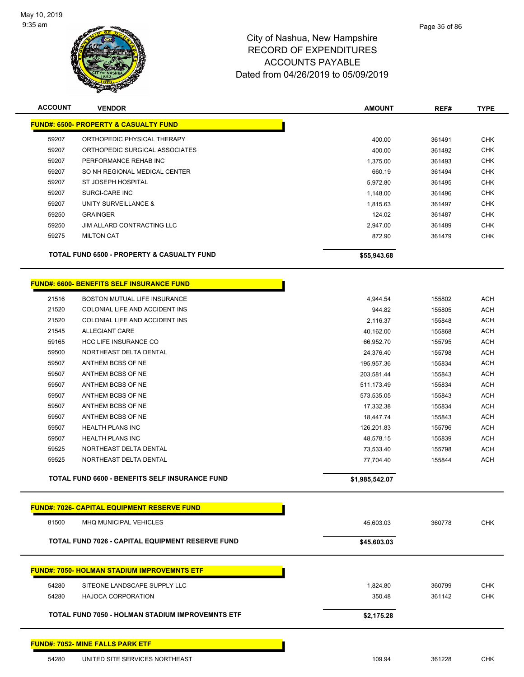

| <b>ACCOUNT</b>                                   | <b>VENDOR</b>                                           | <b>AMOUNT</b>  | REF#   | <b>TYPE</b> |  |
|--------------------------------------------------|---------------------------------------------------------|----------------|--------|-------------|--|
| <b>FUND#: 6500- PROPERTY &amp; CASUALTY FUND</b> |                                                         |                |        |             |  |
| 59207                                            | ORTHOPEDIC PHYSICAL THERAPY                             | 400.00         | 361491 | <b>CHK</b>  |  |
| 59207                                            | ORTHOPEDIC SURGICAL ASSOCIATES                          | 400.00         | 361492 | <b>CHK</b>  |  |
| 59207                                            | PERFORMANCE REHAB INC                                   | 1,375.00       | 361493 | <b>CHK</b>  |  |
| 59207                                            | SO NH REGIONAL MEDICAL CENTER                           | 660.19         | 361494 | <b>CHK</b>  |  |
| 59207                                            | ST JOSEPH HOSPITAL                                      | 5,972.80       | 361495 | <b>CHK</b>  |  |
| 59207                                            | SURGI-CARE INC                                          | 1,148.00       | 361496 | <b>CHK</b>  |  |
| 59207                                            | UNITY SURVEILLANCE &                                    | 1,815.63       | 361497 | <b>CHK</b>  |  |
| 59250                                            | <b>GRAINGER</b>                                         | 124.02         | 361487 | <b>CHK</b>  |  |
| 59250                                            | JIM ALLARD CONTRACTING LLC                              | 2,947.00       | 361489 | <b>CHK</b>  |  |
| 59275                                            | <b>MILTON CAT</b>                                       | 872.90         | 361479 | <b>CHK</b>  |  |
|                                                  | TOTAL FUND 6500 - PROPERTY & CASUALTY FUND              | \$55,943.68    |        |             |  |
|                                                  | FUND#: 6600- BENEFITS SELF INSURANCE FUND               |                |        |             |  |
| 21516                                            | BOSTON MUTUAL LIFE INSURANCE                            | 4,944.54       | 155802 | <b>ACH</b>  |  |
| 21520                                            | COLONIAL LIFE AND ACCIDENT INS                          | 944.82         | 155805 | <b>ACH</b>  |  |
| 21520                                            | COLONIAL LIFE AND ACCIDENT INS                          | 2,116.37       | 155848 | <b>ACH</b>  |  |
| 21545                                            | <b>ALLEGIANT CARE</b>                                   | 40,162.00      | 155868 | <b>ACH</b>  |  |
| 59165                                            | <b>HCC LIFE INSURANCE CO</b>                            | 66,952.70      | 155795 | <b>ACH</b>  |  |
| 59500                                            | NORTHEAST DELTA DENTAL                                  | 24,376.40      | 155798 | <b>ACH</b>  |  |
| 59507                                            | ANTHEM BCBS OF NE                                       | 195,957.36     | 155834 | <b>ACH</b>  |  |
| 59507                                            | ANTHEM BCBS OF NE                                       | 203,581.44     | 155843 | <b>ACH</b>  |  |
| 59507                                            | ANTHEM BCBS OF NE                                       | 511,173.49     | 155834 | <b>ACH</b>  |  |
| 59507                                            | ANTHEM BCBS OF NE                                       | 573,535.05     | 155843 | <b>ACH</b>  |  |
| 59507                                            | ANTHEM BCBS OF NE                                       | 17,332.38      | 155834 | <b>ACH</b>  |  |
| 59507                                            | ANTHEM BCBS OF NE                                       | 18,447.74      | 155843 | <b>ACH</b>  |  |
| 59507                                            | <b>HEALTH PLANS INC</b>                                 | 126,201.83     | 155796 | <b>ACH</b>  |  |
| 59507                                            | <b>HEALTH PLANS INC</b>                                 | 48,578.15      | 155839 | <b>ACH</b>  |  |
| 59525                                            | NORTHEAST DELTA DENTAL                                  | 73,533.40      | 155798 | <b>ACH</b>  |  |
| 59525                                            | NORTHEAST DELTA DENTAL                                  | 77,704.40      | 155844 | <b>ACH</b>  |  |
|                                                  | <b>TOTAL FUND 6600 - BENEFITS SELF INSURANCE FUND</b>   | \$1,985,542.07 |        |             |  |
|                                                  | <b>FUND#: 7026- CAPITAL EQUIPMENT RESERVE FUND</b>      |                |        |             |  |
| 81500                                            | MHQ MUNICIPAL VEHICLES                                  | 45,603.03      | 360778 | <b>CHK</b>  |  |
|                                                  | TOTAL FUND 7026 - CAPITAL EQUIPMENT RESERVE FUND        | \$45,603.03    |        |             |  |
|                                                  | <b>FUND#: 7050- HOLMAN STADIUM IMPROVEMNTS ETF</b>      |                |        |             |  |
| 54280                                            | SITEONE LANDSCAPE SUPPLY LLC                            | 1,824.80       | 360799 | <b>CHK</b>  |  |
| 54280                                            | <b>HAJOCA CORPORATION</b>                               | 350.48         | 361142 | <b>CHK</b>  |  |
|                                                  |                                                         |                |        |             |  |
|                                                  | <b>TOTAL FUND 7050 - HOLMAN STADIUM IMPROVEMNTS ETF</b> | \$2,175.28     |        |             |  |
|                                                  | <u> FUND#: 7052- MINE FALLS PARK ETF</u>                |                |        |             |  |
| 54280                                            | UNITED SITE SERVICES NORTHEAST                          | 109.94         | 361228 | <b>CHK</b>  |  |
|                                                  |                                                         |                |        |             |  |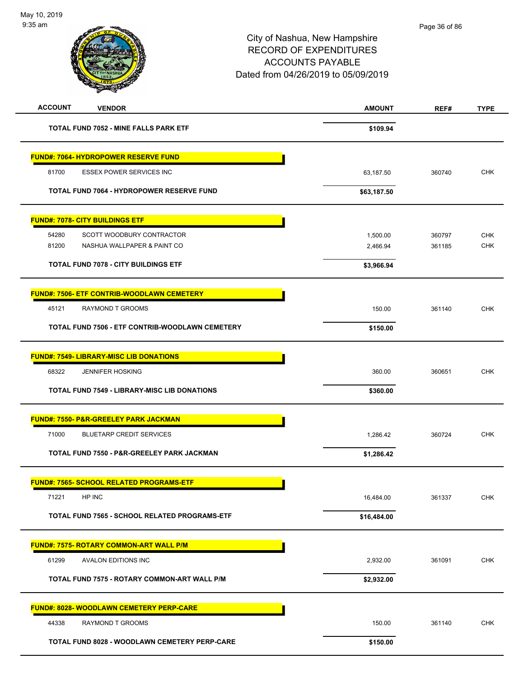| <b>ACCOUNT</b>                         | <b>VENDOR</b>                                       | <b>AMOUNT</b> | REF#   | <b>TYPE</b> |
|----------------------------------------|-----------------------------------------------------|---------------|--------|-------------|
|                                        | <b>TOTAL FUND 7052 - MINE FALLS PARK ETF</b>        | \$109.94      |        |             |
|                                        | FUND#: 7064- HYDROPOWER RESERVE FUND                |               |        |             |
| 81700                                  | <b>ESSEX POWER SERVICES INC</b>                     | 63,187.50     | 360740 | <b>CHK</b>  |
|                                        | TOTAL FUND 7064 - HYDROPOWER RESERVE FUND           | \$63,187.50   |        |             |
| <b>FUND#: 7078- CITY BUILDINGS ETF</b> |                                                     |               |        |             |
| 54280                                  | SCOTT WOODBURY CONTRACTOR                           | 1,500.00      | 360797 | <b>CHK</b>  |
| 81200                                  | NASHUA WALLPAPER & PAINT CO                         | 2,466.94      | 361185 | <b>CHK</b>  |
|                                        | <b>TOTAL FUND 7078 - CITY BUILDINGS ETF</b>         | \$3,966.94    |        |             |
|                                        | <b>FUND#: 7506- ETF CONTRIB-WOODLAWN CEMETERY</b>   |               |        |             |
| 45121                                  | <b>RAYMOND T GROOMS</b>                             | 150.00        | 361140 | <b>CHK</b>  |
|                                        | TOTAL FUND 7506 - ETF CONTRIB-WOODLAWN CEMETERY     | \$150.00      |        |             |
|                                        | <b>FUND#: 7549- LIBRARY-MISC LIB DONATIONS</b>      |               |        |             |
| 68322                                  | <b>JENNIFER HOSKING</b>                             | 360.00        | 360651 | <b>CHK</b>  |
|                                        | <b>TOTAL FUND 7549 - LIBRARY-MISC LIB DONATIONS</b> | \$360.00      |        |             |
|                                        | <b>FUND#: 7550- P&amp;R-GREELEY PARK JACKMAN</b>    |               |        |             |
| 71000                                  | <b>BLUETARP CREDIT SERVICES</b>                     | 1,286.42      | 360724 | <b>CHK</b>  |
|                                        | TOTAL FUND 7550 - P&R-GREELEY PARK JACKMAN          | \$1,286.42    |        |             |
|                                        | FUND#: 7565- SCHOOL RELATED PROGRAMS-ETF            |               |        |             |
| 71221                                  | HP INC                                              | 16,484.00     | 361337 | CHK         |
|                                        | TOTAL FUND 7565 - SCHOOL RELATED PROGRAMS-ETF       | \$16,484.00   |        |             |
|                                        | <b>FUND#: 7575- ROTARY COMMON-ART WALL P/M</b>      |               |        |             |
| 61299                                  | AVALON EDITIONS INC                                 | 2,932.00      | 361091 | CHK         |
|                                        | TOTAL FUND 7575 - ROTARY COMMON-ART WALL P/M        | \$2,932.00    |        |             |
|                                        | FUND#: 8028- WOODLAWN CEMETERY PERP-CARE            |               |        |             |
| 44338                                  | RAYMOND T GROOMS                                    | 150.00        | 361140 | CHK         |
|                                        | TOTAL FUND 8028 - WOODLAWN CEMETERY PERP-CARE       | \$150.00      |        |             |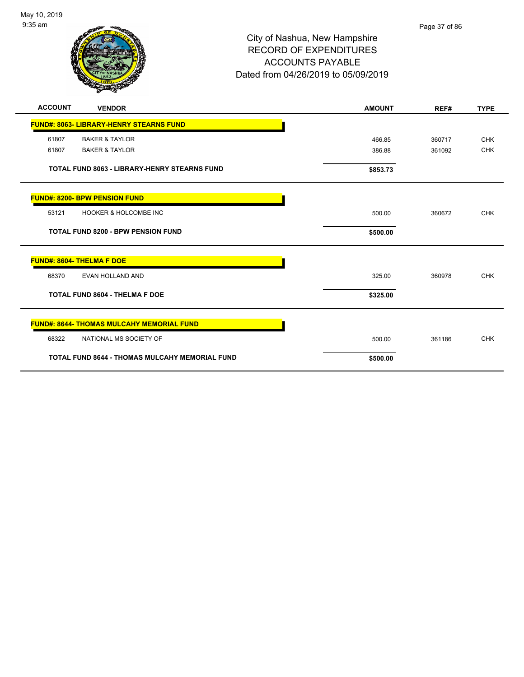

## City of Nashua, New Hampshire RECORD OF EXPENDITURES ACCOUNTS PAYABLE Dated from 04/26/2019 to 05/09/2019

| <b>ACCOUNT</b>                   | <b>VENDOR</b>                                         | <b>AMOUNT</b> | REF#   | <b>TYPE</b> |
|----------------------------------|-------------------------------------------------------|---------------|--------|-------------|
|                                  | <b>FUND#: 8063- LIBRARY-HENRY STEARNS FUND</b>        |               |        |             |
| 61807                            | <b>BAKER &amp; TAYLOR</b>                             | 466.85        | 360717 | <b>CHK</b>  |
| 61807                            | <b>BAKER &amp; TAYLOR</b>                             | 386.88        | 361092 | <b>CHK</b>  |
|                                  | <b>TOTAL FUND 8063 - LIBRARY-HENRY STEARNS FUND</b>   | \$853.73      |        |             |
|                                  | <b>FUND#: 8200- BPW PENSION FUND</b>                  |               |        |             |
| 53121                            | <b>HOOKER &amp; HOLCOMBE INC</b>                      | 500.00        | 360672 | <b>CHK</b>  |
|                                  | <b>TOTAL FUND 8200 - BPW PENSION FUND</b>             | \$500.00      |        |             |
| <b>FUND#: 8604- THELMA F DOE</b> |                                                       |               |        |             |
| 68370                            | EVAN HOLLAND AND                                      | 325.00        | 360978 | <b>CHK</b>  |
|                                  | TOTAL FUND 8604 - THELMA F DOE                        | \$325.00      |        |             |
|                                  | <b>FUND#: 8644- THOMAS MULCAHY MEMORIAL FUND</b>      |               |        |             |
| 68322                            | NATIONAL MS SOCIETY OF                                | 500.00        | 361186 | <b>CHK</b>  |
|                                  | <b>TOTAL FUND 8644 - THOMAS MULCAHY MEMORIAL FUND</b> | \$500.00      |        |             |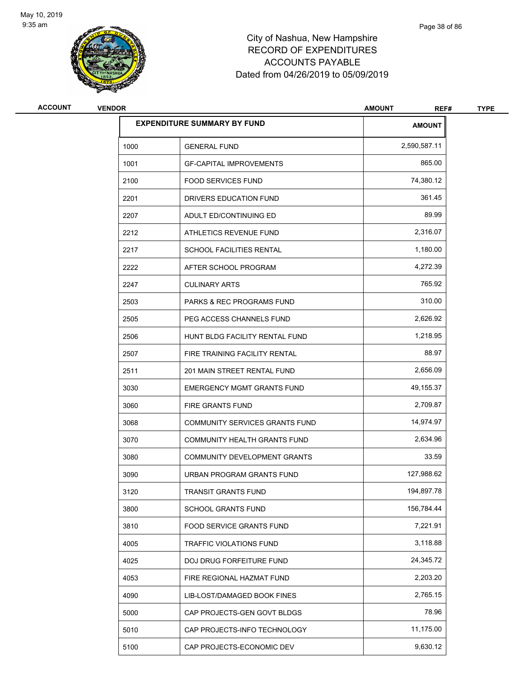

# City of Nashua, New Hampshire RECORD OF EXPENDITURES ACCOUNTS PAYABLE Dated from 04/26/2019 to 05/09/2019

| <b>ACCOUNT</b> | <b>VENDOR</b> |                                      | <b>AMOUNT</b><br>REF# | <b>TYPE</b> |
|----------------|---------------|--------------------------------------|-----------------------|-------------|
|                |               | <b>EXPENDITURE SUMMARY BY FUND</b>   | <b>AMOUNT</b>         |             |
|                | 1000          | <b>GENERAL FUND</b>                  | 2,590,587.11          |             |
|                | 1001          | <b>GF-CAPITAL IMPROVEMENTS</b>       | 865.00                |             |
|                | 2100          | <b>FOOD SERVICES FUND</b>            | 74,380.12             |             |
|                | 2201          | DRIVERS EDUCATION FUND               | 361.45                |             |
|                | 2207          | ADULT ED/CONTINUING ED               | 89.99                 |             |
|                | 2212          | ATHLETICS REVENUE FUND               | 2,316.07              |             |
|                | 2217          | <b>SCHOOL FACILITIES RENTAL</b>      | 1,180.00              |             |
|                | 2222          | AFTER SCHOOL PROGRAM                 | 4,272.39              |             |
|                | 2247          | <b>CULINARY ARTS</b>                 | 765.92                |             |
|                | 2503          | <b>PARKS &amp; REC PROGRAMS FUND</b> | 310.00                |             |
|                | 2505          | PEG ACCESS CHANNELS FUND             | 2,626.92              |             |
|                | 2506          | HUNT BLDG FACILITY RENTAL FUND       | 1,218.95              |             |
|                | 2507          | FIRE TRAINING FACILITY RENTAL        | 88.97                 |             |
|                | 2511          | 201 MAIN STREET RENTAL FUND          | 2,656.09              |             |
|                | 3030          | <b>EMERGENCY MGMT GRANTS FUND</b>    | 49,155.37             |             |
|                | 3060          | FIRE GRANTS FUND                     | 2,709.87              |             |
|                | 3068          | COMMUNITY SERVICES GRANTS FUND       | 14,974.97             |             |
|                | 3070          | COMMUNITY HEALTH GRANTS FUND         | 2,634.96              |             |
|                | 3080          | COMMUNITY DEVELOPMENT GRANTS         | 33.59                 |             |
|                | 3090          | URBAN PROGRAM GRANTS FUND            | 127,988.62            |             |
|                | 3120          | TRANSIT GRANTS FUND                  | 194,897.78            |             |
|                | 3800          | SCHOOL GRANTS FUND                   | 156,784.44            |             |
|                | 3810          | FOOD SERVICE GRANTS FUND             | 7,221.91              |             |
|                | 4005          | TRAFFIC VIOLATIONS FUND              | 3,118.88              |             |
|                | 4025          | DOJ DRUG FORFEITURE FUND             | 24,345.72             |             |
|                | 4053          | FIRE REGIONAL HAZMAT FUND            | 2,203.20              |             |
|                | 4090          | LIB-LOST/DAMAGED BOOK FINES          | 2,765.15              |             |
|                | 5000          | CAP PROJECTS-GEN GOVT BLDGS          | 78.96                 |             |
|                | 5010          | CAP PROJECTS-INFO TECHNOLOGY         | 11,175.00             |             |
|                | 5100          | CAP PROJECTS-ECONOMIC DEV            | 9,630.12              |             |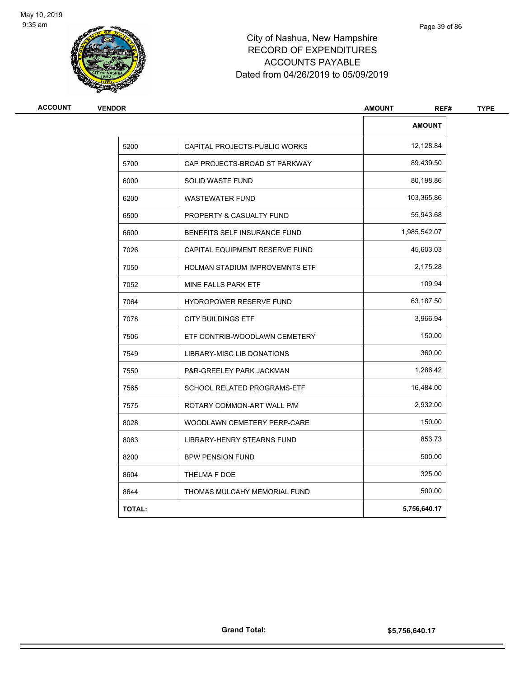

## City of Nashua, New Hampshire RECORD OF EXPENDITURES ACCOUNTS PAYABLE Dated from 04/26/2019 to 05/09/2019

| <b>VENDOR</b> |                                | <b>AMOUNT</b><br>REF# | <b>TYPE</b> |
|---------------|--------------------------------|-----------------------|-------------|
|               |                                | <b>AMOUNT</b>         |             |
| 5200          | CAPITAL PROJECTS-PUBLIC WORKS  | 12,128.84             |             |
| 5700          | CAP PROJECTS-BROAD ST PARKWAY  | 89,439.50             |             |
| 6000          | <b>SOLID WASTE FUND</b>        | 80,198.86             |             |
| 6200          | <b>WASTEWATER FUND</b>         | 103,365.86            |             |
| 6500          | PROPERTY & CASUALTY FUND       | 55,943.68             |             |
| 6600          | BENEFITS SELF INSURANCE FUND   | 1,985,542.07          |             |
| 7026          | CAPITAL EQUIPMENT RESERVE FUND | 45,603.03             |             |
| 7050          | HOLMAN STADIUM IMPROVEMNTS ETF | 2,175.28              |             |
| 7052          | MINE FALLS PARK ETF            | 109.94                |             |
| 7064          | <b>HYDROPOWER RESERVE FUND</b> | 63,187.50             |             |
| 7078          | <b>CITY BUILDINGS ETF</b>      | 3,966.94              |             |
| 7506          | ETF CONTRIB-WOODLAWN CEMETERY  | 150.00                |             |
| 7549          | LIBRARY-MISC LIB DONATIONS     | 360.00                |             |
| 7550          | P&R-GREELEY PARK JACKMAN       | 1,286.42              |             |
| 7565          | SCHOOL RELATED PROGRAMS-ETF    | 16,484.00             |             |
| 7575          | ROTARY COMMON-ART WALL P/M     | 2,932.00              |             |
| 8028          | WOODLAWN CEMETERY PERP-CARE    | 150.00                |             |
| 8063          | LIBRARY-HENRY STEARNS FUND     | 853.73                |             |
| 8200          | <b>BPW PENSION FUND</b>        | 500.00                |             |
| 8604          | THELMA F DOE                   | 325.00                |             |
| 8644          | THOMAS MULCAHY MEMORIAL FUND   | 500.00                |             |
| <b>TOTAL:</b> |                                | 5,756,640.17          |             |
|               |                                |                       |             |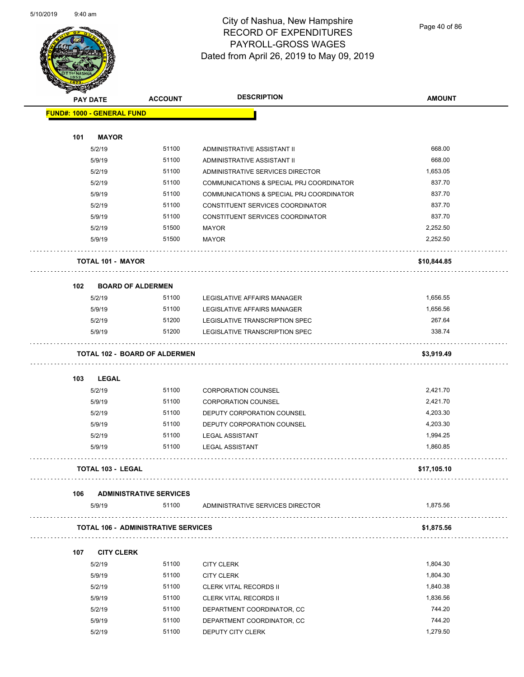

Page 40 of 86

|     | <b>PAY DATE</b>                   | <b>ACCOUNT</b>                             | <b>DESCRIPTION</b>                                       | <b>AMOUNT</b>   |
|-----|-----------------------------------|--------------------------------------------|----------------------------------------------------------|-----------------|
|     | <b>FUND#: 1000 - GENERAL FUND</b> |                                            |                                                          |                 |
|     |                                   |                                            |                                                          |                 |
| 101 | <b>MAYOR</b>                      |                                            |                                                          |                 |
|     | 5/2/19                            | 51100                                      | ADMINISTRATIVE ASSISTANT II                              | 668.00          |
|     | 5/9/19                            | 51100                                      | ADMINISTRATIVE ASSISTANT II                              | 668.00          |
|     | 5/2/19                            | 51100                                      | ADMINISTRATIVE SERVICES DIRECTOR                         | 1,653.05        |
|     | 5/2/19                            | 51100                                      | COMMUNICATIONS & SPECIAL PRJ COORDINATOR                 | 837.70          |
|     | 5/9/19                            | 51100                                      | COMMUNICATIONS & SPECIAL PRJ COORDINATOR                 | 837.70          |
|     | 5/2/19                            | 51100                                      | CONSTITUENT SERVICES COORDINATOR                         | 837.70          |
|     | 5/9/19                            | 51100                                      | CONSTITUENT SERVICES COORDINATOR                         | 837.70          |
|     | 5/2/19                            | 51500                                      | <b>MAYOR</b>                                             | 2,252.50        |
|     | 5/9/19                            | 51500                                      | <b>MAYOR</b>                                             | 2,252.50        |
|     | <b>TOTAL 101 - MAYOR</b>          |                                            |                                                          | \$10,844.85     |
| 102 | <b>BOARD OF ALDERMEN</b>          |                                            |                                                          |                 |
|     | 5/2/19                            | 51100                                      | LEGISLATIVE AFFAIRS MANAGER                              | 1,656.55        |
|     | 5/9/19                            | 51100                                      | LEGISLATIVE AFFAIRS MANAGER                              | 1,656.56        |
|     | 5/2/19                            | 51200                                      | LEGISLATIVE TRANSCRIPTION SPEC                           | 267.64          |
|     | 5/9/19                            | 51200                                      | LEGISLATIVE TRANSCRIPTION SPEC                           | 338.74          |
|     |                                   | <b>TOTAL 102 - BOARD OF ALDERMEN</b>       |                                                          | \$3,919.49      |
| 103 | <b>LEGAL</b>                      |                                            |                                                          |                 |
|     | 5/2/19                            | 51100                                      | <b>CORPORATION COUNSEL</b>                               | 2,421.70        |
|     | 5/9/19                            | 51100                                      | <b>CORPORATION COUNSEL</b>                               | 2,421.70        |
|     | 5/2/19                            | 51100                                      | DEPUTY CORPORATION COUNSEL                               | 4,203.30        |
|     | 5/9/19                            | 51100                                      | DEPUTY CORPORATION COUNSEL                               | 4,203.30        |
|     | 5/2/19                            | 51100                                      | <b>LEGAL ASSISTANT</b>                                   | 1,994.25        |
|     | 5/9/19                            | 51100                                      | <b>LEGAL ASSISTANT</b>                                   | 1,860.85        |
|     | TOTAL 103 - LEGAL                 |                                            |                                                          | \$17,105.10     |
| 106 |                                   | <b>ADMINISTRATIVE SERVICES</b>             |                                                          |                 |
|     | 5/9/19                            | 51100                                      | ADMINISTRATIVE SERVICES DIRECTOR                         | 1,875.56        |
|     |                                   | <b>TOTAL 106 - ADMINISTRATIVE SERVICES</b> |                                                          | .<br>\$1,875.56 |
| 107 | <b>CITY CLERK</b>                 |                                            |                                                          |                 |
|     | 5/2/19                            | 51100                                      | <b>CITY CLERK</b>                                        | 1,804.30        |
|     | 5/9/19                            | 51100                                      | <b>CITY CLERK</b>                                        | 1,804.30        |
|     | 5/2/19                            | 51100                                      | <b>CLERK VITAL RECORDS II</b>                            | 1,840.38        |
|     | 5/9/19                            | 51100                                      | <b>CLERK VITAL RECORDS II</b>                            | 1,836.56        |
|     | 5/2/19                            | 51100                                      |                                                          | 744.20          |
|     | 5/9/19                            | 51100                                      | DEPARTMENT COORDINATOR, CC<br>DEPARTMENT COORDINATOR, CC | 744.20          |
|     |                                   |                                            |                                                          | 1,279.50        |
|     | 5/2/19                            | 51100                                      | DEPUTY CITY CLERK                                        |                 |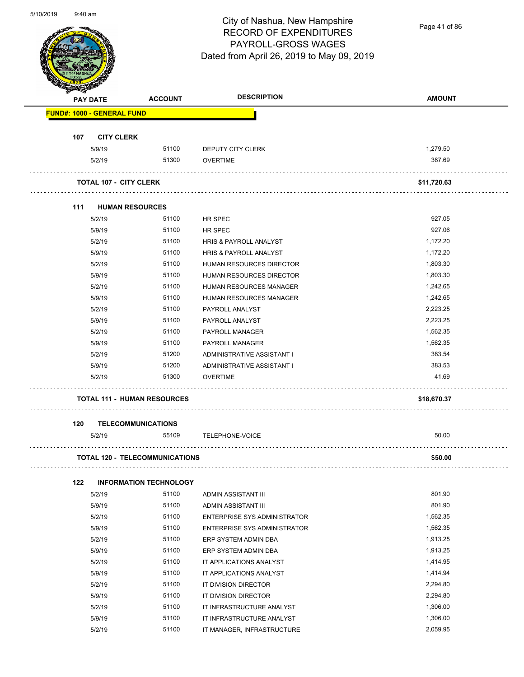

Page 41 of 86

|     | <b>PAY DATE</b>                       | <b>ACCOUNT</b>                | <b>DESCRIPTION</b>                | <b>AMOUNT</b> |
|-----|---------------------------------------|-------------------------------|-----------------------------------|---------------|
|     | <b>FUND#: 1000 - GENERAL FUND</b>     |                               |                                   |               |
| 107 | <b>CITY CLERK</b>                     |                               |                                   |               |
|     | 5/9/19                                | 51100                         | DEPUTY CITY CLERK                 | 1,279.50      |
|     | 5/2/19                                | 51300                         | <b>OVERTIME</b>                   | 387.69        |
|     | <b>TOTAL 107 - CITY CLERK</b>         |                               |                                   | \$11,720.63   |
| 111 | <b>HUMAN RESOURCES</b>                |                               |                                   |               |
|     | 5/2/19                                | 51100                         | HR SPEC                           | 927.05        |
|     | 5/9/19                                | 51100                         | HR SPEC                           | 927.06        |
|     | 5/2/19                                | 51100                         | HRIS & PAYROLL ANALYST            | 1,172.20      |
|     | 5/9/19                                | 51100                         | <b>HRIS &amp; PAYROLL ANALYST</b> | 1,172.20      |
|     | 5/2/19                                | 51100                         | HUMAN RESOURCES DIRECTOR          | 1,803.30      |
|     | 5/9/19                                | 51100                         | HUMAN RESOURCES DIRECTOR          | 1,803.30      |
|     | 5/2/19                                | 51100                         | HUMAN RESOURCES MANAGER           | 1,242.65      |
|     | 5/9/19                                | 51100                         | <b>HUMAN RESOURCES MANAGER</b>    | 1,242.65      |
|     | 5/2/19                                | 51100                         | PAYROLL ANALYST                   | 2,223.25      |
|     | 5/9/19                                | 51100                         | PAYROLL ANALYST                   | 2,223.25      |
|     | 5/2/19                                | 51100                         | PAYROLL MANAGER                   | 1,562.35      |
|     | 5/9/19                                | 51100                         | PAYROLL MANAGER                   | 1,562.35      |
|     | 5/2/19                                | 51200                         | ADMINISTRATIVE ASSISTANT I        | 383.54        |
|     | 5/9/19                                | 51200                         | ADMINISTRATIVE ASSISTANT I        | 383.53        |
|     | 5/2/19                                | 51300                         | <b>OVERTIME</b>                   | 41.69         |
|     | <b>TOTAL 111 - HUMAN RESOURCES</b>    |                               |                                   | \$18,670.37   |
| 120 | <b>TELECOMMUNICATIONS</b>             |                               |                                   |               |
|     | 5/2/19                                | 55109                         | TELEPHONE-VOICE                   | 50.00         |
|     | <b>TOTAL 120 - TELECOMMUNICATIONS</b> |                               |                                   | \$50.00       |
| 122 |                                       | <b>INFORMATION TECHNOLOGY</b> |                                   |               |
|     | 5/2/19                                | 51100                         | ADMIN ASSISTANT III               | 801.90        |
|     | 5/9/19                                | 51100                         | ADMIN ASSISTANT III               | 801.90        |
|     | 5/2/19                                | 51100                         | ENTERPRISE SYS ADMINISTRATOR      | 1,562.35      |
|     | 5/9/19                                | 51100                         | ENTERPRISE SYS ADMINISTRATOR      | 1,562.35      |
|     | 5/2/19                                | 51100                         | ERP SYSTEM ADMIN DBA              | 1,913.25      |
|     | 5/9/19                                | 51100                         | ERP SYSTEM ADMIN DBA              | 1,913.25      |
|     | 5/2/19                                | 51100                         | IT APPLICATIONS ANALYST           | 1,414.95      |
|     | 5/9/19                                | 51100                         | IT APPLICATIONS ANALYST           | 1,414.94      |
|     | 5/2/19                                | 51100                         | IT DIVISION DIRECTOR              | 2,294.80      |
|     | 5/9/19                                | 51100                         | IT DIVISION DIRECTOR              | 2,294.80      |
|     | 5/2/19                                | 51100                         | IT INFRASTRUCTURE ANALYST         | 1,306.00      |
|     | 5/9/19                                | 51100                         | IT INFRASTRUCTURE ANALYST         | 1,306.00      |
|     | 5/2/19                                | 51100                         | IT MANAGER, INFRASTRUCTURE        | 2,059.95      |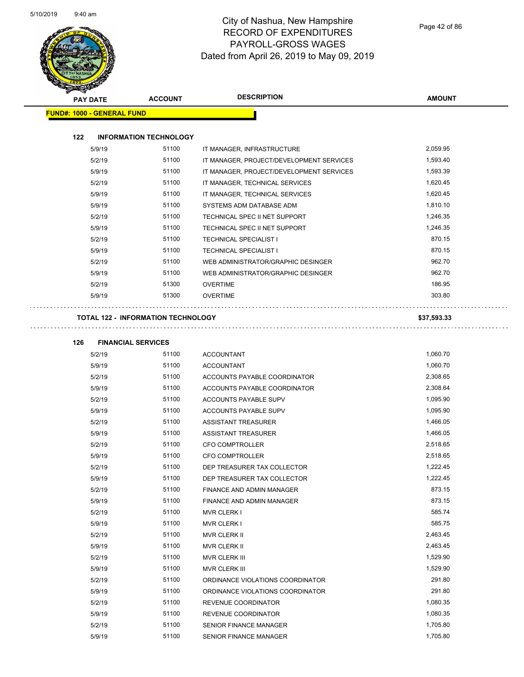

| <b>PAY DATE</b>                   | <b>ACCOUNT</b>                            | <b>DESCRIPTION</b>                       | <b>AMOUNT</b> |
|-----------------------------------|-------------------------------------------|------------------------------------------|---------------|
| <b>FUND#: 1000 - GENERAL FUND</b> |                                           |                                          |               |
| 122                               | <b>INFORMATION TECHNOLOGY</b>             |                                          |               |
| 5/9/19                            | 51100                                     | IT MANAGER, INFRASTRUCTURE               | 2,059.95      |
| 5/2/19                            | 51100                                     | IT MANAGER, PROJECT/DEVELOPMENT SERVICES | 1,593.40      |
| 5/9/19                            | 51100                                     | IT MANAGER, PROJECT/DEVELOPMENT SERVICES | 1,593.39      |
| 5/2/19                            | 51100                                     | IT MANAGER, TECHNICAL SERVICES           | 1,620.45      |
| 5/9/19                            | 51100                                     | IT MANAGER, TECHNICAL SERVICES           | 1,620.45      |
| 5/9/19                            | 51100                                     | SYSTEMS ADM DATABASE ADM                 | 1,810.10      |
| 5/2/19                            | 51100                                     | TECHNICAL SPEC II NET SUPPORT            | 1,246.35      |
| 5/9/19                            | 51100                                     | TECHNICAL SPEC II NET SUPPORT            | 1,246.35      |
| 5/2/19                            | 51100                                     | <b>TECHNICAL SPECIALIST I</b>            | 870.15        |
| 5/9/19                            | 51100                                     | <b>TECHNICAL SPECIALIST I</b>            | 870.15        |
| 5/2/19                            | 51100                                     | WEB ADMINISTRATOR/GRAPHIC DESINGER       | 962.70        |
| 5/9/19                            | 51100                                     | WEB ADMINISTRATOR/GRAPHIC DESINGER       | 962.70        |
| 5/2/19                            | 51300                                     | <b>OVERTIME</b>                          | 186.95        |
| 5/9/19                            | 51300                                     | <b>OVERTIME</b>                          | 303.80        |
|                                   | <b>TOTAL 122 - INFORMATION TECHNOLOGY</b> |                                          | \$37,593.33   |
|                                   |                                           |                                          |               |
| 126<br>5/2/19                     | <b>FINANCIAL SERVICES</b><br>51100        | <b>ACCOUNTANT</b>                        | 1,060.70      |

| 5/2/19 | טטווכ | ACCOUNTANT                          | 1,000.70 |
|--------|-------|-------------------------------------|----------|
| 5/9/19 | 51100 | <b>ACCOUNTANT</b>                   | 1,060.70 |
| 5/2/19 | 51100 | <b>ACCOUNTS PAYABLE COORDINATOR</b> | 2,308.65 |
| 5/9/19 | 51100 | ACCOUNTS PAYABLE COORDINATOR        | 2,308.64 |
| 5/2/19 | 51100 | <b>ACCOUNTS PAYABLE SUPV</b>        | 1,095.90 |
| 5/9/19 | 51100 | <b>ACCOUNTS PAYABLE SUPV</b>        | 1,095.90 |
| 5/2/19 | 51100 | <b>ASSISTANT TREASURER</b>          | 1,466.05 |
| 5/9/19 | 51100 | <b>ASSISTANT TREASURER</b>          | 1,466.05 |
| 5/2/19 | 51100 | <b>CFO COMPTROLLER</b>              | 2,518.65 |
| 5/9/19 | 51100 | <b>CFO COMPTROLLER</b>              | 2,518.65 |
| 5/2/19 | 51100 | DEP TREASURER TAX COLLECTOR         | 1,222.45 |
| 5/9/19 | 51100 | DEP TREASURER TAX COLLECTOR         | 1,222.45 |
| 5/2/19 | 51100 | <b>FINANCE AND ADMIN MANAGER</b>    | 873.15   |
| 5/9/19 | 51100 | <b>FINANCE AND ADMIN MANAGER</b>    | 873.15   |
| 5/2/19 | 51100 | <b>MVR CLERK I</b>                  | 585.74   |
| 5/9/19 | 51100 | <b>MVR CLERK I</b>                  | 585.75   |
| 5/2/19 | 51100 | <b>MVR CLERK II</b>                 | 2,463.45 |
| 5/9/19 | 51100 | <b>MVR CLERK II</b>                 | 2,463.45 |
| 5/2/19 | 51100 | <b>MVR CLERK III</b>                | 1,529.90 |
| 5/9/19 | 51100 | <b>MVR CLERK III</b>                | 1,529.90 |
| 5/2/19 | 51100 | ORDINANCE VIOLATIONS COORDINATOR    | 291.80   |
| 5/9/19 | 51100 | ORDINANCE VIOLATIONS COORDINATOR    | 291.80   |
| 5/2/19 | 51100 | <b>REVENUE COORDINATOR</b>          | 1,080.35 |
| 5/9/19 | 51100 | <b>REVENUE COORDINATOR</b>          | 1,080.35 |
| 5/2/19 | 51100 | <b>SENIOR FINANCE MANAGER</b>       | 1,705.80 |
| 5/9/19 | 51100 | <b>SENIOR FINANCE MANAGER</b>       | 1,705.80 |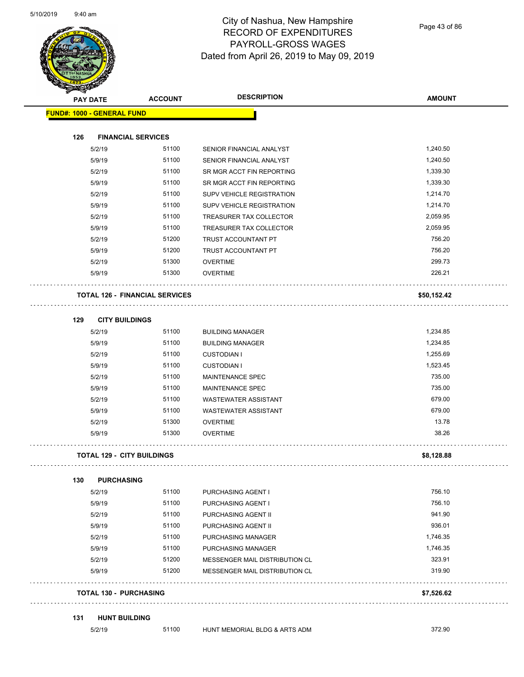

Page 43 of 86

| <b>PAY DATE</b> |                                   | <b>ACCOUNT</b>                        | <b>DESCRIPTION</b>             | <b>AMOUNT</b> |
|-----------------|-----------------------------------|---------------------------------------|--------------------------------|---------------|
|                 | <b>FUND#: 1000 - GENERAL FUND</b> |                                       |                                |               |
| 126             |                                   | <b>FINANCIAL SERVICES</b>             |                                |               |
|                 | 5/2/19                            | 51100                                 | SENIOR FINANCIAL ANALYST       | 1,240.50      |
|                 | 5/9/19                            | 51100                                 | SENIOR FINANCIAL ANALYST       | 1,240.50      |
|                 | 5/2/19                            | 51100                                 | SR MGR ACCT FIN REPORTING      | 1,339.30      |
|                 | 5/9/19                            | 51100                                 | SR MGR ACCT FIN REPORTING      | 1,339.30      |
|                 | 5/2/19                            | 51100                                 | SUPV VEHICLE REGISTRATION      | 1,214.70      |
|                 | 5/9/19                            | 51100                                 | SUPV VEHICLE REGISTRATION      | 1,214.70      |
|                 | 5/2/19                            | 51100                                 | TREASURER TAX COLLECTOR        | 2,059.95      |
|                 | 5/9/19                            | 51100                                 | TREASURER TAX COLLECTOR        | 2,059.95      |
|                 | 5/2/19                            | 51200                                 | TRUST ACCOUNTANT PT            | 756.20        |
|                 | 5/9/19                            | 51200                                 | TRUST ACCOUNTANT PT            | 756.20        |
|                 | 5/2/19                            | 51300                                 | <b>OVERTIME</b>                | 299.73        |
|                 | 5/9/19                            | 51300                                 | <b>OVERTIME</b>                | 226.21        |
|                 |                                   | <b>TOTAL 126 - FINANCIAL SERVICES</b> |                                | \$50,152.42   |
| 129             | <b>CITY BUILDINGS</b>             |                                       |                                |               |
|                 | 5/2/19                            | 51100                                 | <b>BUILDING MANAGER</b>        | 1,234.85      |
|                 | 5/9/19                            | 51100                                 | <b>BUILDING MANAGER</b>        | 1,234.85      |
|                 | 5/2/19                            | 51100                                 | <b>CUSTODIAN I</b>             | 1,255.69      |
|                 | 5/9/19                            | 51100                                 | <b>CUSTODIAN I</b>             | 1,523.45      |
|                 | 5/2/19                            | 51100                                 | <b>MAINTENANCE SPEC</b>        | 735.00        |
|                 | 5/9/19                            | 51100                                 | MAINTENANCE SPEC               | 735.00        |
|                 | 5/2/19                            | 51100                                 | <b>WASTEWATER ASSISTANT</b>    | 679.00        |
|                 | 5/9/19                            | 51100                                 | <b>WASTEWATER ASSISTANT</b>    | 679.00        |
|                 | 5/2/19                            | 51300                                 | <b>OVERTIME</b>                | 13.78         |
|                 | 5/9/19                            | 51300                                 | <b>OVERTIME</b>                | 38.26         |
|                 |                                   | <b>TOTAL 129 - CITY BUILDINGS</b>     |                                | \$8,128.88    |
| 130             | <b>PURCHASING</b>                 |                                       |                                |               |
|                 | 5/2/19                            | 51100                                 | PURCHASING AGENT I             | 756.10        |
|                 | 5/9/19                            | 51100                                 | PURCHASING AGENT I             | 756.10        |
|                 | 5/2/19                            | 51100                                 | PURCHASING AGENT II            | 941.90        |
|                 | 5/9/19                            | 51100                                 | PURCHASING AGENT II            | 936.01        |
|                 | 5/2/19                            | 51100                                 | PURCHASING MANAGER             | 1,746.35      |
|                 | 5/9/19                            | 51100                                 | PURCHASING MANAGER             | 1,746.35      |
|                 | 5/2/19                            | 51200                                 | MESSENGER MAIL DISTRIBUTION CL | 323.91        |
|                 | 5/9/19                            | 51200                                 | MESSENGER MAIL DISTRIBUTION CL | 319.90        |
|                 | <b>TOTAL 130 - PURCHASING</b>     |                                       |                                | \$7,526.62    |
| 131             | <b>HUNT BUILDING</b>              |                                       |                                |               |
|                 | 5/2/19                            | 51100                                 | HUNT MEMORIAL BLDG & ARTS ADM  | 372.90        |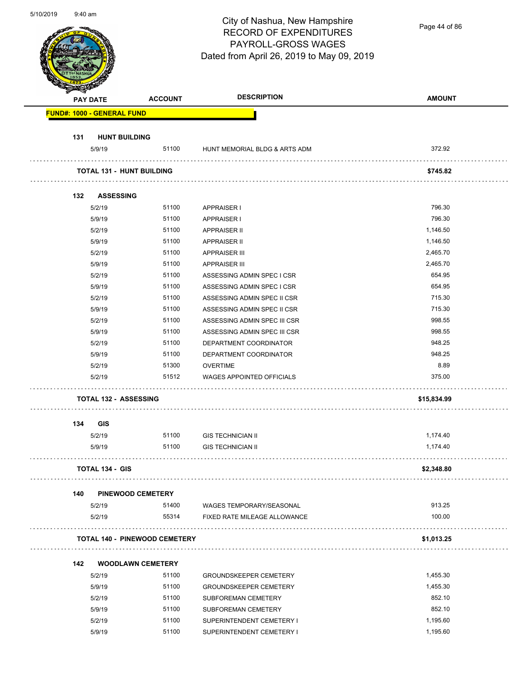| 5/10/2019<br>$9:40$ am            |                | City of Nashua, New Hampshire<br><b>RECORD OF EXPENDITURES</b><br>PAYROLL-GROSS WAGES<br>Dated from April 26, 2019 to May 09, 2019 | Page 44 of 86 |
|-----------------------------------|----------------|------------------------------------------------------------------------------------------------------------------------------------|---------------|
| PAY DATE                          | <b>ACCOUNT</b> | <b>DESCRIPTION</b>                                                                                                                 | <b>AMOUNT</b> |
| <b>FUND#: 1000 - GENERAL FUND</b> |                |                                                                                                                                    |               |
| <b>HUNT BUILDING</b><br>131       |                |                                                                                                                                    |               |
| 5/9/19                            | 51100          | HUNT MEMORIAL BLDG & ARTS ADM                                                                                                      | 372.92        |
| <b>TOTAL 131 - HUNT BUILDING</b>  |                |                                                                                                                                    | \$745.82      |
| <b>ASSESSING</b><br>132           |                |                                                                                                                                    |               |
| 5/2/19                            | 51100          | <b>APPRAISER I</b>                                                                                                                 | 796.30        |
| 5/9/19                            | 51100          | <b>APPRAISER I</b>                                                                                                                 | 796.30        |
| 5/2/19                            | 51100          | <b>APPRAISER II</b>                                                                                                                | 1,146.50      |
| 5/9/19                            | 51100          | <b>APPRAISER II</b>                                                                                                                | 1,146.50      |
| 5/2/19                            | 51100          | <b>APPRAISER III</b>                                                                                                               | 2,465.70      |
| 5/9/19                            | 51100          | <b>APPRAISER III</b>                                                                                                               | 2,465.70      |
| 5/2/19                            | 51100          | ASSESSING ADMIN SPEC I CSR                                                                                                         | 654.95        |
| 5/9/19                            | 51100          | ASSESSING ADMIN SPEC I CSR                                                                                                         | 654.95        |
| 5/2/19                            | 51100          | ASSESSING ADMIN SPEC II CSR                                                                                                        | 715.30        |
| 5/9/19                            | 51100          | ASSESSING ADMIN SPEC II CSR                                                                                                        | 715.30        |
| 5/2/19                            | 51100          | ASSESSING ADMIN SPEC III CSR                                                                                                       | 998.55        |
| 5/9/19                            | 51100          | ASSESSING ADMIN SPEC III CSR                                                                                                       | 998.55        |
| 5/2/19                            | 51100          | DEPARTMENT COORDINATOR                                                                                                             | 948.25        |
| 5/9/19                            | 51100          | DEPARTMENT COORDINATOR                                                                                                             | 948.25        |
| 5/2/19                            | 51300          | <b>OVERTIME</b>                                                                                                                    | 8.89          |
| 5/2/19                            | 51512          | <b>WAGES APPOINTED OFFICIALS</b>                                                                                                   | 375.00        |
| <b>TOTAL 132 - ASSESSING</b>      |                |                                                                                                                                    | \$15,834.99   |
| 134<br><b>GIS</b>                 |                |                                                                                                                                    |               |
| 5/2/19                            | 51100          | <b>GIS TECHNICIAN II</b>                                                                                                           | 1,174.40      |
| 5/9/19                            | 51100          | <b>GIS TECHNICIAN II</b>                                                                                                           | 1,174.40      |
| <b>TOTAL 134 - GIS</b>            |                |                                                                                                                                    | \$2,348.80    |

| 5/2/19 | 51400 | WAGES TEMPORARY/SEASONAL     | 913.25 |
|--------|-------|------------------------------|--------|
| 5/2/19 | 55314 | FIXED RATE MILEAGE ALLOWANCE | 100.00 |
|        |       |                              |        |

| <b>TOTAL 140 - PINEWOOD CEMETERY</b> | \$1.013.25 |
|--------------------------------------|------------|
|                                      |            |

| 142 | <b>WOODLAWN CEMETERY</b> |       |                               |          |
|-----|--------------------------|-------|-------------------------------|----------|
|     | 5/2/19                   | 51100 | <b>GROUNDSKEEPER CEMETERY</b> | 1.455.30 |
|     | 5/9/19                   | 51100 | <b>GROUNDSKEEPER CEMETERY</b> | 1.455.30 |
|     | 5/2/19                   | 51100 | SUBFOREMAN CEMETERY           | 852.10   |
|     | 5/9/19                   | 51100 | SUBFOREMAN CEMETERY           | 852.10   |
|     | 5/2/19                   | 51100 | SUPERINTENDENT CEMETERY I     | 1.195.60 |
|     | 5/9/19                   | 51100 | SUPERINTENDENT CEMETERY I     | 1.195.60 |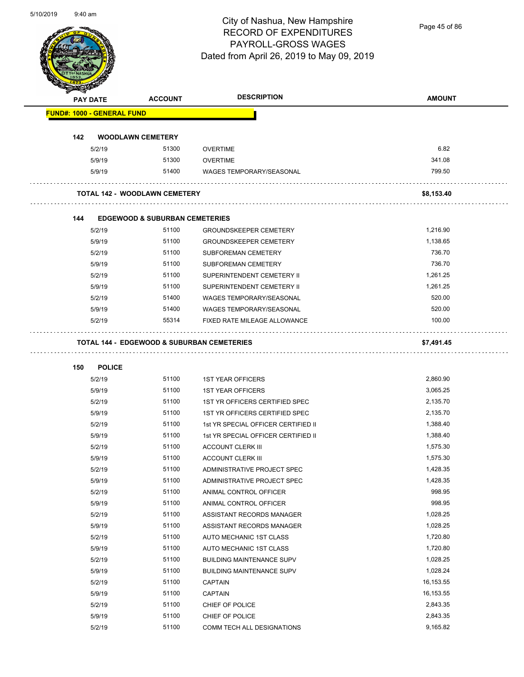Page 45 of 86

|     | <b>PAY DATE</b>                   | <b>ACCOUNT</b>                            | <b>DESCRIPTION</b>                                    | <b>AMOUNT</b>        |
|-----|-----------------------------------|-------------------------------------------|-------------------------------------------------------|----------------------|
|     | <b>FUND#: 1000 - GENERAL FUND</b> |                                           |                                                       |                      |
| 142 |                                   | <b>WOODLAWN CEMETERY</b>                  |                                                       |                      |
|     | 5/2/19                            | 51300                                     | <b>OVERTIME</b>                                       | 6.82                 |
|     | 5/9/19                            | 51300                                     | <b>OVERTIME</b>                                       | 341.08               |
|     | 5/9/19                            | 51400                                     | <b>WAGES TEMPORARY/SEASONAL</b>                       | 799.50               |
|     |                                   | <b>TOTAL 142 - WOODLAWN CEMETERY</b>      |                                                       | \$8,153.40           |
| 144 |                                   | <b>EDGEWOOD &amp; SUBURBAN CEMETERIES</b> |                                                       |                      |
|     | 5/2/19                            | 51100                                     | <b>GROUNDSKEEPER CEMETERY</b>                         | 1,216.90             |
|     | 5/9/19                            | 51100                                     | <b>GROUNDSKEEPER CEMETERY</b>                         | 1,138.65             |
|     | 5/2/19                            | 51100                                     | <b>SUBFOREMAN CEMETERY</b>                            | 736.70               |
|     | 5/9/19                            | 51100                                     | SUBFOREMAN CEMETERY                                   | 736.70               |
|     | 5/2/19                            | 51100                                     | SUPERINTENDENT CEMETERY II                            | 1,261.25             |
|     | 5/9/19                            | 51100                                     | SUPERINTENDENT CEMETERY II                            | 1,261.25             |
|     | 5/2/19                            | 51400                                     | <b>WAGES TEMPORARY/SEASONAL</b>                       | 520.00               |
|     | 5/9/19                            | 51400                                     | <b>WAGES TEMPORARY/SEASONAL</b>                       | 520.00               |
|     | 5/2/19                            | 55314                                     | FIXED RATE MILEAGE ALLOWANCE                          | 100.00               |
|     |                                   |                                           | <b>TOTAL 144 - EDGEWOOD &amp; SUBURBAN CEMETERIES</b> | \$7,491.45           |
| 150 | <b>POLICE</b>                     |                                           |                                                       |                      |
|     | 5/2/19                            | 51100                                     | <b>1ST YEAR OFFICERS</b>                              | 2,860.90             |
|     | 5/9/19                            | 51100                                     | <b>1ST YEAR OFFICERS</b>                              | 3,065.25             |
|     | 5/2/19                            | 51100                                     | 1ST YR OFFICERS CERTIFIED SPEC                        | 2,135.70             |
|     | 5/9/19                            | 51100                                     | 1ST YR OFFICERS CERTIFIED SPEC                        | 2,135.70             |
|     | 5/2/19                            | 51100                                     | 1st YR SPECIAL OFFICER CERTIFIED II                   |                      |
|     |                                   |                                           |                                                       |                      |
|     |                                   | 51100                                     |                                                       | 1,388.40             |
|     | 5/9/19                            |                                           | 1st YR SPECIAL OFFICER CERTIFIED II                   | 1,388.40             |
|     | 5/2/19<br>5/9/19                  | 51100                                     | <b>ACCOUNT CLERK III</b><br><b>ACCOUNT CLERK III</b>  | 1,575.30<br>1,575.30 |
|     | 5/2/19                            | 51100<br>51100                            | ADMINISTRATIVE PROJECT SPEC                           | 1,428.35             |
|     |                                   | 51100                                     |                                                       | 1,428.35             |
|     | 5/9/19                            | 51100                                     | ADMINISTRATIVE PROJECT SPEC                           | 998.95               |
|     | 5/2/19                            | 51100                                     | ANIMAL CONTROL OFFICER                                | 998.95               |
|     | 5/9/19                            | 51100                                     | ANIMAL CONTROL OFFICER                                | 1,028.25             |
|     | 5/2/19                            | 51100                                     | ASSISTANT RECORDS MANAGER                             |                      |
|     | 5/9/19<br>5/2/19                  | 51100                                     | ASSISTANT RECORDS MANAGER<br>AUTO MECHANIC 1ST CLASS  | 1,028.25<br>1,720.80 |
|     | 5/9/19                            | 51100                                     | AUTO MECHANIC 1ST CLASS                               | 1,720.80             |
|     |                                   | 51100                                     | <b>BUILDING MAINTENANCE SUPV</b>                      | 1,028.25             |
|     | 5/2/19<br>5/9/19                  | 51100                                     | <b>BUILDING MAINTENANCE SUPV</b>                      | 1,028.24             |
|     |                                   | 51100                                     |                                                       | 16,153.55            |
|     | 5/2/19                            | 51100                                     | <b>CAPTAIN</b>                                        | 16,153.55            |
|     | 5/9/19                            |                                           | <b>CAPTAIN</b>                                        |                      |
|     | 5/2/19<br>5/9/19                  | 51100<br>51100                            | CHIEF OF POLICE<br>CHIEF OF POLICE                    | 2,843.35<br>2,843.35 |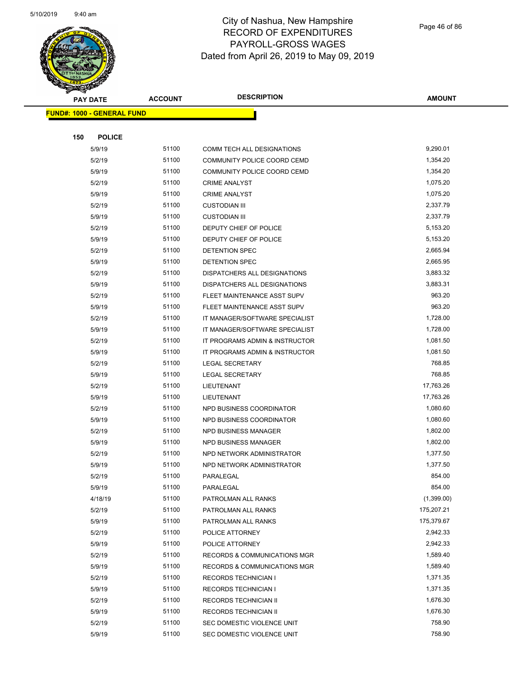

|     | <b>PAY DATE</b>                   | <b>ACCOUNT</b> | <b>DESCRIPTION</b>                              | <b>AMOUNT</b>          |
|-----|-----------------------------------|----------------|-------------------------------------------------|------------------------|
|     | <b>FUND#: 1000 - GENERAL FUND</b> |                |                                                 |                        |
|     |                                   |                |                                                 |                        |
| 150 | <b>POLICE</b>                     |                |                                                 |                        |
|     | 5/9/19                            | 51100          | COMM TECH ALL DESIGNATIONS                      | 9,290.01               |
|     | 5/2/19                            | 51100          | COMMUNITY POLICE COORD CEMD                     | 1,354.20               |
|     | 5/9/19                            | 51100          | COMMUNITY POLICE COORD CEMD                     | 1,354.20               |
|     | 5/2/19                            | 51100          | <b>CRIME ANALYST</b>                            | 1,075.20               |
|     | 5/9/19                            | 51100          | <b>CRIME ANALYST</b>                            | 1,075.20               |
|     | 5/2/19                            | 51100          | <b>CUSTODIAN III</b>                            | 2,337.79               |
|     | 5/9/19                            | 51100          | <b>CUSTODIAN III</b>                            | 2,337.79               |
|     | 5/2/19                            | 51100          | DEPUTY CHIEF OF POLICE                          | 5,153.20               |
|     | 5/9/19                            | 51100          | DEPUTY CHIEF OF POLICE                          | 5,153.20               |
|     | 5/2/19                            | 51100          | DETENTION SPEC                                  | 2,665.94               |
|     | 5/9/19                            | 51100          | <b>DETENTION SPEC</b>                           | 2,665.95               |
|     | 5/2/19                            | 51100          | DISPATCHERS ALL DESIGNATIONS                    | 3,883.32               |
|     | 5/9/19                            | 51100          | DISPATCHERS ALL DESIGNATIONS                    | 3,883.31               |
|     | 5/2/19                            | 51100          | FLEET MAINTENANCE ASST SUPV                     | 963.20                 |
|     | 5/9/19                            | 51100          | FLEET MAINTENANCE ASST SUPV                     | 963.20                 |
|     | 5/2/19                            | 51100          | IT MANAGER/SOFTWARE SPECIALIST                  | 1,728.00               |
|     | 5/9/19                            | 51100          | IT MANAGER/SOFTWARE SPECIALIST                  | 1,728.00               |
|     | 5/2/19                            | 51100          | IT PROGRAMS ADMIN & INSTRUCTOR                  | 1,081.50               |
|     | 5/9/19                            | 51100          | IT PROGRAMS ADMIN & INSTRUCTOR                  | 1,081.50               |
|     | 5/2/19                            | 51100          | <b>LEGAL SECRETARY</b>                          | 768.85                 |
|     | 5/9/19                            | 51100          | <b>LEGAL SECRETARY</b>                          | 768.85                 |
|     | 5/2/19                            | 51100          | LIEUTENANT                                      | 17,763.26              |
|     | 5/9/19                            | 51100          | LIEUTENANT                                      | 17,763.26              |
|     | 5/2/19                            | 51100          | NPD BUSINESS COORDINATOR                        | 1,080.60               |
|     | 5/9/19                            | 51100          | NPD BUSINESS COORDINATOR                        | 1,080.60               |
|     | 5/2/19                            | 51100          | NPD BUSINESS MANAGER                            | 1,802.00               |
|     | 5/9/19                            | 51100          | <b>NPD BUSINESS MANAGER</b>                     | 1,802.00               |
|     | 5/2/19                            | 51100          | NPD NETWORK ADMINISTRATOR                       | 1,377.50               |
|     | 5/9/19                            | 51100          | NPD NETWORK ADMINISTRATOR                       | 1,377.50               |
|     | 5/2/19                            | 51100          | PARALEGAL                                       | 854.00                 |
|     | 5/9/19                            | 51100          | PARALEGAL                                       | 854.00                 |
|     | 4/18/19                           | 51100          | PATROLMAN ALL RANKS                             | (1,399.00)             |
|     | 5/2/19                            | 51100<br>51100 | PATROLMAN ALL RANKS                             | 175,207.21             |
|     | 5/9/19                            | 51100          | PATROLMAN ALL RANKS                             | 175,379.67<br>2,942.33 |
|     | 5/2/19<br>5/9/19                  | 51100          | POLICE ATTORNEY                                 | 2,942.33               |
|     | 5/2/19                            | 51100          | POLICE ATTORNEY<br>RECORDS & COMMUNICATIONS MGR | 1,589.40               |
|     | 5/9/19                            | 51100          | RECORDS & COMMUNICATIONS MGR                    | 1,589.40               |
|     | 5/2/19                            | 51100          | <b>RECORDS TECHNICIAN I</b>                     | 1,371.35               |
|     | 5/9/19                            | 51100          | <b>RECORDS TECHNICIAN I</b>                     | 1,371.35               |
|     | 5/2/19                            | 51100          | RECORDS TECHNICIAN II                           | 1,676.30               |
|     | 5/9/19                            | 51100          | RECORDS TECHNICIAN II                           | 1,676.30               |
|     | 5/2/19                            | 51100          | SEC DOMESTIC VIOLENCE UNIT                      | 758.90                 |
|     | 5/9/19                            | 51100          | SEC DOMESTIC VIOLENCE UNIT                      | 758.90                 |
|     |                                   |                |                                                 |                        |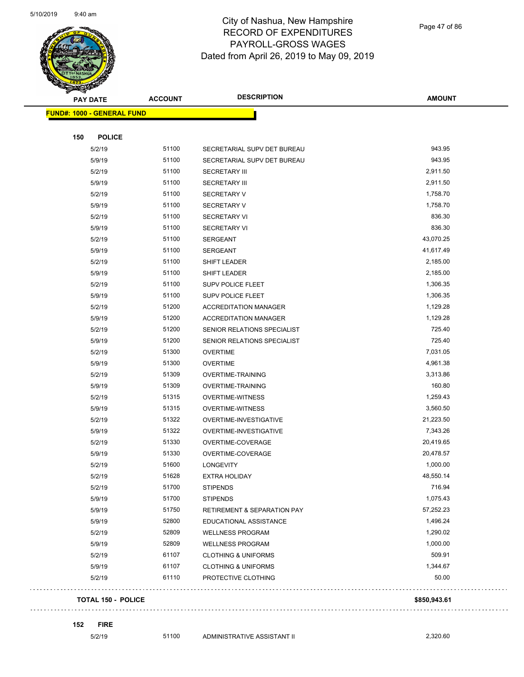

Page 47 of 86

| <b>STARTED BY AND STRAP SERVICE</b> |                |                                        |               |
|-------------------------------------|----------------|----------------------------------------|---------------|
| <b>PAY DATE</b>                     | <b>ACCOUNT</b> | <b>DESCRIPTION</b>                     | <b>AMOUNT</b> |
| <b>FUND#: 1000 - GENERAL FUND</b>   |                |                                        |               |
|                                     |                |                                        |               |
| 150<br><b>POLICE</b>                |                |                                        |               |
| 5/2/19                              | 51100          | SECRETARIAL SUPV DET BUREAU            | 943.95        |
| 5/9/19                              | 51100          | SECRETARIAL SUPV DET BUREAU            | 943.95        |
| 5/2/19                              | 51100          | <b>SECRETARY III</b>                   | 2,911.50      |
| 5/9/19                              | 51100          | <b>SECRETARY III</b>                   | 2,911.50      |
| 5/2/19                              | 51100          | <b>SECRETARY V</b>                     | 1,758.70      |
| 5/9/19                              | 51100          | <b>SECRETARY V</b>                     | 1,758.70      |
| 5/2/19                              | 51100          | <b>SECRETARY VI</b>                    | 836.30        |
| 5/9/19                              | 51100          | <b>SECRETARY VI</b>                    | 836.30        |
| 5/2/19                              | 51100          | <b>SERGEANT</b>                        | 43,070.25     |
| 5/9/19                              | 51100          | <b>SERGEANT</b>                        | 41,617.49     |
| 5/2/19                              | 51100          | SHIFT LEADER                           | 2,185.00      |
| 5/9/19                              | 51100          | <b>SHIFT LEADER</b>                    | 2,185.00      |
| 5/2/19                              | 51100          | SUPV POLICE FLEET                      | 1,306.35      |
| 5/9/19                              | 51100          | <b>SUPV POLICE FLEET</b>               | 1,306.35      |
| 5/2/19                              | 51200          | <b>ACCREDITATION MANAGER</b>           | 1,129.28      |
| 5/9/19                              | 51200          | <b>ACCREDITATION MANAGER</b>           | 1,129.28      |
| 5/2/19                              | 51200          | SENIOR RELATIONS SPECIALIST            | 725.40        |
| 5/9/19                              | 51200          | SENIOR RELATIONS SPECIALIST            | 725.40        |
| 5/2/19                              | 51300          | <b>OVERTIME</b>                        | 7,031.05      |
| 5/9/19                              | 51300          | <b>OVERTIME</b>                        | 4,961.38      |
| 5/2/19                              | 51309          | OVERTIME-TRAINING                      | 3,313.86      |
| 5/9/19                              | 51309          | <b>OVERTIME-TRAINING</b>               | 160.80        |
| 5/2/19                              | 51315          | <b>OVERTIME-WITNESS</b>                | 1,259.43      |
| 5/9/19                              | 51315          | <b>OVERTIME-WITNESS</b>                | 3,560.50      |
| 5/2/19                              | 51322          | OVERTIME-INVESTIGATIVE                 | 21,223.50     |
| 5/9/19                              | 51322          | OVERTIME-INVESTIGATIVE                 | 7,343.26      |
| 5/2/19                              | 51330          | OVERTIME-COVERAGE                      | 20,419.65     |
| 5/9/19                              | 51330          | OVERTIME-COVERAGE                      | 20,478.57     |
| 5/2/19                              | 51600          | <b>LONGEVITY</b>                       | 1,000.00      |
| 5/2/19                              | 51628          | <b>EXTRA HOLIDAY</b>                   | 48,550.14     |
| 5/2/19                              | 51700          | <b>STIPENDS</b>                        | 716.94        |
| 5/9/19                              | 51700          | <b>STIPENDS</b>                        | 1,075.43      |
| 5/9/19                              | 51750          | <b>RETIREMENT &amp; SEPARATION PAY</b> | 57,252.23     |
| 5/9/19                              | 52800          | EDUCATIONAL ASSISTANCE                 | 1,496.24      |
| 5/2/19                              | 52809          | <b>WELLNESS PROGRAM</b>                | 1,290.02      |
| 5/9/19                              | 52809          | <b>WELLNESS PROGRAM</b>                | 1,000.00      |
| 5/2/19                              | 61107          | <b>CLOTHING &amp; UNIFORMS</b>         | 509.91        |
| 5/9/19                              | 61107          | <b>CLOTHING &amp; UNIFORMS</b>         | 1,344.67      |
| 5/2/19                              | 61110          | PROTECTIVE CLOTHING                    | 50.00         |
| <b>TOTAL 150 - POLICE</b>           |                |                                        | \$850,943.61  |
|                                     |                |                                        |               |

**152 FIRE**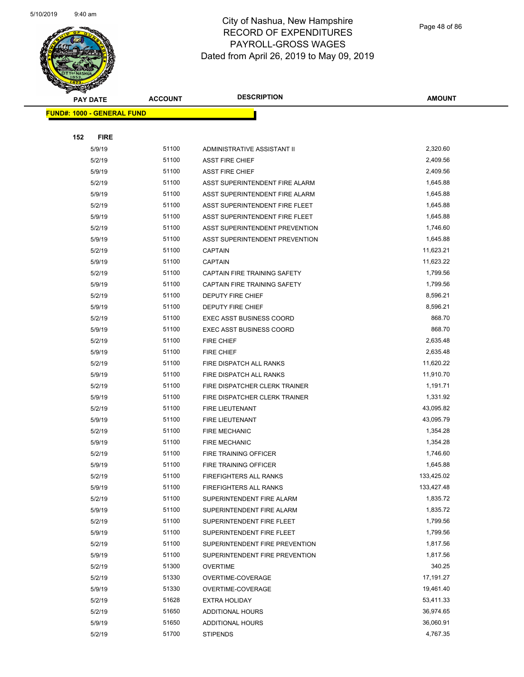

|     | <b>PAY DATE</b>                   | <b>ACCOUNT</b> | <b>DESCRIPTION</b>                  | <b>AMOUNT</b> |
|-----|-----------------------------------|----------------|-------------------------------------|---------------|
|     | <b>FUND#: 1000 - GENERAL FUND</b> |                |                                     |               |
|     |                                   |                |                                     |               |
| 152 | <b>FIRE</b>                       |                |                                     |               |
|     | 5/9/19                            | 51100          | <b>ADMINISTRATIVE ASSISTANT II</b>  | 2,320.60      |
|     | 5/2/19                            | 51100          | <b>ASST FIRE CHIEF</b>              | 2,409.56      |
|     | 5/9/19                            | 51100          | <b>ASST FIRE CHIEF</b>              | 2,409.56      |
|     | 5/2/19                            | 51100          | ASST SUPERINTENDENT FIRE ALARM      | 1,645.88      |
|     | 5/9/19                            | 51100          | ASST SUPERINTENDENT FIRE ALARM      | 1,645.88      |
|     | 5/2/19                            | 51100          | ASST SUPERINTENDENT FIRE FLEET      | 1,645.88      |
|     | 5/9/19                            | 51100          | ASST SUPERINTENDENT FIRE FLEET      | 1,645.88      |
|     | 5/2/19                            | 51100          | ASST SUPERINTENDENT PREVENTION      | 1,746.60      |
|     | 5/9/19                            | 51100          | ASST SUPERINTENDENT PREVENTION      | 1,645.88      |
|     | 5/2/19                            | 51100          | <b>CAPTAIN</b>                      | 11,623.21     |
|     | 5/9/19                            | 51100          | <b>CAPTAIN</b>                      | 11,623.22     |
|     | 5/2/19                            | 51100          | <b>CAPTAIN FIRE TRAINING SAFETY</b> | 1,799.56      |
|     | 5/9/19                            | 51100          | CAPTAIN FIRE TRAINING SAFETY        | 1,799.56      |
|     | 5/2/19                            | 51100          | <b>DEPUTY FIRE CHIEF</b>            | 8,596.21      |
|     | 5/9/19                            | 51100          | <b>DEPUTY FIRE CHIEF</b>            | 8,596.21      |
|     | 5/2/19                            | 51100          | <b>EXEC ASST BUSINESS COORD</b>     | 868.70        |
|     | 5/9/19                            | 51100          | <b>EXEC ASST BUSINESS COORD</b>     | 868.70        |
|     | 5/2/19                            | 51100          | <b>FIRE CHIEF</b>                   | 2,635.48      |
|     | 5/9/19                            | 51100          | FIRE CHIEF                          | 2,635.48      |
|     | 5/2/19                            | 51100          | FIRE DISPATCH ALL RANKS             | 11,620.22     |
|     | 5/9/19                            | 51100          | FIRE DISPATCH ALL RANKS             | 11,910.70     |
|     | 5/2/19                            | 51100          | FIRE DISPATCHER CLERK TRAINER       | 1,191.71      |
|     | 5/9/19                            | 51100          | FIRE DISPATCHER CLERK TRAINER       | 1,331.92      |
|     | 5/2/19                            | 51100          | FIRE LIEUTENANT                     | 43,095.82     |
|     | 5/9/19                            | 51100          | FIRE LIEUTENANT                     | 43,095.79     |
|     | 5/2/19                            | 51100          | <b>FIRE MECHANIC</b>                | 1,354.28      |
|     | 5/9/19                            | 51100          | <b>FIRE MECHANIC</b>                | 1,354.28      |
|     | 5/2/19                            | 51100          | FIRE TRAINING OFFICER               | 1,746.60      |
|     | 5/9/19                            | 51100          | FIRE TRAINING OFFICER               | 1,645.88      |
|     | 5/2/19                            | 51100          | <b>FIREFIGHTERS ALL RANKS</b>       | 133,425.02    |
|     | 5/9/19                            | 51100          | <b>FIREFIGHTERS ALL RANKS</b>       | 133,427.48    |
|     | 5/2/19                            | 51100          | SUPERINTENDENT FIRE ALARM           | 1,835.72      |
|     | 5/9/19                            | 51100          | SUPERINTENDENT FIRE ALARM           | 1,835.72      |
|     | 5/2/19                            | 51100          | SUPERINTENDENT FIRE FLEET           | 1,799.56      |
|     | 5/9/19                            | 51100          | SUPERINTENDENT FIRE FLEET           | 1,799.56      |
|     | 5/2/19                            | 51100          | SUPERINTENDENT FIRE PREVENTION      | 1,817.56      |
|     | 5/9/19                            | 51100          | SUPERINTENDENT FIRE PREVENTION      | 1,817.56      |
|     | 5/2/19                            | 51300          | <b>OVERTIME</b>                     | 340.25        |
|     | 5/2/19                            | 51330          | OVERTIME-COVERAGE                   | 17,191.27     |
|     | 5/9/19                            | 51330          | OVERTIME-COVERAGE                   | 19,461.40     |
|     | 5/2/19                            | 51628          | <b>EXTRA HOLIDAY</b>                | 53,411.33     |
|     | 5/2/19                            | 51650          | <b>ADDITIONAL HOURS</b>             | 36,974.65     |
|     | 5/9/19                            | 51650          | <b>ADDITIONAL HOURS</b>             | 36,060.91     |
|     | 5/2/19                            | 51700          | <b>STIPENDS</b>                     | 4,767.35      |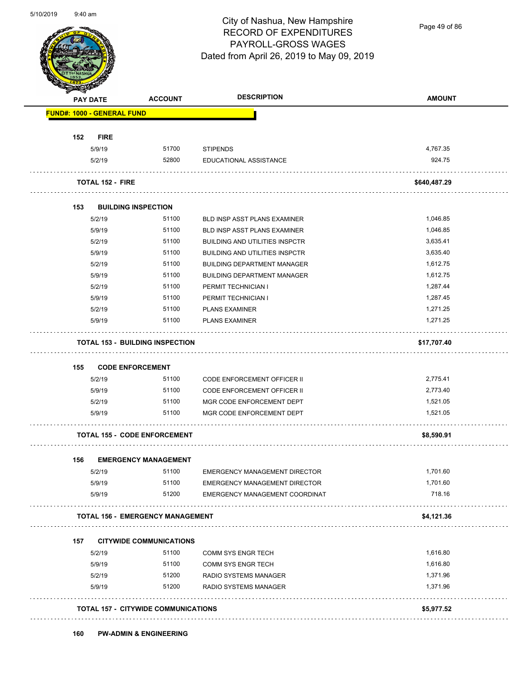

Page 49 of 86

|                                   | <b>ACCOUNT</b>                          | <b>DESCRIPTION</b>                    | <b>AMOUNT</b> |
|-----------------------------------|-----------------------------------------|---------------------------------------|---------------|
| <b>FUND#: 1000 - GENERAL FUND</b> |                                         |                                       |               |
| <b>FIRE</b><br>152                |                                         |                                       |               |
| 5/9/19                            | 51700                                   | <b>STIPENDS</b>                       | 4,767.35      |
| 5/2/19                            | 52800                                   | EDUCATIONAL ASSISTANCE                | 924.75        |
| <b>TOTAL 152 - FIRE</b>           |                                         |                                       | \$640,487.29  |
| 153                               | <b>BUILDING INSPECTION</b>              |                                       |               |
| 5/2/19                            | 51100                                   | <b>BLD INSP ASST PLANS EXAMINER</b>   | 1,046.85      |
| 5/9/19                            | 51100                                   | BLD INSP ASST PLANS EXAMINER          | 1,046.85      |
| 5/2/19                            | 51100                                   | <b>BUILDING AND UTILITIES INSPCTR</b> | 3,635.41      |
| 5/9/19                            | 51100                                   | <b>BUILDING AND UTILITIES INSPCTR</b> | 3,635.40      |
| 5/2/19                            | 51100                                   | <b>BUILDING DEPARTMENT MANAGER</b>    | 1,612.75      |
| 5/9/19                            | 51100                                   | <b>BUILDING DEPARTMENT MANAGER</b>    | 1,612.75      |
| 5/2/19                            | 51100                                   | PERMIT TECHNICIAN I                   | 1,287.44      |
| 5/9/19                            | 51100                                   | PERMIT TECHNICIAN I                   | 1,287.45      |
| 5/2/19                            | 51100                                   | <b>PLANS EXAMINER</b>                 | 1,271.25      |
| 5/9/19                            | 51100                                   | <b>PLANS EXAMINER</b>                 | 1,271.25      |
|                                   | <b>TOTAL 153 - BUILDING INSPECTION</b>  |                                       | \$17,707.40   |
| 155                               | <b>CODE ENFORCEMENT</b>                 |                                       |               |
| 5/2/19                            | 51100                                   | <b>CODE ENFORCEMENT OFFICER II</b>    | 2,775.41      |
|                                   | 51100                                   | <b>CODE ENFORCEMENT OFFICER II</b>    | 2,773.40      |
| 5/9/19                            |                                         |                                       |               |
| 5/2/19                            | 51100                                   | MGR CODE ENFORCEMENT DEPT             | 1,521.05      |
| 5/9/19                            | 51100                                   | MGR CODE ENFORCEMENT DEPT             | 1,521.05      |
|                                   | <b>TOTAL 155 - CODE ENFORCEMENT</b>     |                                       | \$8,590.91    |
| 156                               | <b>EMERGENCY MANAGEMENT</b>             |                                       |               |
| 5/2/19                            | 51100                                   | EMERGENCY MANAGEMENT DIRECTOR         | 1,701.60      |
| 5/9/19                            | 51100                                   | <b>EMERGENCY MANAGEMENT DIRECTOR</b>  | 1,701.60      |
| 5/9/19                            | 51200                                   | EMERGENCY MANAGEMENT COORDINAT        | 718.16        |
|                                   | <b>TOTAL 156 - EMERGENCY MANAGEMENT</b> |                                       | \$4,121.36    |
| 157                               | <b>CITYWIDE COMMUNICATIONS</b>          |                                       |               |
| 5/2/19                            | 51100                                   | <b>COMM SYS ENGR TECH</b>             | 1,616.80      |
| 5/9/19                            | 51100                                   | <b>COMM SYS ENGR TECH</b>             | 1,616.80      |
| 5/2/19                            | 51200                                   | RADIO SYSTEMS MANAGER                 | 1,371.96      |
| 5/9/19                            | 51200                                   | RADIO SYSTEMS MANAGER                 | 1,371.96      |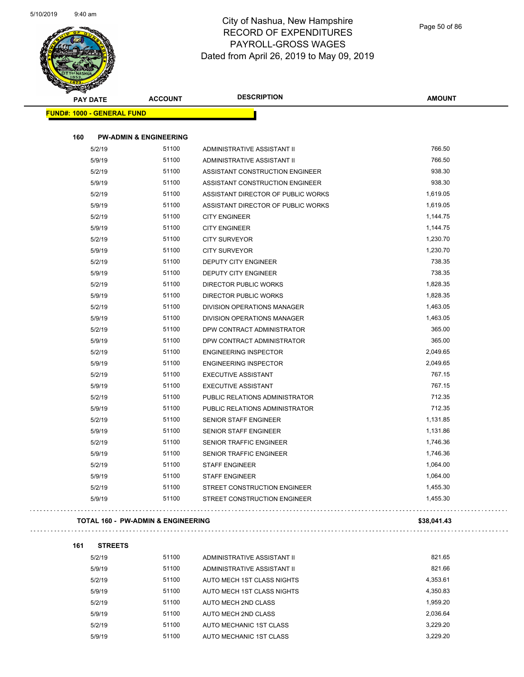

**161 STREETS**

| <b>PAY DATE</b>                               | <b>ACCOUNT</b>                    | <b>DESCRIPTION</b>                 | <b>AMOUNT</b> |
|-----------------------------------------------|-----------------------------------|------------------------------------|---------------|
| <b>FUND#: 1000 - GENERAL FUND</b>             |                                   |                                    |               |
| 160                                           | <b>PW-ADMIN &amp; ENGINEERING</b> |                                    |               |
| 5/2/19                                        | 51100                             | ADMINISTRATIVE ASSISTANT II        | 766.50        |
| 5/9/19                                        | 51100                             | ADMINISTRATIVE ASSISTANT II        | 766.50        |
| 5/2/19                                        | 51100                             | ASSISTANT CONSTRUCTION ENGINEER    | 938.30        |
| 5/9/19                                        | 51100                             | ASSISTANT CONSTRUCTION ENGINEER    | 938.30        |
| 5/2/19                                        | 51100                             | ASSISTANT DIRECTOR OF PUBLIC WORKS | 1,619.05      |
| 5/9/19                                        | 51100                             | ASSISTANT DIRECTOR OF PUBLIC WORKS | 1,619.05      |
| 5/2/19                                        | 51100                             | <b>CITY ENGINEER</b>               | 1,144.75      |
| 5/9/19                                        | 51100                             | <b>CITY ENGINEER</b>               | 1,144.75      |
| 5/2/19                                        | 51100                             | <b>CITY SURVEYOR</b>               | 1,230.70      |
| 5/9/19                                        | 51100                             | <b>CITY SURVEYOR</b>               | 1,230.70      |
| 5/2/19                                        | 51100                             | DEPUTY CITY ENGINEER               | 738.35        |
| 5/9/19                                        | 51100                             | DEPUTY CITY ENGINEER               | 738.35        |
| 5/2/19                                        | 51100                             | DIRECTOR PUBLIC WORKS              | 1,828.35      |
| 5/9/19                                        | 51100                             | DIRECTOR PUBLIC WORKS              | 1,828.35      |
| 5/2/19                                        | 51100                             | DIVISION OPERATIONS MANAGER        | 1,463.05      |
| 5/9/19                                        | 51100                             | DIVISION OPERATIONS MANAGER        | 1,463.05      |
| 5/2/19                                        | 51100                             | DPW CONTRACT ADMINISTRATOR         | 365.00        |
| 5/9/19                                        | 51100                             | DPW CONTRACT ADMINISTRATOR         | 365.00        |
| 5/2/19                                        | 51100                             | <b>ENGINEERING INSPECTOR</b>       | 2,049.65      |
| 5/9/19                                        | 51100                             | <b>ENGINEERING INSPECTOR</b>       | 2,049.65      |
| 5/2/19                                        | 51100                             | <b>EXECUTIVE ASSISTANT</b>         | 767.15        |
| 5/9/19                                        | 51100                             | <b>EXECUTIVE ASSISTANT</b>         | 767.15        |
| 5/2/19                                        | 51100                             | PUBLIC RELATIONS ADMINISTRATOR     | 712.35        |
| 5/9/19                                        | 51100                             | PUBLIC RELATIONS ADMINISTRATOR     | 712.35        |
| 5/2/19                                        | 51100                             | SENIOR STAFF ENGINEER              | 1,131.85      |
| 5/9/19                                        | 51100                             | <b>SENIOR STAFF ENGINEER</b>       | 1,131.86      |
| 5/2/19                                        | 51100                             | <b>SENIOR TRAFFIC ENGINEER</b>     | 1,746.36      |
| 5/9/19                                        | 51100                             | <b>SENIOR TRAFFIC ENGINEER</b>     | 1,746.36      |
| 5/2/19                                        | 51100                             | STAFF ENGINEER                     | 1,064.00      |
| 5/9/19                                        | 51100                             | <b>STAFF ENGINEER</b>              | 1,064.00      |
| 5/2/19                                        | 51100                             | STREET CONSTRUCTION ENGINEER       | 1,455.30      |
| 5/9/19                                        | 51100                             | STREET CONSTRUCTION ENGINEER       | 1,455.30      |
| <b>TOTAL 160 - PW-ADMIN &amp; ENGINEERING</b> |                                   |                                    | \$38,041.43   |

| 5/2/19 | 51100 | ADMINISTRATIVE ASSISTANT II | 821.65   |
|--------|-------|-----------------------------|----------|
| 5/9/19 | 51100 | ADMINISTRATIVE ASSISTANT II | 821.66   |
| 5/2/19 | 51100 | AUTO MECH 1ST CLASS NIGHTS  | 4,353.61 |
| 5/9/19 | 51100 | AUTO MECH 1ST CLASS NIGHTS  | 4,350.83 |
| 5/2/19 | 51100 | AUTO MECH 2ND CLASS         | 1.959.20 |
| 5/9/19 | 51100 | AUTO MECH 2ND CLASS         | 2.036.64 |
| 5/2/19 | 51100 | AUTO MECHANIC 1ST CLASS     | 3.229.20 |
| 5/9/19 | 51100 | AUTO MECHANIC 1ST CLASS     | 3.229.20 |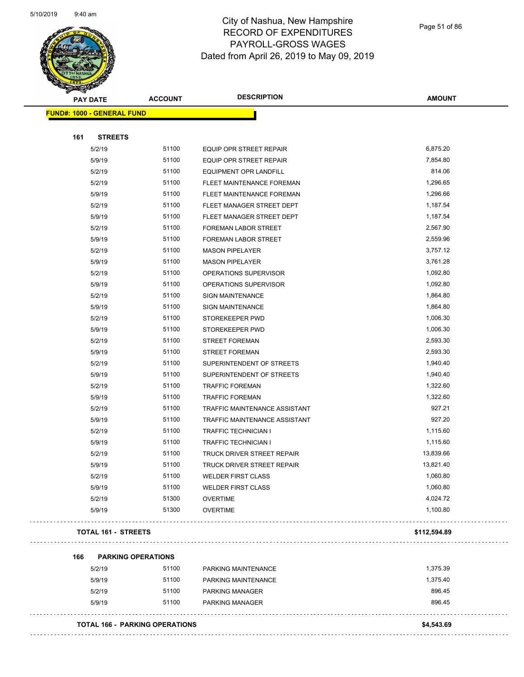

| <b>Santa</b><br><b>PAY DATE</b> | <b>ACCOUNT</b>            | <b>DESCRIPTION</b>             | <b>AMOUNT</b> |
|---------------------------------|---------------------------|--------------------------------|---------------|
| FUND#: 1000 - GENERAL FUND      |                           |                                |               |
|                                 |                           |                                |               |
| <b>STREETS</b><br>161           |                           |                                |               |
| 5/2/19                          | 51100                     | EQUIP OPR STREET REPAIR        | 6,875.20      |
| 5/9/19                          | 51100                     | <b>EQUIP OPR STREET REPAIR</b> | 7,854.80      |
| 5/2/19                          | 51100                     | EQUIPMENT OPR LANDFILL         | 814.06        |
| 5/2/19                          | 51100                     | FLEET MAINTENANCE FOREMAN      | 1,296.65      |
| 5/9/19                          | 51100                     | FLEET MAINTENANCE FOREMAN      | 1,296.66      |
| 5/2/19                          | 51100                     | FLEET MANAGER STREET DEPT      | 1,187.54      |
| 5/9/19                          | 51100                     | FLEET MANAGER STREET DEPT      | 1,187.54      |
| 5/2/19                          | 51100                     | FOREMAN LABOR STREET           | 2,567.90      |
| 5/9/19                          | 51100                     | FOREMAN LABOR STREET           | 2,559.96      |
| 5/2/19                          | 51100                     | <b>MASON PIPELAYER</b>         | 3,757.12      |
| 5/9/19                          | 51100                     | <b>MASON PIPELAYER</b>         | 3,761.28      |
| 5/2/19                          | 51100                     | OPERATIONS SUPERVISOR          | 1,092.80      |
| 5/9/19                          | 51100                     | OPERATIONS SUPERVISOR          | 1,092.80      |
| 5/2/19                          | 51100                     | <b>SIGN MAINTENANCE</b>        | 1,864.80      |
| 5/9/19                          | 51100                     | SIGN MAINTENANCE               | 1,864.80      |
| 5/2/19                          | 51100                     | STOREKEEPER PWD                | 1,006.30      |
| 5/9/19                          | 51100                     | STOREKEEPER PWD                | 1,006.30      |
| 5/2/19                          | 51100                     | <b>STREET FOREMAN</b>          | 2,593.30      |
| 5/9/19                          | 51100                     | <b>STREET FOREMAN</b>          | 2,593.30      |
| 5/2/19                          | 51100                     | SUPERINTENDENT OF STREETS      | 1,940.40      |
| 5/9/19                          | 51100                     | SUPERINTENDENT OF STREETS      | 1,940.40      |
| 5/2/19                          | 51100                     | <b>TRAFFIC FOREMAN</b>         | 1,322.60      |
| 5/9/19                          | 51100                     | <b>TRAFFIC FOREMAN</b>         | 1,322.60      |
| 5/2/19                          | 51100                     | TRAFFIC MAINTENANCE ASSISTANT  | 927.21        |
| 5/9/19                          | 51100                     | TRAFFIC MAINTENANCE ASSISTANT  | 927.20        |
| 5/2/19                          | 51100                     | <b>TRAFFIC TECHNICIAN I</b>    | 1,115.60      |
| 5/9/19                          | 51100                     | <b>TRAFFIC TECHNICIAN I</b>    | 1,115.60      |
| 5/2/19                          | 51100                     | TRUCK DRIVER STREET REPAIR     | 13,839.66     |
| 5/9/19                          | 51100                     | TRUCK DRIVER STREET REPAIR     | 13,821.40     |
| 5/2/19                          | 51100                     | <b>WELDER FIRST CLASS</b>      | 1,060.80      |
| 5/9/19                          | 51100                     | <b>WELDER FIRST CLASS</b>      | 1,060.80      |
| 5/2/19                          | 51300                     | <b>OVERTIME</b>                | 4,024.72      |
| 5/9/19                          | 51300                     | <b>OVERTIME</b>                | 1,100.80      |
| <b>TOTAL 161 - STREETS</b>      |                           |                                | \$112,594.89  |
| 166                             | <b>PARKING OPERATIONS</b> |                                |               |
| 5/2/19                          | 51100                     | PARKING MAINTENANCE            | 1,375.39      |

| <b>DIZI 19</b> | ט ווט | PARNING MAIN LINANGE   | 1,373.39 |
|----------------|-------|------------------------|----------|
| 5/9/19         | 51100 | PARKING MAINTENANCE    | 1.375.40 |
| 5/2/19         | 51100 | <b>PARKING MANAGER</b> | 896.45   |
| 5/9/19         | 51100 | <b>PARKING MANAGER</b> | 896.45   |
|                |       |                        |          |

| <b>TOTAL 166 - PARKING OPERATIONS</b> | \$4.543.69 |
|---------------------------------------|------------|
|                                       |            |

 $\sim$   $\sim$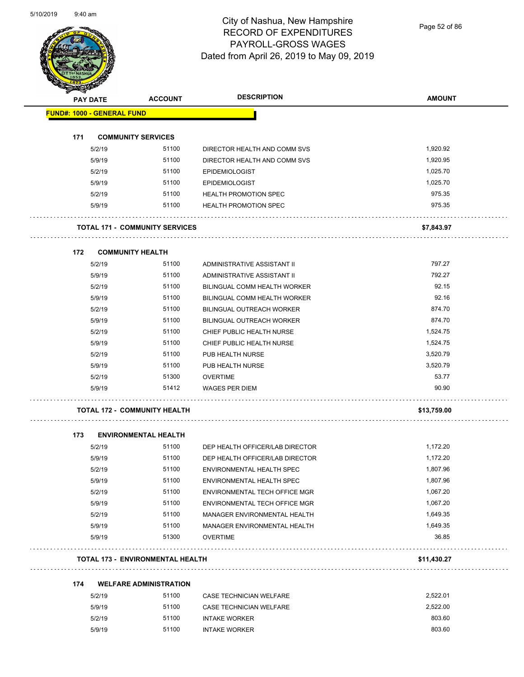

Page 52 of 86

| <b>PAY DATE</b>                   | <b>ACCOUNT</b>                          | <b>DESCRIPTION</b>               | <b>AMOUNT</b> |
|-----------------------------------|-----------------------------------------|----------------------------------|---------------|
| <b>FUND#: 1000 - GENERAL FUND</b> |                                         |                                  |               |
| 171                               | <b>COMMUNITY SERVICES</b>               |                                  |               |
| 5/2/19                            | 51100                                   | DIRECTOR HEALTH AND COMM SVS     | 1,920.92      |
| 5/9/19                            | 51100                                   | DIRECTOR HEALTH AND COMM SVS     | 1,920.95      |
| 5/2/19                            | 51100                                   | <b>EPIDEMIOLOGIST</b>            | 1,025.70      |
| 5/9/19                            | 51100                                   | <b>EPIDEMIOLOGIST</b>            | 1,025.70      |
| 5/2/19                            | 51100                                   | <b>HEALTH PROMOTION SPEC</b>     | 975.35        |
| 5/9/19                            | 51100                                   | <b>HEALTH PROMOTION SPEC</b>     | 975.35        |
|                                   | <b>TOTAL 171 - COMMUNITY SERVICES</b>   |                                  |               |
|                                   |                                         |                                  | \$7,843.97    |
| 172                               | <b>COMMUNITY HEALTH</b>                 |                                  |               |
| 5/2/19                            | 51100                                   | ADMINISTRATIVE ASSISTANT II      | 797.27        |
| 5/9/19                            | 51100                                   | ADMINISTRATIVE ASSISTANT II      | 792.27        |
| 5/2/19                            | 51100                                   | BILINGUAL COMM HEALTH WORKER     | 92.15         |
| 5/9/19                            | 51100                                   | BILINGUAL COMM HEALTH WORKER     | 92.16         |
| 5/2/19                            | 51100                                   | <b>BILINGUAL OUTREACH WORKER</b> | 874.70        |
| 5/9/19                            | 51100                                   | <b>BILINGUAL OUTREACH WORKER</b> | 874.70        |
| 5/2/19                            | 51100                                   | CHIEF PUBLIC HEALTH NURSE        | 1,524.75      |
| 5/9/19                            | 51100                                   | CHIEF PUBLIC HEALTH NURSE        | 1,524.75      |
| 5/2/19                            | 51100                                   | PUB HEALTH NURSE                 | 3,520.79      |
| 5/9/19                            | 51100                                   | PUB HEALTH NURSE                 | 3,520.79      |
| 5/2/19                            | 51300                                   | <b>OVERTIME</b>                  | 53.77         |
| 5/9/19                            | 51412                                   | <b>WAGES PER DIEM</b>            | 90.90         |
|                                   | <b>TOTAL 172 - COMMUNITY HEALTH</b>     |                                  | \$13,759.00   |
| 173                               | <b>ENVIRONMENTAL HEALTH</b>             |                                  |               |
| 5/2/19                            | 51100                                   | DEP HEALTH OFFICER/LAB DIRECTOR  | 1,172.20      |
| 5/9/19                            | 51100                                   | DEP HEALTH OFFICER/LAB DIRECTOR  | 1,172.20      |
| 5/2/19                            | 51100                                   | ENVIRONMENTAL HEALTH SPEC        | 1,807.96      |
| 5/9/19                            | 51100                                   | ENVIRONMENTAL HEALTH SPEC        | 1,807.96      |
| 5/2/19                            | 51100                                   | ENVIRONMENTAL TECH OFFICE MGR    | 1,067.20      |
| 5/9/19                            | 51100                                   | ENVIRONMENTAL TECH OFFICE MGR    | 1,067.20      |
| 5/2/19                            | 51100                                   | MANAGER ENVIRONMENTAL HEALTH     | 1,649.35      |
| 5/9/19                            | 51100                                   | MANAGER ENVIRONMENTAL HEALTH     | 1,649.35      |
| 5/9/19                            | 51300                                   | <b>OVERTIME</b>                  | 36.85         |
|                                   | <b>TOTAL 173 - ENVIRONMENTAL HEALTH</b> |                                  | \$11,430.27   |
| 174                               | <b>WELFARE ADMINISTRATION</b>           |                                  |               |
| 5/2/19                            | 51100                                   | CASE TECHNICIAN WELFARE          | 2,522.01      |
| 5/9/19                            | 51100                                   | CASE TECHNICIAN WELFARE          | 2,522.00      |
| 5/2/19                            | 51100                                   | <b>INTAKE WORKER</b>             | 803.60        |

5/9/19 51100 INTAKE WORKER 803.60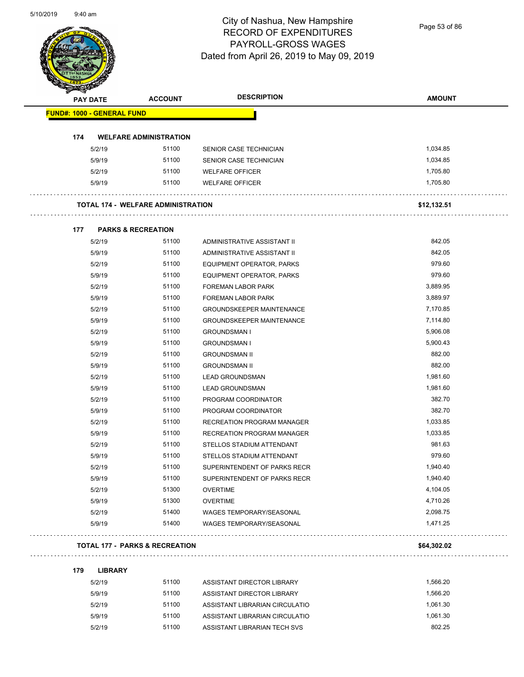Page 53 of 86

| <b>PAY DATE</b>                   | <b>ACCOUNT</b>                            | <b>DESCRIPTION</b>                | <b>AMOUNT</b> |
|-----------------------------------|-------------------------------------------|-----------------------------------|---------------|
| <b>FUND#: 1000 - GENERAL FUND</b> |                                           |                                   |               |
| 174                               | <b>WELFARE ADMINISTRATION</b>             |                                   |               |
| 5/2/19                            | 51100                                     | SENIOR CASE TECHNICIAN            | 1,034.85      |
| 5/9/19                            | 51100                                     | SENIOR CASE TECHNICIAN            | 1,034.85      |
| 5/2/19                            | 51100                                     | <b>WELFARE OFFICER</b>            | 1,705.80      |
| 5/9/19                            | 51100                                     | <b>WELFARE OFFICER</b>            | 1,705.80      |
|                                   | <b>TOTAL 174 - WELFARE ADMINISTRATION</b> |                                   | \$12,132.51   |
| 177                               | <b>PARKS &amp; RECREATION</b>             |                                   |               |
| 5/2/19                            | 51100                                     | ADMINISTRATIVE ASSISTANT II       | 842.05        |
| 5/9/19                            | 51100                                     | ADMINISTRATIVE ASSISTANT II       | 842.05        |
| 5/2/19                            | 51100                                     | EQUIPMENT OPERATOR, PARKS         | 979.60        |
| 5/9/19                            | 51100                                     | EQUIPMENT OPERATOR, PARKS         | 979.60        |
| 5/2/19                            | 51100                                     | FOREMAN LABOR PARK                | 3,889.95      |
| 5/9/19                            | 51100                                     | FOREMAN LABOR PARK                | 3,889.97      |
| 5/2/19                            | 51100                                     | <b>GROUNDSKEEPER MAINTENANCE</b>  | 7,170.85      |
| 5/9/19                            | 51100                                     | <b>GROUNDSKEEPER MAINTENANCE</b>  | 7,114.80      |
| 5/2/19                            | 51100                                     | <b>GROUNDSMAN I</b>               | 5,906.08      |
| 5/9/19                            | 51100                                     | <b>GROUNDSMAN I</b>               | 5,900.43      |
| 5/2/19                            | 51100                                     | <b>GROUNDSMAN II</b>              | 882.00        |
| 5/9/19                            | 51100                                     | <b>GROUNDSMAN II</b>              | 882.00        |
| 5/2/19                            | 51100                                     | <b>LEAD GROUNDSMAN</b>            | 1,981.60      |
| 5/9/19                            | 51100                                     | <b>LEAD GROUNDSMAN</b>            | 1,981.60      |
| 5/2/19                            | 51100                                     | PROGRAM COORDINATOR               | 382.70        |
| 5/9/19                            | 51100                                     | PROGRAM COORDINATOR               | 382.70        |
| 5/2/19                            | 51100                                     | <b>RECREATION PROGRAM MANAGER</b> | 1,033.85      |
| 5/9/19                            | 51100                                     | <b>RECREATION PROGRAM MANAGER</b> | 1,033.85      |
| 5/2/19                            | 51100                                     | STELLOS STADIUM ATTENDANT         | 981.63        |
| 5/9/19                            | 51100                                     | STELLOS STADIUM ATTENDANT         | 979.60        |
| 5/2/19                            | 51100                                     | SUPERINTENDENT OF PARKS RECR      | 1,940.40      |
| 5/9/19                            | 51100                                     | SUPERINTENDENT OF PARKS RECR      | 1,940.40      |
| 5/2/19                            | 51300                                     | <b>OVERTIME</b>                   | 4,104.05      |
| 5/9/19                            | 51300                                     | <b>OVERTIME</b>                   | 4,710.26      |
| 5/2/19                            | 51400                                     | WAGES TEMPORARY/SEASONAL          | 2,098.75      |
| 5/9/19                            | 51400                                     | WAGES TEMPORARY/SEASONAL          | 1,471.25      |

| 179 | <b>LIBRARY</b> |       |                                |          |
|-----|----------------|-------|--------------------------------|----------|
|     | 5/2/19         | 51100 | ASSISTANT DIRECTOR LIBRARY     | 1.566.20 |
|     | 5/9/19         | 51100 | ASSISTANT DIRECTOR LIBRARY     | 1.566.20 |
|     | 5/2/19         | 51100 | ASSISTANT LIBRARIAN CIRCULATIO | 1.061.30 |
|     | 5/9/19         | 51100 | ASSISTANT LIBRARIAN CIRCULATIO | 1.061.30 |
|     | 5/2/19         | 51100 | ASSISTANT LIBRARIAN TECH SVS   | 802.25   |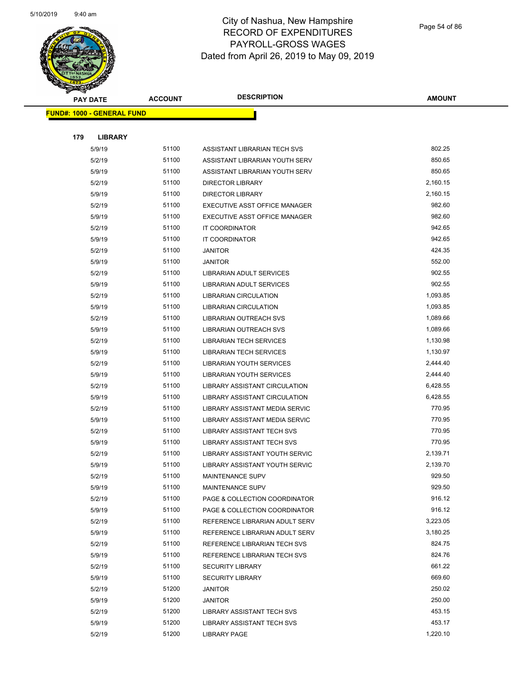

| <b>PAY DATE</b>                   |                  | <b>DESCRIPTION</b><br><b>ACCOUNT</b> |                                       | <b>AMOUNT</b>    |
|-----------------------------------|------------------|--------------------------------------|---------------------------------------|------------------|
| <b>FUND#: 1000 - GENERAL FUND</b> |                  |                                      |                                       |                  |
|                                   |                  |                                      |                                       |                  |
| 179                               | <b>LIBRARY</b>   |                                      |                                       |                  |
|                                   | 5/9/19           | 51100                                | ASSISTANT LIBRARIAN TECH SVS          | 802.25           |
|                                   | 5/2/19           | 51100                                | ASSISTANT LIBRARIAN YOUTH SERV        | 850.65           |
|                                   | 5/9/19           | 51100                                | ASSISTANT LIBRARIAN YOUTH SERV        | 850.65           |
|                                   | 5/2/19           | 51100                                | <b>DIRECTOR LIBRARY</b>               | 2,160.15         |
|                                   | 5/9/19           | 51100                                | <b>DIRECTOR LIBRARY</b>               | 2,160.15         |
|                                   | 5/2/19           | 51100                                | EXECUTIVE ASST OFFICE MANAGER         | 982.60           |
|                                   | 5/9/19           | 51100                                | EXECUTIVE ASST OFFICE MANAGER         | 982.60           |
|                                   | 5/2/19           | 51100                                | IT COORDINATOR                        | 942.65           |
|                                   | 5/9/19           | 51100                                | IT COORDINATOR                        | 942.65           |
|                                   | 5/2/19           | 51100                                | <b>JANITOR</b>                        | 424.35           |
|                                   | 5/9/19           | 51100                                | <b>JANITOR</b>                        | 552.00           |
|                                   | 5/2/19           | 51100                                | <b>LIBRARIAN ADULT SERVICES</b>       | 902.55           |
|                                   | 5/9/19           | 51100                                | LIBRARIAN ADULT SERVICES              | 902.55           |
|                                   | 5/2/19           | 51100                                | LIBRARIAN CIRCULATION                 | 1,093.85         |
|                                   | 5/9/19           | 51100                                | LIBRARIAN CIRCULATION                 | 1,093.85         |
|                                   | 5/2/19           | 51100                                | LIBRARIAN OUTREACH SVS                | 1,089.66         |
|                                   | 5/9/19           | 51100                                | LIBRARIAN OUTREACH SVS                | 1,089.66         |
|                                   | 5/2/19           | 51100                                | <b>LIBRARIAN TECH SERVICES</b>        | 1,130.98         |
|                                   | 5/9/19           | 51100                                | <b>LIBRARIAN TECH SERVICES</b>        | 1,130.97         |
|                                   | 5/2/19           | 51100                                | <b>LIBRARIAN YOUTH SERVICES</b>       | 2,444.40         |
|                                   | 5/9/19           | 51100                                | LIBRARIAN YOUTH SERVICES              | 2,444.40         |
|                                   | 5/2/19           | 51100                                | LIBRARY ASSISTANT CIRCULATION         | 6,428.55         |
|                                   | 5/9/19           | 51100                                | LIBRARY ASSISTANT CIRCULATION         | 6,428.55         |
|                                   | 5/2/19           | 51100                                | LIBRARY ASSISTANT MEDIA SERVIC        | 770.95           |
|                                   | 5/9/19           | 51100                                | LIBRARY ASSISTANT MEDIA SERVIC        | 770.95           |
|                                   | 5/2/19           | 51100                                | <b>LIBRARY ASSISTANT TECH SVS</b>     | 770.95           |
|                                   | 5/9/19           | 51100                                | LIBRARY ASSISTANT TECH SVS            | 770.95           |
|                                   | 5/2/19           | 51100                                | LIBRARY ASSISTANT YOUTH SERVIC        | 2,139.71         |
|                                   | 5/9/19           | 51100                                | <b>LIBRARY ASSISTANT YOUTH SERVIC</b> | 2,139.70         |
|                                   | 5/2/19           | 51100                                | MAINTENANCE SUPV                      | 929.50           |
|                                   | 5/9/19           | 51100                                | MAINTENANCE SUPV                      | 929.50           |
|                                   | 5/2/19           | 51100                                | PAGE & COLLECTION COORDINATOR         | 916.12           |
|                                   | 5/9/19           | 51100                                | PAGE & COLLECTION COORDINATOR         | 916.12           |
|                                   | 5/2/19           | 51100                                | REFERENCE LIBRARIAN ADULT SERV        | 3,223.05         |
|                                   | 5/9/19           | 51100                                | REFERENCE LIBRARIAN ADULT SERV        | 3,180.25         |
|                                   | 5/2/19           | 51100                                | REFERENCE LIBRARIAN TECH SVS          | 824.75<br>824.76 |
|                                   | 5/9/19           | 51100                                | REFERENCE LIBRARIAN TECH SVS          | 661.22           |
|                                   | 5/2/19           | 51100                                | <b>SECURITY LIBRARY</b>               |                  |
|                                   | 5/9/19           | 51100<br>51200                       | <b>SECURITY LIBRARY</b>               | 669.60<br>250.02 |
|                                   | 5/2/19<br>5/9/19 | 51200                                | JANITOR<br><b>JANITOR</b>             | 250.00           |
|                                   | 5/2/19           | 51200                                | LIBRARY ASSISTANT TECH SVS            | 453.15           |
|                                   | 5/9/19           | 51200                                | LIBRARY ASSISTANT TECH SVS            | 453.17           |
|                                   | 5/2/19           | 51200                                | LIBRARY PAGE                          | 1,220.10         |
|                                   |                  |                                      |                                       |                  |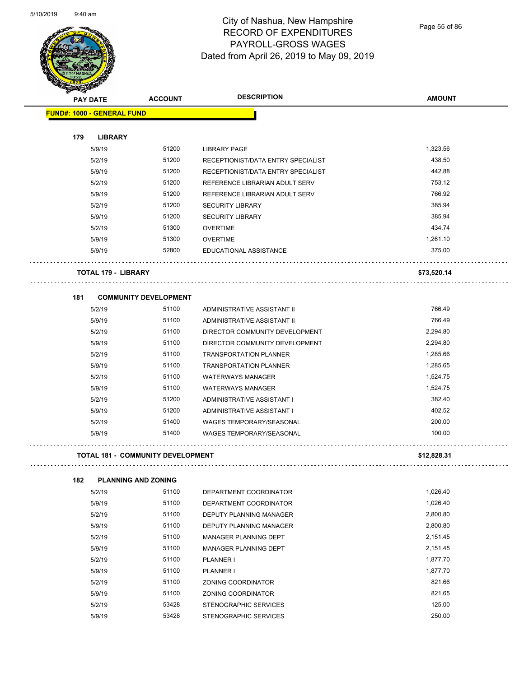

Page 55 of 86

| ❤                                        |                              |                                    |               |
|------------------------------------------|------------------------------|------------------------------------|---------------|
| <b>PAY DATE</b>                          | <b>ACCOUNT</b>               | <b>DESCRIPTION</b>                 | <b>AMOUNT</b> |
| <b>FUND#: 1000 - GENERAL FUND</b>        |                              |                                    |               |
|                                          |                              |                                    |               |
| 179<br><b>LIBRARY</b>                    |                              |                                    |               |
| 5/9/19                                   | 51200                        | <b>LIBRARY PAGE</b>                | 1,323.56      |
| 5/2/19                                   | 51200                        | RECEPTIONIST/DATA ENTRY SPECIALIST | 438.50        |
| 5/9/19                                   | 51200                        | RECEPTIONIST/DATA ENTRY SPECIALIST | 442.88        |
| 5/2/19                                   | 51200                        | REFERENCE LIBRARIAN ADULT SERV     | 753.12        |
| 5/9/19                                   | 51200                        | REFERENCE LIBRARIAN ADULT SERV     | 766.92        |
| 5/2/19                                   | 51200                        | <b>SECURITY LIBRARY</b>            | 385.94        |
| 5/9/19                                   | 51200                        | <b>SECURITY LIBRARY</b>            | 385.94        |
| 5/2/19                                   | 51300                        | <b>OVERTIME</b>                    | 434.74        |
| 5/9/19                                   | 51300                        | <b>OVERTIME</b>                    | 1,261.10      |
| 5/9/19                                   | 52800                        | EDUCATIONAL ASSISTANCE             | 375.00        |
| <b>TOTAL 179 - LIBRARY</b>               |                              |                                    | \$73,520.14   |
| 181                                      | <b>COMMUNITY DEVELOPMENT</b> |                                    |               |
| 5/2/19                                   | 51100                        | ADMINISTRATIVE ASSISTANT II        | 766.49        |
| 5/9/19                                   | 51100                        | ADMINISTRATIVE ASSISTANT II        | 766.49        |
| 5/2/19                                   | 51100                        | DIRECTOR COMMUNITY DEVELOPMENT     | 2,294.80      |
| 5/9/19                                   | 51100                        | DIRECTOR COMMUNITY DEVELOPMENT     | 2,294.80      |
| 5/2/19                                   | 51100                        | <b>TRANSPORTATION PLANNER</b>      | 1,285.66      |
| 5/9/19                                   | 51100                        | <b>TRANSPORTATION PLANNER</b>      | 1,285.65      |
| 5/2/19                                   | 51100                        | <b>WATERWAYS MANAGER</b>           | 1,524.75      |
| 5/9/19                                   | 51100                        | <b>WATERWAYS MANAGER</b>           | 1,524.75      |
| 5/2/19                                   | 51200                        | ADMINISTRATIVE ASSISTANT I         | 382.40        |
| 5/9/19                                   | 51200                        | ADMINISTRATIVE ASSISTANT I         | 402.52        |
| 5/2/19                                   | 51400                        | <b>WAGES TEMPORARY/SEASONAL</b>    | 200.00        |
| 5/9/19                                   | 51400                        | <b>WAGES TEMPORARY/SEASONAL</b>    | 100.00        |
| <b>TOTAL 181 - COMMUNITY DEVELOPMENT</b> |                              |                                    | \$12,828.31   |
| 182<br><b>PLANNING AND ZONING</b>        |                              |                                    |               |
| 5/2/19                                   | 51100                        | DEPARTMENT COORDINATOR             | 1,026.40      |
| 5/9/19                                   | 51100                        | DEPARTMENT COORDINATOR             | 1,026.40      |
| 5/2/19                                   | 51100                        | DEPUTY PLANNING MANAGER            | 2,800.80      |
| 5/9/19                                   | 51100                        | DEPUTY PLANNING MANAGER            | 2,800.80      |
| 5/2/19                                   | 51100                        | MANAGER PLANNING DEPT              | 2,151.45      |

5/9/19 51100 MANAGER PLANNING DEPT 2,151.45 5/2/19 51100 PLANNER I 1,877.70 5/9/19 51100 PLANNER I 1,877.70 5/2/19 51100 ZONING COORDINATOR 821.66 5/9/19 51100 ZONING COORDINATOR 821.65 5/2/19 53428 STENOGRAPHIC SERVICES 125.00 5/9/19 53428 STENOGRAPHIC SERVICES 250.00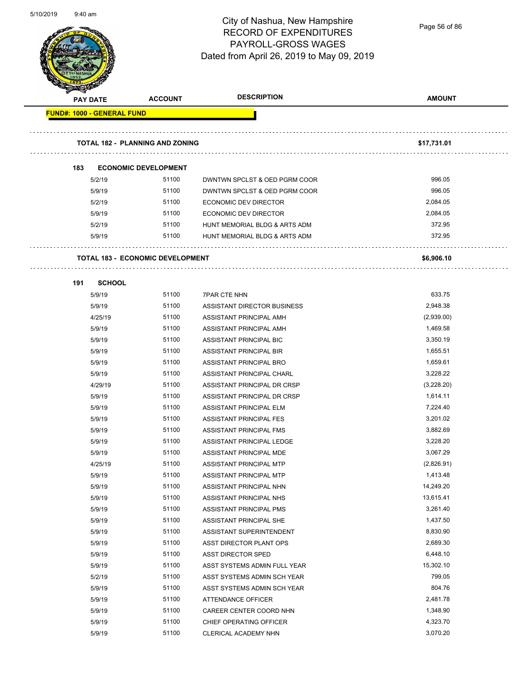

Page 56 of 86

|                                   | <b>PAY DATE</b> | <b>ACCOUNT</b>                          | <b>DESCRIPTION</b>            | <b>AMOUNT</b>      |
|-----------------------------------|-----------------|-----------------------------------------|-------------------------------|--------------------|
| <b>FUND#: 1000 - GENERAL FUND</b> |                 |                                         |                               |                    |
|                                   |                 |                                         |                               |                    |
|                                   |                 | <b>TOTAL 182 - PLANNING AND ZONING</b>  |                               | \$17,731.01        |
|                                   |                 |                                         |                               |                    |
|                                   |                 |                                         |                               |                    |
| 183                               |                 | <b>ECONOMIC DEVELOPMENT</b>             |                               |                    |
|                                   | 5/2/19          | 51100                                   | DWNTWN SPCLST & OED PGRM COOR | 996.05             |
|                                   | 5/9/19          | 51100                                   | DWNTWN SPCLST & OED PGRM COOR | 996.05             |
|                                   | 5/2/19          | 51100<br>51100                          | ECONOMIC DEV DIRECTOR         | 2,084.05           |
|                                   | 5/9/19          | 51100                                   | ECONOMIC DEV DIRECTOR         | 2,084.05<br>372.95 |
|                                   | 5/2/19          | 51100                                   | HUNT MEMORIAL BLDG & ARTS ADM | 372.95             |
|                                   | 5/9/19          |                                         | HUNT MEMORIAL BLDG & ARTS ADM |                    |
|                                   |                 | <b>TOTAL 183 - ECONOMIC DEVELOPMENT</b> |                               | \$6,906.10         |
|                                   |                 |                                         |                               |                    |
| 191                               | <b>SCHOOL</b>   |                                         |                               |                    |
|                                   | 5/9/19          | 51100                                   | <b>7PAR CTE NHN</b>           | 633.75             |
|                                   | 5/9/19          | 51100                                   | ASSISTANT DIRECTOR BUSINESS   | 2,948.38           |
|                                   | 4/25/19         | 51100                                   | ASSISTANT PRINCIPAL AMH       | (2,939.00)         |
|                                   | 5/9/19          | 51100                                   | ASSISTANT PRINCIPAL AMH       | 1,469.58           |
|                                   | 5/9/19          | 51100                                   | ASSISTANT PRINCIPAL BIC       | 3,350.19           |
|                                   | 5/9/19          | 51100                                   | ASSISTANT PRINCIPAL BIR       | 1,655.51           |
|                                   | 5/9/19          | 51100                                   | ASSISTANT PRINCIPAL BRO       | 1,659.61           |
|                                   | 5/9/19          | 51100                                   | ASSISTANT PRINCIPAL CHARL     | 3,228.22           |
|                                   | 4/29/19         | 51100                                   | ASSISTANT PRINCIPAL DR CRSP   | (3,228.20)         |
|                                   | 5/9/19          | 51100                                   | ASSISTANT PRINCIPAL DR CRSP   | 1,614.11           |
|                                   | 5/9/19          | 51100                                   | ASSISTANT PRINCIPAL ELM       | 7,224.40           |
|                                   | 5/9/19          | 51100                                   | ASSISTANT PRINCIPAL FES       | 3,201.02           |
|                                   | 5/9/19          | 51100                                   | ASSISTANT PRINCIPAL FMS       | 3,882.69           |
|                                   | 5/9/19          | 51100                                   | ASSISTANT PRINCIPAL LEDGE     | 3,228.20           |
|                                   | 5/9/19          | 51100                                   | ASSISTANT PRINCIPAL MDE       | 3,067.29           |
|                                   | 4/25/19         | 51100                                   | ASSISTANT PRINCIPAL MTP       | (2,826.91)         |
|                                   | 5/9/19          | 51100                                   | ASSISTANT PRINCIPAL MTP       | 1,413.48           |
|                                   | 5/9/19          | 51100                                   | ASSISTANT PRINCIPAL NHN       | 14,249.20          |
|                                   | 5/9/19          | 51100                                   | ASSISTANT PRINCIPAL NHS       | 13,615.41          |
|                                   | 5/9/19          | 51100                                   | ASSISTANT PRINCIPAL PMS       | 3,261.40           |
|                                   | 5/9/19          | 51100                                   | ASSISTANT PRINCIPAL SHE       | 1,437.50           |
|                                   | 5/9/19          | 51100                                   | ASSISTANT SUPERINTENDENT      | 8,830.90           |
|                                   | 5/9/19          | 51100                                   | ASST DIRECTOR PLANT OPS       | 2,689.30           |
|                                   | 5/9/19          | 51100                                   | <b>ASST DIRECTOR SPED</b>     | 6,448.10           |
|                                   | 5/9/19          | 51100                                   | ASST SYSTEMS ADMIN FULL YEAR  | 15,302.10          |
|                                   | 5/2/19          | 51100                                   | ASST SYSTEMS ADMIN SCH YEAR   | 799.05             |
|                                   | 5/9/19          | 51100                                   | ASST SYSTEMS ADMIN SCH YEAR   | 804.76             |
|                                   | 5/9/19          | 51100                                   | <b>ATTENDANCE OFFICER</b>     | 2,481.78           |
|                                   | 5/9/19          | 51100                                   | CAREER CENTER COORD NHN       | 1,348.90           |
|                                   | 5/9/19          | 51100                                   | CHIEF OPERATING OFFICER       | 4,323.70           |
|                                   | 5/9/19          | 51100                                   | CLERICAL ACADEMY NHN          | 3,070.20           |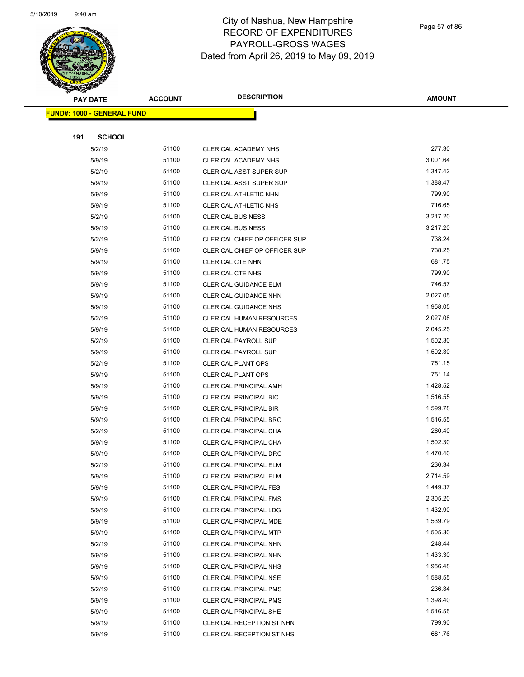

Page 57 of 86

|     | <b>PAY DATE</b>                    | <b>ACCOUNT</b> | <b>DESCRIPTION</b>                                      | <b>AMOUNT</b>        |
|-----|------------------------------------|----------------|---------------------------------------------------------|----------------------|
|     | <u> FUND#: 1000 - GENERAL FUND</u> |                |                                                         |                      |
|     |                                    |                |                                                         |                      |
| 191 | <b>SCHOOL</b>                      |                |                                                         |                      |
|     | 5/2/19                             | 51100          | <b>CLERICAL ACADEMY NHS</b>                             | 277.30               |
|     | 5/9/19                             | 51100          | CLERICAL ACADEMY NHS                                    | 3,001.64             |
|     | 5/2/19                             | 51100          | <b>CLERICAL ASST SUPER SUP</b>                          | 1,347.42             |
|     | 5/9/19                             | 51100          | CLERICAL ASST SUPER SUP                                 | 1,388.47             |
|     | 5/9/19                             | 51100          | CLERICAL ATHLETIC NHN                                   | 799.90               |
|     | 5/9/19                             | 51100          | CLERICAL ATHLETIC NHS                                   | 716.65               |
|     | 5/2/19                             | 51100          | <b>CLERICAL BUSINESS</b>                                | 3,217.20             |
|     | 5/9/19                             | 51100          | <b>CLERICAL BUSINESS</b>                                | 3,217.20             |
|     | 5/2/19                             | 51100          | CLERICAL CHIEF OP OFFICER SUP                           | 738.24               |
|     | 5/9/19                             | 51100          | CLERICAL CHIEF OP OFFICER SUP                           | 738.25               |
|     | 5/9/19                             | 51100          | <b>CLERICAL CTE NHN</b>                                 | 681.75               |
|     | 5/9/19                             | 51100          | <b>CLERICAL CTE NHS</b>                                 | 799.90               |
|     | 5/9/19                             | 51100          | CLERICAL GUIDANCE ELM                                   | 746.57               |
|     | 5/9/19                             | 51100          | <b>CLERICAL GUIDANCE NHN</b>                            | 2,027.05             |
|     | 5/9/19                             | 51100          | <b>CLERICAL GUIDANCE NHS</b>                            | 1,958.05             |
|     | 5/2/19                             | 51100          | <b>CLERICAL HUMAN RESOURCES</b>                         | 2,027.08             |
|     | 5/9/19                             | 51100          | <b>CLERICAL HUMAN RESOURCES</b>                         | 2,045.25             |
|     | 5/2/19                             | 51100          | <b>CLERICAL PAYROLL SUP</b>                             | 1,502.30             |
|     | 5/9/19                             | 51100          | CLERICAL PAYROLL SUP                                    | 1,502.30             |
|     | 5/2/19                             | 51100          | <b>CLERICAL PLANT OPS</b>                               | 751.15               |
|     | 5/9/19                             | 51100          | <b>CLERICAL PLANT OPS</b>                               | 751.14               |
|     | 5/9/19                             | 51100          | <b>CLERICAL PRINCIPAL AMH</b>                           | 1,428.52             |
|     | 5/9/19                             | 51100          | CLERICAL PRINCIPAL BIC                                  | 1,516.55             |
|     | 5/9/19                             | 51100          | CLERICAL PRINCIPAL BIR                                  | 1,599.78             |
|     | 5/9/19                             | 51100          | <b>CLERICAL PRINCIPAL BRO</b>                           | 1,516.55             |
|     | 5/2/19                             | 51100          | CLERICAL PRINCIPAL CHA                                  | 260.40               |
|     | 5/9/19                             | 51100          | CLERICAL PRINCIPAL CHA                                  | 1,502.30             |
|     | 5/9/19                             | 51100          | <b>CLERICAL PRINCIPAL DRC</b>                           | 1,470.40             |
|     | 5/2/19                             | 51100          | CLERICAL PRINCIPAL ELM                                  | 236.34               |
|     | 5/9/19                             | 51100          | CLERICAL PRINCIPAL ELM                                  | 2,714.59             |
|     | 5/9/19                             | 51100          | <b>CLERICAL PRINCIPAL FES</b>                           | 1,449.37             |
|     | 5/9/19                             | 51100          | <b>CLERICAL PRINCIPAL FMS</b>                           | 2,305.20             |
|     | 5/9/19                             | 51100<br>51100 | <b>CLERICAL PRINCIPAL LDG</b>                           | 1,432.90<br>1,539.79 |
|     | 5/9/19                             | 51100          | <b>CLERICAL PRINCIPAL MDE</b>                           | 1,505.30             |
|     | 5/9/19<br>5/2/19                   | 51100          | <b>CLERICAL PRINCIPAL MTP</b><br>CLERICAL PRINCIPAL NHN | 248.44               |
|     | 5/9/19                             | 51100          | CLERICAL PRINCIPAL NHN                                  | 1,433.30             |
|     | 5/9/19                             | 51100          | <b>CLERICAL PRINCIPAL NHS</b>                           | 1,956.48             |
|     | 5/9/19                             | 51100          | <b>CLERICAL PRINCIPAL NSE</b>                           | 1,588.55             |
|     | 5/2/19                             | 51100          | <b>CLERICAL PRINCIPAL PMS</b>                           | 236.34               |
|     | 5/9/19                             | 51100          | <b>CLERICAL PRINCIPAL PMS</b>                           | 1,398.40             |
|     | 5/9/19                             | 51100          | <b>CLERICAL PRINCIPAL SHE</b>                           | 1,516.55             |
|     | 5/9/19                             | 51100          | CLERICAL RECEPTIONIST NHN                               | 799.90               |
|     | 5/9/19                             | 51100          | CLERICAL RECEPTIONIST NHS                               | 681.76               |
|     |                                    |                |                                                         |                      |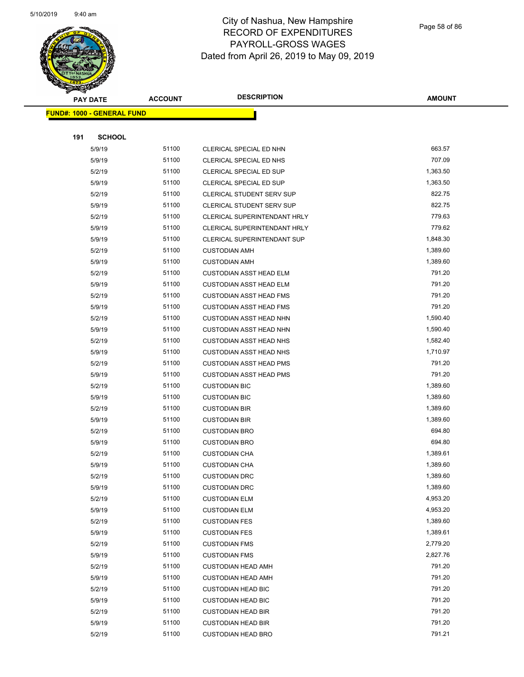

Page 58 of 86

|     | <b>PAY DATE</b>                    | <b>ACCOUNT</b> | <b>DESCRIPTION</b>               | <b>AMOUNT</b> |
|-----|------------------------------------|----------------|----------------------------------|---------------|
|     | <u> FUND#: 1000 - GENERAL FUND</u> |                |                                  |               |
|     |                                    |                |                                  |               |
| 191 | <b>SCHOOL</b>                      |                |                                  |               |
|     | 5/9/19                             | 51100          | CLERICAL SPECIAL ED NHN          | 663.57        |
|     | 5/9/19                             | 51100          | CLERICAL SPECIAL ED NHS          | 707.09        |
|     | 5/2/19                             | 51100          | <b>CLERICAL SPECIAL ED SUP</b>   | 1,363.50      |
|     | 5/9/19                             | 51100          | CLERICAL SPECIAL ED SUP          | 1,363.50      |
|     | 5/2/19                             | 51100          | <b>CLERICAL STUDENT SERV SUP</b> | 822.75        |
|     | 5/9/19                             | 51100          | CLERICAL STUDENT SERV SUP        | 822.75        |
|     | 5/2/19                             | 51100          | CLERICAL SUPERINTENDANT HRLY     | 779.63        |
|     | 5/9/19                             | 51100          | CLERICAL SUPERINTENDANT HRLY     | 779.62        |
|     | 5/9/19                             | 51100          | CLERICAL SUPERINTENDANT SUP      | 1,848.30      |
|     | 5/2/19                             | 51100          | <b>CUSTODIAN AMH</b>             | 1,389.60      |
|     | 5/9/19                             | 51100          | <b>CUSTODIAN AMH</b>             | 1,389.60      |
|     | 5/2/19                             | 51100          | <b>CUSTODIAN ASST HEAD ELM</b>   | 791.20        |
|     | 5/9/19                             | 51100          | <b>CUSTODIAN ASST HEAD ELM</b>   | 791.20        |
|     | 5/2/19                             | 51100          | <b>CUSTODIAN ASST HEAD FMS</b>   | 791.20        |
|     | 5/9/19                             | 51100          | <b>CUSTODIAN ASST HEAD FMS</b>   | 791.20        |
|     | 5/2/19                             | 51100          | <b>CUSTODIAN ASST HEAD NHN</b>   | 1,590.40      |
|     | 5/9/19                             | 51100          | <b>CUSTODIAN ASST HEAD NHN</b>   | 1,590.40      |
|     | 5/2/19                             | 51100          | <b>CUSTODIAN ASST HEAD NHS</b>   | 1,582.40      |
|     | 5/9/19                             | 51100          | <b>CUSTODIAN ASST HEAD NHS</b>   | 1,710.97      |
|     | 5/2/19                             | 51100          | <b>CUSTODIAN ASST HEAD PMS</b>   | 791.20        |
|     | 5/9/19                             | 51100          | <b>CUSTODIAN ASST HEAD PMS</b>   | 791.20        |
|     | 5/2/19                             | 51100          | <b>CUSTODIAN BIC</b>             | 1,389.60      |
|     | 5/9/19                             | 51100          | <b>CUSTODIAN BIC</b>             | 1,389.60      |
|     | 5/2/19                             | 51100          | <b>CUSTODIAN BIR</b>             | 1,389.60      |
|     | 5/9/19                             | 51100          | <b>CUSTODIAN BIR</b>             | 1,389.60      |
|     | 5/2/19                             | 51100          | <b>CUSTODIAN BRO</b>             | 694.80        |
|     | 5/9/19                             | 51100          | <b>CUSTODIAN BRO</b>             | 694.80        |
|     | 5/2/19                             | 51100          | <b>CUSTODIAN CHA</b>             | 1,389.61      |
|     | 5/9/19                             | 51100          | <b>CUSTODIAN CHA</b>             | 1,389.60      |
|     | 5/2/19                             | 51100          | <b>CUSTODIAN DRC</b>             | 1,389.60      |
|     | 5/9/19                             | 51100          | <b>CUSTODIAN DRC</b>             | 1,389.60      |
|     | 5/2/19                             | 51100          | <b>CUSTODIAN ELM</b>             | 4,953.20      |
|     | 5/9/19                             | 51100          | <b>CUSTODIAN ELM</b>             | 4,953.20      |
|     | 5/2/19                             | 51100          | <b>CUSTODIAN FES</b>             | 1,389.60      |
|     | 5/9/19                             | 51100          | <b>CUSTODIAN FES</b>             | 1,389.61      |
|     | 5/2/19                             | 51100          | <b>CUSTODIAN FMS</b>             | 2,779.20      |
|     | 5/9/19                             | 51100          | <b>CUSTODIAN FMS</b>             | 2,827.76      |
|     | 5/2/19                             | 51100          | <b>CUSTODIAN HEAD AMH</b>        | 791.20        |
|     | 5/9/19                             | 51100          | <b>CUSTODIAN HEAD AMH</b>        | 791.20        |
|     | 5/2/19                             | 51100          | <b>CUSTODIAN HEAD BIC</b>        | 791.20        |
|     | 5/9/19                             | 51100          | <b>CUSTODIAN HEAD BIC</b>        | 791.20        |
|     | 5/2/19                             | 51100          | <b>CUSTODIAN HEAD BIR</b>        | 791.20        |
|     | 5/9/19                             | 51100          | <b>CUSTODIAN HEAD BIR</b>        | 791.20        |
|     | 5/2/19                             | 51100          | <b>CUSTODIAN HEAD BRO</b>        | 791.21        |
|     |                                    |                |                                  |               |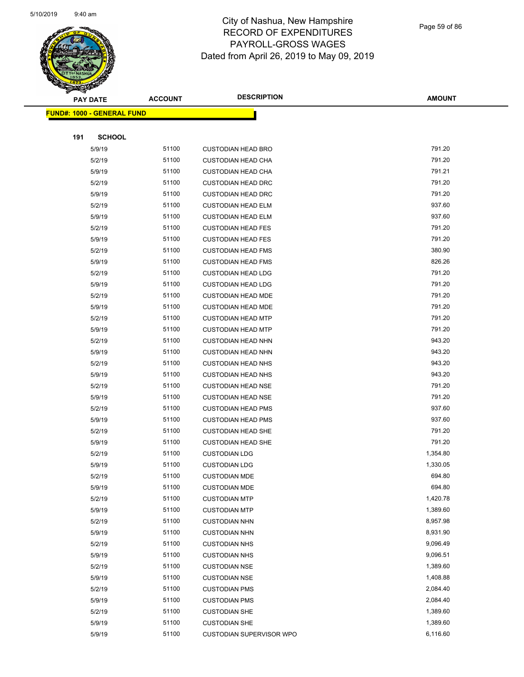

Page 59 of 86

| <b>PAY DATE</b>                   | <b>ACCOUNT</b> | <b>DESCRIPTION</b>        | <b>AMOUNT</b> |
|-----------------------------------|----------------|---------------------------|---------------|
| <b>FUND#: 1000 - GENERAL FUND</b> |                |                           |               |
|                                   |                |                           |               |
| 191<br><b>SCHOOL</b>              |                |                           |               |
| 5/9/19                            | 51100          | <b>CUSTODIAN HEAD BRO</b> | 791.20        |
| 5/2/19                            | 51100          | <b>CUSTODIAN HEAD CHA</b> | 791.20        |
| 5/9/19                            | 51100          | <b>CUSTODIAN HEAD CHA</b> | 791.21        |
| 5/2/19                            | 51100          | <b>CUSTODIAN HEAD DRC</b> | 791.20        |
| 5/9/19                            | 51100          | <b>CUSTODIAN HEAD DRC</b> | 791.20        |
| 5/2/19                            | 51100          | <b>CUSTODIAN HEAD ELM</b> | 937.60        |
| 5/9/19                            | 51100          | <b>CUSTODIAN HEAD ELM</b> | 937.60        |
| 5/2/19                            | 51100          | <b>CUSTODIAN HEAD FES</b> | 791.20        |
| 5/9/19                            | 51100          | <b>CUSTODIAN HEAD FES</b> | 791.20        |
| 5/2/19                            | 51100          | <b>CUSTODIAN HEAD FMS</b> | 380.90        |
| 5/9/19                            | 51100          | <b>CUSTODIAN HEAD FMS</b> | 826.26        |
| 5/2/19                            | 51100          | <b>CUSTODIAN HEAD LDG</b> | 791.20        |
| 5/9/19                            | 51100          | <b>CUSTODIAN HEAD LDG</b> | 791.20        |
| 5/2/19                            | 51100          | <b>CUSTODIAN HEAD MDE</b> | 791.20        |
| 5/9/19                            | 51100          | <b>CUSTODIAN HEAD MDE</b> | 791.20        |
| 5/2/19                            | 51100          | <b>CUSTODIAN HEAD MTP</b> | 791.20        |
| 5/9/19                            | 51100          | <b>CUSTODIAN HEAD MTP</b> | 791.20        |
| 5/2/19                            | 51100          | <b>CUSTODIAN HEAD NHN</b> | 943.20        |
| 5/9/19                            | 51100          | <b>CUSTODIAN HEAD NHN</b> | 943.20        |
| 5/2/19                            | 51100          | <b>CUSTODIAN HEAD NHS</b> | 943.20        |
| 5/9/19                            | 51100          | <b>CUSTODIAN HEAD NHS</b> | 943.20        |
| 5/2/19                            | 51100          | <b>CUSTODIAN HEAD NSE</b> | 791.20        |
| 5/9/19                            | 51100          | <b>CUSTODIAN HEAD NSE</b> | 791.20        |
| 5/2/19                            | 51100          | <b>CUSTODIAN HEAD PMS</b> | 937.60        |
| 5/9/19                            | 51100          | <b>CUSTODIAN HEAD PMS</b> | 937.60        |
| 5/2/19                            | 51100          | <b>CUSTODIAN HEAD SHE</b> | 791.20        |
| 5/9/19                            | 51100          | <b>CUSTODIAN HEAD SHE</b> | 791.20        |
| 5/2/19                            | 51100          | <b>CUSTODIAN LDG</b>      | 1,354.80      |
| 5/9/19                            | 51100          | <b>CUSTODIAN LDG</b>      | 1,330.05      |
| 5/2/19                            | 51100          | <b>CUSTODIAN MDE</b>      | 694.80        |
| 5/9/19                            | 51100          | <b>CUSTODIAN MDE</b>      | 694.80        |
| 5/2/19                            | 51100          | <b>CUSTODIAN MTP</b>      | 1,420.78      |
| 5/9/19                            | 51100          | <b>CUSTODIAN MTP</b>      | 1,389.60      |
| 5/2/19                            | 51100          | <b>CUSTODIAN NHN</b>      | 8,957.98      |
| 5/9/19                            | 51100          | <b>CUSTODIAN NHN</b>      | 8,931.90      |
| 5/2/19                            | 51100          | <b>CUSTODIAN NHS</b>      | 9,096.49      |
| 5/9/19                            | 51100          | <b>CUSTODIAN NHS</b>      | 9,096.51      |
| 5/2/19                            | 51100          | <b>CUSTODIAN NSE</b>      | 1,389.60      |
| 5/9/19                            | 51100          | <b>CUSTODIAN NSE</b>      | 1,408.88      |
| 5/2/19                            | 51100          | <b>CUSTODIAN PMS</b>      | 2,084.40      |
| 5/9/19                            | 51100          | <b>CUSTODIAN PMS</b>      | 2,084.40      |
| 5/2/19                            | 51100          | <b>CUSTODIAN SHE</b>      | 1,389.60      |
| 5/9/19                            | 51100          | <b>CUSTODIAN SHE</b>      | 1,389.60      |
| 5/9/19                            | 51100          | CUSTODIAN SUPERVISOR WPO  | 6,116.60      |
|                                   |                |                           |               |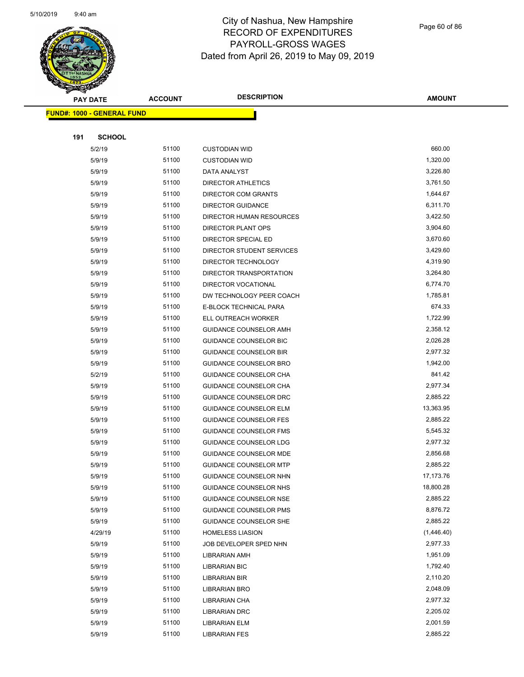

Page 60 of 86

| ℱ<br>$\blacktriangleleft$ . | <b>PAY DATE</b>                   | <b>ACCOUNT</b> | <b>DESCRIPTION</b>            | <b>AMOUNT</b> |
|-----------------------------|-----------------------------------|----------------|-------------------------------|---------------|
|                             | <b>FUND#: 1000 - GENERAL FUND</b> |                |                               |               |
|                             |                                   |                |                               |               |
| 191                         | <b>SCHOOL</b>                     |                |                               |               |
|                             | 5/2/19                            | 51100          | <b>CUSTODIAN WID</b>          | 660.00        |
|                             | 5/9/19                            | 51100          | <b>CUSTODIAN WID</b>          | 1,320.00      |
|                             | 5/9/19                            | 51100          | DATA ANALYST                  | 3,226.80      |
|                             | 5/9/19                            | 51100          | DIRECTOR ATHLETICS            | 3,761.50      |
|                             | 5/9/19                            | 51100          | <b>DIRECTOR COM GRANTS</b>    | 1,644.67      |
|                             | 5/9/19                            | 51100          | <b>DIRECTOR GUIDANCE</b>      | 6,311.70      |
|                             | 5/9/19                            | 51100          | DIRECTOR HUMAN RESOURCES      | 3,422.50      |
|                             | 5/9/19                            | 51100          | DIRECTOR PLANT OPS            | 3,904.60      |
|                             | 5/9/19                            | 51100          | DIRECTOR SPECIAL ED           | 3,670.60      |
|                             | 5/9/19                            | 51100          | DIRECTOR STUDENT SERVICES     | 3,429.60      |
|                             | 5/9/19                            | 51100          | DIRECTOR TECHNOLOGY           | 4,319.90      |
|                             | 5/9/19                            | 51100          | DIRECTOR TRANSPORTATION       | 3,264.80      |
|                             | 5/9/19                            | 51100          | DIRECTOR VOCATIONAL           | 6,774.70      |
|                             | 5/9/19                            | 51100          | DW TECHNOLOGY PEER COACH      | 1,785.81      |
|                             | 5/9/19                            | 51100          | E-BLOCK TECHNICAL PARA        | 674.33        |
|                             | 5/9/19                            | 51100          | ELL OUTREACH WORKER           | 1,722.99      |
|                             | 5/9/19                            | 51100          | GUIDANCE COUNSELOR AMH        | 2,358.12      |
|                             | 5/9/19                            | 51100          | GUIDANCE COUNSELOR BIC        | 2,026.28      |
|                             | 5/9/19                            | 51100          | <b>GUIDANCE COUNSELOR BIR</b> | 2,977.32      |
|                             | 5/9/19                            | 51100          | GUIDANCE COUNSELOR BRO        | 1,942.00      |
|                             | 5/2/19                            | 51100          | GUIDANCE COUNSELOR CHA        | 841.42        |
|                             | 5/9/19                            | 51100          | GUIDANCE COUNSELOR CHA        | 2,977.34      |
|                             | 5/9/19                            | 51100          | GUIDANCE COUNSELOR DRC        | 2,885.22      |
|                             | 5/9/19                            | 51100          | <b>GUIDANCE COUNSELOR ELM</b> | 13,363.95     |
|                             | 5/9/19                            | 51100          | <b>GUIDANCE COUNSELOR FES</b> | 2,885.22      |
|                             | 5/9/19                            | 51100          | <b>GUIDANCE COUNSELOR FMS</b> | 5,545.32      |
|                             | 5/9/19                            | 51100          | GUIDANCE COUNSELOR LDG        | 2,977.32      |
|                             | 5/9/19                            | 51100          | GUIDANCE COUNSELOR MDE        | 2,856.68      |
|                             | 5/9/19                            | 51100          | <b>GUIDANCE COUNSELOR MTP</b> | 2,885.22      |
|                             | 5/9/19                            | 51100          | GUIDANCE COUNSELOR NHN        | 17,173.76     |
|                             | 5/9/19                            | 51100          | GUIDANCE COUNSELOR NHS        | 18,800.28     |
|                             | 5/9/19                            | 51100          | GUIDANCE COUNSELOR NSE        | 2,885.22      |
|                             | 5/9/19                            | 51100          | <b>GUIDANCE COUNSELOR PMS</b> | 8,876.72      |
|                             | 5/9/19                            | 51100          | GUIDANCE COUNSELOR SHE        | 2,885.22      |
|                             | 4/29/19                           | 51100          | <b>HOMELESS LIASION</b>       | (1,446.40)    |
|                             | 5/9/19                            | 51100          | JOB DEVELOPER SPED NHN        | 2,977.33      |
|                             | 5/9/19                            | 51100          | <b>LIBRARIAN AMH</b>          | 1,951.09      |
|                             | 5/9/19                            | 51100          | LIBRARIAN BIC                 | 1,792.40      |
|                             | 5/9/19                            | 51100          | LIBRARIAN BIR                 | 2,110.20      |
|                             | 5/9/19                            | 51100          | <b>LIBRARIAN BRO</b>          | 2,048.09      |
|                             | 5/9/19                            | 51100          | LIBRARIAN CHA                 | 2,977.32      |
|                             | 5/9/19                            | 51100          | <b>LIBRARIAN DRC</b>          | 2,205.02      |
|                             | 5/9/19                            | 51100          | LIBRARIAN ELM                 | 2,001.59      |
|                             | 5/9/19                            | 51100          | <b>LIBRARIAN FES</b>          | 2,885.22      |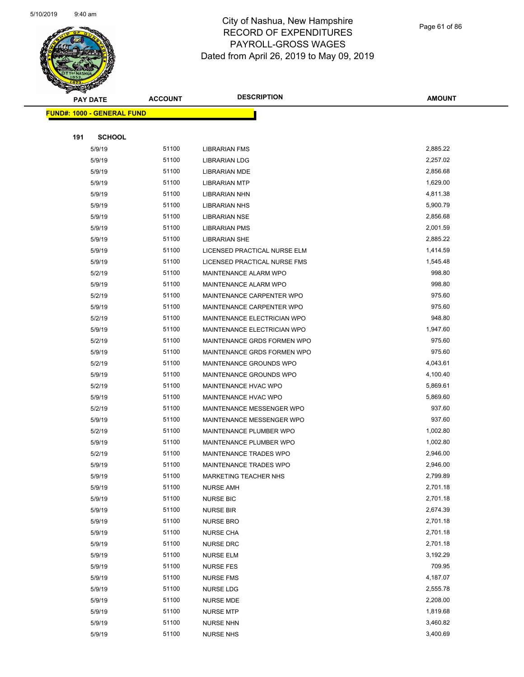

|     | <b>PAY DATE</b>                    | <b>ACCOUNT</b> | <b>DESCRIPTION</b>           | <b>AMOUNT</b> |
|-----|------------------------------------|----------------|------------------------------|---------------|
|     | <u> FUND#: 1000 - GENERAL FUND</u> |                |                              |               |
|     |                                    |                |                              |               |
| 191 | <b>SCHOOL</b>                      |                |                              |               |
|     | 5/9/19                             | 51100          | <b>LIBRARIAN FMS</b>         | 2,885.22      |
|     | 5/9/19                             | 51100          | <b>LIBRARIAN LDG</b>         | 2,257.02      |
|     | 5/9/19                             | 51100          | <b>LIBRARIAN MDE</b>         | 2,856.68      |
|     | 5/9/19                             | 51100          | <b>LIBRARIAN MTP</b>         | 1,629.00      |
|     | 5/9/19                             | 51100          | LIBRARIAN NHN                | 4,811.38      |
|     | 5/9/19                             | 51100          | <b>LIBRARIAN NHS</b>         | 5,900.79      |
|     | 5/9/19                             | 51100          | <b>LIBRARIAN NSE</b>         | 2,856.68      |
|     | 5/9/19                             | 51100          | <b>LIBRARIAN PMS</b>         | 2,001.59      |
|     | 5/9/19                             | 51100          | <b>LIBRARIAN SHE</b>         | 2,885.22      |
|     | 5/9/19                             | 51100          | LICENSED PRACTICAL NURSE ELM | 1,414.59      |
|     | 5/9/19                             | 51100          | LICENSED PRACTICAL NURSE FMS | 1,545.48      |
|     | 5/2/19                             | 51100          | <b>MAINTENANCE ALARM WPO</b> | 998.80        |
|     | 5/9/19                             | 51100          | MAINTENANCE ALARM WPO        | 998.80        |
|     | 5/2/19                             | 51100          | MAINTENANCE CARPENTER WPO    | 975.60        |
|     | 5/9/19                             | 51100          | MAINTENANCE CARPENTER WPO    | 975.60        |
|     | 5/2/19                             | 51100          | MAINTENANCE ELECTRICIAN WPO  | 948.80        |
|     | 5/9/19                             | 51100          | MAINTENANCE ELECTRICIAN WPO  | 1,947.60      |
|     | 5/2/19                             | 51100          | MAINTENANCE GRDS FORMEN WPO  | 975.60        |
|     | 5/9/19                             | 51100          | MAINTENANCE GRDS FORMEN WPO  | 975.60        |
|     | 5/2/19                             | 51100          | MAINTENANCE GROUNDS WPO      | 4,043.61      |
|     | 5/9/19                             | 51100          | MAINTENANCE GROUNDS WPO      | 4,100.40      |
|     | 5/2/19                             | 51100          | <b>MAINTENANCE HVAC WPO</b>  | 5,869.61      |
|     | 5/9/19                             | 51100          | MAINTENANCE HVAC WPO         | 5,869.60      |
|     | 5/2/19                             | 51100          | MAINTENANCE MESSENGER WPO    | 937.60        |
|     | 5/9/19                             | 51100          | MAINTENANCE MESSENGER WPO    | 937.60        |
|     | 5/2/19                             | 51100          | MAINTENANCE PLUMBER WPO      | 1,002.80      |
|     | 5/9/19                             | 51100          | MAINTENANCE PLUMBER WPO      | 1,002.80      |
|     | 5/2/19                             | 51100          | MAINTENANCE TRADES WPO       | 2,946.00      |
|     | 5/9/19                             | 51100          | MAINTENANCE TRADES WPO       | 2,946.00      |
|     | 5/9/19                             | 51100          | <b>MARKETING TEACHER NHS</b> | 2,799.89      |
|     | 5/9/19                             | 51100          | <b>NURSE AMH</b>             | 2,701.18      |
|     | 5/9/19                             | 51100          | <b>NURSE BIC</b>             | 2,701.18      |
|     | 5/9/19                             | 51100          | NURSE BIR                    | 2,674.39      |
|     | 5/9/19                             | 51100          | <b>NURSE BRO</b>             | 2,701.18      |
|     | 5/9/19                             | 51100          | <b>NURSE CHA</b>             | 2,701.18      |
|     | 5/9/19                             | 51100          | NURSE DRC                    | 2,701.18      |
|     | 5/9/19                             | 51100          | <b>NURSE ELM</b>             | 3,192.29      |
|     | 5/9/19                             | 51100          | <b>NURSE FES</b>             | 709.95        |
|     | 5/9/19                             | 51100          | <b>NURSE FMS</b>             | 4,187.07      |
|     | 5/9/19                             | 51100          | <b>NURSE LDG</b>             | 2,555.78      |
|     | 5/9/19                             | 51100          | NURSE MDE                    | 2,208.00      |
|     | 5/9/19                             | 51100          | <b>NURSE MTP</b>             | 1,819.68      |
|     | 5/9/19                             | 51100          | <b>NURSE NHN</b>             | 3,460.82      |
|     | 5/9/19                             | 51100          | <b>NURSE NHS</b>             | 3,400.69      |
|     |                                    |                |                              |               |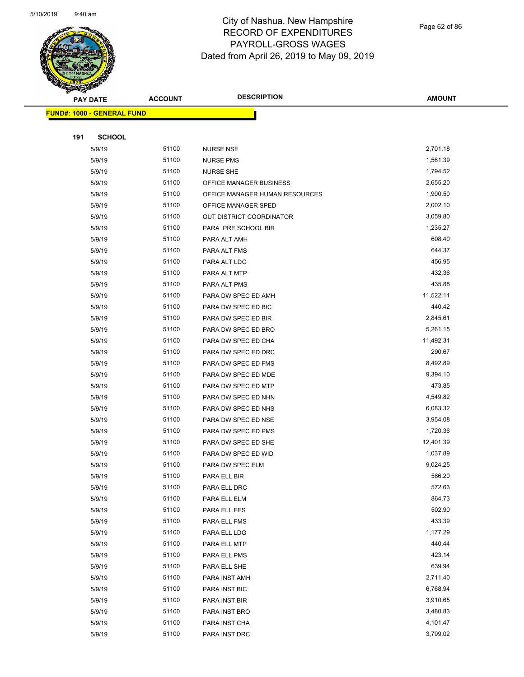

| <b>Andri</b> | <b>PAY DATE</b>                   | <b>ACCOUNT</b> | <b>DESCRIPTION</b>             | <b>AMOUNT</b> |
|--------------|-----------------------------------|----------------|--------------------------------|---------------|
|              | <b>FUND#: 1000 - GENERAL FUND</b> |                |                                |               |
|              |                                   |                |                                |               |
| 191          | <b>SCHOOL</b>                     |                |                                |               |
|              | 5/9/19                            | 51100          | <b>NURSE NSE</b>               | 2,701.18      |
|              | 5/9/19                            | 51100          | <b>NURSE PMS</b>               | 1,561.39      |
|              | 5/9/19                            | 51100          | <b>NURSE SHE</b>               | 1,794.52      |
|              | 5/9/19                            | 51100          | OFFICE MANAGER BUSINESS        | 2,655.20      |
|              | 5/9/19                            | 51100          | OFFICE MANAGER HUMAN RESOURCES | 1,900.50      |
|              | 5/9/19                            | 51100          | OFFICE MANAGER SPED            | 2,002.10      |
|              | 5/9/19                            | 51100          | OUT DISTRICT COORDINATOR       | 3,059.80      |
|              | 5/9/19                            | 51100          | PARA PRE SCHOOL BIR            | 1,235.27      |
|              | 5/9/19                            | 51100          | PARA ALT AMH                   | 608.40        |
|              | 5/9/19                            | 51100          | PARA ALT FMS                   | 644.37        |
|              | 5/9/19                            | 51100          | PARA ALT LDG                   | 456.95        |
|              | 5/9/19                            | 51100          | PARA ALT MTP                   | 432.36        |
|              | 5/9/19                            | 51100          | PARA ALT PMS                   | 435.88        |
|              | 5/9/19                            | 51100          | PARA DW SPEC ED AMH            | 11,522.11     |
|              | 5/9/19                            | 51100          | PARA DW SPEC ED BIC            | 440.42        |
|              | 5/9/19                            | 51100          | PARA DW SPEC ED BIR            | 2,845.61      |
|              | 5/9/19                            | 51100          | PARA DW SPEC ED BRO            | 5,261.15      |
|              | 5/9/19                            | 51100          | PARA DW SPEC ED CHA            | 11,492.31     |
|              | 5/9/19                            | 51100          | PARA DW SPEC ED DRC            | 290.67        |
|              | 5/9/19                            | 51100          | PARA DW SPEC ED FMS            | 8,492.89      |
|              | 5/9/19                            | 51100          | PARA DW SPEC ED MDE            | 9,394.10      |
|              | 5/9/19                            | 51100          | PARA DW SPEC ED MTP            | 473.85        |
|              | 5/9/19                            | 51100          | PARA DW SPEC ED NHN            | 4,549.82      |
|              | 5/9/19                            | 51100          | PARA DW SPEC ED NHS            | 6,083.32      |
|              | 5/9/19                            | 51100          | PARA DW SPEC ED NSE            | 3,954.08      |
|              | 5/9/19                            | 51100          | PARA DW SPEC ED PMS            | 1,720.36      |
|              | 5/9/19                            | 51100          | PARA DW SPEC ED SHE            | 12,401.39     |
|              | 5/9/19                            | 51100          | PARA DW SPEC ED WID            | 1,037.89      |
|              | 5/9/19                            | 51100          | PARA DW SPEC ELM               | 9,024.25      |
|              | 5/9/19                            | 51100          | PARA ELL BIR                   | 586.20        |
|              | 5/9/19                            | 51100          | PARA ELL DRC                   | 572.63        |
|              | 5/9/19                            | 51100          | PARA ELL ELM                   | 864.73        |
|              | 5/9/19                            | 51100          | PARA ELL FES                   | 502.90        |
|              | 5/9/19                            | 51100          | PARA ELL FMS                   | 433.39        |
|              | 5/9/19                            | 51100          | PARA ELL LDG                   | 1,177.29      |
|              | 5/9/19                            | 51100          | PARA ELL MTP                   | 440.44        |
|              | 5/9/19                            | 51100          | PARA ELL PMS                   | 423.14        |
|              | 5/9/19                            | 51100          | PARA ELL SHE                   | 639.94        |
|              | 5/9/19                            | 51100          | PARA INST AMH                  | 2,711.40      |
|              | 5/9/19                            | 51100          | PARA INST BIC                  | 6,768.94      |
|              | 5/9/19                            | 51100          | PARA INST BIR                  | 3,910.65      |
|              | 5/9/19                            | 51100          | PARA INST BRO                  | 3,480.83      |
|              | 5/9/19                            | 51100          | PARA INST CHA                  | 4,101.47      |
|              | 5/9/19                            | 51100          | PARA INST DRC                  | 3,799.02      |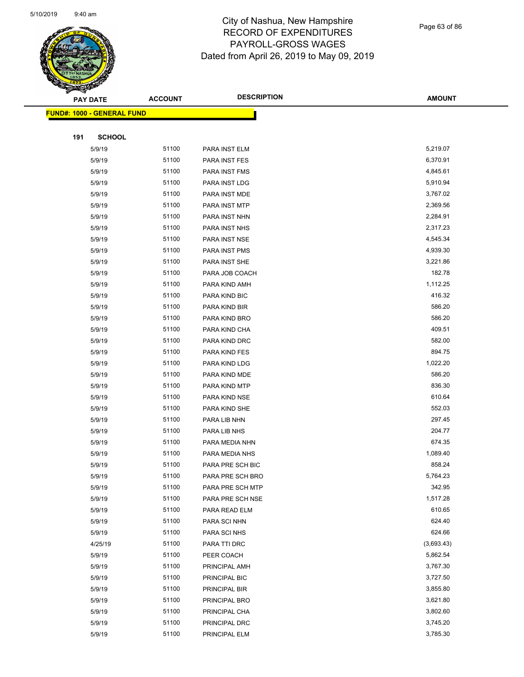

Page 63 of 86

|     | <b>PAY DATE</b>                   | <b>ACCOUNT</b> | <b>DESCRIPTION</b>            | <b>AMOUNT</b>      |
|-----|-----------------------------------|----------------|-------------------------------|--------------------|
|     | <b>FUND#: 1000 - GENERAL FUND</b> |                |                               |                    |
|     |                                   |                |                               |                    |
| 191 | <b>SCHOOL</b>                     |                |                               |                    |
|     | 5/9/19                            | 51100          | PARA INST ELM                 | 5,219.07           |
|     | 5/9/19                            | 51100          | PARA INST FES                 | 6,370.91           |
|     | 5/9/19                            | 51100          | PARA INST FMS                 | 4,845.61           |
|     | 5/9/19                            | 51100          | PARA INST LDG                 | 5,910.94           |
|     | 5/9/19                            | 51100          | PARA INST MDE                 | 3,767.02           |
|     | 5/9/19                            | 51100          | PARA INST MTP                 | 2,369.56           |
|     | 5/9/19                            | 51100          | PARA INST NHN                 | 2,284.91           |
|     | 5/9/19                            | 51100          | PARA INST NHS                 | 2,317.23           |
|     | 5/9/19                            | 51100          | PARA INST NSE                 | 4,545.34           |
|     | 5/9/19                            | 51100          | PARA INST PMS                 | 4,939.30           |
|     | 5/9/19                            | 51100          | PARA INST SHE                 | 3,221.86           |
|     | 5/9/19                            | 51100          | PARA JOB COACH                | 182.78             |
|     | 5/9/19                            | 51100          | PARA KIND AMH                 | 1,112.25           |
|     | 5/9/19                            | 51100          | PARA KIND BIC                 | 416.32             |
|     | 5/9/19                            | 51100          | PARA KIND BIR                 | 586.20             |
|     | 5/9/19                            | 51100          | PARA KIND BRO                 | 586.20             |
|     | 5/9/19                            | 51100          | PARA KIND CHA                 | 409.51             |
|     | 5/9/19                            | 51100          | PARA KIND DRC                 | 582.00             |
|     | 5/9/19                            | 51100          | PARA KIND FES                 | 894.75             |
|     | 5/9/19                            | 51100          | PARA KIND LDG                 | 1,022.20           |
|     | 5/9/19                            | 51100          | PARA KIND MDE                 | 586.20             |
|     | 5/9/19                            | 51100          | PARA KIND MTP                 | 836.30             |
|     | 5/9/19                            | 51100          | PARA KIND NSE                 | 610.64             |
|     | 5/9/19                            | 51100          | PARA KIND SHE                 | 552.03             |
|     | 5/9/19                            | 51100          | PARA LIB NHN                  | 297.45             |
|     | 5/9/19                            | 51100          | PARA LIB NHS                  | 204.77             |
|     | 5/9/19                            | 51100          | PARA MEDIA NHN                | 674.35             |
|     | 5/9/19                            | 51100          | PARA MEDIA NHS                | 1,089.40           |
|     | 5/9/19                            | 51100          | PARA PRE SCH BIC              | 858.24             |
|     | 5/9/19                            | 51100          | PARA PRE SCH BRO              | 5,764.23           |
|     | 5/9/19                            | 51100<br>51100 | PARA PRE SCH MTP              | 342.95<br>1,517.28 |
|     | 5/9/19                            | 51100          | PARA PRE SCH NSE              | 610.65             |
|     | 5/9/19<br>5/9/19                  | 51100          | PARA READ ELM<br>PARA SCI NHN | 624.40             |
|     | 5/9/19                            | 51100          | PARA SCI NHS                  | 624.66             |
|     | 4/25/19                           | 51100          | PARA TTI DRC                  | (3,693.43)         |
|     | 5/9/19                            | 51100          | PEER COACH                    | 5,862.54           |
|     | 5/9/19                            | 51100          | PRINCIPAL AMH                 | 3,767.30           |
|     | 5/9/19                            | 51100          | PRINCIPAL BIC                 | 3,727.50           |
|     | 5/9/19                            | 51100          | PRINCIPAL BIR                 | 3,855.80           |
|     | 5/9/19                            | 51100          | PRINCIPAL BRO                 | 3,621.80           |
|     | 5/9/19                            | 51100          | PRINCIPAL CHA                 | 3,802.60           |
|     | 5/9/19                            | 51100          | PRINCIPAL DRC                 | 3,745.20           |
|     | 5/9/19                            | 51100          | PRINCIPAL ELM                 | 3,785.30           |
|     |                                   |                |                               |                    |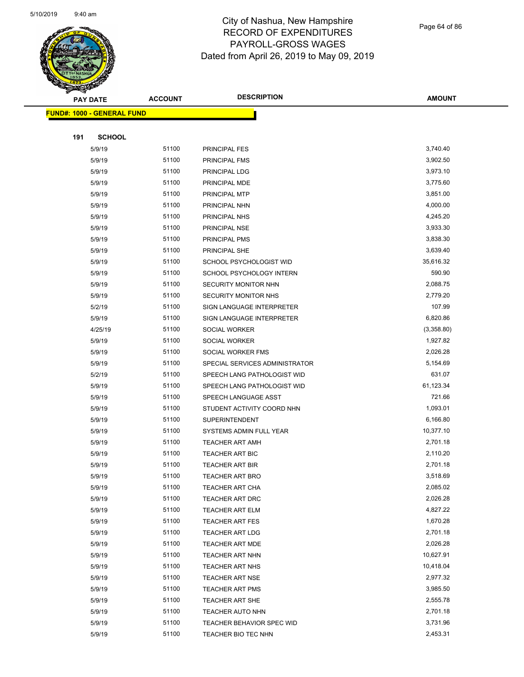

Page 64 of 86

| <b>ARA</b> | <b>PAY DATE</b>            | <b>ACCOUNT</b> | <b>DESCRIPTION</b>                  | <b>AMOUNT</b>         |
|------------|----------------------------|----------------|-------------------------------------|-----------------------|
|            | FUND#: 1000 - GENERAL FUND |                |                                     |                       |
|            |                            |                |                                     |                       |
| 191        | <b>SCHOOL</b>              |                |                                     |                       |
|            | 5/9/19                     | 51100          | PRINCIPAL FES                       | 3,740.40              |
|            | 5/9/19                     | 51100          | PRINCIPAL FMS                       | 3,902.50              |
|            | 5/9/19                     | 51100          | PRINCIPAL LDG                       | 3,973.10              |
|            | 5/9/19                     | 51100          | PRINCIPAL MDE                       | 3,775.60              |
|            | 5/9/19                     | 51100          | PRINCIPAL MTP                       | 3,851.00              |
|            | 5/9/19                     | 51100          | PRINCIPAL NHN                       | 4,000.00              |
|            | 5/9/19                     | 51100          | PRINCIPAL NHS                       | 4,245.20              |
|            | 5/9/19                     | 51100          | PRINCIPAL NSE                       | 3,933.30              |
|            | 5/9/19                     | 51100          | PRINCIPAL PMS                       | 3,838.30              |
|            | 5/9/19                     | 51100          | PRINCIPAL SHE                       | 3,639.40              |
|            | 5/9/19                     | 51100          | SCHOOL PSYCHOLOGIST WID             | 35,616.32             |
|            | 5/9/19                     | 51100          | SCHOOL PSYCHOLOGY INTERN            | 590.90                |
|            | 5/9/19                     | 51100          | SECURITY MONITOR NHN                | 2,088.75              |
|            | 5/9/19                     | 51100          | SECURITY MONITOR NHS                | 2,779.20              |
|            | 5/2/19                     | 51100          | SIGN LANGUAGE INTERPRETER           | 107.99                |
|            | 5/9/19                     | 51100          | SIGN LANGUAGE INTERPRETER           | 6,820.86              |
|            | 4/25/19                    | 51100          | SOCIAL WORKER                       | (3,358.80)            |
|            | 5/9/19                     | 51100          | SOCIAL WORKER                       | 1,927.82              |
|            | 5/9/19                     | 51100          | SOCIAL WORKER FMS                   | 2,026.28              |
|            | 5/9/19                     | 51100          | SPECIAL SERVICES ADMINISTRATOR      | 5,154.69              |
|            | 5/2/19                     | 51100          | SPEECH LANG PATHOLOGIST WID         | 631.07                |
|            | 5/9/19                     | 51100          | SPEECH LANG PATHOLOGIST WID         | 61,123.34             |
|            | 5/9/19                     | 51100          | SPEECH LANGUAGE ASST                | 721.66                |
|            | 5/9/19                     | 51100          | STUDENT ACTIVITY COORD NHN          | 1,093.01              |
|            | 5/9/19                     | 51100          | <b>SUPERINTENDENT</b>               | 6,166.80              |
|            | 5/9/19                     | 51100          | SYSTEMS ADMIN FULL YEAR             | 10,377.10             |
|            | 5/9/19                     | 51100          | <b>TEACHER ART AMH</b>              | 2,701.18              |
|            | 5/9/19                     | 51100          | <b>TEACHER ART BIC</b>              | 2,110.20              |
|            | 5/9/19                     | 51100          | <b>TEACHER ART BIR</b>              | 2,701.18              |
|            | 5/9/19                     | 51100          | <b>TEACHER ART BRO</b>              | 3,518.69              |
|            | 5/9/19                     | 51100          | <b>TEACHER ART CHA</b>              | 2,085.02              |
|            | 5/9/19                     | 51100          | TEACHER ART DRC                     | 2,026.28              |
|            | 5/9/19                     | 51100          | <b>TEACHER ART ELM</b>              | 4,827.22              |
|            | 5/9/19                     | 51100          | TEACHER ART FES                     | 1,670.28              |
|            | 5/9/19                     | 51100          | <b>TEACHER ART LDG</b>              | 2,701.18              |
|            | 5/9/19                     | 51100          | <b>TEACHER ART MDE</b>              | 2,026.28              |
|            | 5/9/19                     | 51100          | <b>TEACHER ART NHN</b>              | 10,627.91             |
|            | 5/9/19                     | 51100          | <b>TEACHER ART NHS</b>              | 10,418.04<br>2,977.32 |
|            | 5/9/19                     | 51100          | <b>TEACHER ART NSE</b>              |                       |
|            | 5/9/19                     | 51100<br>51100 | TEACHER ART PMS                     | 3,985.50<br>2,555.78  |
|            | 5/9/19<br>5/9/19           | 51100          | TEACHER ART SHE<br>TEACHER AUTO NHN | 2,701.18              |
|            | 5/9/19                     | 51100          | TEACHER BEHAVIOR SPEC WID           | 3,731.96              |
|            | 5/9/19                     | 51100          | TEACHER BIO TEC NHN                 | 2,453.31              |
|            |                            |                |                                     |                       |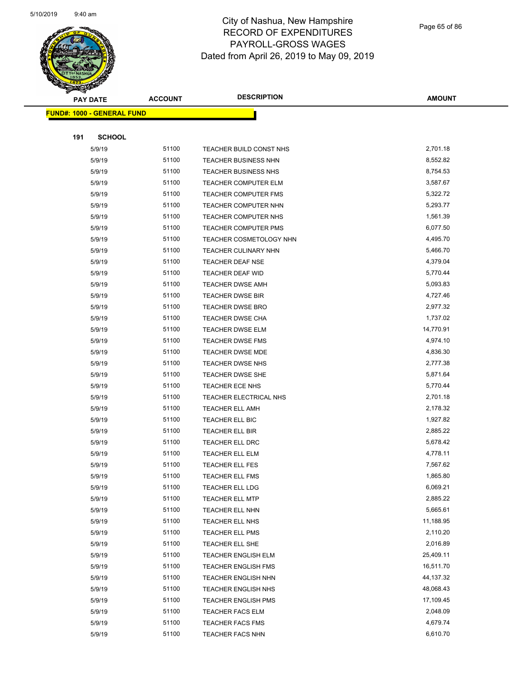

Page 65 of 86

|     | <b>PAY DATE</b>                   | <b>ACCOUNT</b> | <b>DESCRIPTION</b>          | <b>AMOUNT</b>        |
|-----|-----------------------------------|----------------|-----------------------------|----------------------|
|     | <b>FUND#: 1000 - GENERAL FUND</b> |                |                             |                      |
|     |                                   |                |                             |                      |
| 191 | <b>SCHOOL</b>                     |                |                             |                      |
|     | 5/9/19                            | 51100          | TEACHER BUILD CONST NHS     | 2,701.18             |
|     | 5/9/19                            | 51100          | <b>TEACHER BUSINESS NHN</b> | 8,552.82             |
|     | 5/9/19                            | 51100          | <b>TEACHER BUSINESS NHS</b> | 8,754.53             |
|     | 5/9/19                            | 51100          | <b>TEACHER COMPUTER ELM</b> | 3,587.67             |
|     | 5/9/19                            | 51100          | TEACHER COMPUTER FMS        | 5,322.72             |
|     | 5/9/19                            | 51100          | TEACHER COMPUTER NHN        | 5,293.77             |
|     | 5/9/19                            | 51100          | TEACHER COMPUTER NHS        | 1,561.39             |
|     | 5/9/19                            | 51100          | <b>TEACHER COMPUTER PMS</b> | 6,077.50             |
|     | 5/9/19                            | 51100          | TEACHER COSMETOLOGY NHN     | 4,495.70             |
|     | 5/9/19                            | 51100          | <b>TEACHER CULINARY NHN</b> | 5,466.70             |
|     | 5/9/19                            | 51100          | <b>TEACHER DEAF NSE</b>     | 4,379.04             |
|     | 5/9/19                            | 51100          | TEACHER DEAF WID            | 5,770.44             |
|     | 5/9/19                            | 51100          | <b>TEACHER DWSE AMH</b>     | 5,093.83             |
|     | 5/9/19                            | 51100          | <b>TEACHER DWSE BIR</b>     | 4,727.46             |
|     | 5/9/19                            | 51100          | <b>TEACHER DWSE BRO</b>     | 2,977.32             |
|     | 5/9/19                            | 51100          | <b>TEACHER DWSE CHA</b>     | 1,737.02             |
|     | 5/9/19                            | 51100          | TEACHER DWSE ELM            | 14,770.91            |
|     | 5/9/19                            | 51100          | <b>TEACHER DWSE FMS</b>     | 4,974.10             |
|     | 5/9/19                            | 51100          | <b>TEACHER DWSE MDE</b>     | 4,836.30             |
|     | 5/9/19                            | 51100          | TEACHER DWSE NHS            | 2,777.38             |
|     | 5/9/19                            | 51100          | <b>TEACHER DWSE SHE</b>     | 5,871.64             |
|     | 5/9/19                            | 51100          | TEACHER ECE NHS             | 5,770.44             |
|     | 5/9/19                            | 51100          | TEACHER ELECTRICAL NHS      | 2,701.18             |
|     | 5/9/19                            | 51100          | <b>TEACHER ELL AMH</b>      | 2,178.32             |
|     | 5/9/19                            | 51100          | TEACHER ELL BIC             | 1,927.82             |
|     | 5/9/19                            | 51100          | <b>TEACHER ELL BIR</b>      | 2,885.22             |
|     | 5/9/19                            | 51100          | TEACHER ELL DRC             | 5,678.42             |
|     | 5/9/19                            | 51100          | TEACHER ELL ELM             | 4,778.11             |
|     | 5/9/19                            | 51100          | TEACHER ELL FES             | 7,567.62             |
|     | 5/9/19                            | 51100          | <b>TEACHER ELL FMS</b>      | 1,865.80             |
|     | 5/9/19                            | 51100          | TEACHER ELL LDG             | 6,069.21             |
|     | 5/9/19                            | 51100          | <b>TEACHER ELL MTP</b>      | 2,885.22             |
|     | 5/9/19                            | 51100          | TEACHER ELL NHN             | 5,665.61             |
|     | 5/9/19                            | 51100          | TEACHER ELL NHS             | 11,188.95            |
|     | 5/9/19                            | 51100          | TEACHER ELL PMS             | 2,110.20             |
|     | 5/9/19                            | 51100          | TEACHER ELL SHE             | 2,016.89             |
|     | 5/9/19                            | 51100          | <b>TEACHER ENGLISH ELM</b>  | 25,409.11            |
|     | 5/9/19                            | 51100          | <b>TEACHER ENGLISH FMS</b>  | 16,511.70            |
|     | 5/9/19                            | 51100          | TEACHER ENGLISH NHN         | 44,137.32            |
|     | 5/9/19                            | 51100          | <b>TEACHER ENGLISH NHS</b>  | 48,068.43            |
|     | 5/9/19                            | 51100          | <b>TEACHER ENGLISH PMS</b>  | 17,109.45            |
|     | 5/9/19                            | 51100          | <b>TEACHER FACS ELM</b>     | 2,048.09             |
|     | 5/9/19                            | 51100<br>51100 | <b>TEACHER FACS FMS</b>     | 4,679.74<br>6,610.70 |
|     | 5/9/19                            |                | <b>TEACHER FACS NHN</b>     |                      |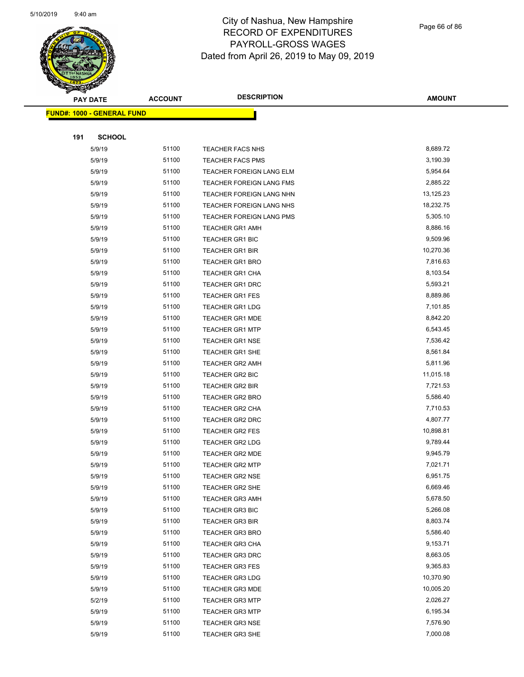

Page 66 of 86

|     | <b>PAY DATE</b>                    | <b>ACCOUNT</b> | <b>DESCRIPTION</b>              | <b>AMOUNT</b> |  |
|-----|------------------------------------|----------------|---------------------------------|---------------|--|
|     | <u> FUND#: 1000 - GENERAL FUND</u> |                |                                 |               |  |
|     |                                    |                |                                 |               |  |
| 191 | <b>SCHOOL</b>                      |                |                                 |               |  |
|     | 5/9/19                             | 51100          | <b>TEACHER FACS NHS</b>         | 8,689.72      |  |
|     | 5/9/19                             | 51100          | <b>TEACHER FACS PMS</b>         | 3,190.39      |  |
|     | 5/9/19                             | 51100          | TEACHER FOREIGN LANG ELM        | 5,954.64      |  |
|     | 5/9/19                             | 51100          | TEACHER FOREIGN LANG FMS        | 2,885.22      |  |
|     | 5/9/19                             | 51100          | TEACHER FOREIGN LANG NHN        | 13,125.23     |  |
|     | 5/9/19                             | 51100          | TEACHER FOREIGN LANG NHS        | 18,232.75     |  |
|     | 5/9/19                             | 51100          | <b>TEACHER FOREIGN LANG PMS</b> | 5,305.10      |  |
|     | 5/9/19                             | 51100          | <b>TEACHER GR1 AMH</b>          | 8,886.16      |  |
|     | 5/9/19                             | 51100          | <b>TEACHER GR1 BIC</b>          | 9,509.96      |  |
|     | 5/9/19                             | 51100          | <b>TEACHER GR1 BIR</b>          | 10,270.36     |  |
|     | 5/9/19                             | 51100          | TEACHER GR1 BRO                 | 7,816.63      |  |
|     | 5/9/19                             | 51100          | <b>TEACHER GR1 CHA</b>          | 8,103.54      |  |
|     | 5/9/19                             | 51100          | <b>TEACHER GR1 DRC</b>          | 5,593.21      |  |
|     | 5/9/19                             | 51100          | <b>TEACHER GR1 FES</b>          | 8,889.86      |  |
|     | 5/9/19                             | 51100          | <b>TEACHER GR1 LDG</b>          | 7,101.85      |  |
|     | 5/9/19                             | 51100          | <b>TEACHER GR1 MDE</b>          | 8,842.20      |  |
|     | 5/9/19                             | 51100          | <b>TEACHER GR1 MTP</b>          | 6,543.45      |  |
|     | 5/9/19                             | 51100          | <b>TEACHER GR1 NSE</b>          | 7,536.42      |  |
|     | 5/9/19                             | 51100          | <b>TEACHER GR1 SHE</b>          | 8,561.84      |  |
|     | 5/9/19                             | 51100          | <b>TEACHER GR2 AMH</b>          | 5,811.96      |  |
|     | 5/9/19                             | 51100          | TEACHER GR2 BIC                 | 11,015.18     |  |
|     | 5/9/19                             | 51100          | <b>TEACHER GR2 BIR</b>          | 7,721.53      |  |
|     | 5/9/19                             | 51100          | <b>TEACHER GR2 BRO</b>          | 5,586.40      |  |
|     | 5/9/19                             | 51100          | <b>TEACHER GR2 CHA</b>          | 7,710.53      |  |
|     | 5/9/19                             | 51100          | <b>TEACHER GR2 DRC</b>          | 4,807.77      |  |
|     | 5/9/19                             | 51100          | <b>TEACHER GR2 FES</b>          | 10,898.81     |  |
|     | 5/9/19                             | 51100          | <b>TEACHER GR2 LDG</b>          | 9,789.44      |  |
|     | 5/9/19                             | 51100          | <b>TEACHER GR2 MDE</b>          | 9,945.79      |  |
|     | 5/9/19                             | 51100          | <b>TEACHER GR2 MTP</b>          | 7,021.71      |  |
|     | 5/9/19                             | 51100          | <b>TEACHER GR2 NSE</b>          | 6,951.75      |  |
|     | 5/9/19                             | 51100          | TEACHER GR2 SHE                 | 6,669.46      |  |
|     | 5/9/19                             | 51100          | <b>TEACHER GR3 AMH</b>          | 5,678.50      |  |
|     | 5/9/19                             | 51100          | <b>TEACHER GR3 BIC</b>          | 5,266.08      |  |
|     | 5/9/19                             | 51100          | <b>TEACHER GR3 BIR</b>          | 8,803.74      |  |
|     | 5/9/19                             | 51100          | <b>TEACHER GR3 BRO</b>          | 5,586.40      |  |
|     | 5/9/19                             | 51100          | <b>TEACHER GR3 CHA</b>          | 9,153.71      |  |
|     | 5/9/19                             | 51100          | <b>TEACHER GR3 DRC</b>          | 8,663.05      |  |
|     | 5/9/19                             | 51100          | <b>TEACHER GR3 FES</b>          | 9,365.83      |  |
|     | 5/9/19                             | 51100          | <b>TEACHER GR3 LDG</b>          | 10,370.90     |  |
|     | 5/9/19                             | 51100          | <b>TEACHER GR3 MDE</b>          | 10,005.20     |  |
|     | 5/2/19                             | 51100          | <b>TEACHER GR3 MTP</b>          | 2,026.27      |  |
|     | 5/9/19                             | 51100          | <b>TEACHER GR3 MTP</b>          | 6,195.34      |  |
|     | 5/9/19                             | 51100          | <b>TEACHER GR3 NSE</b>          | 7,576.90      |  |
|     | 5/9/19                             | 51100          | TEACHER GR3 SHE                 | 7,000.08      |  |
|     |                                    |                |                                 |               |  |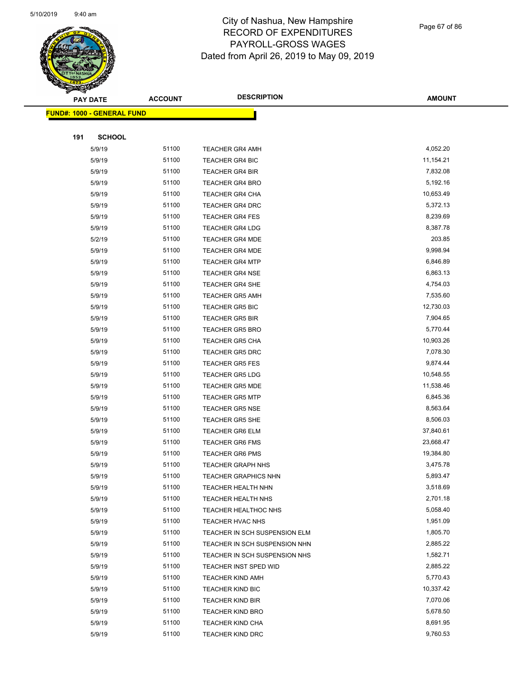

Page 67 of 86

| ទ<br>$\blacktriangleleft$ . | <b>PAY DATE</b>                   | <b>ACCOUNT</b> | <b>DESCRIPTION</b>            | <b>AMOUNT</b> |
|-----------------------------|-----------------------------------|----------------|-------------------------------|---------------|
|                             | <b>FUND#: 1000 - GENERAL FUND</b> |                |                               |               |
|                             |                                   |                |                               |               |
| 191                         | <b>SCHOOL</b>                     |                |                               |               |
|                             | 5/9/19                            | 51100          | <b>TEACHER GR4 AMH</b>        | 4,052.20      |
|                             | 5/9/19                            | 51100          | <b>TEACHER GR4 BIC</b>        | 11,154.21     |
|                             | 5/9/19                            | 51100          | <b>TEACHER GR4 BIR</b>        | 7,832.08      |
|                             | 5/9/19                            | 51100          | <b>TEACHER GR4 BRO</b>        | 5,192.16      |
|                             | 5/9/19                            | 51100          | <b>TEACHER GR4 CHA</b>        | 10,653.49     |
|                             | 5/9/19                            | 51100          | <b>TEACHER GR4 DRC</b>        | 5,372.13      |
|                             | 5/9/19                            | 51100          | <b>TEACHER GR4 FES</b>        | 8,239.69      |
|                             | 5/9/19                            | 51100          | <b>TEACHER GR4 LDG</b>        | 8,387.78      |
|                             | 5/2/19                            | 51100          | <b>TEACHER GR4 MDE</b>        | 203.85        |
|                             | 5/9/19                            | 51100          | <b>TEACHER GR4 MDE</b>        | 9,998.94      |
|                             | 5/9/19                            | 51100          | <b>TEACHER GR4 MTP</b>        | 6,846.89      |
|                             | 5/9/19                            | 51100          | <b>TEACHER GR4 NSE</b>        | 6,863.13      |
|                             | 5/9/19                            | 51100          | <b>TEACHER GR4 SHE</b>        | 4,754.03      |
|                             | 5/9/19                            | 51100          | <b>TEACHER GR5 AMH</b>        | 7,535.60      |
|                             | 5/9/19                            | 51100          | <b>TEACHER GR5 BIC</b>        | 12,730.03     |
|                             | 5/9/19                            | 51100          | <b>TEACHER GR5 BIR</b>        | 7,904.65      |
|                             | 5/9/19                            | 51100          | <b>TEACHER GR5 BRO</b>        | 5,770.44      |
|                             | 5/9/19                            | 51100          | <b>TEACHER GR5 CHA</b>        | 10,903.26     |
|                             | 5/9/19                            | 51100          | <b>TEACHER GR5 DRC</b>        | 7,078.30      |
|                             | 5/9/19                            | 51100          | <b>TEACHER GR5 FES</b>        | 9,874.44      |
|                             | 5/9/19                            | 51100          | <b>TEACHER GR5 LDG</b>        | 10,548.55     |
|                             | 5/9/19                            | 51100          | <b>TEACHER GR5 MDE</b>        | 11,538.46     |
|                             | 5/9/19                            | 51100          | <b>TEACHER GR5 MTP</b>        | 6,845.36      |
|                             | 5/9/19                            | 51100          | TEACHER GR5 NSE               | 8,563.64      |
|                             | 5/9/19                            | 51100          | <b>TEACHER GR5 SHE</b>        | 8,506.03      |
|                             | 5/9/19                            | 51100          | <b>TEACHER GR6 ELM</b>        | 37,840.61     |
|                             | 5/9/19                            | 51100          | <b>TEACHER GR6 FMS</b>        | 23,668.47     |
|                             | 5/9/19                            | 51100          | <b>TEACHER GR6 PMS</b>        | 19,384.80     |
|                             | 5/9/19                            | 51100          | <b>TEACHER GRAPH NHS</b>      | 3,475.78      |
|                             | 5/9/19                            | 51100          | TEACHER GRAPHICS NHN          | 5,893.47      |
|                             | 5/9/19                            | 51100          | <b>TEACHER HEALTH NHN</b>     | 3,518.69      |
|                             | 5/9/19                            | 51100          | TEACHER HEALTH NHS            | 2,701.18      |
|                             | 5/9/19                            | 51100          | TEACHER HEALTHOC NHS          | 5,058.40      |
|                             | 5/9/19                            | 51100          | TEACHER HVAC NHS              | 1,951.09      |
|                             | 5/9/19                            | 51100          | TEACHER IN SCH SUSPENSION ELM | 1,805.70      |
|                             | 5/9/19                            | 51100          | TEACHER IN SCH SUSPENSION NHN | 2,885.22      |
|                             | 5/9/19                            | 51100          | TEACHER IN SCH SUSPENSION NHS | 1,582.71      |
|                             | 5/9/19                            | 51100          | TEACHER INST SPED WID         | 2,885.22      |
|                             | 5/9/19                            | 51100          | <b>TEACHER KIND AMH</b>       | 5,770.43      |
|                             | 5/9/19                            | 51100          | TEACHER KIND BIC              | 10,337.42     |
|                             | 5/9/19                            | 51100          | <b>TEACHER KIND BIR</b>       | 7,070.06      |
|                             | 5/9/19                            | 51100          | <b>TEACHER KIND BRO</b>       | 5,678.50      |
|                             | 5/9/19                            | 51100          | TEACHER KIND CHA              | 8,691.95      |
|                             | 5/9/19                            | 51100          | TEACHER KIND DRC              | 9,760.53      |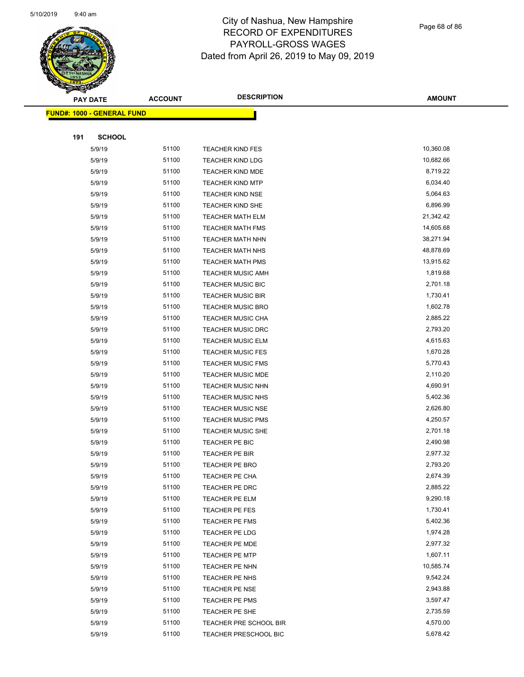

Page 68 of 86

| <b>ACCOUNT</b>                    | <b>DESCRIPTION</b>                                                                             | <b>AMOUNT</b>                                                                                                                                                                                      |
|-----------------------------------|------------------------------------------------------------------------------------------------|----------------------------------------------------------------------------------------------------------------------------------------------------------------------------------------------------|
| <b>FUND#: 1000 - GENERAL FUND</b> |                                                                                                |                                                                                                                                                                                                    |
|                                   |                                                                                                |                                                                                                                                                                                                    |
|                                   |                                                                                                |                                                                                                                                                                                                    |
| 51100                             |                                                                                                | 10,360.08                                                                                                                                                                                          |
| 51100                             |                                                                                                | 10,682.66                                                                                                                                                                                          |
| 51100                             |                                                                                                | 8,719.22                                                                                                                                                                                           |
| 51100                             |                                                                                                | 6,034.40                                                                                                                                                                                           |
| 51100                             |                                                                                                | 5,064.63                                                                                                                                                                                           |
| 51100                             |                                                                                                | 6,896.99                                                                                                                                                                                           |
| 51100                             | <b>TEACHER MATH ELM</b>                                                                        | 21,342.42                                                                                                                                                                                          |
| 51100                             | <b>TEACHER MATH FMS</b>                                                                        | 14,605.68                                                                                                                                                                                          |
| 51100                             | <b>TEACHER MATH NHN</b>                                                                        | 38,271.94                                                                                                                                                                                          |
| 51100                             | TEACHER MATH NHS                                                                               | 48,878.69                                                                                                                                                                                          |
| 51100                             | <b>TEACHER MATH PMS</b>                                                                        | 13,915.62                                                                                                                                                                                          |
| 51100                             | <b>TEACHER MUSIC AMH</b>                                                                       | 1,819.68                                                                                                                                                                                           |
| 51100                             | TEACHER MUSIC BIC                                                                              | 2,701.18                                                                                                                                                                                           |
| 51100                             | <b>TEACHER MUSIC BIR</b>                                                                       | 1,730.41                                                                                                                                                                                           |
| 51100                             | <b>TEACHER MUSIC BRO</b>                                                                       | 1,602.78                                                                                                                                                                                           |
| 51100                             | <b>TEACHER MUSIC CHA</b>                                                                       | 2,885.22                                                                                                                                                                                           |
| 51100                             | <b>TEACHER MUSIC DRC</b>                                                                       | 2,793.20                                                                                                                                                                                           |
| 51100                             | TEACHER MUSIC ELM                                                                              | 4,615.63                                                                                                                                                                                           |
| 51100                             | <b>TEACHER MUSIC FES</b>                                                                       | 1,670.28                                                                                                                                                                                           |
| 51100                             | <b>TEACHER MUSIC FMS</b>                                                                       | 5,770.43                                                                                                                                                                                           |
| 51100                             | <b>TEACHER MUSIC MDE</b>                                                                       | 2,110.20                                                                                                                                                                                           |
| 51100                             | <b>TEACHER MUSIC NHN</b>                                                                       | 4,690.91                                                                                                                                                                                           |
| 51100                             | <b>TEACHER MUSIC NHS</b>                                                                       | 5,402.36                                                                                                                                                                                           |
| 51100                             | <b>TEACHER MUSIC NSE</b>                                                                       | 2,626.80                                                                                                                                                                                           |
| 51100                             | <b>TEACHER MUSIC PMS</b>                                                                       | 4,250.57                                                                                                                                                                                           |
| 51100                             | <b>TEACHER MUSIC SHE</b>                                                                       | 2,701.18                                                                                                                                                                                           |
| 51100                             | TEACHER PE BIC                                                                                 | 2,490.98                                                                                                                                                                                           |
| 51100                             | TEACHER PE BIR                                                                                 | 2,977.32                                                                                                                                                                                           |
| 51100                             | <b>TEACHER PE BRO</b>                                                                          | 2,793.20                                                                                                                                                                                           |
| 51100                             | TEACHER PE CHA                                                                                 | 2,674.39                                                                                                                                                                                           |
| 51100                             | TEACHER PE DRC                                                                                 | 2,885.22                                                                                                                                                                                           |
|                                   | TEACHER PE ELM                                                                                 | 9,290.18                                                                                                                                                                                           |
| 51100                             | TEACHER PE FES                                                                                 | 1,730.41                                                                                                                                                                                           |
|                                   | TEACHER PE FMS                                                                                 | 5,402.36                                                                                                                                                                                           |
|                                   | TEACHER PE LDG                                                                                 | 1,974.28                                                                                                                                                                                           |
| 51100                             | TEACHER PE MDE                                                                                 | 2,977.32                                                                                                                                                                                           |
|                                   | <b>TEACHER PE MTP</b>                                                                          | 1,607.11                                                                                                                                                                                           |
|                                   | TEACHER PE NHN                                                                                 | 10,585.74                                                                                                                                                                                          |
|                                   |                                                                                                | 9,542.24                                                                                                                                                                                           |
| 51100                             | TEACHER PE NSE                                                                                 | 2,943.88                                                                                                                                                                                           |
| 51100                             | TEACHER PE PMS                                                                                 | 3,597.47                                                                                                                                                                                           |
|                                   | TEACHER PE SHE                                                                                 | 2,735.59                                                                                                                                                                                           |
|                                   | TEACHER PRE SCHOOL BIR                                                                         | 4,570.00                                                                                                                                                                                           |
|                                   |                                                                                                | 5,678.42                                                                                                                                                                                           |
|                                   | <b>SCHOOL</b><br>51100<br>51100<br>51100<br>51100<br>51100<br>51100<br>51100<br>51100<br>51100 | <b>TEACHER KIND FES</b><br><b>TEACHER KIND LDG</b><br><b>TEACHER KIND MDE</b><br><b>TEACHER KIND MTP</b><br><b>TEACHER KIND NSE</b><br>TEACHER KIND SHE<br>TEACHER PE NHS<br>TEACHER PRESCHOOL BIC |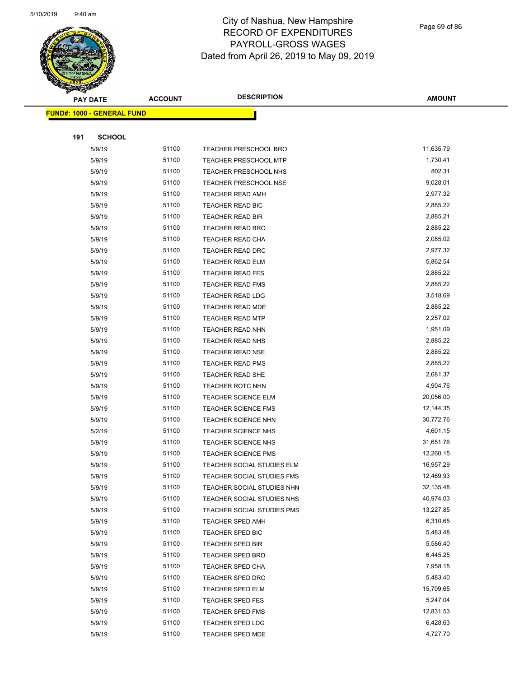

Page 69 of 86

| $\blacktriangleleft$ . | <b>PAY DATE</b>                   | <b>ACCOUNT</b> | <b>DESCRIPTION</b>         | <b>AMOUNT</b> |
|------------------------|-----------------------------------|----------------|----------------------------|---------------|
|                        | <b>FUND#: 1000 - GENERAL FUND</b> |                |                            |               |
|                        |                                   |                |                            |               |
| 191                    | <b>SCHOOL</b>                     |                |                            |               |
|                        | 5/9/19                            | 51100          | TEACHER PRESCHOOL BRO      | 11,635.79     |
|                        | 5/9/19                            | 51100          | TEACHER PRESCHOOL MTP      | 1,730.41      |
|                        | 5/9/19                            | 51100          | TEACHER PRESCHOOL NHS      | 802.31        |
|                        | 5/9/19                            | 51100          | TEACHER PRESCHOOL NSE      | 9,028.01      |
|                        | 5/9/19                            | 51100          | TEACHER READ AMH           | 2,977.32      |
|                        | 5/9/19                            | 51100          | TEACHER READ BIC           | 2,885.22      |
|                        | 5/9/19                            | 51100          | TEACHER READ BIR           | 2,885.21      |
|                        | 5/9/19                            | 51100          | <b>TEACHER READ BRO</b>    | 2,885.22      |
|                        | 5/9/19                            | 51100          | TEACHER READ CHA           | 2,085.02      |
|                        | 5/9/19                            | 51100          | TEACHER READ DRC           | 2,977.32      |
|                        | 5/9/19                            | 51100          | TEACHER READ ELM           | 5,862.54      |
|                        | 5/9/19                            | 51100          | <b>TEACHER READ FES</b>    | 2,885.22      |
|                        | 5/9/19                            | 51100          | <b>TEACHER READ FMS</b>    | 2,885.22      |
|                        | 5/9/19                            | 51100          | TEACHER READ LDG           | 3,518.69      |
|                        | 5/9/19                            | 51100          | TEACHER READ MDE           | 2,885.22      |
|                        | 5/9/19                            | 51100          | <b>TEACHER READ MTP</b>    | 2,257.02      |
|                        | 5/9/19                            | 51100          | TEACHER READ NHN           | 1,951.09      |
|                        | 5/9/19                            | 51100          | TEACHER READ NHS           | 2,885.22      |
|                        | 5/9/19                            | 51100          | <b>TEACHER READ NSE</b>    | 2,885.22      |
|                        | 5/9/19                            | 51100          | <b>TEACHER READ PMS</b>    | 2,885.22      |
|                        | 5/9/19                            | 51100          | TEACHER READ SHE           | 2,681.37      |
|                        | 5/9/19                            | 51100          | TEACHER ROTC NHN           | 4,904.76      |
|                        | 5/9/19                            | 51100          | <b>TEACHER SCIENCE ELM</b> | 20,056.00     |
|                        | 5/9/19                            | 51100          | <b>TEACHER SCIENCE FMS</b> | 12,144.35     |
|                        | 5/9/19                            | 51100          | TEACHER SCIENCE NHN        | 30,772.76     |
|                        | 5/2/19                            | 51100          | TEACHER SCIENCE NHS        | 4,601.15      |
|                        | 5/9/19                            | 51100          | TEACHER SCIENCE NHS        | 31,651.76     |
|                        | 5/9/19                            | 51100          | <b>TEACHER SCIENCE PMS</b> | 12,260.15     |
|                        | 5/9/19                            | 51100          | TEACHER SOCIAL STUDIES ELM | 16,957.29     |
|                        | 5/9/19                            | 51100          | TEACHER SOCIAL STUDIES FMS | 12,469.93     |
|                        | 5/9/19                            | 51100          | TEACHER SOCIAL STUDIES NHN | 32,135.48     |
|                        | 5/9/19                            | 51100          | TEACHER SOCIAL STUDIES NHS | 40,974.03     |
|                        | 5/9/19                            | 51100          | TEACHER SOCIAL STUDIES PMS | 13,227.85     |
|                        | 5/9/19                            | 51100          | TEACHER SPED AMH           | 6,310.65      |
|                        | 5/9/19                            | 51100          | TEACHER SPED BIC           | 5,483.48      |
|                        | 5/9/19                            | 51100          | TEACHER SPED BIR           | 5,586.40      |
|                        | 5/9/19                            | 51100          | <b>TEACHER SPED BRO</b>    | 6,445.25      |
|                        | 5/9/19                            | 51100          | <b>TEACHER SPED CHA</b>    | 7,958.15      |
|                        | 5/9/19                            | 51100          | TEACHER SPED DRC           | 5,483.40      |
|                        | 5/9/19                            | 51100          | TEACHER SPED ELM           | 15,709.65     |
|                        | 5/9/19                            | 51100          | <b>TEACHER SPED FES</b>    | 5,247.04      |
|                        | 5/9/19                            | 51100          | <b>TEACHER SPED FMS</b>    | 12,831.53     |
|                        | 5/9/19                            | 51100          | <b>TEACHER SPED LDG</b>    | 6,428.63      |
|                        | 5/9/19                            | 51100          | <b>TEACHER SPED MDE</b>    | 4,727.70      |
|                        |                                   |                |                            |               |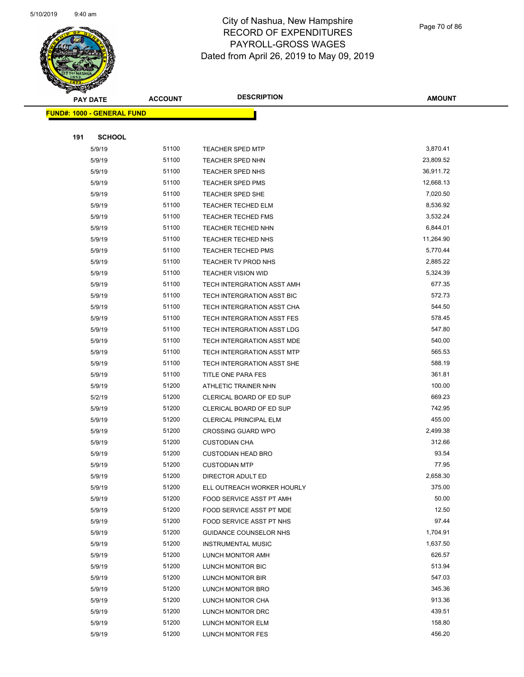

Page 70 of 86

| <b>PAY DATE</b> |                                    | <b>ACCOUNT</b> | <b>DESCRIPTION</b>            | <b>AMOUNT</b> |  |
|-----------------|------------------------------------|----------------|-------------------------------|---------------|--|
|                 | <u> FUND#: 1000 - GENERAL FUND</u> |                |                               |               |  |
|                 |                                    |                |                               |               |  |
| 191             | <b>SCHOOL</b>                      |                |                               |               |  |
|                 | 5/9/19                             | 51100          | <b>TEACHER SPED MTP</b>       | 3,870.41      |  |
|                 | 5/9/19                             | 51100          | TEACHER SPED NHN              | 23,809.52     |  |
|                 | 5/9/19                             | 51100          | <b>TEACHER SPED NHS</b>       | 36,911.72     |  |
|                 | 5/9/19                             | 51100          | <b>TEACHER SPED PMS</b>       | 12,668.13     |  |
|                 | 5/9/19                             | 51100          | <b>TEACHER SPED SHE</b>       | 7,020.50      |  |
|                 | 5/9/19                             | 51100          | <b>TEACHER TECHED ELM</b>     | 8,536.92      |  |
|                 | 5/9/19                             | 51100          | <b>TEACHER TECHED FMS</b>     | 3,532.24      |  |
|                 | 5/9/19                             | 51100          | TEACHER TECHED NHN            | 6,844.01      |  |
|                 | 5/9/19                             | 51100          | <b>TEACHER TECHED NHS</b>     | 11,264.90     |  |
|                 | 5/9/19                             | 51100          | <b>TEACHER TECHED PMS</b>     | 5,770.44      |  |
|                 | 5/9/19                             | 51100          | TEACHER TV PROD NHS           | 2,885.22      |  |
|                 | 5/9/19                             | 51100          | <b>TEACHER VISION WID</b>     | 5,324.39      |  |
|                 | 5/9/19                             | 51100          | TECH INTERGRATION ASST AMH    | 677.35        |  |
|                 | 5/9/19                             | 51100          | TECH INTERGRATION ASST BIC    | 572.73        |  |
|                 | 5/9/19                             | 51100          | TECH INTERGRATION ASST CHA    | 544.50        |  |
|                 | 5/9/19                             | 51100          | TECH INTERGRATION ASST FES    | 578.45        |  |
|                 | 5/9/19                             | 51100          | TECH INTERGRATION ASST LDG    | 547.80        |  |
|                 | 5/9/19                             | 51100          | TECH INTERGRATION ASST MDE    | 540.00        |  |
|                 | 5/9/19                             | 51100          | TECH INTERGRATION ASST MTP    | 565.53        |  |
|                 | 5/9/19                             | 51100          | TECH INTERGRATION ASST SHE    | 588.19        |  |
|                 | 5/9/19                             | 51100          | TITLE ONE PARA FES            | 361.81        |  |
|                 | 5/9/19                             | 51200          | ATHLETIC TRAINER NHN          | 100.00        |  |
|                 | 5/2/19                             | 51200          | CLERICAL BOARD OF ED SUP      | 669.23        |  |
|                 | 5/9/19                             | 51200          | CLERICAL BOARD OF ED SUP      | 742.95        |  |
|                 | 5/9/19                             | 51200          | <b>CLERICAL PRINCIPAL ELM</b> | 455.00        |  |
|                 | 5/9/19                             | 51200          | <b>CROSSING GUARD WPO</b>     | 2,499.38      |  |
|                 | 5/9/19                             | 51200          | <b>CUSTODIAN CHA</b>          | 312.66        |  |
|                 | 5/9/19                             | 51200          | <b>CUSTODIAN HEAD BRO</b>     | 93.54         |  |
|                 | 5/9/19                             | 51200          | <b>CUSTODIAN MTP</b>          | 77.95         |  |
|                 | 5/9/19                             | 51200          | DIRECTOR ADULT ED             | 2,658.30      |  |
|                 | 5/9/19                             | 51200          | ELL OUTREACH WORKER HOURLY    | 375.00        |  |
|                 | 5/9/19                             | 51200          | FOOD SERVICE ASST PT AMH      | 50.00         |  |
|                 | 5/9/19                             | 51200          | FOOD SERVICE ASST PT MDE      | 12.50         |  |
|                 | 5/9/19                             | 51200          | FOOD SERVICE ASST PT NHS      | 97.44         |  |
|                 | 5/9/19                             | 51200          | GUIDANCE COUNSELOR NHS        | 1,704.91      |  |
|                 | 5/9/19                             | 51200          | <b>INSTRUMENTAL MUSIC</b>     | 1,637.50      |  |
|                 | 5/9/19                             | 51200          | LUNCH MONITOR AMH             | 626.57        |  |
|                 | 5/9/19                             | 51200          | LUNCH MONITOR BIC             | 513.94        |  |
|                 | 5/9/19                             | 51200          | LUNCH MONITOR BIR             | 547.03        |  |
|                 | 5/9/19                             | 51200          | LUNCH MONITOR BRO             | 345.36        |  |
|                 | 5/9/19                             | 51200          | LUNCH MONITOR CHA             | 913.36        |  |
|                 | 5/9/19                             | 51200          | LUNCH MONITOR DRC             | 439.51        |  |
|                 | 5/9/19                             | 51200          | LUNCH MONITOR ELM             | 158.80        |  |
|                 | 5/9/19                             | 51200          | LUNCH MONITOR FES             | 456.20        |  |
|                 |                                    |                |                               |               |  |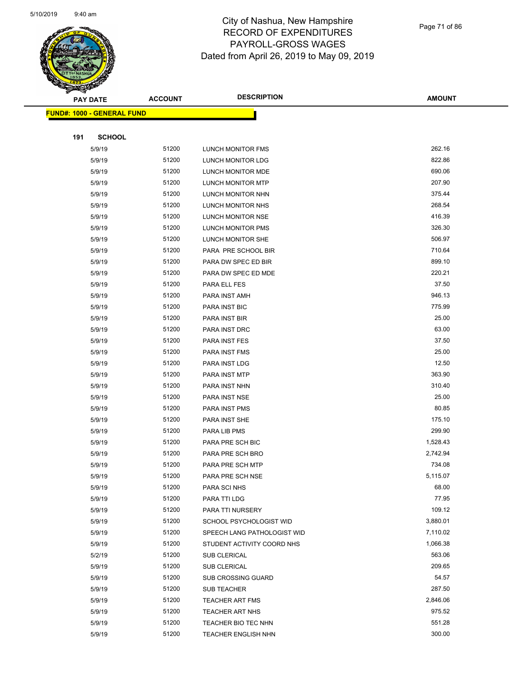

| S<br>$\tilde{\phantom{a}}$ | <b>PAY DATE</b>                   | <b>ACCOUNT</b> | <b>DESCRIPTION</b>          | <b>AMOUNT</b> |
|----------------------------|-----------------------------------|----------------|-----------------------------|---------------|
|                            | <b>FUND#: 1000 - GENERAL FUND</b> |                |                             |               |
|                            |                                   |                |                             |               |
| 191                        | <b>SCHOOL</b>                     |                |                             |               |
|                            | 5/9/19                            | 51200          | <b>LUNCH MONITOR FMS</b>    | 262.16        |
|                            | 5/9/19                            | 51200          | LUNCH MONITOR LDG           | 822.86        |
|                            | 5/9/19                            | 51200          | LUNCH MONITOR MDE           | 690.06        |
|                            | 5/9/19                            | 51200          | <b>LUNCH MONITOR MTP</b>    | 207.90        |
|                            | 5/9/19                            | 51200          | LUNCH MONITOR NHN           | 375.44        |
|                            | 5/9/19                            | 51200          | LUNCH MONITOR NHS           | 268.54        |
|                            | 5/9/19                            | 51200          | LUNCH MONITOR NSE           | 416.39        |
|                            | 5/9/19                            | 51200          | <b>LUNCH MONITOR PMS</b>    | 326.30        |
|                            | 5/9/19                            | 51200          | LUNCH MONITOR SHE           | 506.97        |
|                            | 5/9/19                            | 51200          | PARA PRE SCHOOL BIR         | 710.64        |
|                            | 5/9/19                            | 51200          | PARA DW SPEC ED BIR         | 899.10        |
|                            | 5/9/19                            | 51200          | PARA DW SPEC ED MDE         | 220.21        |
|                            | 5/9/19                            | 51200          | PARA ELL FES                | 37.50         |
|                            | 5/9/19                            | 51200          | PARA INST AMH               | 946.13        |
|                            | 5/9/19                            | 51200          | PARA INST BIC               | 775.99        |
|                            | 5/9/19                            | 51200          | PARA INST BIR               | 25.00         |
|                            | 5/9/19                            | 51200          | PARA INST DRC               | 63.00         |
|                            | 5/9/19                            | 51200          | PARA INST FES               | 37.50         |
|                            | 5/9/19                            | 51200          | PARA INST FMS               | 25.00         |
|                            | 5/9/19                            | 51200          | PARA INST LDG               | 12.50         |
|                            | 5/9/19                            | 51200          | PARA INST MTP               | 363.90        |
|                            | 5/9/19                            | 51200          | PARA INST NHN               | 310.40        |
|                            | 5/9/19                            | 51200          | PARA INST NSE               | 25.00         |
|                            | 5/9/19                            | 51200          | PARA INST PMS               | 80.85         |
|                            | 5/9/19                            | 51200          | PARA INST SHE               | 175.10        |
|                            | 5/9/19                            | 51200          | PARA LIB PMS                | 299.90        |
|                            | 5/9/19                            | 51200          | PARA PRE SCH BIC            | 1,528.43      |
|                            | 5/9/19                            | 51200          | PARA PRE SCH BRO            | 2,742.94      |
|                            | 5/9/19                            | 51200          | PARA PRE SCH MTP            | 734.08        |
|                            | 5/9/19                            | 51200          | PARA PRE SCH NSE            | 5,115.07      |
|                            | 5/9/19                            | 51200          | PARA SCI NHS                | 68.00         |
|                            | 5/9/19                            | 51200          | PARA TTI LDG                | 77.95         |
|                            | 5/9/19                            | 51200          | PARA TTI NURSERY            | 109.12        |
|                            | 5/9/19                            | 51200          | SCHOOL PSYCHOLOGIST WID     | 3,880.01      |
|                            | 5/9/19                            | 51200          | SPEECH LANG PATHOLOGIST WID | 7,110.02      |
|                            | 5/9/19                            | 51200          | STUDENT ACTIVITY COORD NHS  | 1,066.38      |
|                            | 5/2/19                            | 51200          | <b>SUB CLERICAL</b>         | 563.06        |
|                            | 5/9/19                            | 51200          | <b>SUB CLERICAL</b>         | 209.65        |
|                            | 5/9/19                            | 51200          | <b>SUB CROSSING GUARD</b>   | 54.57         |
|                            | 5/9/19                            | 51200          | SUB TEACHER                 | 287.50        |
|                            | 5/9/19                            | 51200          | <b>TEACHER ART FMS</b>      | 2,846.06      |
|                            | 5/9/19                            | 51200          | TEACHER ART NHS             | 975.52        |
|                            | 5/9/19                            | 51200          | TEACHER BIO TEC NHN         | 551.28        |
|                            | 5/9/19                            | 51200          | <b>TEACHER ENGLISH NHN</b>  | 300.00        |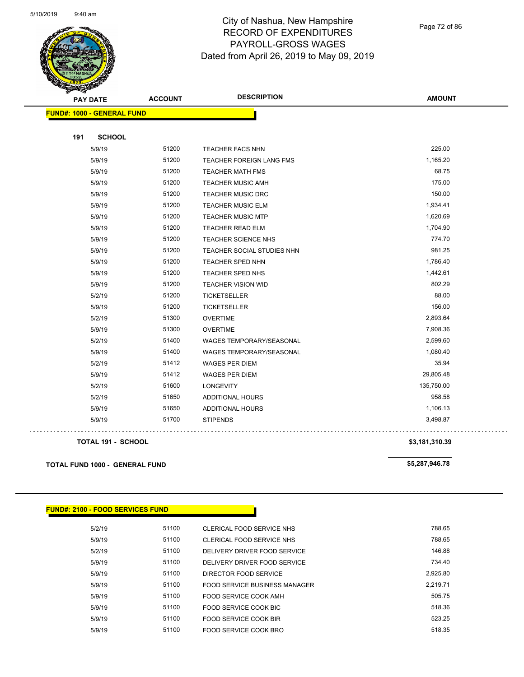

Page 72 of 86

| <b>AMOUNT</b>  | <b>DESCRIPTION</b>              | <b>ACCOUNT</b>                 | <b>PAY DATE</b>                   |  |
|----------------|---------------------------------|--------------------------------|-----------------------------------|--|
|                |                                 |                                | <b>FUND#: 1000 - GENERAL FUND</b> |  |
|                |                                 |                                | 191<br><b>SCHOOL</b>              |  |
| 225.00         | <b>TEACHER FACS NHN</b>         | 51200                          | 5/9/19                            |  |
| 1,165.20       | TEACHER FOREIGN LANG FMS        | 51200                          | 5/9/19                            |  |
| 68.75          | <b>TEACHER MATH FMS</b>         | 51200                          | 5/9/19                            |  |
| 175.00         | <b>TEACHER MUSIC AMH</b>        | 51200                          | 5/9/19                            |  |
| 150.00         | <b>TEACHER MUSIC DRC</b>        | 51200                          | 5/9/19                            |  |
| 1,934.41       | <b>TEACHER MUSIC ELM</b>        | 51200                          | 5/9/19                            |  |
| 1,620.69       | <b>TEACHER MUSIC MTP</b>        | 51200                          | 5/9/19                            |  |
| 1,704.90       | TEACHER READ ELM                | 51200                          | 5/9/19                            |  |
| 774.70         | TEACHER SCIENCE NHS             | 51200                          | 5/9/19                            |  |
| 981.25         | TEACHER SOCIAL STUDIES NHN      | 51200                          | 5/9/19                            |  |
| 1,786.40       | <b>TEACHER SPED NHN</b>         | 51200                          | 5/9/19                            |  |
| 1,442.61       | <b>TEACHER SPED NHS</b>         | 51200                          | 5/9/19                            |  |
| 802.29         | <b>TEACHER VISION WID</b>       | 51200                          | 5/9/19                            |  |
| 88.00          | <b>TICKETSELLER</b>             | 51200                          | 5/2/19                            |  |
| 156.00         | <b>TICKETSELLER</b>             | 51200                          | 5/9/19                            |  |
| 2,893.64       | <b>OVERTIME</b>                 | 51300                          | 5/2/19                            |  |
| 7,908.36       | <b>OVERTIME</b>                 | 51300                          | 5/9/19                            |  |
| 2,599.60       | WAGES TEMPORARY/SEASONAL        | 51400                          | 5/2/19                            |  |
| 1,080.40       | <b>WAGES TEMPORARY/SEASONAL</b> | 51400                          | 5/9/19                            |  |
| 35.94          | <b>WAGES PER DIEM</b>           | 51412                          | 5/2/19                            |  |
| 29,805.48      | <b>WAGES PER DIEM</b>           | 51412                          | 5/9/19                            |  |
| 135,750.00     | <b>LONGEVITY</b>                | 51600                          | 5/2/19                            |  |
| 958.58         | <b>ADDITIONAL HOURS</b>         | 51650                          | 5/2/19                            |  |
| 1,106.13       | <b>ADDITIONAL HOURS</b>         | 51650                          | 5/9/19                            |  |
| 3,498.87       | <b>STIPENDS</b>                 | 51700                          | 5/9/19                            |  |
| \$3,181,310.39 |                                 |                                | <b>TOTAL 191 - SCHOOL</b>         |  |
| \$5,287,946.78 |                                 | TOTAL FUND 1000 - GENERAL FUND |                                   |  |

#### **FUND#: 2100 - FOOD SERVICES FUND**

| 5/2/19 | 51100 | CLERICAL FOOD SERVICE NHS     | 788.65   |
|--------|-------|-------------------------------|----------|
| 5/9/19 | 51100 | CLERICAL FOOD SERVICE NHS     | 788.65   |
| 5/2/19 | 51100 | DELIVERY DRIVER FOOD SERVICE  | 146.88   |
| 5/9/19 | 51100 | DELIVERY DRIVER FOOD SERVICE  | 734.40   |
| 5/9/19 | 51100 | DIRECTOR FOOD SERVICE         | 2.925.80 |
| 5/9/19 | 51100 | FOOD SERVICE BUSINESS MANAGER | 2.219.71 |
| 5/9/19 | 51100 | FOOD SERVICE COOK AMH         | 505.75   |
| 5/9/19 | 51100 | FOOD SERVICE COOK BIC         | 518.36   |
| 5/9/19 | 51100 | FOOD SERVICE COOK BIR         | 523.25   |
| 5/9/19 | 51100 | FOOD SERVICE COOK BRO         | 518.35   |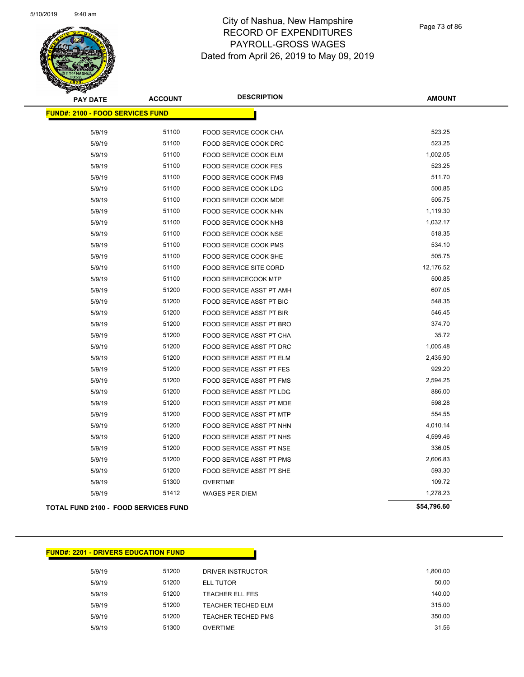

Page 73 of 86

| <b>PAY DATE</b>                             | <b>ACCOUNT</b> | <b>DESCRIPTION</b>              | <b>AMOUNT</b> |
|---------------------------------------------|----------------|---------------------------------|---------------|
| <b>FUND#: 2100 - FOOD SERVICES FUND</b>     |                |                                 |               |
|                                             |                |                                 |               |
| 5/9/19                                      | 51100          | <b>FOOD SERVICE COOK CHA</b>    | 523.25        |
| 5/9/19                                      | 51100          | FOOD SERVICE COOK DRC           | 523.25        |
| 5/9/19                                      | 51100          | FOOD SERVICE COOK ELM           | 1,002.05      |
| 5/9/19                                      | 51100          | FOOD SERVICE COOK FES           | 523.25        |
| 5/9/19                                      | 51100          | FOOD SERVICE COOK FMS           | 511.70        |
| 5/9/19                                      | 51100          | <b>FOOD SERVICE COOK LDG</b>    | 500.85        |
| 5/9/19                                      | 51100          | <b>FOOD SERVICE COOK MDE</b>    | 505.75        |
| 5/9/19                                      | 51100          | FOOD SERVICE COOK NHN           | 1,119.30      |
| 5/9/19                                      | 51100          | FOOD SERVICE COOK NHS           | 1,032.17      |
| 5/9/19                                      | 51100          | FOOD SERVICE COOK NSE           | 518.35        |
| 5/9/19                                      | 51100          | FOOD SERVICE COOK PMS           | 534.10        |
| 5/9/19                                      | 51100          | FOOD SERVICE COOK SHE           | 505.75        |
| 5/9/19                                      | 51100          | <b>FOOD SERVICE SITE CORD</b>   | 12,176.52     |
| 5/9/19                                      | 51100          | <b>FOOD SERVICECOOK MTP</b>     | 500.85        |
| 5/9/19                                      | 51200          | FOOD SERVICE ASST PT AMH        | 607.05        |
| 5/9/19                                      | 51200          | FOOD SERVICE ASST PT BIC        | 548.35        |
| 5/9/19                                      | 51200          | FOOD SERVICE ASST PT BIR        | 546.45        |
| 5/9/19                                      | 51200          | FOOD SERVICE ASST PT BRO        | 374.70        |
| 5/9/19                                      | 51200          | FOOD SERVICE ASST PT CHA        | 35.72         |
| 5/9/19                                      | 51200          | FOOD SERVICE ASST PT DRC        | 1,005.48      |
| 5/9/19                                      | 51200          | FOOD SERVICE ASST PT ELM        | 2,435.90      |
| 5/9/19                                      | 51200          | FOOD SERVICE ASST PT FES        | 929.20        |
| 5/9/19                                      | 51200          | FOOD SERVICE ASST PT FMS        | 2,594.25      |
| 5/9/19                                      | 51200          | FOOD SERVICE ASST PT LDG        | 886.00        |
| 5/9/19                                      | 51200          | FOOD SERVICE ASST PT MDE        | 598.28        |
| 5/9/19                                      | 51200          | FOOD SERVICE ASST PT MTP        | 554.55        |
| 5/9/19                                      | 51200          | FOOD SERVICE ASST PT NHN        | 4,010.14      |
| 5/9/19                                      | 51200          | FOOD SERVICE ASST PT NHS        | 4,599.46      |
| 5/9/19                                      | 51200          | FOOD SERVICE ASST PT NSE        | 336.05        |
| 5/9/19                                      | 51200          | <b>FOOD SERVICE ASST PT PMS</b> | 2,606.83      |
| 5/9/19                                      | 51200          | FOOD SERVICE ASST PT SHE        | 593.30        |
| 5/9/19                                      | 51300          | <b>OVERTIME</b>                 | 109.72        |
| 5/9/19                                      | 51412          | <b>WAGES PER DIEM</b>           | 1,278.23      |
| <b>TOTAL FUND 2100 - FOOD SERVICES FUND</b> |                |                                 | \$54,796.60   |

| <b>FUND#: 2201 - DRIVERS EDUCATION FUND</b> |       |                           |          |
|---------------------------------------------|-------|---------------------------|----------|
| 5/9/19                                      | 51200 | DRIVER INSTRUCTOR         | 1,800.00 |
| 5/9/19                                      | 51200 | <b>ELL TUTOR</b>          | 50.00    |
| 5/9/19                                      | 51200 | TEACHER ELL FES           | 140.00   |
| 5/9/19                                      | 51200 | <b>TEACHER TECHED ELM</b> | 315.00   |
| 5/9/19                                      | 51200 | <b>TEACHER TECHED PMS</b> | 350.00   |
| 5/9/19                                      | 51300 | <b>OVERTIME</b>           | 31.56    |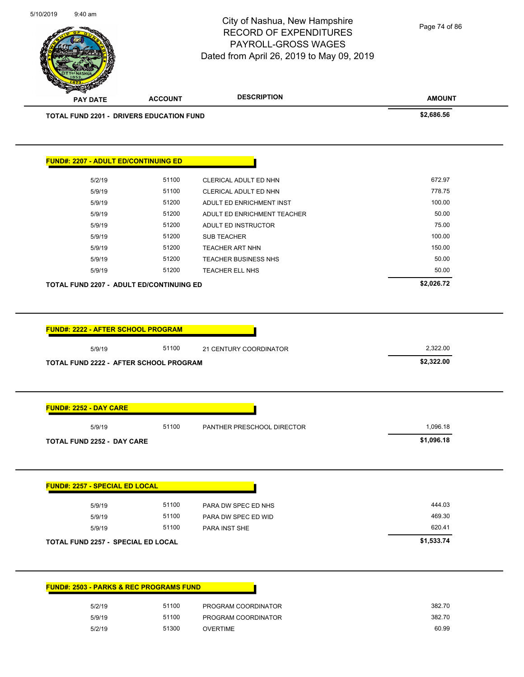City of Nashua, New Hampshire RECORD OF EXPENDITURES Page 74 of 86

**AMOUNT** PAYROLL-GROSS WAGES Dated from April 26, 2019 to May 09, 2019 **PAY DATE ACCOUNT DESCRIPTION TOTAL FUND 2201 - DRIVERS EDUCATION FUND \$2,686.56 FUND#: 2207 - ADULT ED/CONTINUING ED** 5/2/19 51100 CLERICAL ADULT ED NHN 672.97 5/9/19 51100 CLERICAL ADULT ED NHN 778.75 5/9/19 51200 ADULT ED ENRICHMENT INST 100.00 5/9/19 51200 ADULT ED ENRICHMENT TEACHER 50.00 5/9/19 51200 ADULT ED INSTRUCTOR 75.00 5/9/19 51200 SUB TEACHER 100.00 5/9/19 51200 TEACHER ART NHN 150.00 5/9/19 51200 TEACHER BUSINESS NHS 50.00 5/9/19 51200 TEACHER ELL NHS 50.00 **TOTAL FUND 2207 - ADULT ED/CONTINUING ED \$2,026.72 FUND#: 2222 - AFTER SCHOOL PROGRAM** 5/9/19 51100 21 CENTURY COORDINATOR 2,322.00 **TOTAL FUND 2222 - AFTER SCHOOL PROGRAM \$2,322.00 FUND#: 2252 - DAY CARE** 5/9/19 5/9010 51100 PANTHER PRESCHOOL DIRECTOR 1,096.18 **TOTAL FUND 2252 - DAY CARE \$1,096.18 FUND#: 2257 - SPECIAL ED LOCAL** 5/9/19 51100 PARA DW SPEC ED NHS 444.03 5/9/19 51100 PARA DW SPEC ED WID 469.30 5/9/19 51100 PARA INST SHE 620.41 **TOTAL FUND 2257 - SPECIAL ED LOCAL \$1,533.74 FUND#: 2503 - PARKS & REC PROGRAMS FUND** 5/2/19 51100 PROGRAM COORDINATOR 382.70 5/9/19 51100 PROGRAM COORDINATOR 382.70

5/2/19 51300 OVERTIME 60.99

5/10/2019 9:40 am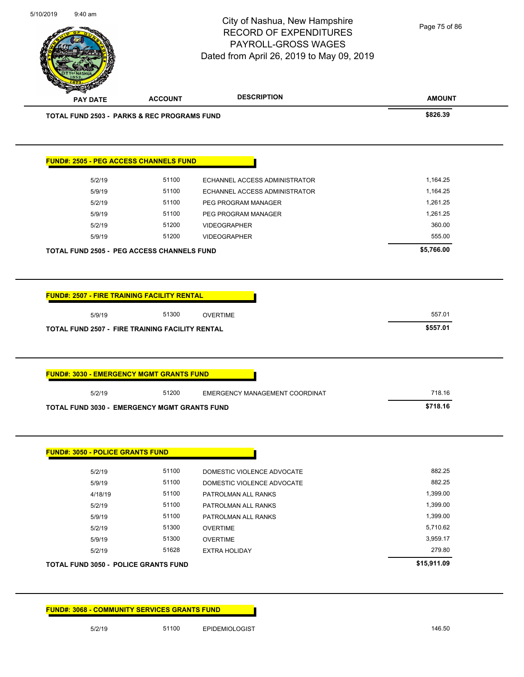**AMOUNT** City of Nashua, New Hampshire RECORD OF EXPENDITURES PAYROLL-GROSS WAGES Dated from April 26, 2019 to May 09, 2019 **PAY DATE ACCOUNT DESCRIPTION TOTAL FUND 2503 - PARKS & REC PROGRAMS FUND \$826.39 FUND#: 2505 - PEG ACCESS CHANNELS FUND** 5/2/19 51100 ECHANNEL ACCESS ADMINISTRATOR 1,164.25 5/9/19 51100 ECHANNEL ACCESS ADMINISTRATOR 1,164.25 5/2/19 51100 PEG PROGRAM MANAGER 1,261.25 5/9/19 51100 PEG PROGRAM MANAGER 1,261.25 5/2/19 51200 VIDEOGRAPHER 360.00 5/9/19 51200 VIDEOGRAPHER 555.00 **TOTAL FUND 2505 - PEG ACCESS CHANNELS FUND \$5,766.00 FUND#: 2507 - FIRE TRAINING FACILITY RENTAL** 5/9/19 557.01 51300 OVERTIME **TOTAL FUND 2507 - FIRE TRAINING FACILITY RENTAL \$557.01 FUND#: 3030 - EMERGENCY MGMT GRANTS FUND** 5/2/19 51200 EMERGENCY MANAGEMENT COORDINAT 6000 718.16 **TOTAL FUND 3030 - EMERGENCY MGMT GRANTS FUND \$718.16 FUND#: 3050 - POLICE GRANTS FUND** 5/2/19 51100 DOMESTIC VIOLENCE ADVOCATE 882.25 5/9/19 51100 DOMESTIC VIOLENCE ADVOCATE 882.25 4/18/19 51100 PATROLMAN ALL RANKS 1,399.00 5/2/19 51100 PATROLMAN ALL RANKS 5/2/19 5/2/19 5/2/19 5/9/19 5/100 PATROLMAN ALL RANKS 1,399.00 5/2/19 51300 OVERTIME 5,710.62 5/9/19 51300 OVERTIME 3,959.17 5/2/19 51628 EXTRA HOLIDAY 279.80 **TOTAL FUND 3050 - POLICE GRANTS FUND \$15,911.09**  Page 75 of 86

**FUND#: 3068 - COMMUNITY SERVICES GRANTS FUND**

5/10/2019 9:40 am

5/2/19 51100 EPIDEMIOLOGIST 146.50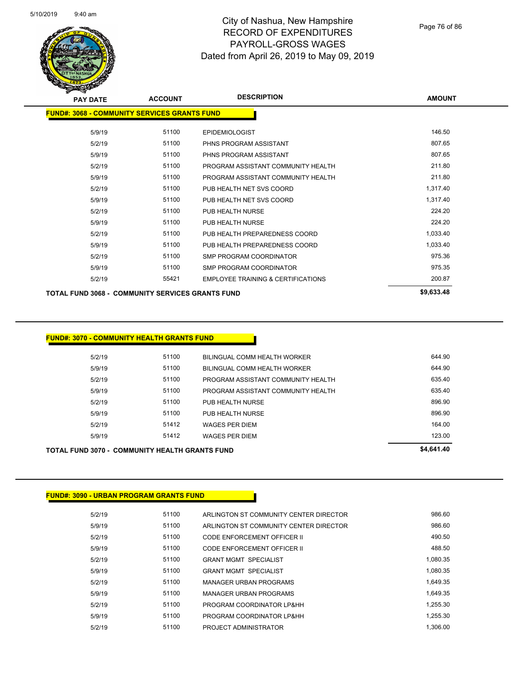

| <b>PAY DATE</b>                                         | <b>ACCOUNT</b> | <b>DESCRIPTION</b>                 | <b>AMOUNT</b> |
|---------------------------------------------------------|----------------|------------------------------------|---------------|
| <b>FUND#: 3068 - COMMUNITY SERVICES GRANTS FUND</b>     |                |                                    |               |
| 5/9/19                                                  | 51100          | <b>EPIDEMIOLOGIST</b>              | 146.50        |
| 5/2/19                                                  | 51100          | PHNS PROGRAM ASSISTANT             | 807.65        |
| 5/9/19                                                  | 51100          | PHNS PROGRAM ASSISTANT             | 807.65        |
| 5/2/19                                                  | 51100          | PROGRAM ASSISTANT COMMUNITY HEALTH | 211.80        |
| 5/9/19                                                  | 51100          | PROGRAM ASSISTANT COMMUNITY HEALTH | 211.80        |
| 5/2/19                                                  | 51100          | PUB HEALTH NET SVS COORD           | 1,317.40      |
| 5/9/19                                                  | 51100          | PUB HEALTH NET SVS COORD           | 1,317.40      |
| 5/2/19                                                  | 51100          | PUB HEALTH NURSE                   | 224.20        |
| 5/9/19                                                  | 51100          | PUB HEALTH NURSE                   | 224.20        |
| 5/2/19                                                  | 51100          | PUB HEALTH PREPAREDNESS COORD      | 1,033.40      |
| 5/9/19                                                  | 51100          | PUB HEALTH PREPAREDNESS COORD      | 1,033.40      |
| 5/2/19                                                  | 51100          | SMP PROGRAM COORDINATOR            | 975.36        |
| 5/9/19                                                  | 51100          | SMP PROGRAM COORDINATOR            | 975.35        |
| 5/2/19                                                  | 55421          | EMPLOYEE TRAINING & CERTIFICATIONS | 200.87        |
| <b>TOTAL FUND 3068 - COMMUNITY SERVICES GRANTS FUND</b> |                |                                    | \$9,633.48    |

#### **FUND#: 3070 - COMMUNITY HEALTH GRANTS FUND**

|        | <b>TOTAL FUND 3070 - COMMUNITY HEALTH GRANTS FUND</b> |                                    | \$4,641.40 |
|--------|-------------------------------------------------------|------------------------------------|------------|
| 5/9/19 | 51412                                                 | <b>WAGES PER DIEM</b>              | 123.00     |
| 5/2/19 | 51412                                                 | <b>WAGES PER DIEM</b>              | 164.00     |
| 5/9/19 | 51100                                                 | PUB HEALTH NURSE                   | 896.90     |
| 5/2/19 | 51100                                                 | PUB HEALTH NURSE                   | 896.90     |
| 5/9/19 | 51100                                                 | PROGRAM ASSISTANT COMMUNITY HEALTH | 635.40     |
| 5/2/19 | 51100                                                 | PROGRAM ASSISTANT COMMUNITY HEALTH | 635.40     |
| 5/9/19 | 51100                                                 | BILINGUAL COMM HEALTH WORKER       | 644.90     |
| 5/2/19 | 51100                                                 | BILINGUAL COMM HEALTH WORKER       | 644.90     |
|        |                                                       |                                    |            |

#### **FUND#: 3090 - URBAN PROGRAM GRANTS FUND**

| 5/2/19 | 51100 | ARLINGTON ST COMMUNITY CENTER DIRECTOR | 986.60   |
|--------|-------|----------------------------------------|----------|
| 5/9/19 | 51100 | ARLINGTON ST COMMUNITY CENTER DIRECTOR | 986.60   |
| 5/2/19 | 51100 | CODE ENFORCEMENT OFFICER II            | 490.50   |
| 5/9/19 | 51100 | CODE ENFORCEMENT OFFICER II            | 488.50   |
| 5/2/19 | 51100 | <b>GRANT MGMT SPECIALIST</b>           | 1.080.35 |
| 5/9/19 | 51100 | <b>GRANT MGMT SPECIALIST</b>           | 1.080.35 |
| 5/2/19 | 51100 | <b>MANAGER URBAN PROGRAMS</b>          | 1.649.35 |
| 5/9/19 | 51100 | <b>MANAGER URBAN PROGRAMS</b>          | 1.649.35 |
| 5/2/19 | 51100 | PROGRAM COORDINATOR LP&HH              | 1.255.30 |
| 5/9/19 | 51100 | PROGRAM COORDINATOR LP&HH              | 1.255.30 |
| 5/2/19 | 51100 | PROJECT ADMINISTRATOR                  | 1.306.00 |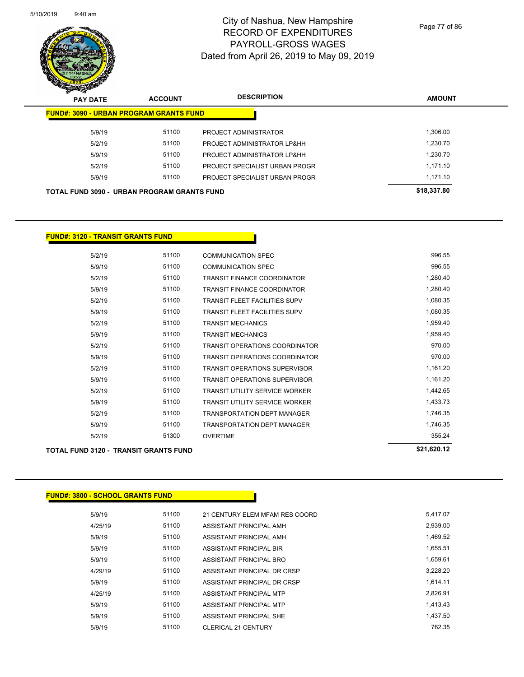

Page 77 of 86

| $\boldsymbol{z}$<br>-<br><b>PAY DATE</b>       | <b>ACCOUNT</b> | <b>DESCRIPTION</b>             | <b>AMOUNT</b> |
|------------------------------------------------|----------------|--------------------------------|---------------|
| <b>FUND#: 3090 - URBAN PROGRAM GRANTS FUND</b> |                |                                |               |
| 5/9/19                                         | 51100          | PROJECT ADMINISTRATOR          | 1,306.00      |
| 5/2/19                                         | 51100          | PROJECT ADMINISTRATOR LP&HH    | 1.230.70      |
| 5/9/19                                         | 51100          | PROJECT ADMINISTRATOR LP&HH    | 1.230.70      |
| 5/2/19                                         | 51100          | PROJECT SPECIALIST URBAN PROGR | 1.171.10      |
| 5/9/19                                         | 51100          | PROJECT SPECIALIST URBAN PROGR | 1.171.10      |
| TOTAL FUND 3090 - URBAN PROGRAM GRANTS FUND    |                |                                | \$18,337.80   |
|                                                |                |                                |               |

#### **FUND#: 3120 - TRANSIT GRANTS FUND**

| 5/2/19 | 51100                                        | <b>COMMUNICATION SPEC</b>             | 996.55      |
|--------|----------------------------------------------|---------------------------------------|-------------|
| 5/9/19 | 51100                                        | <b>COMMUNICATION SPEC</b>             | 996.55      |
| 5/2/19 | 51100                                        | <b>TRANSIT FINANCE COORDINATOR</b>    | 1,280.40    |
| 5/9/19 | 51100                                        | <b>TRANSIT FINANCE COORDINATOR</b>    | 1,280.40    |
| 5/2/19 | 51100                                        | <b>TRANSIT FLEET FACILITIES SUPV</b>  | 1,080.35    |
| 5/9/19 | 51100                                        | TRANSIT FLEET FACILITIES SUPV         | 1,080.35    |
| 5/2/19 | 51100                                        | <b>TRANSIT MECHANICS</b>              | 1,959.40    |
| 5/9/19 | 51100                                        | <b>TRANSIT MECHANICS</b>              | 1,959.40    |
| 5/2/19 | 51100                                        | <b>TRANSIT OPERATIONS COORDINATOR</b> | 970.00      |
| 5/9/19 | 51100                                        | TRANSIT OPERATIONS COORDINATOR        | 970.00      |
| 5/2/19 | 51100                                        | <b>TRANSIT OPERATIONS SUPERVISOR</b>  | 1,161.20    |
| 5/9/19 | 51100                                        | <b>TRANSIT OPERATIONS SUPERVISOR</b>  | 1,161.20    |
| 5/2/19 | 51100                                        | <b>TRANSIT UTILITY SERVICE WORKER</b> | 1,442.65    |
| 5/9/19 | 51100                                        | <b>TRANSIT UTILITY SERVICE WORKER</b> | 1,433.73    |
| 5/2/19 | 51100                                        | <b>TRANSPORTATION DEPT MANAGER</b>    | 1,746.35    |
| 5/9/19 | 51100                                        | <b>TRANSPORTATION DEPT MANAGER</b>    | 1,746.35    |
| 5/2/19 | 51300                                        | <b>OVERTIME</b>                       | 355.24      |
|        | <b>TOTAL FUND 3120 - TRANSIT GRANTS FUND</b> |                                       | \$21,620.12 |

| <b>FUND#: 3800 - SCHOOL GRANTS FUND</b> |       |                                |          |
|-----------------------------------------|-------|--------------------------------|----------|
| 5/9/19                                  | 51100 | 21 CENTURY ELEM MFAM RES COORD | 5,417.07 |
| 4/25/19                                 | 51100 | ASSISTANT PRINCIPAL AMH        | 2,939.00 |
| 5/9/19                                  | 51100 | ASSISTANT PRINCIPAL AMH        | 1,469.52 |
| 5/9/19                                  | 51100 | ASSISTANT PRINCIPAL BIR        | 1,655.51 |
| 5/9/19                                  | 51100 | ASSISTANT PRINCIPAL BRO        | 1,659.61 |
| 4/29/19                                 | 51100 | ASSISTANT PRINCIPAL DR CRSP    | 3,228.20 |
| 5/9/19                                  | 51100 | ASSISTANT PRINCIPAL DR CRSP    | 1,614.11 |
| 4/25/19                                 | 51100 | ASSISTANT PRINCIPAL MTP        | 2,826.91 |
| 5/9/19                                  | 51100 | ASSISTANT PRINCIPAL MTP        | 1,413.43 |
| 5/9/19                                  | 51100 | ASSISTANT PRINCIPAL SHE        | 1,437.50 |
| 5/9/19                                  | 51100 | <b>CLERICAL 21 CENTURY</b>     | 762.35   |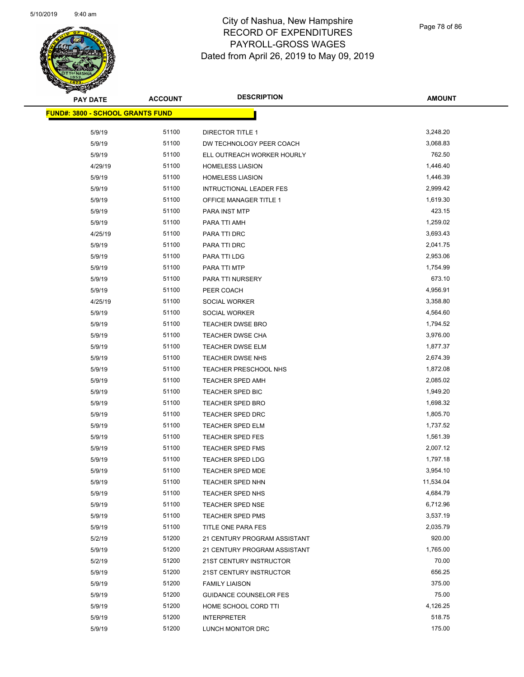

| <b>PAY DATE</b>                         | <b>ACCOUNT</b> | <b>DESCRIPTION</b>             | <b>AMOUNT</b>        |
|-----------------------------------------|----------------|--------------------------------|----------------------|
| <b>FUND#: 3800 - SCHOOL GRANTS FUND</b> |                |                                |                      |
| 5/9/19                                  | 51100          | <b>DIRECTOR TITLE 1</b>        | 3,248.20             |
| 5/9/19                                  | 51100          | DW TECHNOLOGY PEER COACH       | 3,068.83             |
| 5/9/19                                  | 51100          | ELL OUTREACH WORKER HOURLY     | 762.50               |
| 4/29/19                                 | 51100          | <b>HOMELESS LIASION</b>        | 1,446.40             |
| 5/9/19                                  | 51100          | <b>HOMELESS LIASION</b>        | 1,446.39             |
| 5/9/19                                  | 51100          | <b>INTRUCTIONAL LEADER FES</b> | 2,999.42             |
| 5/9/19                                  | 51100          | OFFICE MANAGER TITLE 1         | 1,619.30             |
| 5/9/19                                  | 51100          | PARA INST MTP                  | 423.15               |
| 5/9/19                                  | 51100          | PARA TTI AMH                   | 1,259.02             |
| 4/25/19                                 | 51100          | PARA TTI DRC                   | 3,693.43             |
| 5/9/19                                  | 51100          | PARA TTI DRC                   | 2,041.75             |
| 5/9/19                                  | 51100          | PARA TTI LDG                   | 2,953.06             |
|                                         | 51100          | PARA TTI MTP                   | 1,754.99             |
| 5/9/19                                  | 51100          | PARA TTI NURSERY               | 673.10               |
| 5/9/19                                  | 51100          |                                | 4,956.91             |
| 5/9/19                                  | 51100          | PEER COACH                     | 3,358.80             |
| 4/25/19                                 |                | SOCIAL WORKER                  |                      |
| 5/9/19                                  | 51100          | SOCIAL WORKER                  | 4,564.60<br>1,794.52 |
| 5/9/19                                  | 51100          | TEACHER DWSE BRO               | 3,976.00             |
| 5/9/19                                  | 51100          | TEACHER DWSE CHA               |                      |
| 5/9/19                                  | 51100          | <b>TEACHER DWSE ELM</b>        | 1,877.37             |
| 5/9/19                                  | 51100          | <b>TEACHER DWSE NHS</b>        | 2,674.39             |
| 5/9/19                                  | 51100          | TEACHER PRESCHOOL NHS          | 1,872.08             |
| 5/9/19                                  | 51100          | TEACHER SPED AMH               | 2,085.02             |
| 5/9/19                                  | 51100          | TEACHER SPED BIC               | 1,949.20             |
| 5/9/19                                  | 51100          | <b>TEACHER SPED BRO</b>        | 1,698.32             |
| 5/9/19                                  | 51100          | <b>TEACHER SPED DRC</b>        | 1,805.70             |
| 5/9/19                                  | 51100          | <b>TEACHER SPED ELM</b>        | 1,737.52             |
| 5/9/19                                  | 51100          | <b>TEACHER SPED FES</b>        | 1,561.39             |
| 5/9/19                                  | 51100          | TEACHER SPED FMS               | 2,007.12             |
| 5/9/19                                  | 51100          | <b>TEACHER SPED LDG</b>        | 1,797.18             |
| 5/9/19                                  | 51100          | <b>TEACHER SPED MDE</b>        | 3,954.10             |
| 5/9/19                                  | 51100          | <b>TEACHER SPED NHN</b>        | 11,534.04            |
| 5/9/19                                  | 51100          | TEACHER SPED NHS               | 4,684.79             |
| 5/9/19                                  | 51100          | <b>TEACHER SPED NSE</b>        | 6,712.96             |
| 5/9/19                                  | 51100          | <b>TEACHER SPED PMS</b>        | 3,537.19             |
| 5/9/19                                  | 51100          | TITLE ONE PARA FES             | 2,035.79             |
| 5/2/19                                  | 51200          | 21 CENTURY PROGRAM ASSISTANT   | 920.00               |
| 5/9/19                                  | 51200          | 21 CENTURY PROGRAM ASSISTANT   | 1,765.00             |
| 5/2/19                                  | 51200          | 21ST CENTURY INSTRUCTOR        | 70.00                |
| 5/9/19                                  | 51200          | 21ST CENTURY INSTRUCTOR        | 656.25               |
| 5/9/19                                  | 51200          | <b>FAMILY LIAISON</b>          | 375.00               |
| 5/9/19                                  | 51200          | <b>GUIDANCE COUNSELOR FES</b>  | 75.00                |
| 5/9/19                                  | 51200          | HOME SCHOOL CORD TTI           | 4,126.25             |
| 5/9/19                                  | 51200          | <b>INTERPRETER</b>             | 518.75               |
| 5/9/19                                  | 51200          | LUNCH MONITOR DRC              | 175.00               |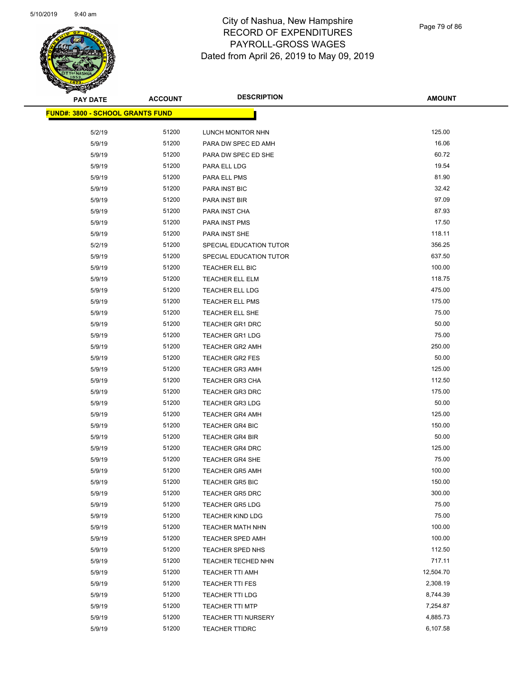

Page 79 of 86

| ॼ<br><b>PAY DATE</b>                    | <b>ACCOUNT</b> | <b>DESCRIPTION</b>         | <b>AMOUNT</b> |
|-----------------------------------------|----------------|----------------------------|---------------|
| <b>FUND#: 3800 - SCHOOL GRANTS FUND</b> |                |                            |               |
| 5/2/19                                  | 51200          | LUNCH MONITOR NHN          | 125.00        |
| 5/9/19                                  | 51200          | PARA DW SPEC ED AMH        | 16.06         |
| 5/9/19                                  | 51200          | PARA DW SPEC ED SHE        | 60.72         |
| 5/9/19                                  | 51200          | PARA ELL LDG               | 19.54         |
| 5/9/19                                  | 51200          | PARA ELL PMS               | 81.90         |
| 5/9/19                                  | 51200          | PARA INST BIC              | 32.42         |
| 5/9/19                                  | 51200          | PARA INST BIR              | 97.09         |
| 5/9/19                                  | 51200          | PARA INST CHA              | 87.93         |
| 5/9/19                                  | 51200          | PARA INST PMS              | 17.50         |
| 5/9/19                                  | 51200          | PARA INST SHE              | 118.11        |
| 5/2/19                                  | 51200          | SPECIAL EDUCATION TUTOR    | 356.25        |
| 5/9/19                                  | 51200          | SPECIAL EDUCATION TUTOR    | 637.50        |
| 5/9/19                                  | 51200          | TEACHER ELL BIC            | 100.00        |
| 5/9/19                                  | 51200          | TEACHER ELL ELM            | 118.75        |
| 5/9/19                                  | 51200          | TEACHER ELL LDG            | 475.00        |
| 5/9/19                                  | 51200          | <b>TEACHER ELL PMS</b>     | 175.00        |
| 5/9/19                                  | 51200          | <b>TEACHER ELL SHE</b>     | 75.00         |
| 5/9/19                                  | 51200          | <b>TEACHER GR1 DRC</b>     | 50.00         |
| 5/9/19                                  | 51200          | <b>TEACHER GR1 LDG</b>     | 75.00         |
| 5/9/19                                  | 51200          | <b>TEACHER GR2 AMH</b>     | 250.00        |
| 5/9/19                                  | 51200          | <b>TEACHER GR2 FES</b>     | 50.00         |
| 5/9/19                                  | 51200          | <b>TEACHER GR3 AMH</b>     | 125.00        |
| 5/9/19                                  | 51200          | <b>TEACHER GR3 CHA</b>     | 112.50        |
| 5/9/19                                  | 51200          | <b>TEACHER GR3 DRC</b>     | 175.00        |
| 5/9/19                                  | 51200          | <b>TEACHER GR3 LDG</b>     | 50.00         |
| 5/9/19                                  | 51200          | <b>TEACHER GR4 AMH</b>     | 125.00        |
| 5/9/19                                  | 51200          | <b>TEACHER GR4 BIC</b>     | 150.00        |
| 5/9/19                                  | 51200          | <b>TEACHER GR4 BIR</b>     | 50.00         |
| 5/9/19                                  | 51200          | <b>TEACHER GR4 DRC</b>     | 125.00        |
| 5/9/19                                  | 51200          | TEACHER GR4 SHE            | 75.00         |
| 5/9/19                                  | 51200          | <b>TEACHER GR5 AMH</b>     | 100.00        |
| 5/9/19                                  | 51200          | <b>TEACHER GR5 BIC</b>     | 150.00        |
| 5/9/19                                  | 51200          | <b>TEACHER GR5 DRC</b>     | 300.00        |
| 5/9/19                                  | 51200          | <b>TEACHER GR5 LDG</b>     | 75.00         |
| 5/9/19                                  | 51200          | <b>TEACHER KIND LDG</b>    | 75.00         |
| 5/9/19                                  | 51200          | TEACHER MATH NHN           | 100.00        |
| 5/9/19                                  | 51200          | <b>TEACHER SPED AMH</b>    | 100.00        |
| 5/9/19                                  | 51200          | TEACHER SPED NHS           | 112.50        |
| 5/9/19                                  | 51200          | TEACHER TECHED NHN         | 717.11        |
| 5/9/19                                  | 51200          | TEACHER TTI AMH            | 12,504.70     |
| 5/9/19                                  | 51200          | <b>TEACHER TTI FES</b>     | 2,308.19      |
| 5/9/19                                  | 51200          | TEACHER TTI LDG            | 8,744.39      |
| 5/9/19                                  | 51200          | <b>TEACHER TTI MTP</b>     | 7,254.87      |
| 5/9/19                                  | 51200          | <b>TEACHER TTI NURSERY</b> | 4,885.73      |
| 5/9/19                                  | 51200          | <b>TEACHER TTIDRC</b>      | 6,107.58      |
|                                         |                |                            |               |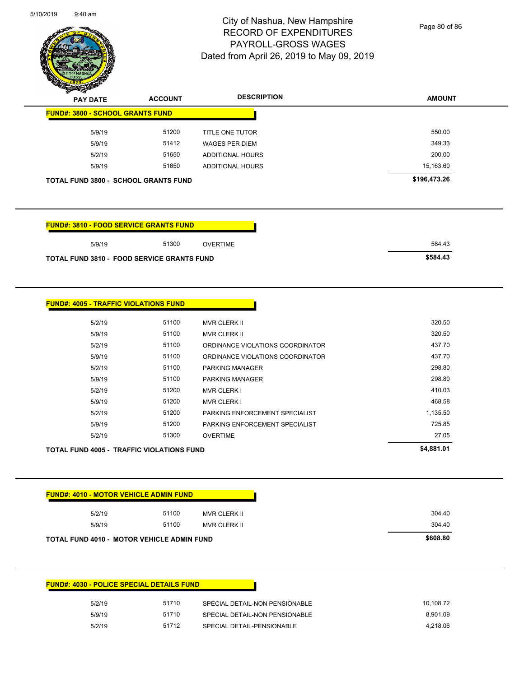

Page 80 of 86

| <b>The Company of the Company of The Company of The Company of The Company of The Company of The Company of The T</b><br><b>PAY DATE</b> | <b>ACCOUNT</b> | <b>DESCRIPTION</b>    | <b>AMOUNT</b> |
|------------------------------------------------------------------------------------------------------------------------------------------|----------------|-----------------------|---------------|
| <b>FUND#: 3800 - SCHOOL GRANTS FUND</b>                                                                                                  |                |                       |               |
| 5/9/19                                                                                                                                   | 51200          | TITLE ONE TUTOR       | 550.00        |
| 5/9/19                                                                                                                                   | 51412          | <b>WAGES PER DIEM</b> | 349.33        |
| 5/2/19                                                                                                                                   | 51650          | ADDITIONAL HOURS      | 200.00        |
| 5/9/19                                                                                                                                   | 51650          | ADDITIONAL HOURS      | 15,163.60     |
| <b>TOTAL FUND 3800 - SCHOOL GRANTS FUND</b>                                                                                              |                |                       | \$196,473.26  |

| <b>FUND#: 3810 - FOOD SERVICE GRANTS FUND</b>     |       |          |          |
|---------------------------------------------------|-------|----------|----------|
| 5/9/19                                            | 51300 | OVERTIME | 584.43   |
| <b>TOTAL FUND 3810 - FOOD SERVICE GRANTS FUND</b> |       |          | \$584,43 |

| 5/2/19 | 51100 | <b>MVR CLERK II</b>              | 320.50   |
|--------|-------|----------------------------------|----------|
| 5/9/19 | 51100 | <b>MVR CLERK II</b>              | 320.50   |
| 5/2/19 | 51100 | ORDINANCE VIOLATIONS COORDINATOR | 437.70   |
| 5/9/19 | 51100 | ORDINANCE VIOLATIONS COORDINATOR | 437.70   |
| 5/2/19 | 51100 | <b>PARKING MANAGER</b>           | 298.80   |
| 5/9/19 | 51100 | <b>PARKING MANAGER</b>           | 298.80   |
| 5/2/19 | 51200 | <b>MVR CLERK I</b>               | 410.03   |
| 5/9/19 | 51200 | <b>MVR CLERK I</b>               | 468.58   |
| 5/2/19 | 51200 | PARKING ENFORCEMENT SPECIALIST   | 1,135.50 |
| 5/9/19 | 51200 | PARKING ENFORCEMENT SPECIALIST   | 725.85   |
| 5/2/19 | 51300 | <b>OVERTIME</b>                  | 27.05    |

| <b>FUND#: 4010 - MOTOR VEHICLE ADMIN FUND</b>     |       |              |  |
|---------------------------------------------------|-------|--------------|--|
| 5/2/19                                            | 51100 | MVR CLERK II |  |
| 5/9/19                                            | 51100 | MVR CLERK II |  |
| <b>TOTAL FUND 4010 - MOTOR VEHICLE ADMIN FUND</b> |       |              |  |

| <b>FUND#: 4030 - POLICE SPECIAL DETAILS FUND</b> |       |                                |           |
|--------------------------------------------------|-------|--------------------------------|-----------|
| 5/2/19                                           | 51710 | SPECIAL DETAIL-NON PENSIONABLE | 10.108.72 |
| 5/9/19                                           | 51710 | SPECIAL DETAIL-NON PENSIONABLE | 8.901.09  |
| 5/2/19                                           | 51712 | SPECIAL DETAIL-PENSIONABLE     | 4.218.06  |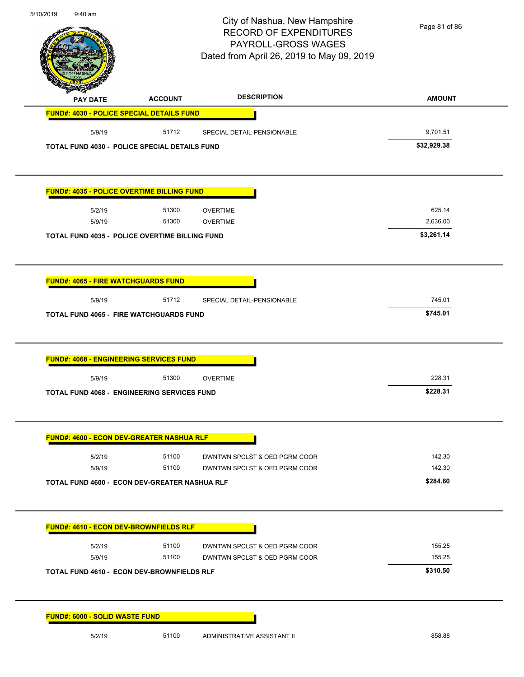| 5/10/2019<br>9:40 am                                 |                | City of Nashua, New Hampshire<br><b>RECORD OF EXPENDITURES</b><br>PAYROLL-GROSS WAGES<br>Dated from April 26, 2019 to May 09, 2019 | Page 81 of 86          |
|------------------------------------------------------|----------------|------------------------------------------------------------------------------------------------------------------------------------|------------------------|
| <b>PAY DATE</b>                                      | <b>ACCOUNT</b> | <b>DESCRIPTION</b>                                                                                                                 | <b>AMOUNT</b>          |
| FUND#: 4030 - POLICE SPECIAL DETAILS FUND            |                |                                                                                                                                    |                        |
| 5/9/19                                               | 51712          | SPECIAL DETAIL-PENSIONABLE                                                                                                         | 9,701.51               |
| <b>TOTAL FUND 4030 - POLICE SPECIAL DETAILS FUND</b> |                |                                                                                                                                    | \$32,929.38            |
| <b>FUND#: 4035 - POLICE OVERTIME BILLING FUND</b>    |                |                                                                                                                                    |                        |
| 5/2/19                                               | 51300          | <b>OVERTIME</b>                                                                                                                    | 625.14                 |
| 5/9/19                                               | 51300          | <b>OVERTIME</b>                                                                                                                    | 2,636.00<br>\$3,261.14 |
| TOTAL FUND 4035 - POLICE OVERTIME BILLING FUND       |                |                                                                                                                                    |                        |
| <b>FUND#: 4065 - FIRE WATCHGUARDS FUND</b>           |                |                                                                                                                                    |                        |
| 5/9/19                                               | 51712          | SPECIAL DETAIL-PENSIONABLE                                                                                                         | 745.01                 |
| <b>TOTAL FUND 4065 - FIRE WATCHGUARDS FUND</b>       |                |                                                                                                                                    | \$745.01               |
| <b>FUND#: 4068 - ENGINEERING SERVICES FUND</b>       |                |                                                                                                                                    |                        |
| 5/9/19                                               | 51300          | <b>OVERTIME</b>                                                                                                                    | 228.31                 |
| TOTAL FUND 4068 - ENGINEERING SERVICES FUND          |                |                                                                                                                                    | \$228.31               |
| <b>FUND#: 4600 - ECON DEV-GREATER NASHUA RLF</b>     |                |                                                                                                                                    |                        |
| 5/2/19                                               | 51100          | DWNTWN SPCLST & OED PGRM COOR                                                                                                      | 142.30                 |
| 5/9/19                                               | 51100          | DWNTWN SPCLST & OED PGRM COOR                                                                                                      | 142.30                 |
| TOTAL FUND 4600 - ECON DEV-GREATER NASHUA RLF        |                |                                                                                                                                    | \$284.60               |
| <b>FUND#: 4610 - ECON DEV-BROWNFIELDS RLF</b>        |                |                                                                                                                                    |                        |
| 5/2/19                                               | 51100          | DWNTWN SPCLST & OED PGRM COOR                                                                                                      | 155.25                 |
| 5/9/19                                               | 51100          | DWNTWN SPCLST & OED PGRM COOR                                                                                                      | 155.25                 |
| <b>TOTAL FUND 4610 - ECON DEV-BROWNFIELDS RLF</b>    |                |                                                                                                                                    | \$310.50               |
| <b>FUND#: 6000 - SOLID WASTE FUND</b>                |                |                                                                                                                                    |                        |
| 5/2/19                                               | 51100          | ADMINISTRATIVE ASSISTANT II                                                                                                        | 858.88                 |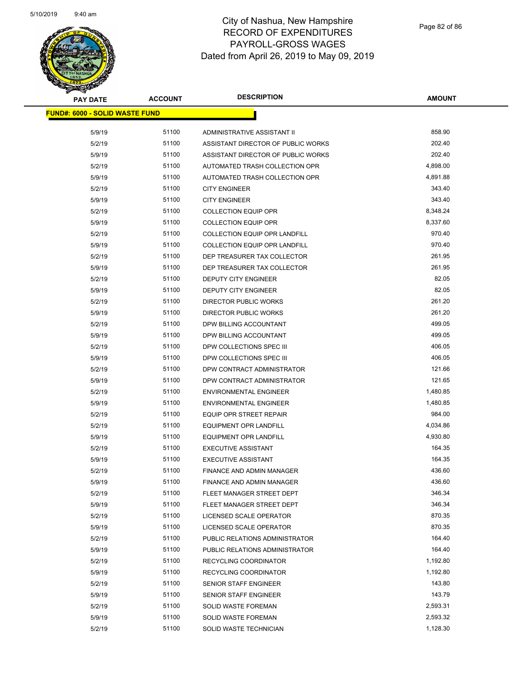

| <b>PAY DATE</b>                | <b>ACCOUNT</b> | <b>DESCRIPTION</b>                   | <b>AMOUNT</b> |
|--------------------------------|----------------|--------------------------------------|---------------|
| FUND#: 6000 - SOLID WASTE FUND |                |                                      |               |
|                                |                |                                      |               |
| 5/9/19                         | 51100          | ADMINISTRATIVE ASSISTANT II          | 858.90        |
| 5/2/19                         | 51100          | ASSISTANT DIRECTOR OF PUBLIC WORKS   | 202.40        |
| 5/9/19                         | 51100          | ASSISTANT DIRECTOR OF PUBLIC WORKS   | 202.40        |
| 5/2/19                         | 51100          | AUTOMATED TRASH COLLECTION OPR       | 4,898.00      |
| 5/9/19                         | 51100          | AUTOMATED TRASH COLLECTION OPR       | 4,891.88      |
| 5/2/19                         | 51100          | <b>CITY ENGINEER</b>                 | 343.40        |
| 5/9/19                         | 51100          | <b>CITY ENGINEER</b>                 | 343.40        |
| 5/2/19                         | 51100          | <b>COLLECTION EQUIP OPR</b>          | 8,348.24      |
| 5/9/19                         | 51100          | <b>COLLECTION EQUIP OPR</b>          | 8,337.60      |
| 5/2/19                         | 51100          | <b>COLLECTION EQUIP OPR LANDFILL</b> | 970.40        |
| 5/9/19                         | 51100          | <b>COLLECTION EQUIP OPR LANDFILL</b> | 970.40        |
| 5/2/19                         | 51100          | DEP TREASURER TAX COLLECTOR          | 261.95        |
| 5/9/19                         | 51100          | DEP TREASURER TAX COLLECTOR          | 261.95        |
| 5/2/19                         | 51100          | DEPUTY CITY ENGINEER                 | 82.05         |
| 5/9/19                         | 51100          | <b>DEPUTY CITY ENGINEER</b>          | 82.05         |
| 5/2/19                         | 51100          | <b>DIRECTOR PUBLIC WORKS</b>         | 261.20        |
| 5/9/19                         | 51100          | <b>DIRECTOR PUBLIC WORKS</b>         | 261.20        |
| 5/2/19                         | 51100          | DPW BILLING ACCOUNTANT               | 499.05        |
| 5/9/19                         | 51100          | DPW BILLING ACCOUNTANT               | 499.05        |
| 5/2/19                         | 51100          | DPW COLLECTIONS SPEC III             | 406.05        |
| 5/9/19                         | 51100          | DPW COLLECTIONS SPEC III             | 406.05        |
| 5/2/19                         | 51100          | DPW CONTRACT ADMINISTRATOR           | 121.66        |
| 5/9/19                         | 51100          | DPW CONTRACT ADMINISTRATOR           | 121.65        |
| 5/2/19                         | 51100          | <b>ENVIRONMENTAL ENGINEER</b>        | 1,480.85      |
| 5/9/19                         | 51100          | <b>ENVIRONMENTAL ENGINEER</b>        | 1,480.85      |
| 5/2/19                         | 51100          | EQUIP OPR STREET REPAIR              | 984.00        |
| 5/2/19                         | 51100          | <b>EQUIPMENT OPR LANDFILL</b>        | 4,034.86      |
| 5/9/19                         | 51100          | <b>EQUIPMENT OPR LANDFILL</b>        | 4,930.80      |
| 5/2/19                         | 51100          | <b>EXECUTIVE ASSISTANT</b>           | 164.35        |
| 5/9/19                         | 51100          | <b>EXECUTIVE ASSISTANT</b>           | 164.35        |
| 5/2/19                         | 51100          | FINANCE AND ADMIN MANAGER            | 436.60        |
| 5/9/19                         | 51100          | FINANCE AND ADMIN MANAGER            | 436.60        |
| 5/2/19                         | 51100          | FLEET MANAGER STREET DEPT            | 346.34        |
| 5/9/19                         | 51100          | FLEET MANAGER STREET DEPT            | 346.34        |
| 5/2/19                         | 51100          | LICENSED SCALE OPERATOR              | 870.35        |
| 5/9/19                         | 51100          | LICENSED SCALE OPERATOR              | 870.35        |
| 5/2/19                         | 51100          | PUBLIC RELATIONS ADMINISTRATOR       | 164.40        |
| 5/9/19                         | 51100          | PUBLIC RELATIONS ADMINISTRATOR       | 164.40        |
| 5/2/19                         | 51100          | RECYCLING COORDINATOR                | 1,192.80      |
| 5/9/19                         | 51100          | RECYCLING COORDINATOR                | 1,192.80      |
| 5/2/19                         | 51100          | SENIOR STAFF ENGINEER                | 143.80        |
| 5/9/19                         | 51100          | SENIOR STAFF ENGINEER                | 143.79        |
| 5/2/19                         | 51100          | <b>SOLID WASTE FOREMAN</b>           | 2,593.31      |
| 5/9/19                         | 51100          | <b>SOLID WASTE FOREMAN</b>           | 2,593.32      |
| 5/2/19                         | 51100          | SOLID WASTE TECHNICIAN               | 1,128.30      |
|                                |                |                                      |               |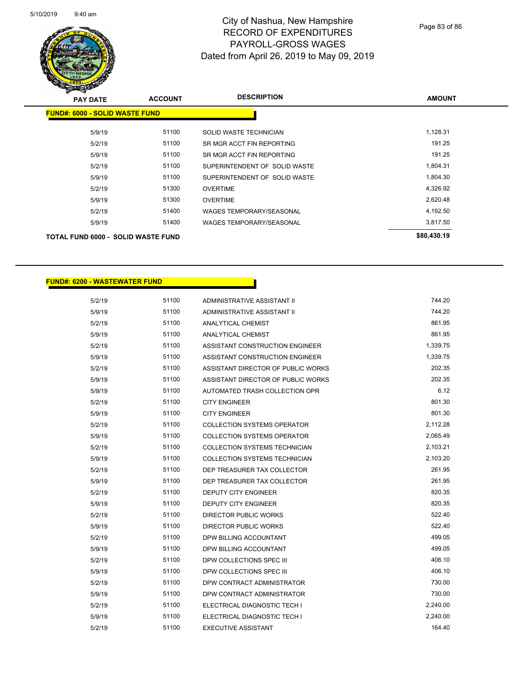

| <b>PAY DATE</b>                       | <b>ACCOUNT</b> | <b>DESCRIPTION</b>              | <b>AMOUNT</b> |
|---------------------------------------|----------------|---------------------------------|---------------|
| <b>FUND#: 6000 - SOLID WASTE FUND</b> |                |                                 |               |
|                                       | 51100          |                                 | 1,128.31      |
| 5/9/19                                |                | SOLID WASTE TECHNICIAN          |               |
| 5/2/19                                | 51100          | SR MGR ACCT FIN REPORTING       | 191.25        |
| 5/9/19                                | 51100          | SR MGR ACCT FIN REPORTING       | 191.25        |
| 5/2/19                                | 51100          | SUPERINTENDENT OF SOLID WASTE   | 1,804.31      |
| 5/9/19                                | 51100          | SUPERINTENDENT OF SOLID WASTE   | 1,804.30      |
| 5/2/19                                | 51300          | <b>OVERTIME</b>                 | 4,326.92      |
| 5/9/19                                | 51300          | <b>OVERTIME</b>                 | 2,620.48      |
| 5/2/19                                | 51400          | <b>WAGES TEMPORARY/SEASONAL</b> | 4,192.50      |
| 5/9/19                                | 51400          | <b>WAGES TEMPORARY/SEASONAL</b> | 3,817.50      |
| TOTAL FUND 6000 - SOLID WASTE FUND    |                |                                 | \$80,430.19   |
|                                       |                |                                 |               |

#### **FUND#: 6200 - WASTEWATER FUND**

| 5/2/19 | 51100 | ADMINISTRATIVE ASSISTANT II          | 744.20   |
|--------|-------|--------------------------------------|----------|
| 5/9/19 | 51100 | ADMINISTRATIVE ASSISTANT II          | 744.20   |
| 5/2/19 | 51100 | ANALYTICAL CHEMIST                   | 861.95   |
| 5/9/19 | 51100 | <b>ANALYTICAL CHEMIST</b>            | 861.95   |
| 5/2/19 | 51100 | ASSISTANT CONSTRUCTION ENGINEER      | 1,339.75 |
| 5/9/19 | 51100 | ASSISTANT CONSTRUCTION ENGINEER      | 1,339.75 |
| 5/2/19 | 51100 | ASSISTANT DIRECTOR OF PUBLIC WORKS   | 202.35   |
| 5/9/19 | 51100 | ASSISTANT DIRECTOR OF PUBLIC WORKS   | 202.35   |
| 5/9/19 | 51100 | AUTOMATED TRASH COLLECTION OPR       | 6.12     |
| 5/2/19 | 51100 | <b>CITY ENGINEER</b>                 | 801.30   |
| 5/9/19 | 51100 | <b>CITY ENGINEER</b>                 | 801.30   |
| 5/2/19 | 51100 | <b>COLLECTION SYSTEMS OPERATOR</b>   | 2,112.28 |
| 5/9/19 | 51100 | <b>COLLECTION SYSTEMS OPERATOR</b>   | 2,065.49 |
| 5/2/19 | 51100 | <b>COLLECTION SYSTEMS TECHNICIAN</b> | 2,103.21 |
| 5/9/19 | 51100 | <b>COLLECTION SYSTEMS TECHNICIAN</b> | 2,103.20 |
| 5/2/19 | 51100 | DEP TREASURER TAX COLLECTOR          | 261.95   |
| 5/9/19 | 51100 | DEP TREASURER TAX COLLECTOR          | 261.95   |
| 5/2/19 | 51100 | <b>DEPUTY CITY ENGINEER</b>          | 820.35   |
| 5/9/19 | 51100 | <b>DEPUTY CITY ENGINEER</b>          | 820.35   |
| 5/2/19 | 51100 | DIRECTOR PUBLIC WORKS                | 522.40   |
| 5/9/19 | 51100 | DIRECTOR PUBLIC WORKS                | 522.40   |
| 5/2/19 | 51100 | DPW BILLING ACCOUNTANT               | 499.05   |
| 5/9/19 | 51100 | DPW BILLING ACCOUNTANT               | 499.05   |
| 5/2/19 | 51100 | DPW COLLECTIONS SPEC III             | 406.10   |
| 5/9/19 | 51100 | DPW COLLECTIONS SPEC III             | 406.10   |
| 5/2/19 | 51100 | DPW CONTRACT ADMINISTRATOR           | 730.00   |
| 5/9/19 | 51100 | DPW CONTRACT ADMINISTRATOR           | 730.00   |
| 5/2/19 | 51100 | ELECTRICAL DIAGNOSTIC TECH I         | 2,240.00 |
| 5/9/19 | 51100 | ELECTRICAL DIAGNOSTIC TECH I         | 2,240.00 |
| 5/2/19 | 51100 | <b>EXECUTIVE ASSISTANT</b>           | 164.40   |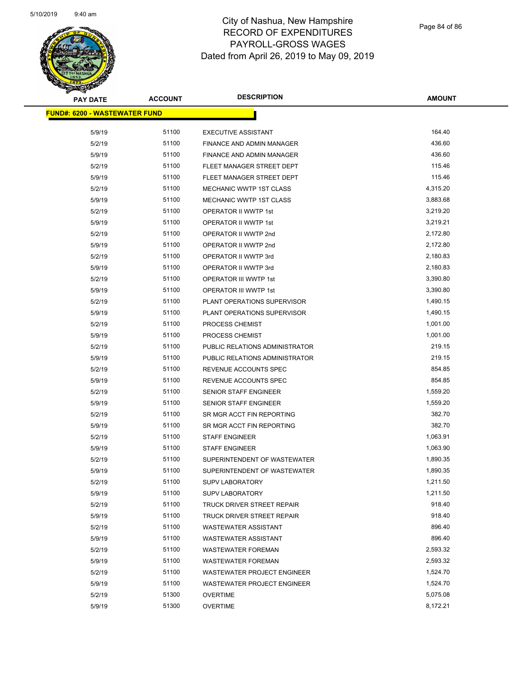

| <b>PAY DATE</b>                       | <b>ACCOUNT</b> | <b>DESCRIPTION</b>                 | <b>AMOUNT</b> |
|---------------------------------------|----------------|------------------------------------|---------------|
| <u> FUND#: 6200 - WASTEWATER FUND</u> |                |                                    |               |
|                                       |                |                                    |               |
| 5/9/19                                | 51100          | <b>EXECUTIVE ASSISTANT</b>         | 164.40        |
| 5/2/19                                | 51100          | FINANCE AND ADMIN MANAGER          | 436.60        |
| 5/9/19                                | 51100          | <b>FINANCE AND ADMIN MANAGER</b>   | 436.60        |
| 5/2/19                                | 51100          | FLEET MANAGER STREET DEPT          | 115.46        |
| 5/9/19                                | 51100          | FLEET MANAGER STREET DEPT          | 115.46        |
| 5/2/19                                | 51100          | MECHANIC WWTP 1ST CLASS            | 4,315.20      |
| 5/9/19                                | 51100          | <b>MECHANIC WWTP 1ST CLASS</b>     | 3,883.68      |
| 5/2/19                                | 51100          | OPERATOR II WWTP 1st               | 3,219.20      |
| 5/9/19                                | 51100          | OPERATOR II WWTP 1st               | 3,219.21      |
| 5/2/19                                | 51100          | OPERATOR II WWTP 2nd               | 2,172.80      |
| 5/9/19                                | 51100          | OPERATOR II WWTP 2nd               | 2,172.80      |
| 5/2/19                                | 51100          | OPERATOR II WWTP 3rd               | 2,180.83      |
| 5/9/19                                | 51100          | OPERATOR II WWTP 3rd               | 2,180.83      |
| 5/2/19                                | 51100          | OPERATOR III WWTP 1st              | 3,390.80      |
| 5/9/19                                | 51100          | OPERATOR III WWTP 1st              | 3,390.80      |
| 5/2/19                                | 51100          | PLANT OPERATIONS SUPERVISOR        | 1,490.15      |
| 5/9/19                                | 51100          | PLANT OPERATIONS SUPERVISOR        | 1,490.15      |
| 5/2/19                                | 51100          | PROCESS CHEMIST                    | 1,001.00      |
| 5/9/19                                | 51100          | PROCESS CHEMIST                    | 1,001.00      |
| 5/2/19                                | 51100          | PUBLIC RELATIONS ADMINISTRATOR     | 219.15        |
| 5/9/19                                | 51100          | PUBLIC RELATIONS ADMINISTRATOR     | 219.15        |
| 5/2/19                                | 51100          | REVENUE ACCOUNTS SPEC              | 854.85        |
| 5/9/19                                | 51100          | REVENUE ACCOUNTS SPEC              | 854.85        |
| 5/2/19                                | 51100          | <b>SENIOR STAFF ENGINEER</b>       | 1,559.20      |
| 5/9/19                                | 51100          | SENIOR STAFF ENGINEER              | 1,559.20      |
| 5/2/19                                | 51100          | SR MGR ACCT FIN REPORTING          | 382.70        |
| 5/9/19                                | 51100          | SR MGR ACCT FIN REPORTING          | 382.70        |
| 5/2/19                                | 51100          | <b>STAFF ENGINEER</b>              | 1,063.91      |
| 5/9/19                                | 51100          | <b>STAFF ENGINEER</b>              | 1,063.90      |
| 5/2/19                                | 51100          | SUPERINTENDENT OF WASTEWATER       | 1,890.35      |
| 5/9/19                                | 51100          | SUPERINTENDENT OF WASTEWATER       | 1,890.35      |
| 5/2/19                                | 51100          | <b>SUPV LABORATORY</b>             | 1,211.50      |
| 5/9/19                                | 51100          | <b>SUPV LABORATORY</b>             | 1,211.50      |
| 5/2/19                                | 51100          | TRUCK DRIVER STREET REPAIR         | 918.40        |
| 5/9/19                                | 51100          | TRUCK DRIVER STREET REPAIR         | 918.40        |
| 5/2/19                                | 51100          | <b>WASTEWATER ASSISTANT</b>        | 896.40        |
| 5/9/19                                | 51100          | <b>WASTEWATER ASSISTANT</b>        | 896.40        |
| 5/2/19                                | 51100          | <b>WASTEWATER FOREMAN</b>          | 2,593.32      |
| 5/9/19                                | 51100          | <b>WASTEWATER FOREMAN</b>          | 2,593.32      |
| 5/2/19                                | 51100          | <b>WASTEWATER PROJECT ENGINEER</b> | 1,524.70      |
| 5/9/19                                | 51100          | <b>WASTEWATER PROJECT ENGINEER</b> | 1,524.70      |
| 5/2/19                                | 51300          | <b>OVERTIME</b>                    | 5,075.08      |
| 5/9/19                                | 51300          | <b>OVERTIME</b>                    | 8,172.21      |
|                                       |                |                                    |               |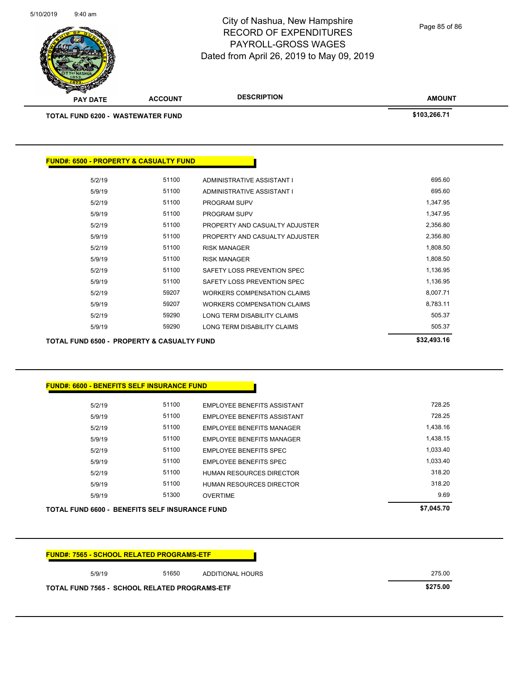| <b>FUND#: 7565 - SCHOOL RELATED PROGRAMS-ETF</b>     |       |                  |          |
|------------------------------------------------------|-------|------------------|----------|
| 5/9/19                                               | 51650 | ADDITIONAL HOURS | 275.00   |
| <b>TOTAL FUND 7565 - SCHOOL RELATED PROGRAMS-ETF</b> |       |                  | \$275.00 |

|        | TOTAL FUND 6600 - BENEFITS SELF INSURANCE FUND |                                    | \$7,045.70 |
|--------|------------------------------------------------|------------------------------------|------------|
| 5/9/19 | 51300                                          | <b>OVERTIME</b>                    | 9.69       |
| 5/9/19 | 51100                                          | <b>HUMAN RESOURCES DIRECTOR</b>    | 318.20     |
| 5/2/19 | 51100                                          | <b>HUMAN RESOURCES DIRECTOR</b>    | 318.20     |
| 5/9/19 | 51100                                          | <b>EMPLOYEE BENEFITS SPEC</b>      | 1,033.40   |
| 5/2/19 | 51100                                          | EMPLOYEE BENEFITS SPEC             | 1,033.40   |
| 5/9/19 | 51100                                          | EMPLOYEE BENEFITS MANAGER          | 1.438.15   |
| 5/2/19 | 51100                                          | EMPLOYEE BENEFITS MANAGER          | 1,438.16   |
| 5/9/19 | 51100                                          | <b>EMPLOYEE BENEFITS ASSISTANT</b> | 728.25     |
| 5/2/19 | 51100                                          | <b>EMPLOYEE BENEFITS ASSISTANT</b> | 728.25     |
|        |                                                |                                    |            |

| <b>FUND#: 6600 - BENEFITS SELF INSURANCE FUND</b> |
|---------------------------------------------------|

| \$32,493.16 |                                    |       | TOTAL FUND 6500 -  PROPERTY & CASUALTY FUND |
|-------------|------------------------------------|-------|---------------------------------------------|
| 505.37      | LONG TERM DISABILITY CLAIMS        | 59290 | 5/9/19                                      |
| 505.37      | LONG TERM DISABILITY CLAIMS        | 59290 | 5/2/19                                      |
| 8,783.11    | <b>WORKERS COMPENSATION CLAIMS</b> | 59207 | 5/9/19                                      |
| 8,007.71    | <b>WORKERS COMPENSATION CLAIMS</b> | 59207 | 5/2/19                                      |
| 1,136.95    | SAFETY LOSS PREVENTION SPEC        | 51100 | 5/9/19                                      |
| 1,136.95    | SAFETY LOSS PREVENTION SPEC        | 51100 | 5/2/19                                      |
| 1,808.50    | <b>RISK MANAGER</b>                | 51100 | 5/9/19                                      |
| 1,808.50    | <b>RISK MANAGER</b>                | 51100 | 5/2/19                                      |
| 2,356.80    | PROPERTY AND CASUALTY ADJUSTER     | 51100 | 5/9/19                                      |
| 2,356.80    | PROPERTY AND CASUALTY ADJUSTER     | 51100 | 5/2/19                                      |
| 1,347.95    | <b>PROGRAM SUPV</b>                | 51100 | 5/9/19                                      |
| 1,347.95    | <b>PROGRAM SUPV</b>                | 51100 | 5/2/19                                      |
| 695.60      | ADMINISTRATIVE ASSISTANT I         | 51100 | 5/9/19                                      |
| 695.60      | ADMINISTRATIVE ASSISTANT I         | 51100 | 5/2/19                                      |
|             |                                    |       |                                             |

# **TOTAL FUND 6200 - WASTEWATER FUND \$103,266.71**

**FUND#: 6500 - PROPERTY & CASUALTY FUND**

**PAY DATE ACCOUNT DESCRIPTION**

5/10/2019 9:40 am

#### City of Nashua, New Hampshire RECORD OF EXPENDITURES PAYROLL-GROSS WAGES Dated from April 26, 2019 to May 09, 2019

Page 85 of 86

**AMOUNT**